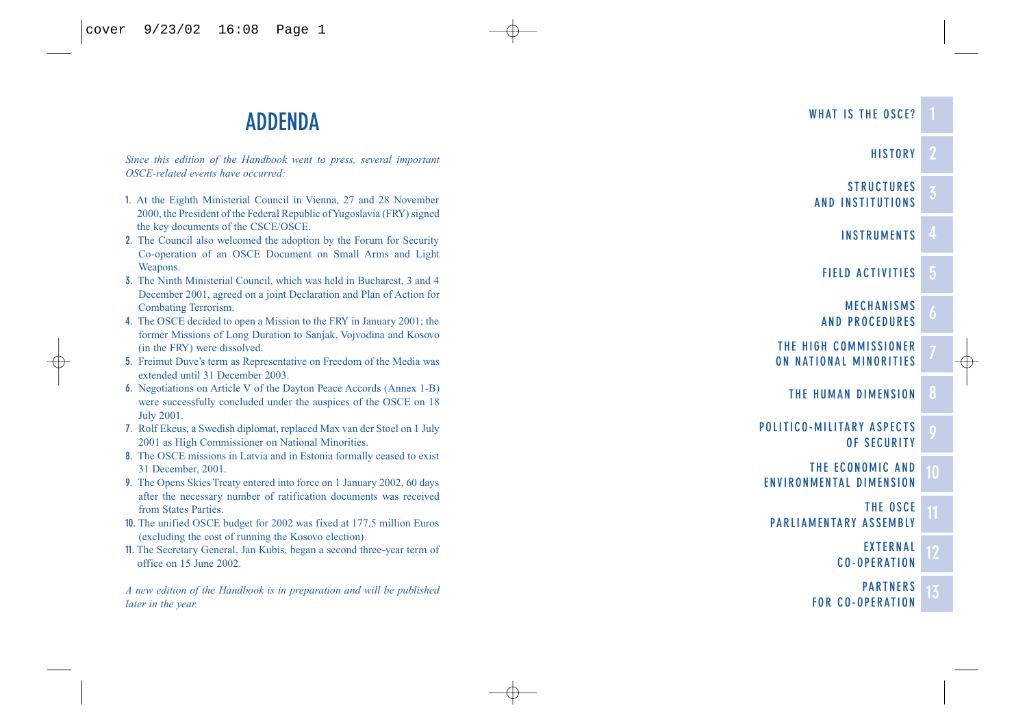# **ADDENDA**

*Since this edition of the Handbook went to press, several important OSCE-related events have occurred:*

- **1.** At the Eighth Ministerial Council in Vienna, 27 and 28 November 2000, the President of the Federal Republic of Yugoslavia (FRY) signed the key documents of the CSCE/OSCE.
- **2.** The Council also welcomed the adoption by the Forum for Security Co-operation of an OSCE Document on Small Arms and Light Weapons.
- **3.** The Ninth Ministerial Council, which was held in Bucharest, 3 and 4 December 2001, agreed on a joint Declaration and Plan of Action for Combating Terrorism.
- **4.** The OSCE decided to open a Mission to the FRY in January 2001; the former Missions of Long Duration to Sanjak, Vojvodina and Kosovo (in the FRY) were dissolved.
- **5.** Freimut Duve's term as Representative on Freedom of the Media was extended until 31 December 2003.
- **6.** Negotiations on Article V of the Dayton Peace Accords (Annex 1-B) were successfully concluded under the auspices of the OSCE on 18 July 2001.
- **7.** Rolf Ekeus, a Swedish diplomat, replaced Max van der Stoel on 1 July 2001 as High Commissioner on National Minorities.
- **8.** The OSCE missions in Latvia and in Estonia formally ceased to exist 31 December, 2001.
- **9.** The Opens Skies Treaty entered into force on 1 January 2002, 60 days after the necessary number of ratification documents was received from States Parties.
- **10.** The unified OSCE budget for 2002 was fixed at 177.5 million Euros (excluding the cost of running the Kosovo election).
- **11.** The Secretary General, Jan Kubis, began a second three-year term of office on 15 June 2002.

*A new edition of the Handbook is in preparation and will be published later in the year.*



**[WHAT IS THE OSCE?](#page-5-0)**

**[HISTORY](#page-8-0)**

**STRUCTURES [AND INSTITUTIONS](#page-15-0)**

**[INSTRUMENTS](#page-26-0)**

- **[THE HUMAN DIMENSION](#page-55-0)**
- **[POLITICO-MILITARY ASPECTS](#page-63-0) OF SECURITY**
- **THE ECONOMIC AND [ENVIRONMENTAL DIMENSION](#page-71-0)**
- **THE OSCE [PARLIAMENTARY ASSEMBLY](#page-74-0)**
	- **EXTERNAL [CO-OPERATION](#page-79-0)**
	- **PARTNERS [FOR CO-OPERATION](#page-86-0)**

**2**

**3**

**4**

**5**

**6**

**7**

**9**

**10**

**11**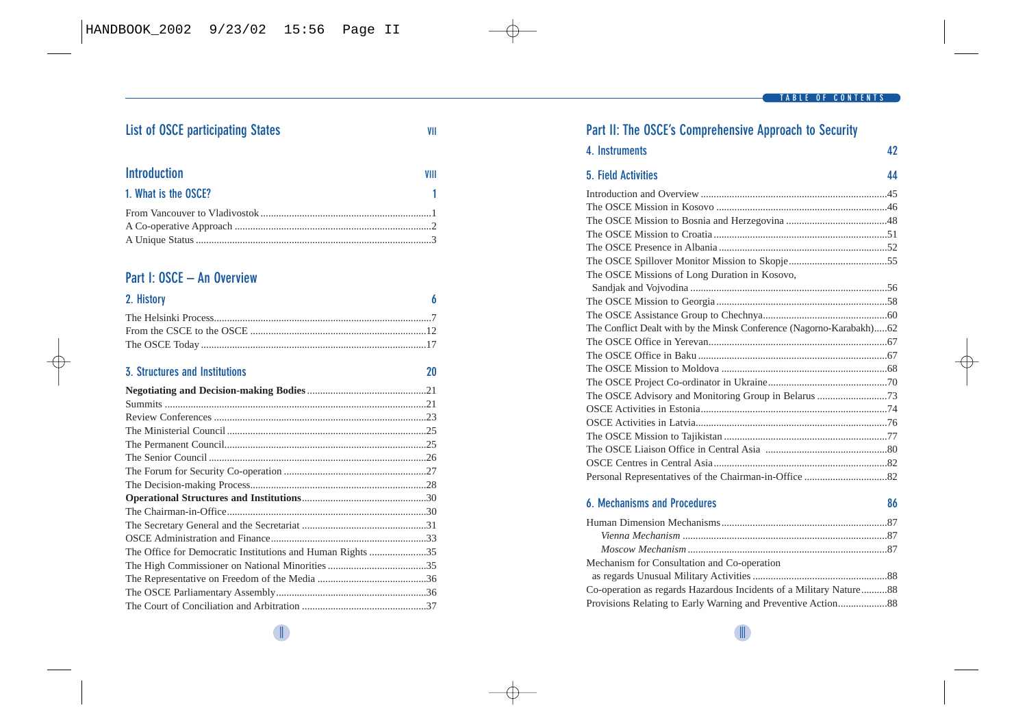#### **TABLE OF CONTENTS**

## **List of OSCE [participating States](#page-3-0) VII**

| Introduction         | VIII |
|----------------------|------|
| 1. What is the OSCE? | -1   |
|                      |      |
|                      |      |
|                      |      |

## **Part I: OSCE – An Overview**

| 2. History |  |
|------------|--|
|            |  |
|            |  |
|            |  |

#### **3. Structures and Institutions 20**

|                                                            | .23 |
|------------------------------------------------------------|-----|
|                                                            |     |
|                                                            |     |
|                                                            |     |
|                                                            |     |
|                                                            |     |
|                                                            |     |
|                                                            |     |
|                                                            |     |
|                                                            |     |
| The Office for Democratic Institutions and Human Rights 35 |     |
|                                                            |     |
|                                                            |     |
|                                                            |     |
|                                                            |     |

## **Part II: [The OSCE's Comprehensive Approach to Security](#page-25-0)**

| 42     |
|--------|
| $\sim$ |

| 5. Field Activities                                                  | 44 |
|----------------------------------------------------------------------|----|
|                                                                      |    |
|                                                                      |    |
|                                                                      |    |
|                                                                      |    |
|                                                                      |    |
|                                                                      |    |
| The OSCE Missions of Long Duration in Kosovo,                        |    |
|                                                                      |    |
|                                                                      |    |
|                                                                      |    |
| The Conflict Dealt with by the Minsk Conference (Nagorno-Karabakh)62 |    |
|                                                                      |    |
|                                                                      |    |
|                                                                      |    |
|                                                                      |    |
|                                                                      |    |
|                                                                      |    |
|                                                                      |    |
|                                                                      |    |
|                                                                      |    |
|                                                                      |    |
|                                                                      |    |
|                                                                      |    |

#### **6. Mechanisms and Procedures 86**

**[4. Instruments](#page-26-0) 42**

| Mechanism for Consultation and Co-operation                        |  |
|--------------------------------------------------------------------|--|
|                                                                    |  |
| Co-operation as regards Hazardous Incidents of a Military Nature88 |  |
|                                                                    |  |

II III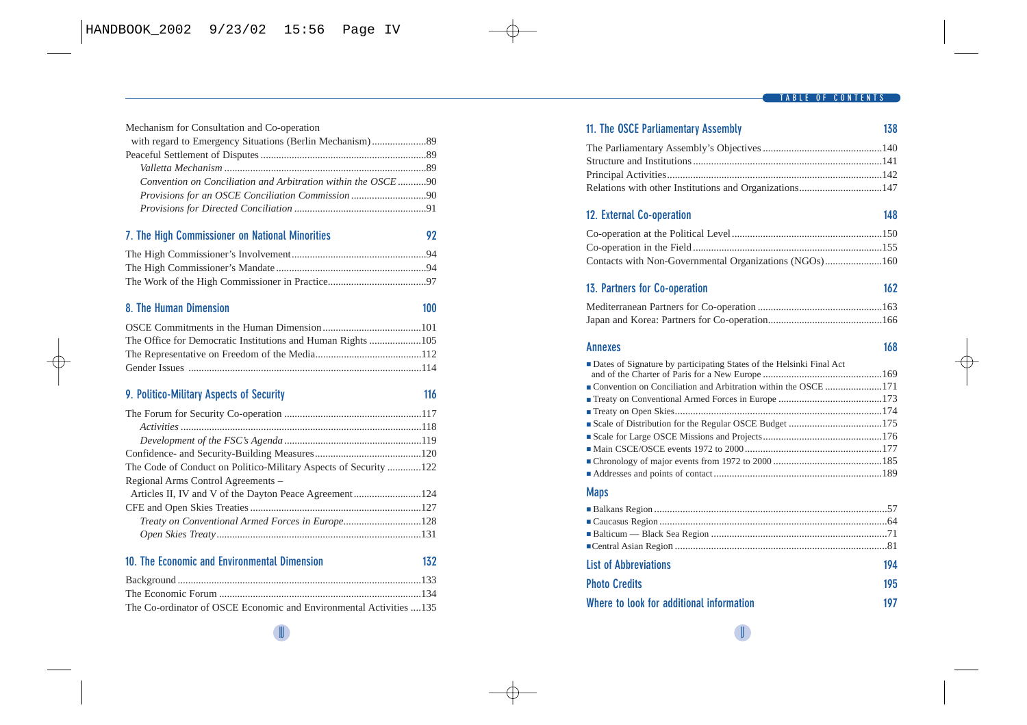| Mechanism for Consultation and Co-operation                  |     |
|--------------------------------------------------------------|-----|
|                                                              |     |
|                                                              |     |
|                                                              |     |
| Convention on Conciliation and Arbitration within the OSCE90 |     |
| Provisions for an OSCE Conciliation Commission 90            |     |
|                                                              |     |
| 7. The High Commissioner on National Minorities              | 92  |
|                                                              |     |
|                                                              |     |
|                                                              |     |
| 8. The Human Dimension                                       | 100 |
|                                                              |     |
| The Office for Democratic Institutions and Human Rights 105  |     |

#### **[9. Politico-Military Aspects of Security](#page-63-0)**

| The Code of Conduct on Politico-Military Aspects of Security 122 |  |
|------------------------------------------------------------------|--|
| Regional Arms Control Agreements -                               |  |
|                                                                  |  |
|                                                                  |  |
| Treaty on Conventional Armed Forces in Europe128                 |  |
|                                                                  |  |
|                                                                  |  |

|  |  |  | 10. The Economic and Environmental Dimension |  | 132 |
|--|--|--|----------------------------------------------|--|-----|
|--|--|--|----------------------------------------------|--|-----|

| The Co-ordinator of OSCE Economic and Environmental Activities 135 |  |
|--------------------------------------------------------------------|--|

| 11. The OSCE Parliamentary Assembly                                    | 138 |
|------------------------------------------------------------------------|-----|
|                                                                        |     |
|                                                                        |     |
|                                                                        |     |
| Relations with other Institutions and Organizations147                 |     |
| 12. External Co-operation                                              | 148 |
|                                                                        |     |
|                                                                        |     |
| Contacts with Non-Governmental Organizations (NGOs)160                 |     |
| 13. Partners for Co-operation                                          | 162 |
|                                                                        |     |
|                                                                        |     |
| <b>Annexes</b>                                                         | 168 |
| • Dates of Signature by participating States of the Helsinki Final Act |     |
|                                                                        |     |
|                                                                        |     |
|                                                                        |     |
|                                                                        |     |
|                                                                        |     |
|                                                                        |     |
|                                                                        |     |
|                                                                        |     |
| <b>Maps</b>                                                            |     |
|                                                                        |     |
|                                                                        |     |
|                                                                        |     |
|                                                                        |     |
| <b>List of Abbreviations</b>                                           | 194 |
| <b>Photo Credits</b>                                                   | 195 |
| Where to look for additional information                               | 197 |
|                                                                        |     |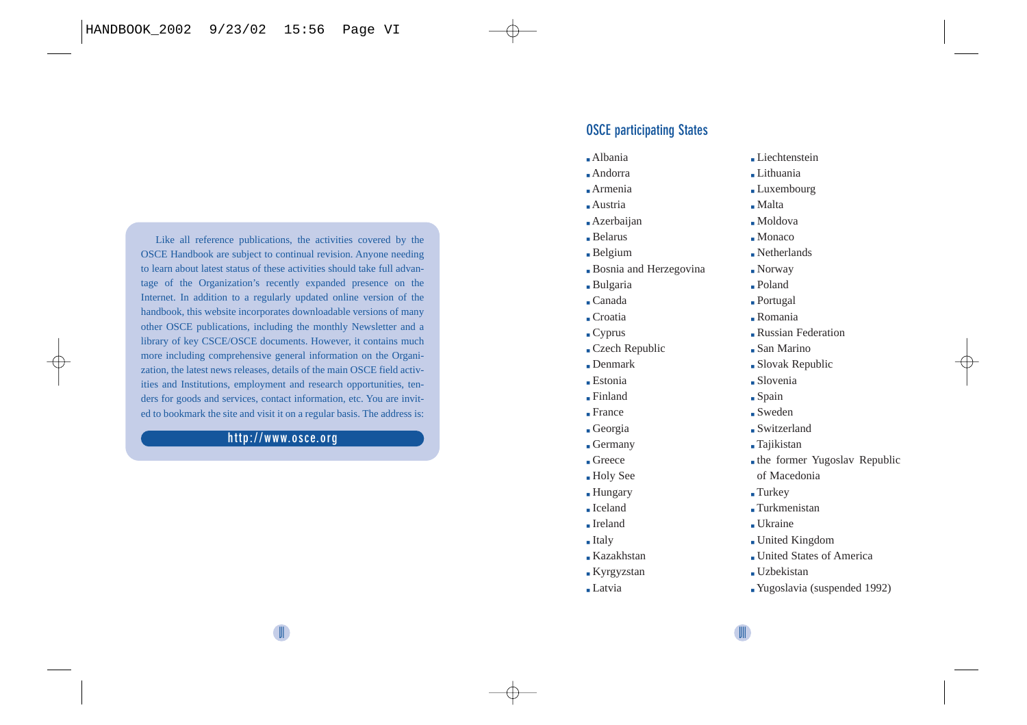<span id="page-3-0"></span>Like all reference publications, the activities covered by the OSCE Handbook are subject to continual revision. Anyone needing to learn about latest status of these activities should take full advantage of the Organization's recently expanded presence on the Internet. In addition to a regularly updated online version of the handbook, this website incorporates downloadable versions of many other OSCE publications, including the monthly Newsletter and a library of key CSCE/OSCE documents. However, it contains much more including comprehensive general information on the Organization, the latest news releases, details of the main OSCE field activities and Institutions, employment and research opportunities, tenders for goods and services, contact information, etc. You are invited to bookmark the site and visit it on a regular basis. The address is:

#### **http://www.osce.org**

#### **OSCE participating States**

- Albania
- Andorra
- Armenia
- Austria
- Azerbaijan
- Belarus
- Belgium
- **Bosnia** and Herzegovina
- Bulgaria
- Canada
- Croatia
- Cyprus
- Czech Republic
- Denmark
- Estonia
- Finland
- France
- Georgia
- Germany
- Greece
- Holy See
- Hungary
- Iceland
- Ireland
- Italy
- Kazakhstan
- Kyrgyzstan
- Latvia
- Liechtenstein
- Lithuania
- Luxembourg
- Malta
- Moldova
- Monaco
- Netherlands
- Norway
- Poland
- Portugal
- Romania
- Russian Federation
- San Marino
- Slovak Republic
- Slovenia
- Spain
- Sweden
- Switzerland
- Tajikistan
- the former Yugoslav Republic
- of Macedonia
- Turkey
- Turkmenistan
- Ukraine
- United Kingdom
- United States of America
- Uzbekistan
- Yugoslavia (suspended 1992)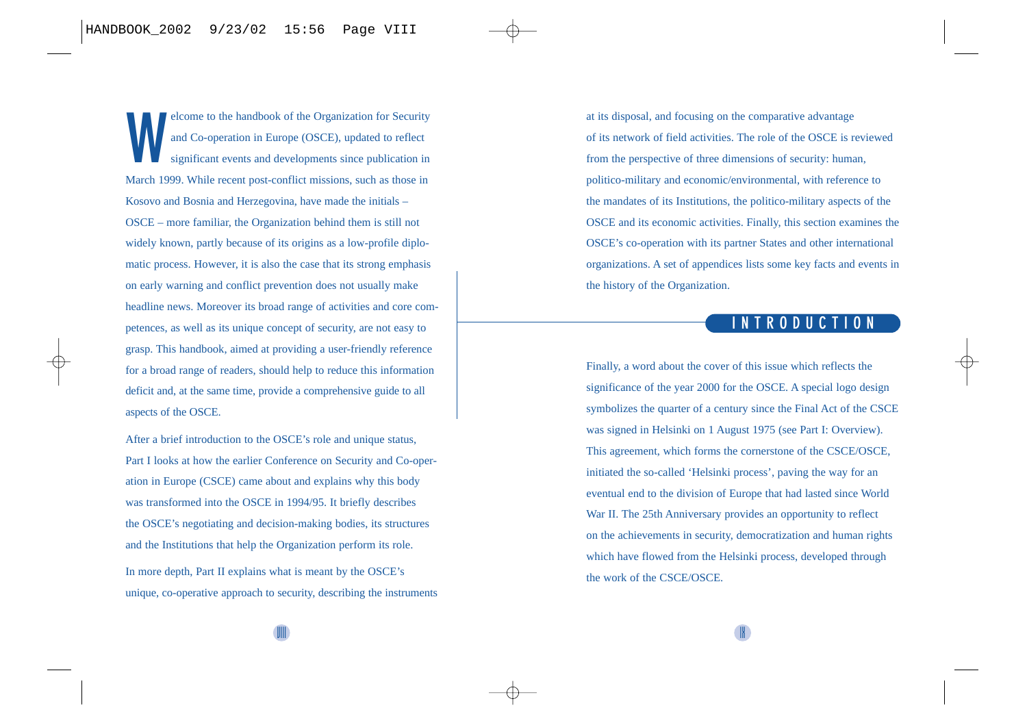<span id="page-4-0"></span>**W**elcome to the handbook of the Organization for Security and Co-operation in Europe (OSCE), updated to reflect significant events and developments since publication in March 1999. While recent post-conflict missions, such as those in Kosovo and Bosnia and Herzegovina, have made the initials – OSCE – more familiar, the Organization behind them is still not widely known, partly because of its origins as a low-profile diplomatic process. However, it is also the case that its strong emphasis on early warning and conflict prevention does not usually make headline news. Moreover its broad range of activities and core competences, as well as its unique concept of security, are not easy to grasp. This handbook, aimed at providing a user-friendly reference for a broad range of readers, should help to reduce this information deficit and, at the same time, provide a comprehensive guide to all aspects of the OSCE.

After a brief introduction to the OSCE's role and unique status, Part I looks at how the earlier Conference on Security and Co-operation in Europe (CSCE) came about and explains why this body was transformed into the OSCE in 1994/95. It briefly describes the OSCE's negotiating and decision-making bodies, its structures and the Institutions that help the Organization perform its role.

In more depth, Part II explains what is meant by the OSCE's unique, co-operative approach to security, describing the instruments at its disposal, and focusing on the comparative advantage of its network of field activities. The role of the OSCE is reviewed from the perspective of three dimensions of security: human, politico-military and economic/environmental, with reference to the mandates of its Institutions, the politico-military aspects of the OSCE and its economic activities. Finally, this section examines the OSCE's co-operation with its partner States and other international organizations. A set of appendices lists some key facts and events in the history of the Organization.

## **INTRODUCTION**

Finally, a word about the cover of this issue which reflects the significance of the year 2000 for the OSCE. A special logo design symbolizes the quarter of a century since the Final Act of the CSCE was signed in Helsinki on 1 August 1975 (see Part I: Overview). This agreement, which forms the cornerstone of the CSCE/OSCE, initiated the so-called 'Helsinki process', paving the way for an eventual end to the division of Europe that had lasted since World War II. The 25th Anniversary provides an opportunity to reflect on the achievements in security, democratization and human rights which have flowed from the Helsinki process, developed through the work of the CSCE/OSCE.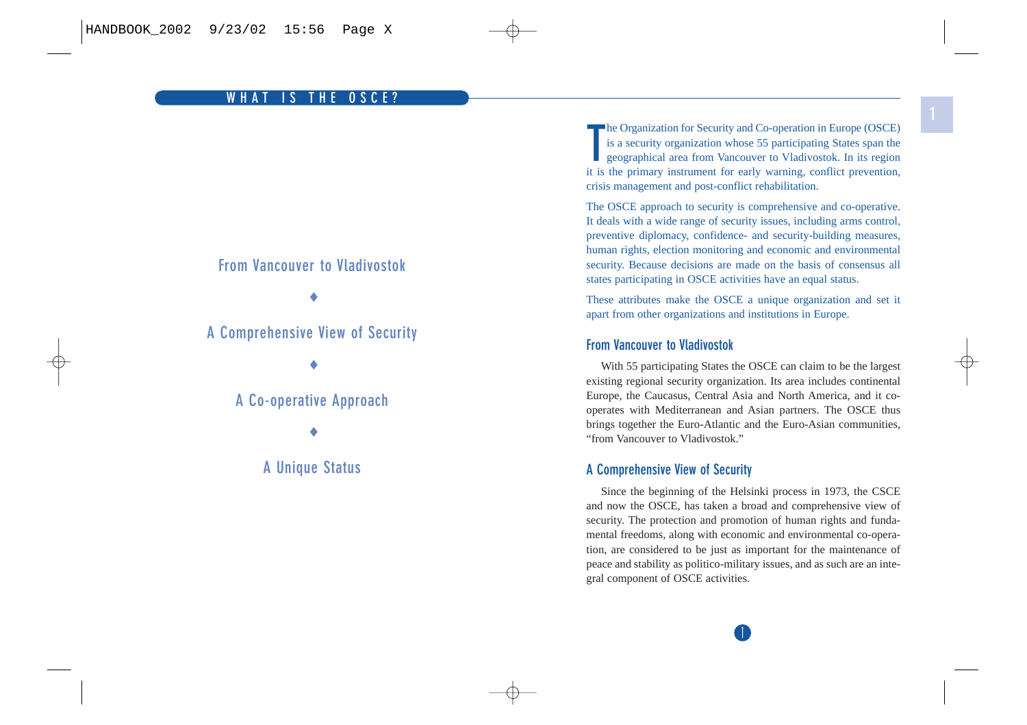#### <span id="page-5-0"></span>**From Vancouver to Vladivostok**

♦

**A Comprehensive View of Security**

♦

## **A Co-operative Approach**

♦

**A Unique Status**

**T**he Organization for Security and Co-operation in Europe (OSCE) is a security organization whose 55 participating States span the geographical area from Vancouver to Vladivostok. In its region it is the primary instrument for early warning, conflict prevention, crisis management and post-conflict rehabilitation.

The OSCE approach to security is comprehensive and co-operative. It deals with a wide range of security issues, including arms control, preventive diplomacy, confidence- and security-building measures, human rights, election monitoring and economic and environmental security. Because decisions are made on the basis of consensus all states participating in OSCE activities have an equal status.

These attributes make the OSCE a unique organization and set it apart from other organizations and institutions in Europe.

#### **From Vancouver to Vladivostok**

With 55 participating States the OSCE can claim to be the largest existing regional security organization. Its area includes continental Europe, the Caucasus, Central Asia and North America, and it cooperates with Mediterranean and Asian partners. The OSCE thus brings together the Euro-Atlantic and the Euro-Asian communities, "from Vancouver to Vladivostok."

#### **A Comprehensive View of Security**

Since the beginning of the Helsinki process in 1973, the CSCE and now the OSCE, has taken a broad and comprehensive view of security. The protection and promotion of human rights and fundamental freedoms, along with economic and environmental co-operation, are considered to be just as important for the maintenance of peace and stability as politico-military issues, and as such are an integral component of OSCE activities.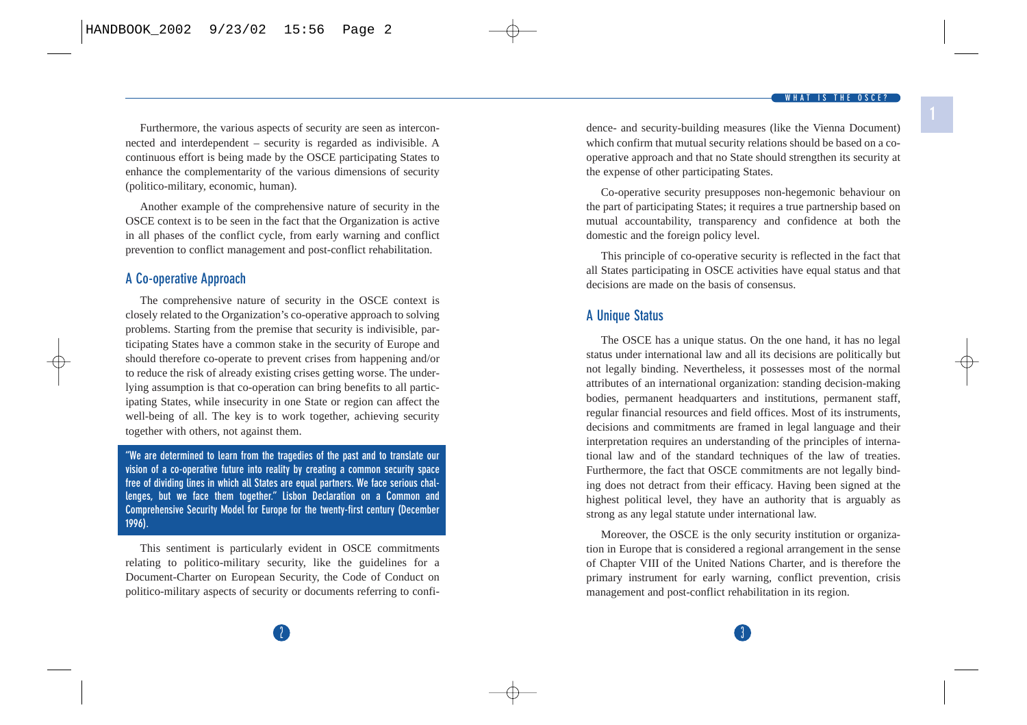**1**

<span id="page-6-0"></span>Furthermore, the various aspects of security are seen as interconnected and interdependent – security is regarded as indivisible. A continuous effort is being made by the OSCE participating States to enhance the complementarity of the various dimensions of security (politico-military, economic, human).

Another example of the comprehensive nature of security in the OSCE context is to be seen in the fact that the Organization is active in all phases of the conflict cycle, from early warning and conflict prevention to conflict management and post-conflict rehabilitation.

#### **A Co-operative Approach**

The comprehensive nature of security in the OSCE context is closely related to the Organization's co-operative approach to solving problems. Starting from the premise that security is indivisible, participating States have a common stake in the security of Europe and should therefore co-operate to prevent crises from happening and/or to reduce the risk of already existing crises getting worse. The underlying assumption is that co-operation can bring benefits to all participating States, while insecurity in one State or region can affect the well-being of all. The key is to work together, achieving security together with others, not against them.

**"We are determined to learn from the tragedies of the past and to translate our vision of a co-operative future into reality by creating a common security space free of dividing lines in which all States are equal partners. We face serious challenges, but we face them together." Lisbon Declaration on a Common and Comprehensive Security Model for Europe for the twenty-first century (December 1996).**

This sentiment is particularly evident in OSCE commitments relating to politico-military security, like the guidelines for a Document-Charter on European Security, the Code of Conduct on politico-military aspects of security or documents referring to confidence- and security-building measures (like the Vienna Document) which confirm that mutual security relations should be based on a cooperative approach and that no State should strengthen its security at the expense of other participating States.

Co-operative security presupposes non-hegemonic behaviour on the part of participating States; it requires a true partnership based on mutual accountability, transparency and confidence at both the domestic and the foreign policy level.

This principle of co-operative security is reflected in the fact that all States participating in OSCE activities have equal status and that decisions are made on the basis of consensus.

#### **A Unique Status**

The OSCE has a unique status. On the one hand, it has no legal status under international law and all its decisions are politically but not legally binding. Nevertheless, it possesses most of the normal attributes of an international organization: standing decision-making bodies, permanent headquarters and institutions, permanent staff, regular financial resources and field offices. Most of its instruments, decisions and commitments are framed in legal language and their interpretation requires an understanding of the principles of international law and of the standard techniques of the law of treaties. Furthermore, the fact that OSCE commitments are not legally binding does not detract from their efficacy. Having been signed at the highest political level, they have an authority that is arguably as strong as any legal statute under international law.

Moreover, the OSCE is the only security institution or organization in Europe that is considered a regional arrangement in the sense of Chapter VIII of the United Nations Charter, and is therefore the primary instrument for early warning, conflict prevention, crisis management and post-conflict rehabilitation in its region.

 $2$  3  $3$  3  $3$  3  $3$  3  $3$  3  $3$  3  $3$  3  $3$  3  $3$  3  $3$  3  $3$  3  $3$  3  $3$  3  $3$  3  $3$  3  $3$  3  $3$  3  $3$  3  $3$  3  $3$  3  $3$  3  $3$  3  $3$  3  $3$  3  $3$  3  $3$  3  $3$  3  $3$  3  $3$  3  $3$  3  $3$  3  $3$  3  $3$  3  $3$  3  $3$  3  $3$  3  $3$  3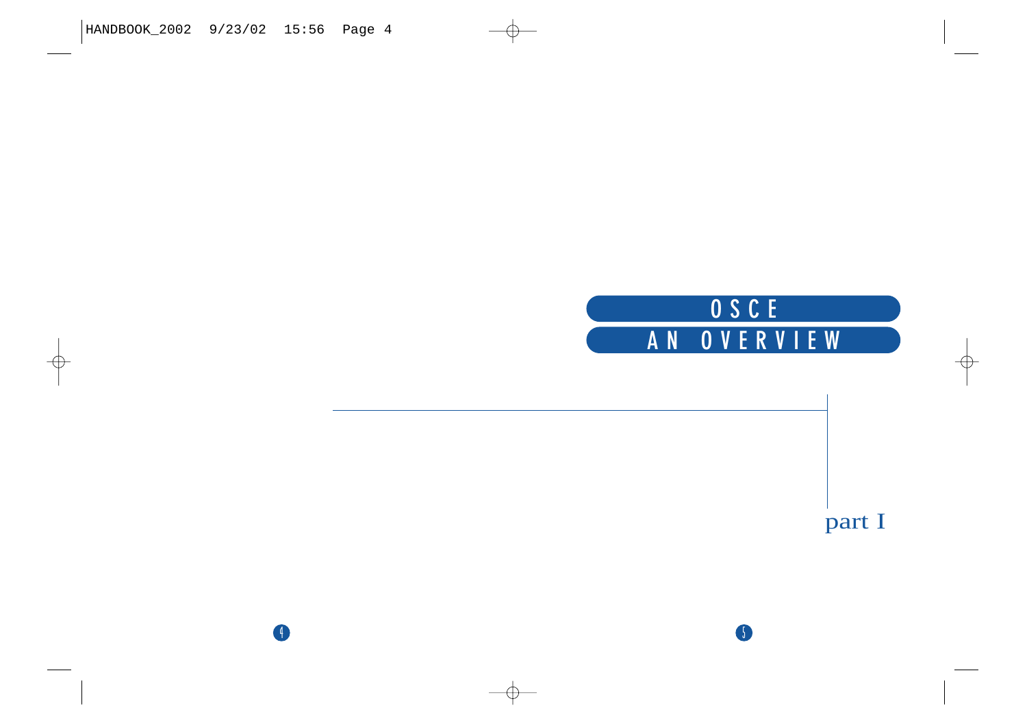

5

4

part I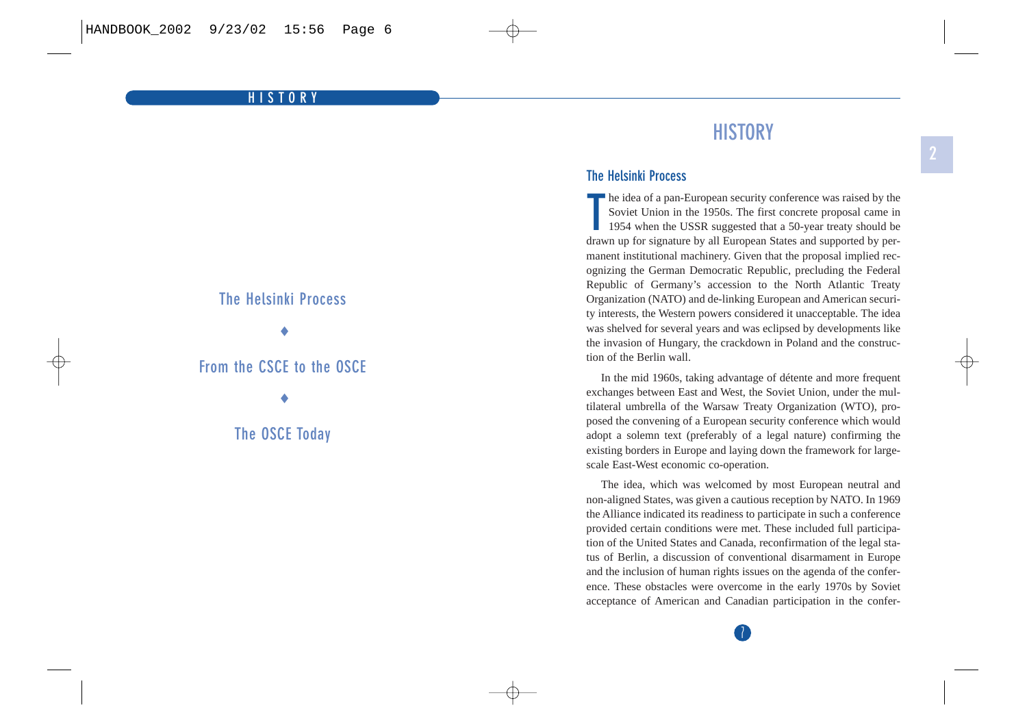#### <span id="page-8-0"></span>**HISTORY**

## **The Helsinki Process**

♦

## **From the CSCE to the OSCE**

♦

**The OSCE Today**

# **HISTORY**

#### **The Helsinki Process**

**T** he idea of a pan-European security conference was raised by the Soviet Union in the 1950s. The first concrete proposal came in 1954 when the USSR suggested that a 50-year treaty should be drawn up for signature by all European States and supported by permanent institutional machinery. Given that the proposal implied recognizing the German Democratic Republic, precluding the Federal Republic of Germany's accession to the North Atlantic Treaty Organization (NATO) and de-linking European and American security interests, the Western powers considered it unacceptable. The idea was shelved for several years and was eclipsed by developments like the invasion of Hungary, the crackdown in Poland and the construction of the Berlin wall.

In the mid 1960s, taking advantage of détente and more frequent exchanges between East and West, the Soviet Union, under the multilateral umbrella of the Warsaw Treaty Organization (WTO), proposed the convening of a European security conference which would adopt a solemn text (preferably of a legal nature) confirming the existing borders in Europe and laying down the framework for largescale East-West economic co-operation.

The idea, which was welcomed by most European neutral and non-aligned States, was given a cautious reception by NATO. In 1969 the Alliance indicated its readiness to participate in such a conference provided certain conditions were met. These included full participation of the United States and Canada, reconfirmation of the legal status of Berlin, a discussion of conventional disarmament in Europe and the inclusion of human rights issues on the agenda of the conference. These obstacles were overcome in the early 1970s by Soviet acceptance of American and Canadian participation in the confer-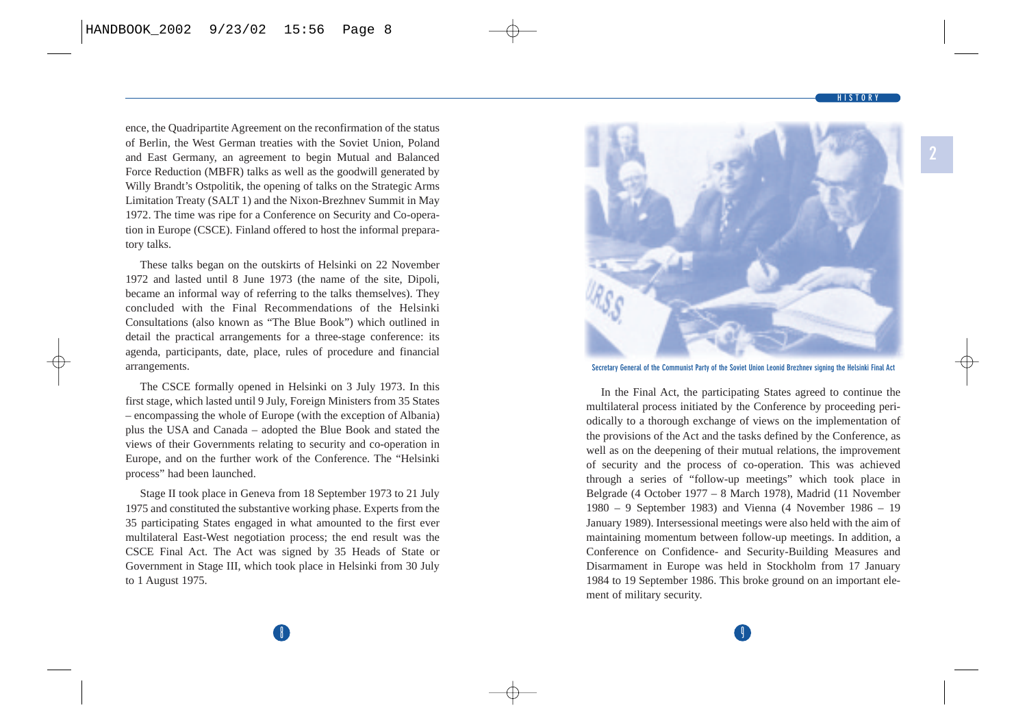**HISTORY**

ence, the Quadripartite Agreement on the reconfirmation of the status of Berlin, the West German treaties with the Soviet Union, Poland and East Germany, an agreement to begin Mutual and Balanced Force Reduction (MBFR) talks as well as the goodwill generated by Willy Brandt's Ostpolitik, the opening of talks on the Strategic Arms Limitation Treaty (SALT 1) and the Nixon-Brezhnev Summit in May 1972. The time was ripe for a Conference on Security and Co-operation in Europe (CSCE). Finland offered to host the informal preparatory talks.

These talks began on the outskirts of Helsinki on 22 November 1972 and lasted until 8 June 1973 (the name of the site, Dipoli, became an informal way of referring to the talks themselves). They concluded with the Final Recommendations of the Helsinki Consultations (also known as "The Blue Book") which outlined in detail the practical arrangements for a three-stage conference: its agenda, participants, date, place, rules of procedure and financial arrangements.

The CSCE formally opened in Helsinki on 3 July 1973. In this first stage, which lasted until 9 July, Foreign Ministers from 35 States – encompassing the whole of Europe (with the exception of Albania) plus the USA and Canada – adopted the Blue Book and stated the views of their Governments relating to security and co-operation in Europe, and on the further work of the Conference. The "Helsinki process" had been launched.

Stage II took place in Geneva from 18 September 1973 to 21 July 1975 and constituted the substantive working phase. Experts from the 35 participating States engaged in what amounted to the first ever multilateral East-West negotiation process; the end result was the CSCE Final Act. The Act was signed by 35 Heads of State or Government in Stage III, which took place in Helsinki from 30 July to 1 August 1975.



**Secretary General of the Communist Party of the Soviet Union Leonid Brezhnev signing the Helsinki Final Act**

In the Final Act, the participating States agreed to continue the multilateral process initiated by the Conference by proceeding periodically to a thorough exchange of views on the implementation of the provisions of the Act and the tasks defined by the Conference, as well as on the deepening of their mutual relations, the improvement of security and the process of co-operation. This was achieved through a series of "follow-up meetings" which took place in Belgrade (4 October 1977 – 8 March 1978), Madrid (11 November 1980 – 9 September 1983) and Vienna (4 November 1986 – 19 January 1989). Intersessional meetings were also held with the aim of maintaining momentum between follow-up meetings. In addition, a Conference on Confidence- and Security-Building Measures and Disarmament in Europe was held in Stockholm from 17 January 1984 to 19 September 1986. This broke ground on an important element of military security.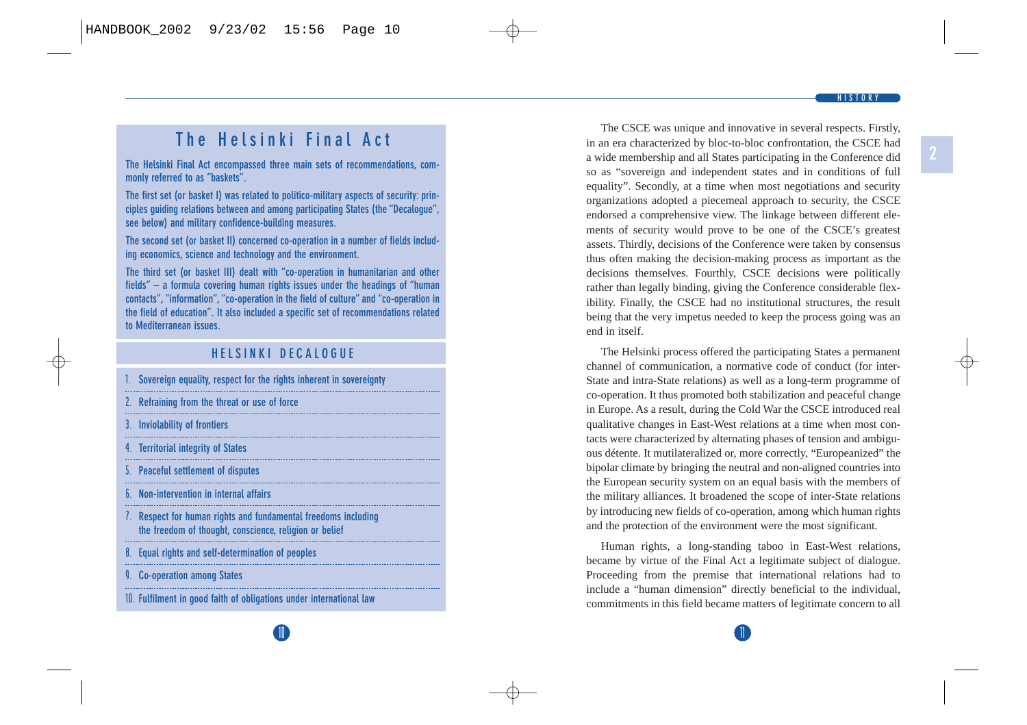# **The Helsinki Final Act**

**The Helsinki Final Act encompassed three main sets of recommendations, commonly referred to as "baskets".** 

**The first set (or basket I) was related to politico-military aspects of security: principles guiding relations between and among participating States (the "Decalogue", see below) and military confidence-building measures.**

**The second set (or basket II) concerned co-operation in a number of fields including economics, science and technology and the environment.** 

**The third set (or basket III) dealt with "co-operation in humanitarian and other fields" – a formula covering human rights issues under the headings of "human contacts", "information", "co-operation in the field of culture" and "co-operation in the field of education". It also included a specific set of recommendations related to Mediterranean issues.**

## **HELSINKI DECALOGUE**

- **1. Sovereign equality, respect for the rights inherent in sovereignty**
- **2. Refraining from the threat or use of force**
- **3. Inviolability of frontiers**
- **4. Territorial integrity of States**
- **5. Peaceful settlement of disputes**
- **6. Non-intervention in internal affairs**
- **7. Respect for human rights and fundamental freedoms including the freedom of thought, conscience, religion or belief**
- **8. Equal rights and self-determination of peoples**
- **9. Co-operation among States**

**10. Fulfilment in good faith of obligations under international law**

The CSCE was unique and innovative in several respects. Firstly, in an era characterized by bloc-to-bloc confrontation, the CSCE had a wide membership and all States participating in the Conference did so as "sovereign and independent states and in conditions of full equality". Secondly, at a time when most negotiations and security organizations adopted a piecemeal approach to security, the CSCE endorsed a comprehensive view. The linkage between different elements of security would prove to be one of the CSCE's greatest assets. Thirdly, decisions of the Conference were taken by consensus thus often making the decision-making process as important as the decisions themselves. Fourthly, CSCE decisions were politically rather than legally binding, giving the Conference considerable flexibility. Finally, the CSCE had no institutional structures, the result being that the very impetus needed to keep the process going was an end in itself.

The Helsinki process offered the participating States a permanent channel of communication, a normative code of conduct (for inter-State and intra-State relations) as well as a long-term programme of co-operation. It thus promoted both stabilization and peaceful change in Europe. As a result, during the Cold War the CSCE introduced real qualitative changes in East-West relations at a time when most contacts were characterized by alternating phases of tension and ambiguous détente. It mutilateralized or, more correctly, "Europeanized" the bipolar climate by bringing the neutral and non-aligned countries into the European security system on an equal basis with the members of the military alliances. It broadened the scope of inter-State relations by introducing new fields of co-operation, among which human rights and the protection of the environment were the most significant.

Human rights, a long-standing taboo in East-West relations, became by virtue of the Final Act a legitimate subject of dialogue. Proceeding from the premise that international relations had to include a "human dimension" directly beneficial to the individual, commitments in this field became matters of legitimate concern to all

 $\mathbf{0}$  11  $\mathbf{1}$  11  $\mathbf{1}$  11  $\mathbf{1}$  11  $\mathbf{1}$  11  $\mathbf{1}$  11  $\mathbf{1}$  11  $\mathbf{1}$  11  $\mathbf{1}$  11  $\mathbf{1}$  11  $\mathbf{1}$  11  $\mathbf{1}$  11  $\mathbf{1}$  11  $\mathbf{1}$  11  $\mathbf{1}$  11  $\mathbf{1}$  11  $\mathbf{1}$  11  $\mathbf{1}$  11  $\mathbf{$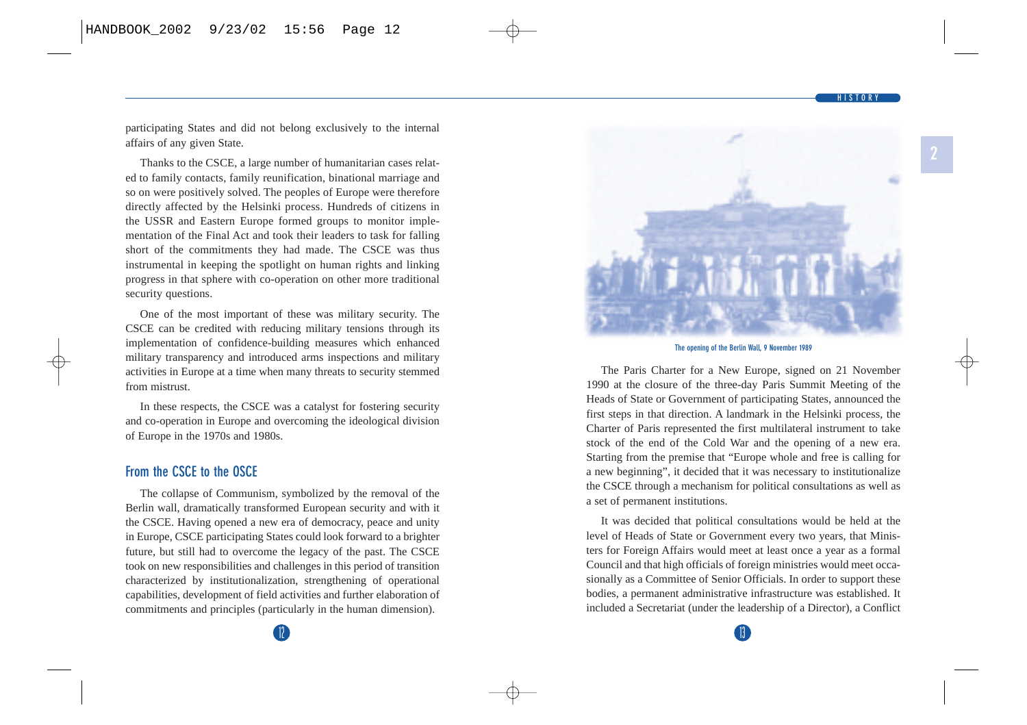**HISTORY**

**2**

<span id="page-11-0"></span>participating States and did not belong exclusively to the internal affairs of any given State.

Thanks to the CSCE, a large number of humanitarian cases related to family contacts, family reunification, binational marriage and so on were positively solved. The peoples of Europe were therefore directly affected by the Helsinki process. Hundreds of citizens in the USSR and Eastern Europe formed groups to monitor implementation of the Final Act and took their leaders to task for falling short of the commitments they had made. The CSCE was thus instrumental in keeping the spotlight on human rights and linking progress in that sphere with co-operation on other more traditional security questions.

One of the most important of these was military security. The CSCE can be credited with reducing military tensions through its implementation of confidence-building measures which enhanced military transparency and introduced arms inspections and military activities in Europe at a time when many threats to security stemmed from mistrust.

In these respects, the CSCE was a catalyst for fostering security and co-operation in Europe and overcoming the ideological division of Europe in the 1970s and 1980s.

#### **From the CSCE to the OSCE**

The collapse of Communism, symbolized by the removal of the Berlin wall, dramatically transformed European security and with it the CSCE. Having opened a new era of democracy, peace and unity in Europe, CSCE participating States could look forward to a brighter future, but still had to overcome the legacy of the past. The CSCE took on new responsibilities and challenges in this period of transition characterized by institutionalization, strengthening of operational capabilities, development of field activities and further elaboration of commitments and principles (particularly in the human dimension).



**The opening of the Berlin Wall, 9 November 1989**

The Paris Charter for a New Europe, signed on 21 November 1990 at the closure of the three-day Paris Summit Meeting of the Heads of State or Government of participating States, announced the first steps in that direction. A landmark in the Helsinki process, the Charter of Paris represented the first multilateral instrument to take stock of the end of the Cold War and the opening of a new era. Starting from the premise that "Europe whole and free is calling for a new beginning", it decided that it was necessary to institutionalize the CSCE through a mechanism for political consultations as well as a set of permanent institutions.

It was decided that political consultations would be held at the level of Heads of State or Government every two years, that Ministers for Foreign Affairs would meet at least once a year as a formal Council and that high officials of foreign ministries would meet occasionally as a Committee of Senior Officials. In order to support these bodies, a permanent administrative infrastructure was established. It included a Secretariat (under the leadership of a Director), a Conflict

 $\sim$  13  $\sim$  13  $\sim$  13  $\sim$  13  $\sim$  13  $\sim$  13  $\sim$  13  $\sim$  13  $\sim$  13  $\sim$  13  $\sim$  13  $\sim$  13  $\sim$  13  $\sim$  13  $\sim$  13  $\sim$  13  $\sim$  13  $\sim$  13  $\sim$  13  $\sim$  13  $\sim$  13  $\sim$  13  $\sim$  13  $\sim$  13  $\sim$  13  $\sim$  13  $\sim$  13  $\sim$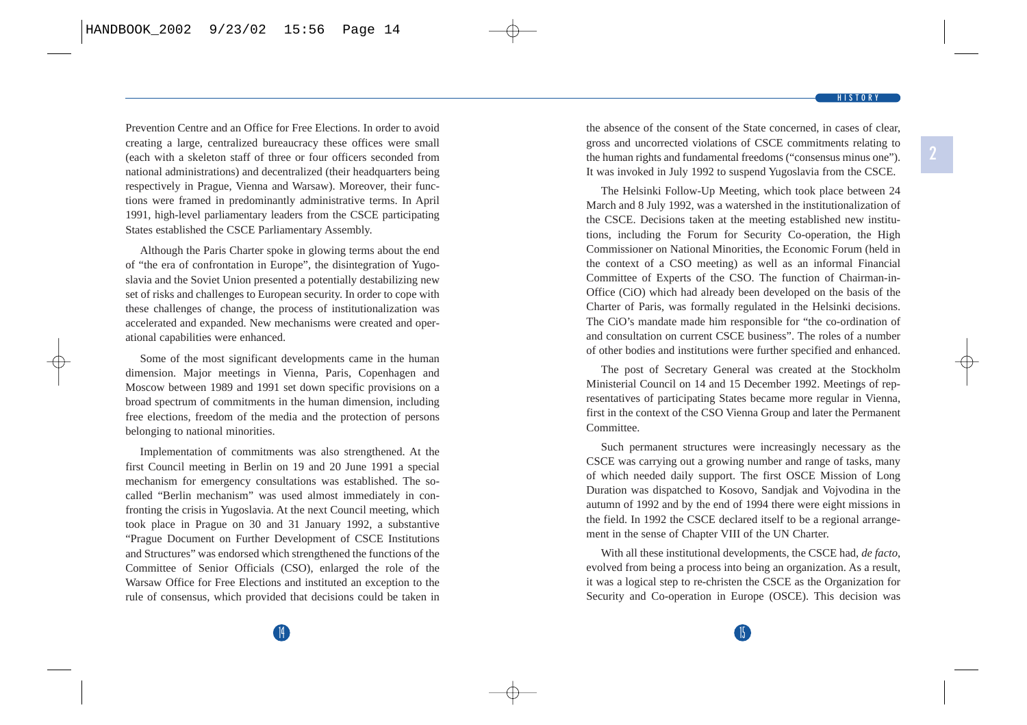Prevention Centre and an Office for Free Elections. In order to avoid creating a large, centralized bureaucracy these offices were small (each with a skeleton staff of three or four officers seconded from national administrations) and decentralized (their headquarters being respectively in Prague, Vienna and Warsaw). Moreover, their functions were framed in predominantly administrative terms. In April 1991, high-level parliamentary leaders from the CSCE participating States established the CSCE Parliamentary Assembly.

Although the Paris Charter spoke in glowing terms about the end of "the era of confrontation in Europe", the disintegration of Yugoslavia and the Soviet Union presented a potentially destabilizing new set of risks and challenges to European security. In order to cope with these challenges of change, the process of institutionalization was accelerated and expanded. New mechanisms were created and operational capabilities were enhanced.

Some of the most significant developments came in the human dimension. Major meetings in Vienna, Paris, Copenhagen and Moscow between 1989 and 1991 set down specific provisions on a broad spectrum of commitments in the human dimension, including free elections, freedom of the media and the protection of persons belonging to national minorities.

Implementation of commitments was also strengthened. At the first Council meeting in Berlin on 19 and 20 June 1991 a special mechanism for emergency consultations was established. The socalled "Berlin mechanism" was used almost immediately in confronting the crisis in Yugoslavia. At the next Council meeting, which took place in Prague on 30 and 31 January 1992, a substantive "Prague Document on Further Development of CSCE Institutions and Structures" was endorsed which strengthened the functions of the Committee of Senior Officials (CSO), enlarged the role of the Warsaw Office for Free Elections and instituted an exception to the rule of consensus, which provided that decisions could be taken in the absence of the consent of the State concerned, in cases of clear, gross and uncorrected violations of CSCE commitments relating to the human rights and fundamental freedoms ("consensus minus one"). It was invoked in July 1992 to suspend Yugoslavia from the CSCE.

The Helsinki Follow-Up Meeting, which took place between 24 March and 8 July 1992, was a watershed in the institutionalization of the CSCE. Decisions taken at the meeting established new institutions, including the Forum for Security Co-operation, the High Commissioner on National Minorities, the Economic Forum (held in the context of a CSO meeting) as well as an informal Financial Committee of Experts of the CSO. The function of Chairman-in-Office (CiO) which had already been developed on the basis of the Charter of Paris, was formally regulated in the Helsinki decisions. The CiO's mandate made him responsible for "the co-ordination of and consultation on current CSCE business". The roles of a number of other bodies and institutions were further specified and enhanced.

The post of Secretary General was created at the Stockholm Ministerial Council on 14 and 15 December 1992. Meetings of representatives of participating States became more regular in Vienna, first in the context of the CSO Vienna Group and later the Permanent Committee.

Such permanent structures were increasingly necessary as the CSCE was carrying out a growing number and range of tasks, many of which needed daily support. The first OSCE Mission of Long Duration was dispatched to Kosovo, Sandjak and Vojvodina in the autumn of 1992 and by the end of 1994 there were eight missions in the field. In 1992 the CSCE declared itself to be a regional arrangement in the sense of Chapter VIII of the UN Charter.

With all these institutional developments, the CSCE had, *de facto*, evolved from being a process into being an organization. As a result, it was a logical step to re-christen the CSCE as the Organization for Security and Co-operation in Europe (OSCE). This decision was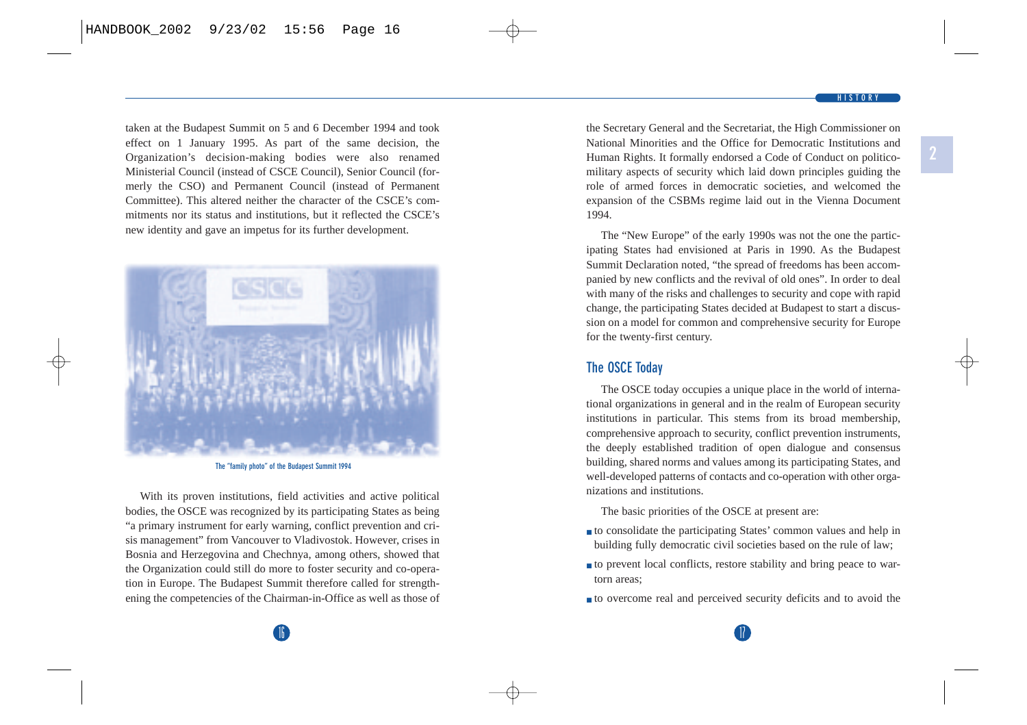taken at the Budapest Summit on 5 and 6 December 1994 and took effect on 1 January 1995. As part of the same decision, the Organization's decision-making bodies were also renamed Ministerial Council (instead of CSCE Council), Senior Council (formerly the CSO) and Permanent Council (instead of Permanent Committee). This altered neither the character of the CSCE's commitments nor its status and institutions, but it reflected the CSCE's new identity and gave an impetus for its further development.



**The "family photo" of the Budapest Summit 1994**

With its proven institutions, field activities and active political bodies, the OSCE was recognized by its participating States as being "a primary instrument for early warning, conflict prevention and crisis management" from Vancouver to Vladivostok. However, crises in Bosnia and Herzegovina and Chechnya, among others, showed that the Organization could still do more to foster security and co-operation in Europe. The Budapest Summit therefore called for strengthening the competencies of the Chairman-in-Office as well as those of the Secretary General and the Secretariat, the High Commissioner on National Minorities and the Office for Democratic Institutions and Human Rights. It formally endorsed a Code of Conduct on politicomilitary aspects of security which laid down principles guiding the role of armed forces in democratic societies, and welcomed the expansion of the CSBMs regime laid out in the Vienna Document 1994.

The "New Europe" of the early 1990s was not the one the participating States had envisioned at Paris in 1990. As the Budapest Summit Declaration noted, "the spread of freedoms has been accompanied by new conflicts and the revival of old ones". In order to deal with many of the risks and challenges to security and cope with rapid change, the participating States decided at Budapest to start a discussion on a model for common and comprehensive security for Europe for the twenty-first century.

#### **The OSCE Today**

The OSCE today occupies a unique place in the world of international organizations in general and in the realm of European security institutions in particular. This stems from its broad membership, comprehensive approach to security, conflict prevention instruments, the deeply established tradition of open dialogue and consensus building, shared norms and values among its participating States, and well-developed patterns of contacts and co-operation with other organizations and institutions.

The basic priorities of the OSCE at present are:

- to consolidate the participating States' common values and help in building fully democratic civil societies based on the rule of law;
- to prevent local conflicts, restore stability and bring peace to wartorn areas;
- to overcome real and perceived security deficits and to avoid the

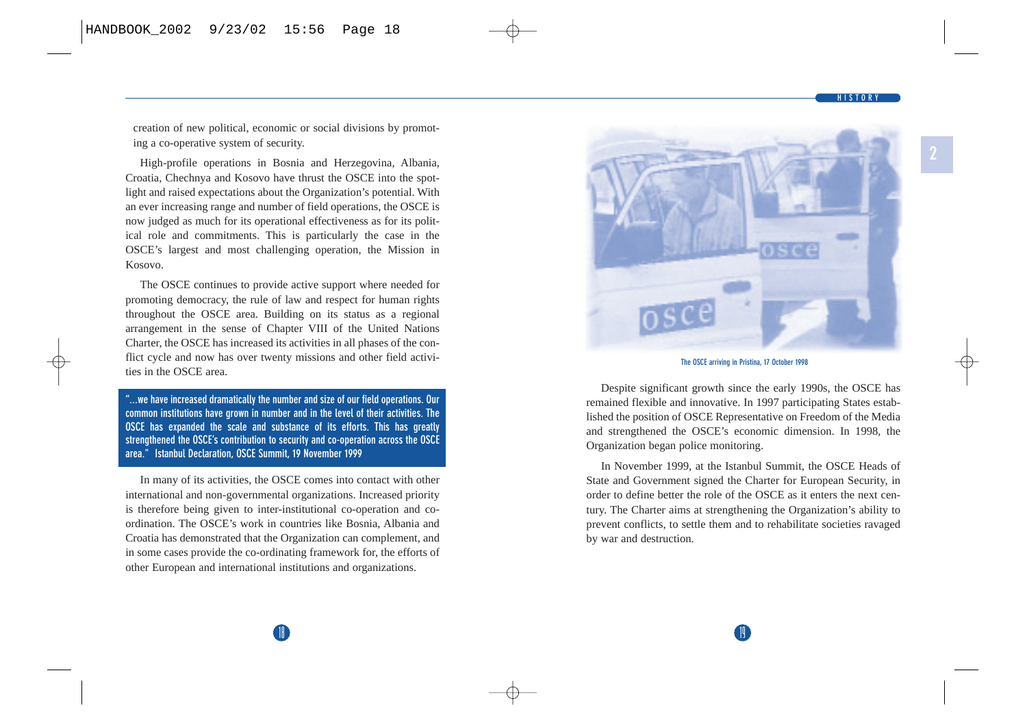#### **HISTORY**

**2**

creation of new political, economic or social divisions by promoting a co-operative system of security.

High-profile operations in Bosnia and Herzegovina, Albania, Croatia, Chechnya and Kosovo have thrust the OSCE into the spotlight and raised expectations about the Organization's potential. With an ever increasing range and number of field operations, the OSCE is now judged as much for its operational effectiveness as for its political role and commitments. This is particularly the case in the OSCE's largest and most challenging operation, the Mission in Kosovo.

The OSCE continues to provide active support where needed for promoting democracy, the rule of law and respect for human rights throughout the OSCE area. Building on its status as a regional arrangement in the sense of Chapter VIII of the United Nations Charter, the OSCE has increased its activities in all phases of the conflict cycle and now has over twenty missions and other field activities in the OSCE area.

**"...we have increased dramatically the number and size of our field operations. Our common institutions have grown in number and in the level of their activities. The OSCE has expanded the scale and substance of its efforts. This has greatly strengthened the OSCE's contribution to security and co-operation across the OSCE area." Istanbul Declaration, OSCE Summit, 19 November 1999**

In many of its activities, the OSCE comes into contact with other international and non-governmental organizations. Increased priority is therefore being given to inter-institutional co-operation and coordination. The OSCE's work in countries like Bosnia, Albania and Croatia has demonstrated that the Organization can complement, and in some cases provide the co-ordinating framework for, the efforts of other European and international institutions and organizations.



#### **The OSCE arriving in Pristina, 17 October 1998**

Despite significant growth since the early 1990s, the OSCE has remained flexible and innovative. In 1997 participating States established the position of OSCE Representative on Freedom of the Media and strengthened the OSCE's economic dimension. In 1998, the Organization began police monitoring.

In November 1999, at the Istanbul Summit, the OSCE Heads of State and Government signed the Charter for European Security, in order to define better the role of the OSCE as it enters the next century. The Charter aims at strengthening the Organization's ability to prevent conflicts, to settle them and to rehabilitate societies ravaged by war and destruction.

 $\mathbf{a}$  19  $\mathbf{b}$  19  $\mathbf{b}$  19  $\mathbf{b}$  19  $\mathbf{b}$  19  $\mathbf{b}$  19  $\mathbf{b}$  19  $\mathbf{b}$  19  $\mathbf{b}$  19  $\mathbf{b}$  19  $\mathbf{b}$  19  $\mathbf{b}$  19  $\mathbf{b}$  19  $\mathbf{b}$  19  $\mathbf{b}$  19  $\mathbf{b}$  19  $\mathbf{b}$  19  $\mathbf{b}$  19  $\mathbf{$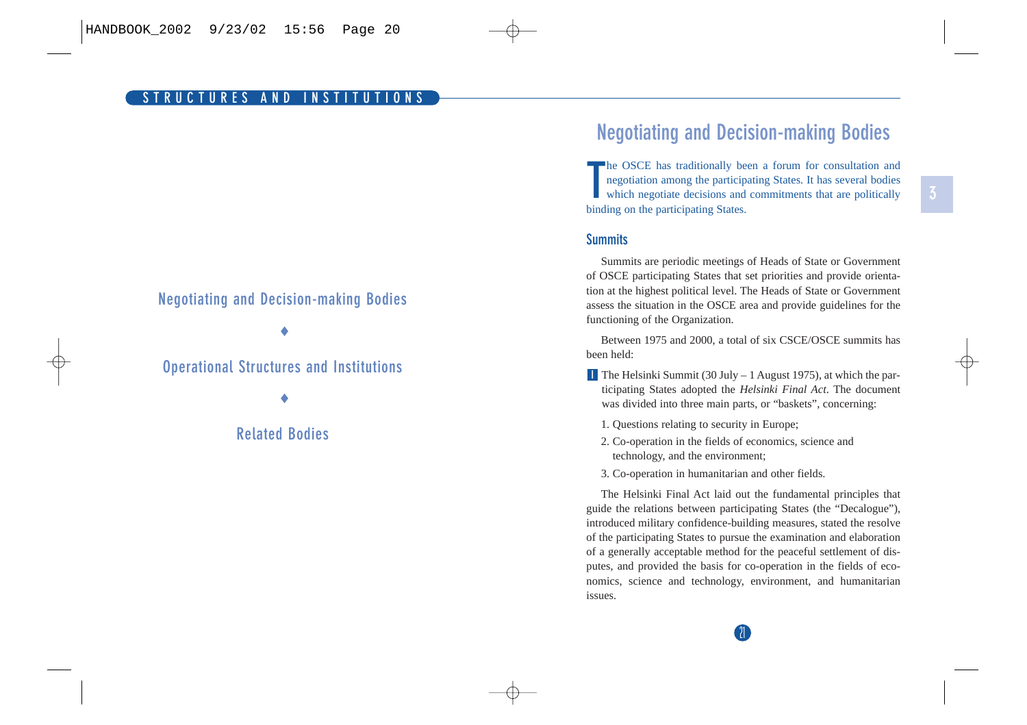#### <span id="page-15-0"></span>**Negotiating and Decision-making Bodies**

♦

## **Operational Structures and Institutions**

♦

#### **Related Bodies**

# **Negotiating and Decision-making Bodies**

**T**he OSCE has traditionally been a forum for consultation and negotiation among the participating States. It has several bodies which negotiate decisions and commitments that are politically binding on the participating States.

#### **Summits**

Summits are periodic meetings of Heads of State or Government of OSCE participating States that set priorities and provide orientation at the highest political level. The Heads of State or Government assess the situation in the OSCE area and provide guidelines for the functioning of the Organization.

Between 1975 and 2000, a total of six CSCE/OSCE summits has been held:

- The Helsinki Summit (30 July 1 August 1975), at which the par-**I** ticipating States adopted the *Helsinki Final Act*. The document was divided into three main parts, or "baskets", concerning:
	- 1. Questions relating to security in Europe;
	- 2. Co-operation in the fields of economics, science and technology, and the environment;
	- 3. Co-operation in humanitarian and other fields.

The Helsinki Final Act laid out the fundamental principles that guide the relations between participating States (the "Decalogue"), introduced military confidence-building measures, stated the resolve of the participating States to pursue the examination and elaboration of a generally acceptable method for the peaceful settlement of disputes, and provided the basis for co-operation in the fields of economics, science and technology, environment, and humanitarian issues.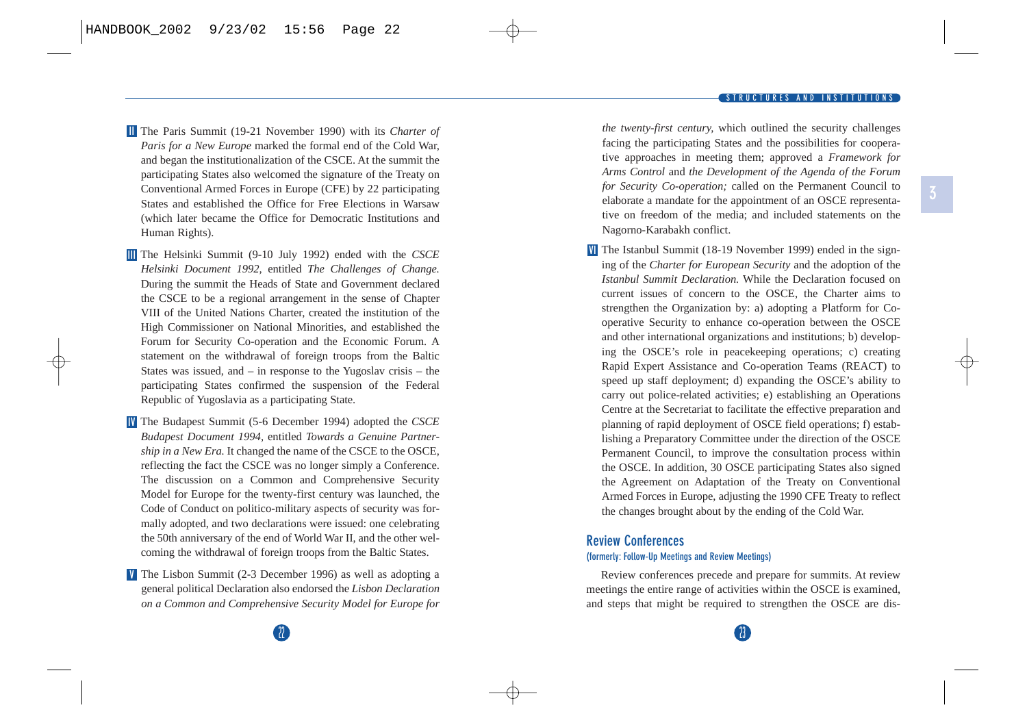<span id="page-16-0"></span>The Paris Summit (19-21 November 1990) with its *Charter of* **II** *Paris for a New Europe* marked the formal end of the Cold War, and began the institutionalization of the CSCE. At the summit the participating States also welcomed the signature of the Treaty on Conventional Armed Forces in Europe (CFE) by 22 participating States and established the Office for Free Elections in Warsaw (which later became the Office for Democratic Institutions and Human Rights).

The Helsinki Summit (9-10 July 1992) ended with the *CSCE* **III** *Helsinki Document 1992,* entitled *The Challenges of Change.* During the summit the Heads of State and Government declared the CSCE to be a regional arrangement in the sense of Chapter VIII of the United Nations Charter, created the institution of the High Commissioner on National Minorities, and established the Forum for Security Co-operation and the Economic Forum. A statement on the withdrawal of foreign troops from the Baltic States was issued, and – in response to the Yugoslav crisis – the participating States confirmed the suspension of the Federal Republic of Yugoslavia as a participating State.

The Budapest Summit (5-6 December 1994) adopted the *CSCE* **IV** *Budapest Document 1994,* entitled *Towards a Genuine Partnership in a New Era.* It changed the name of the CSCE to the OSCE, reflecting the fact the CSCE was no longer simply a Conference. The discussion on a Common and Comprehensive Security Model for Europe for the twenty-first century was launched, the Code of Conduct on politico-military aspects of security was formally adopted, and two declarations were issued: one celebrating the 50th anniversary of the end of World War II, and the other welcoming the withdrawal of foreign troops from the Baltic States.

**The Lisbon Summit (2-3 December 1996) as well as adopting a** general political Declaration also endorsed the *Lisbon Declaration on a Common and Comprehensive Security Model for Europe for*

*the twenty-first century,* which outlined the security challenges facing the participating States and the possibilities for cooperative approaches in meeting them; approved a *Framework for Arms Control* and *the Development of the Agenda of the Forum for Security Co-operation;* called on the Permanent Council to elaborate a mandate for the appointment of an OSCE representative on freedom of the media; and included statements on the Nagorno-Karabakh conflict.

The Istanbul Summit (18-19 November 1999) ended in the sign-**VI** ing of the *Charter for European Security* and the adoption of the *Istanbul Summit Declaration.* While the Declaration focused on current issues of concern to the OSCE, the Charter aims to strengthen the Organization by: a) adopting a Platform for Cooperative Security to enhance co-operation between the OSCE and other international organizations and institutions; b) developing the OSCE's role in peacekeeping operations; c) creating Rapid Expert Assistance and Co-operation Teams (REACT) to speed up staff deployment; d) expanding the OSCE's ability to carry out police-related activities; e) establishing an Operations Centre at the Secretariat to facilitate the effective preparation and planning of rapid deployment of OSCE field operations; f) establishing a Preparatory Committee under the direction of the OSCE Permanent Council, to improve the consultation process within the OSCE. In addition, 30 OSCE participating States also signed the Agreement on Adaptation of the Treaty on Conventional Armed Forces in Europe, adjusting the 1990 CFE Treaty to reflect the changes brought about by the ending of the Cold War.

#### **Review Conferences (formerly: Follow-Up Meetings and Review Meetings)**

Review conferences precede and prepare for summits. At review meetings the entire range of activities within the OSCE is examined, and steps that might be required to strengthen the OSCE are dis-

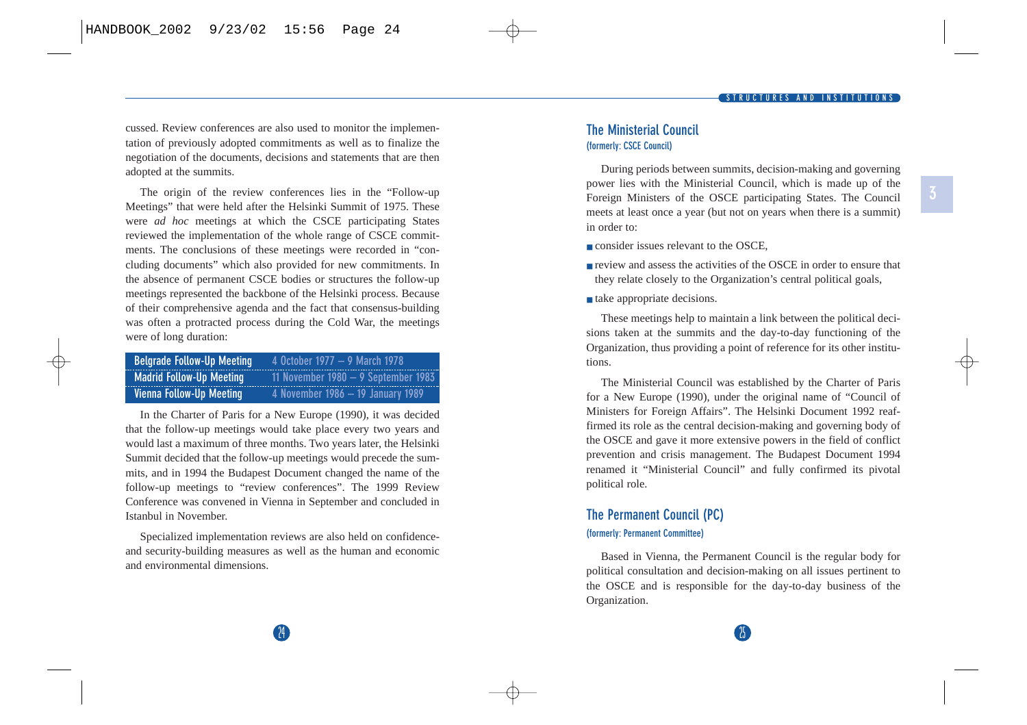<span id="page-17-0"></span>cussed. Review conferences are also used to monitor the implementation of previously adopted commitments as well as to finalize the negotiation of the documents, decisions and statements that are then adopted at the summits.

The origin of the review conferences lies in the "Follow-up Meetings" that were held after the Helsinki Summit of 1975. These were *ad hoc* meetings at which the CSCE participating States reviewed the implementation of the whole range of CSCE commitments. The conclusions of these meetings were recorded in "concluding documents" which also provided for new commitments. In the absence of permanent CSCE bodies or structures the follow-up meetings represented the backbone of the Helsinki process. Because of their comprehensive agenda and the fact that consensus-building was often a protracted process during the Cold War, the meetings were of long duration:

| <b>Belgrade Follow-Up Meeting</b> | 4 October 1977 - 9 March 1978         |
|-----------------------------------|---------------------------------------|
| <b>Madrid Follow-Up Meeting</b>   | 11 November 1980 $-$ 9 September 1983 |
| Vienna Follow-Up Meeting          | 4 November 1986 - 19 January 1989     |

In the Charter of Paris for a New Europe (1990), it was decided that the follow-up meetings would take place every two years and would last a maximum of three months. Two years later, the Helsinki Summit decided that the follow-up meetings would precede the summits, and in 1994 the Budapest Document changed the name of the follow-up meetings to "review conferences". The 1999 Review Conference was convened in Vienna in September and concluded in Istanbul in November.

Specialized implementation reviews are also held on confidenceand security-building measures as well as the human and economic and environmental dimensions.

#### **The Ministerial Council (formerly: CSCE Council)**

During periods between summits, decision-making and governing power lies with the Ministerial Council, which is made up of the Foreign Ministers of the OSCE participating States. The Council meets at least once a year (but not on years when there is a summit) in order to:

- consider issues relevant to the OSCE
- review and assess the activities of the OSCE in order to ensure that they relate closely to the Organization's central political goals,
- take appropriate decisions.

These meetings help to maintain a link between the political decisions taken at the summits and the day-to-day functioning of the Organization, thus providing a point of reference for its other institutions.

The Ministerial Council was established by the Charter of Paris for a New Europe (1990), under the original name of "Council of Ministers for Foreign Affairs". The Helsinki Document 1992 reaffirmed its role as the central decision-making and governing body of the OSCE and gave it more extensive powers in the field of conflict prevention and crisis management. The Budapest Document 1994 renamed it "Ministerial Council" and fully confirmed its pivotal political role.

#### **The Permanent Council (PC) (formerly: Permanent Committee)**

Based in Vienna, the Permanent Council is the regular body for political consultation and decision-making on all issues pertinent to the OSCE and is responsible for the day-to-day business of the Organization.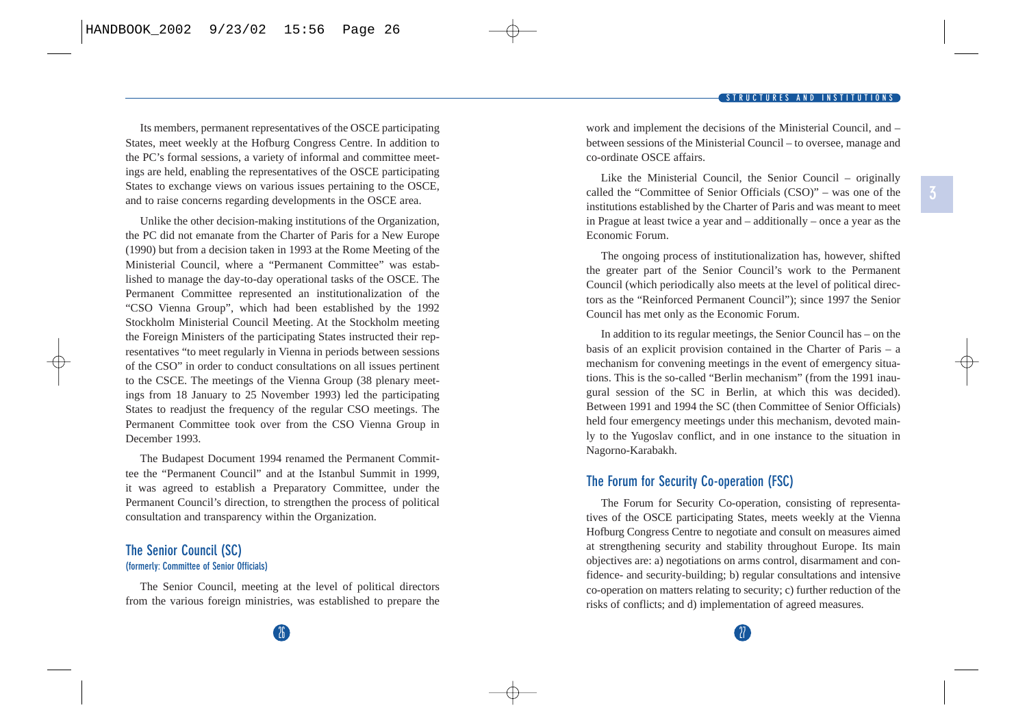<span id="page-18-0"></span>Its members, permanent representatives of the OSCE participating States, meet weekly at the Hofburg Congress Centre. In addition to the PC's formal sessions, a variety of informal and committee meetings are held, enabling the representatives of the OSCE participating States to exchange views on various issues pertaining to the OSCE, and to raise concerns regarding developments in the OSCE area.

Unlike the other decision-making institutions of the Organization, the PC did not emanate from the Charter of Paris for a New Europe (1990) but from a decision taken in 1993 at the Rome Meeting of the Ministerial Council, where a "Permanent Committee" was established to manage the day-to-day operational tasks of the OSCE. The Permanent Committee represented an institutionalization of the "CSO Vienna Group", which had been established by the 1992 Stockholm Ministerial Council Meeting. At the Stockholm meeting the Foreign Ministers of the participating States instructed their representatives "to meet regularly in Vienna in periods between sessions of the CSO" in order to conduct consultations on all issues pertinent to the CSCE. The meetings of the Vienna Group (38 plenary meetings from 18 January to 25 November 1993) led the participating States to readjust the frequency of the regular CSO meetings. The Permanent Committee took over from the CSO Vienna Group in December 1993.

The Budapest Document 1994 renamed the Permanent Committee the "Permanent Council" and at the Istanbul Summit in 1999, it was agreed to establish a Preparatory Committee, under the Permanent Council's direction, to strengthen the process of political consultation and transparency within the Organization.

#### **The Senior Council (SC) (formerly: Committee of Senior Officials)**

The Senior Council, meeting at the level of political directors from the various foreign ministries, was established to prepare the work and implement the decisions of the Ministerial Council, and – between sessions of the Ministerial Council – to oversee, manage and co-ordinate OSCE affairs.

Like the Ministerial Council, the Senior Council – originally called the "Committee of Senior Officials (CSO)" – was one of the institutions established by the Charter of Paris and was meant to meet in Prague at least twice a year and – additionally – once a year as the Economic Forum.

The ongoing process of institutionalization has, however, shifted the greater part of the Senior Council's work to the Permanent Council (which periodically also meets at the level of political directors as the "Reinforced Permanent Council"); since 1997 the Senior Council has met only as the Economic Forum.

In addition to its regular meetings, the Senior Council has – on the basis of an explicit provision contained in the Charter of Paris – a mechanism for convening meetings in the event of emergency situations. This is the so-called "Berlin mechanism" (from the 1991 inaugural session of the SC in Berlin, at which this was decided). Between 1991 and 1994 the SC (then Committee of Senior Officials) held four emergency meetings under this mechanism, devoted mainly to the Yugoslav conflict, and in one instance to the situation in Nagorno-Karabakh.

#### **The Forum for Security Co-operation (FSC)**

The Forum for Security Co-operation, consisting of representatives of the OSCE participating States, meets weekly at the Vienna Hofburg Congress Centre to negotiate and consult on measures aimed at strengthening security and stability throughout Europe. Its main objectives are: a) negotiations on arms control, disarmament and confidence- and security-building; b) regular consultations and intensive co-operation on matters relating to security; c) further reduction of the risks of conflicts; and d) implementation of agreed measures.

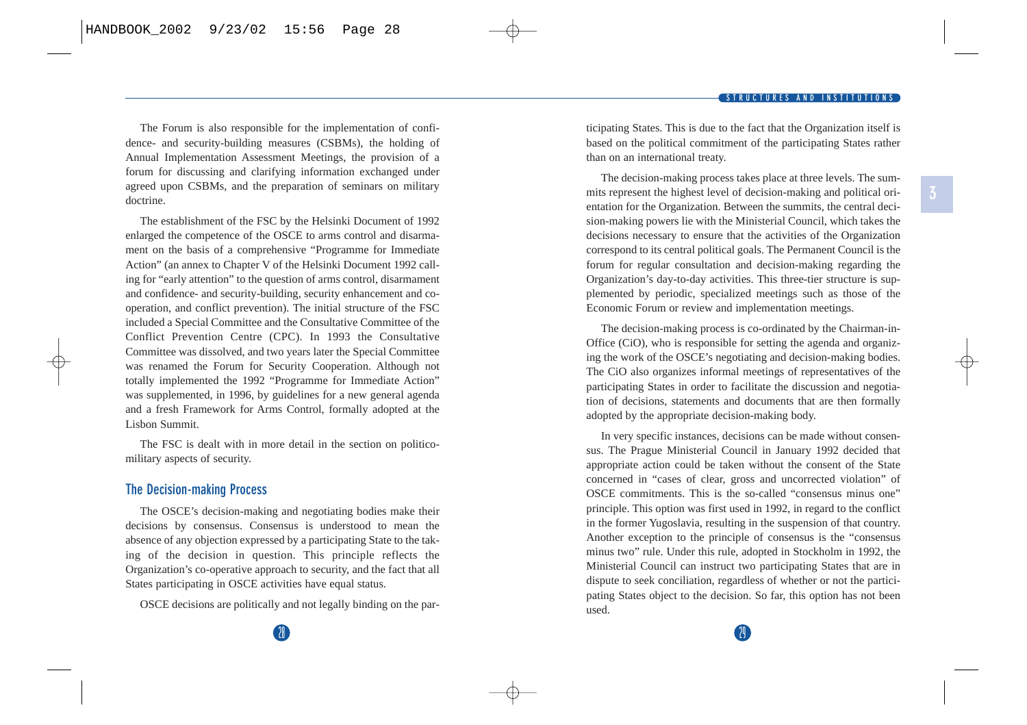<span id="page-19-0"></span>The Forum is also responsible for the implementation of confidence- and security-building measures (CSBMs), the holding of Annual Implementation Assessment Meetings, the provision of a forum for discussing and clarifying information exchanged under agreed upon CSBMs, and the preparation of seminars on military doctrine.

The establishment of the FSC by the Helsinki Document of 1992 enlarged the competence of the OSCE to arms control and disarmament on the basis of a comprehensive "Programme for Immediate Action" (an annex to Chapter V of the Helsinki Document 1992 calling for "early attention" to the question of arms control, disarmament and confidence- and security-building, security enhancement and cooperation, and conflict prevention). The initial structure of the FSC included a Special Committee and the Consultative Committee of the Conflict Prevention Centre (CPC). In 1993 the Consultative Committee was dissolved, and two years later the Special Committee was renamed the Forum for Security Cooperation. Although not totally implemented the 1992 "Programme for Immediate Action" was supplemented, in 1996, by guidelines for a new general agenda and a fresh Framework for Arms Control, formally adopted at the Lisbon Summit.

The FSC is dealt with in more detail in the section on politicomilitary aspects of security.

#### **The Decision-making Process**

The OSCE's decision-making and negotiating bodies make their decisions by consensus. Consensus is understood to mean the absence of any objection expressed by a participating State to the taking of the decision in question. This principle reflects the Organization's co-operative approach to security, and the fact that all States participating in OSCE activities have equal status.

OSCE decisions are politically and not legally binding on the par-

ticipating States. This is due to the fact that the Organization itself is based on the political commitment of the participating States rather than on an international treaty.

The decision-making process takes place at three levels. The summits represent the highest level of decision-making and political orientation for the Organization. Between the summits, the central decision-making powers lie with the Ministerial Council, which takes the decisions necessary to ensure that the activities of the Organization correspond to its central political goals. The Permanent Council is the forum for regular consultation and decision-making regarding the Organization's day-to-day activities. This three-tier structure is supplemented by periodic, specialized meetings such as those of the Economic Forum or review and implementation meetings.

The decision-making process is co-ordinated by the Chairman-in-Office (CiO), who is responsible for setting the agenda and organizing the work of the OSCE's negotiating and decision-making bodies. The CiO also organizes informal meetings of representatives of the participating States in order to facilitate the discussion and negotiation of decisions, statements and documents that are then formally adopted by the appropriate decision-making body.

In very specific instances, decisions can be made without consensus. The Prague Ministerial Council in January 1992 decided that appropriate action could be taken without the consent of the State concerned in "cases of clear, gross and uncorrected violation" of OSCE commitments. This is the so-called "consensus minus one" principle. This option was first used in 1992, in regard to the conflict in the former Yugoslavia, resulting in the suspension of that country. Another exception to the principle of consensus is the "consensus minus two" rule. Under this rule, adopted in Stockholm in 1992, the Ministerial Council can instruct two participating States that are in dispute to seek conciliation, regardless of whether or not the participating States object to the decision. So far, this option has not been used.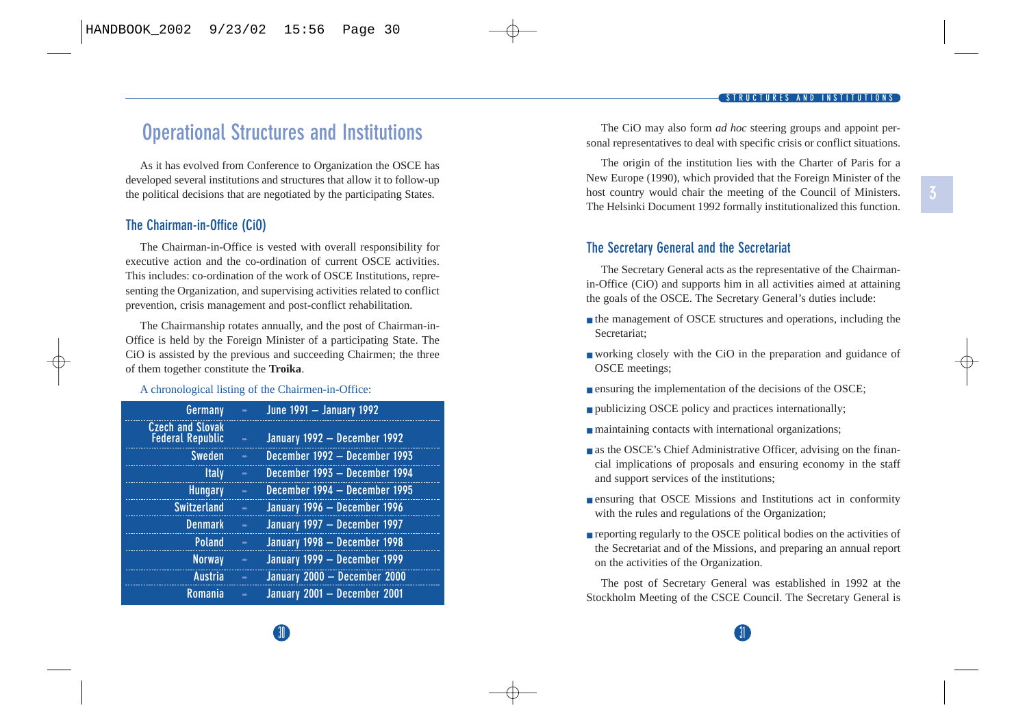## <span id="page-20-0"></span>**Operational Structures and Institutions**

As it has evolved from Conference to Organization the OSCE has developed several institutions and structures that allow it to follow-up the political decisions that are negotiated by the participating States.

#### **The Chairman-in-Office (CiO)**

The Chairman-in-Office is vested with overall responsibility for executive action and the co-ordination of current OSCE activities. This includes: co-ordination of the work of OSCE Institutions, representing the Organization, and supervising activities related to conflict prevention, crisis management and post-conflict rehabilitation.

The Chairmanship rotates annually, and the post of Chairman-in-Office is held by the Foreign Minister of a participating State. The CiO is assisted by the previous and succeeding Chairmen; the three of them together constitute the **Troika**.

#### A chronological listing of the Chairmen-in-Office:

| $\Rightarrow$ | June 1991 - January 1992      |
|---------------|-------------------------------|
| ×.            | January 1992 - December 1992  |
| ×.            | December 1992 - December 1993 |
| s.            | December 1993 - December 1994 |
| ÷.            | December 1994 - December 1995 |
| ÷.            | January 1996 - December 1996  |
| ÷.            | January 1997 - December 1997  |
| ь             | January 1998 - December 1998  |
| ÷.            | January 1999 - December 1999  |
| ÷             | January 2000 - December 2000  |
| ÷.            | January 2001 - December 2001  |
|               |                               |

The CiO may also form *ad hoc* steering groups and appoint personal representatives to deal with specific crisis or conflict situations.

The origin of the institution lies with the Charter of Paris for a New Europe (1990), which provided that the Foreign Minister of the host country would chair the meeting of the Council of Ministers. The Helsinki Document 1992 formally institutionalized this function.

#### **The Secretary General and the Secretariat**

The Secretary General acts as the representative of the Chairmanin-Office (CiO) and supports him in all activities aimed at attaining the goals of the OSCE. The Secretary General's duties include:

- the management of OSCE structures and operations, including the Secretariat;
- working closely with the CiO in the preparation and guidance of OSCE meetings;
- ensuring the implementation of the decisions of the OSCE;
- publicizing OSCE policy and practices internationally;
- maintaining contacts with international organizations;
- as the OSCE's Chief Administrative Officer, advising on the financial implications of proposals and ensuring economy in the staff and support services of the institutions;
- ensuring that OSCE Missions and Institutions act in conformity with the rules and regulations of the Organization;
- reporting regularly to the OSCE political bodies on the activities of the Secretariat and of the Missions, and preparing an annual report on the activities of the Organization.

The post of Secretary General was established in 1992 at the Stockholm Meeting of the CSCE Council. The Secretary General is

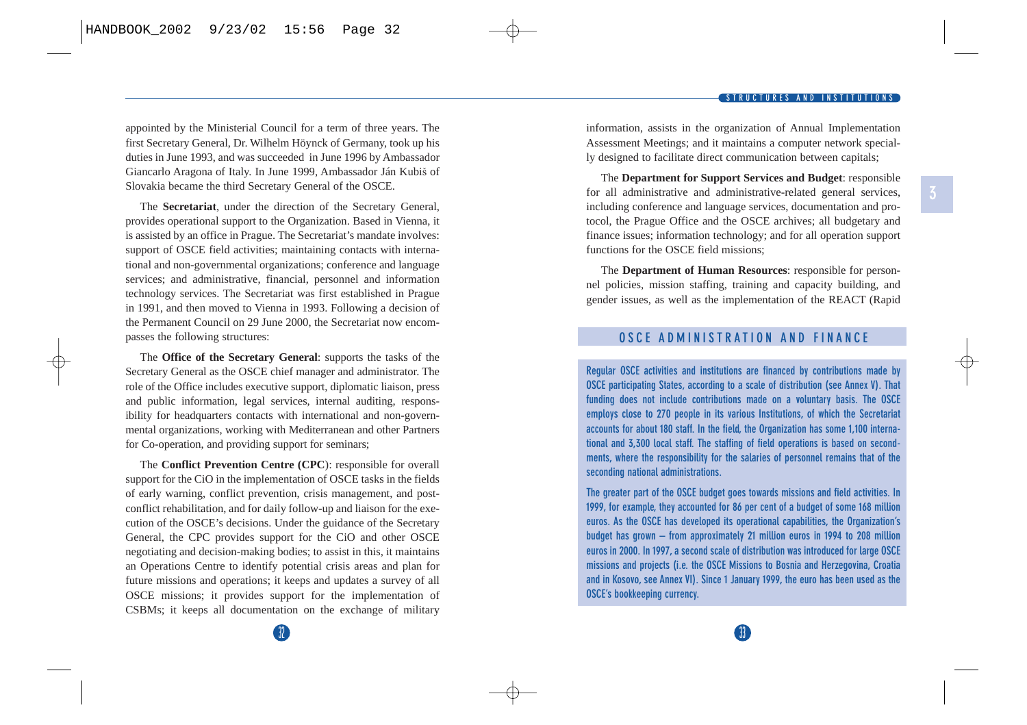<span id="page-21-0"></span>appointed by the Ministerial Council for a term of three years. The first Secretary General, Dr. Wilhelm Höynck of Germany, took up his duties in June 1993, and was succeeded in June 1996 by Ambassador Giancarlo Aragona of Italy. In June 1999, Ambassador Ján Kubiš of Slovakia became the third Secretary General of the OSCE.

The **Secretariat**, under the direction of the Secretary General, provides operational support to the Organization. Based in Vienna, it is assisted by an office in Prague. The Secretariat's mandate involves: support of OSCE field activities; maintaining contacts with international and non-governmental organizations; conference and language services; and administrative, financial, personnel and information technology services. The Secretariat was first established in Prague in 1991, and then moved to Vienna in 1993. Following a decision of the Permanent Council on 29 June 2000, the Secretariat now encompasses the following structures:

The **Office of the Secretary General**: supports the tasks of the Secretary General as the OSCE chief manager and administrator. The role of the Office includes executive support, diplomatic liaison, press and public information, legal services, internal auditing, responsibility for headquarters contacts with international and non-governmental organizations, working with Mediterranean and other Partners for Co-operation, and providing support for seminars;

The **Conflict Prevention Centre (CPC**): responsible for overall support for the CiO in the implementation of OSCE tasks in the fields of early warning, conflict prevention, crisis management, and postconflict rehabilitation, and for daily follow-up and liaison for the execution of the OSCE's decisions. Under the guidance of the Secretary General, the CPC provides support for the CiO and other OSCE negotiating and decision-making bodies; to assist in this, it maintains an Operations Centre to identify potential crisis areas and plan for future missions and operations; it keeps and updates a survey of all OSCE missions; it provides support for the implementation of CSBMs; it keeps all documentation on the exchange of military information, assists in the organization of Annual Implementation Assessment Meetings; and it maintains a computer network specially designed to facilitate direct communication between capitals;

The **Department for Support Services and Budget**: responsible for all administrative and administrative-related general services, including conference and language services, documentation and protocol, the Prague Office and the OSCE archives; all budgetary and finance issues; information technology; and for all operation support functions for the OSCE field missions;

The **Department of Human Resources**: responsible for personnel policies, mission staffing, training and capacity building, and gender issues, as well as the implementation of the REACT (Rapid

#### **OSCE ADMINISTRATION AND FINANCE**

**Regular OSCE activities and institutions are financed by contributions made by OSCE participating States, according to a scale of distribution (see Annex V). That funding does not include contributions made on a voluntary basis. The OSCE employs close to 270 people in its various Institutions, of which the Secretariat accounts for about 180 staff. In the field, the Organization has some 1,100 international and 3,300 local staff. The staffing of field operations is based on secondments, where the responsibility for the salaries of personnel remains that of the seconding national administrations.** 

**The greater part of the OSCE budget goes towards missions and field activities. In 1999, for example, they accounted for 86 per cent of a budget of some 168 million euros. As the OSCE has developed its operational capabilities, the Organization's budget has grown – from approximately 21 million euros in 1994 to 208 million euros in 2000. In 1997, a second scale of distribution was introduced for large OSCE missions and projects (i.e. the OSCE Missions to Bosnia and Herzegovina, Croatia and in Kosovo, see Annex VI). Since 1 January 1999, the euro has been used as the OSCE's bookkeeping currency.** 

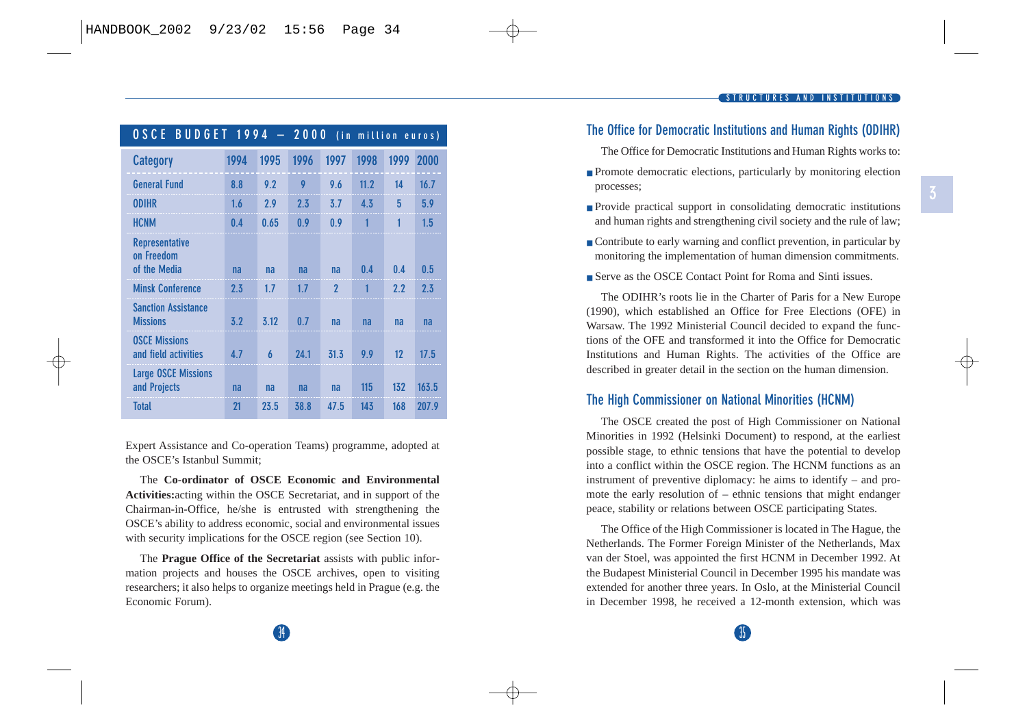<span id="page-22-0"></span>

| <b>BUDGET 1994</b><br>0 S C E<br>2000<br>÷<br>(in million euros) |      |      |      |                |              |      |       |  |
|------------------------------------------------------------------|------|------|------|----------------|--------------|------|-------|--|
| <b>Category</b>                                                  | 1994 | 1995 | 1996 | 1997           | 1998         | 1999 | 2000  |  |
| <b>General Fund</b>                                              | 8.8  | 9.2  | 9    | 9.6            | 11.2         | 14   | 16.7  |  |
| <b>ODIHR</b>                                                     | 1.6  | 2.9  | 2.3  | 3.7            | 4.3          | 5    | 5.9   |  |
| <b>HCNM</b>                                                      | 0.4  | 0.65 | 0.9  | 0.9            | $\mathbf{1}$ | 1    | 1.5   |  |
| <b>Representative</b><br>on Freedom<br>of the Media              | na   | na   | na   | na             | 0.4          | 0.4  | 0.5   |  |
| <b>Minsk Conference</b>                                          | 2.3  | 1.7  | 1.7  | $\overline{2}$ | 1            | 2.2  | 2.3   |  |
| <b>Sanction Assistance</b><br><b>Missions</b>                    | 3.2  | 3.12 | 0.7  | na             | na           | na   | na    |  |
| <b>OSCE Missions</b><br>and field activities                     | 4.7  | 6    | 24.1 | 31.3           | 9.9          | 12   | 17.5  |  |
| <b>Large OSCE Missions</b><br>and Projects                       | na   | na   | na   | na             | 115          | 132  | 163.5 |  |
| <b>Total</b>                                                     | 21   | 23.5 | 38.8 | 47.5           | 143          | 168  | 207.9 |  |

Expert Assistance and Co-operation Teams) programme, adopted at the OSCE's Istanbul Summit;

The **Co-ordinator of OSCE Economic and Environmental Activities:**acting within the OSCE Secretariat, and in support of the Chairman-in-Office, he/she is entrusted with strengthening the OSCE's ability to address economic, social and environmental issues with security implications for the OSCE region (see Section 10).

The **Prague Office of the Secretariat** assists with public information projects and houses the OSCE archives, open to visiting researchers; it also helps to organize meetings held in Prague (e.g. the Economic Forum).

#### **STRUCTURES AND INSTITUTIONS**

## **The Office for Democratic Institutions and Human Rights (ODIHR)**

The Office for Democratic Institutions and Human Rights works to:

- Promote democratic elections, particularly by monitoring election processes;
- Provide practical support in consolidating democratic institutions and human rights and strengthening civil society and the rule of law;
- Contribute to early warning and conflict prevention, in particular by monitoring the implementation of human dimension commitments.
- Serve as the OSCE Contact Point for Roma and Sinti issues.

The ODIHR's roots lie in the Charter of Paris for a New Europe (1990), which established an Office for Free Elections (OFE) in Warsaw. The 1992 Ministerial Council decided to expand the functions of the OFE and transformed it into the Office for Democratic Institutions and Human Rights. The activities of the Office are described in greater detail in the section on the human dimension.

#### **The High Commissioner on National Minorities (HCNM)**

The OSCE created the post of High Commissioner on National Minorities in 1992 (Helsinki Document) to respond, at the earliest possible stage, to ethnic tensions that have the potential to develop into a conflict within the OSCE region. The HCNM functions as an instrument of preventive diplomacy: he aims to identify – and promote the early resolution of – ethnic tensions that might endanger peace, stability or relations between OSCE participating States.

The Office of the High Commissioner is located in The Hague, the Netherlands. The Former Foreign Minister of the Netherlands, Max van der Stoel, was appointed the first HCNM in December 1992. At the Budapest Ministerial Council in December 1995 his mandate was extended for another three years. In Oslo, at the Ministerial Council in December 1998, he received a 12-month extension, which was

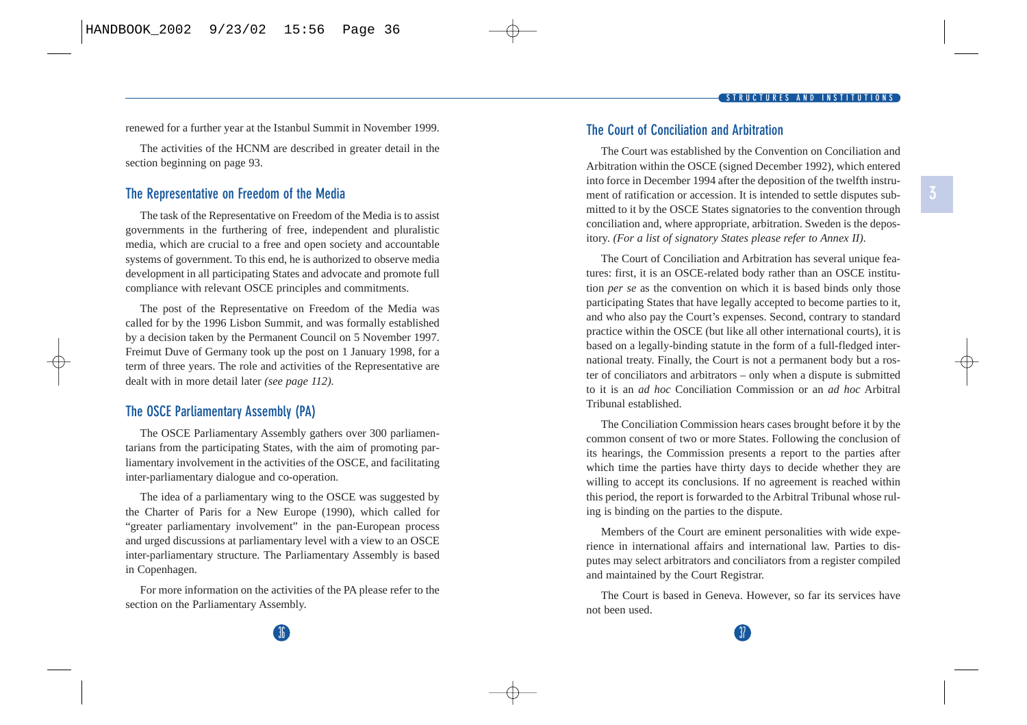<span id="page-23-0"></span>renewed for a further year at the Istanbul Summit in November 1999.

The activities of the HCNM are described in greater detail in the section beginning on page 93.

#### **The Representative on Freedom of the Media**

The task of the Representative on Freedom of the Media is to assist governments in the furthering of free, independent and pluralistic media, which are crucial to a free and open society and accountable systems of government. To this end, he is authorized to observe media development in all participating States and advocate and promote full compliance with relevant OSCE principles and commitments.

The post of the Representative on Freedom of the Media was called for by the 1996 Lisbon Summit, and was formally established by a decision taken by the Permanent Council on 5 November 1997. Freimut Duve of Germany took up the post on 1 January 1998, for a term of three years. The role and activities of the Representative are dealt with in more detail later *(see page 112).*

#### **The OSCE Parliamentary Assembly (PA)**

The OSCE Parliamentary Assembly gathers over 300 parliamentarians from the participating States, with the aim of promoting parliamentary involvement in the activities of the OSCE, and facilitating inter-parliamentary dialogue and co-operation.

The idea of a parliamentary wing to the OSCE was suggested by the Charter of Paris for a New Europe (1990), which called for "greater parliamentary involvement" in the pan-European process and urged discussions at parliamentary level with a view to an OSCE inter-parliamentary structure. The Parliamentary Assembly is based in Copenhagen.

For more information on the activities of the PA please refer to the section on the Parliamentary Assembly.

#### **The Court of Conciliation and Arbitration**

The Court was established by the Convention on Conciliation and Arbitration within the OSCE (signed December 1992), which entered into force in December 1994 after the deposition of the twelfth instrument of ratification or accession. It is intended to settle disputes submitted to it by the OSCE States signatories to the convention through conciliation and, where appropriate, arbitration. Sweden is the depository. *(For a list of signatory States please refer to Annex II).*

The Court of Conciliation and Arbitration has several unique features: first, it is an OSCE-related body rather than an OSCE institution *per se* as the convention on which it is based binds only those participating States that have legally accepted to become parties to it, and who also pay the Court's expenses. Second, contrary to standard practice within the OSCE (but like all other international courts), it is based on a legally-binding statute in the form of a full-fledged international treaty. Finally, the Court is not a permanent body but a roster of conciliators and arbitrators – only when a dispute is submitted to it is an *ad hoc* Conciliation Commission or an *ad hoc* Arbitral Tribunal established.

The Conciliation Commission hears cases brought before it by the common consent of two or more States. Following the conclusion of its hearings, the Commission presents a report to the parties after which time the parties have thirty days to decide whether they are willing to accept its conclusions. If no agreement is reached within this period, the report is forwarded to the Arbitral Tribunal whose ruling is binding on the parties to the dispute.

Members of the Court are eminent personalities with wide experience in international affairs and international law. Parties to disputes may select arbitrators and conciliators from a register compiled and maintained by the Court Registrar.

The Court is based in Geneva. However, so far its services have not been used.

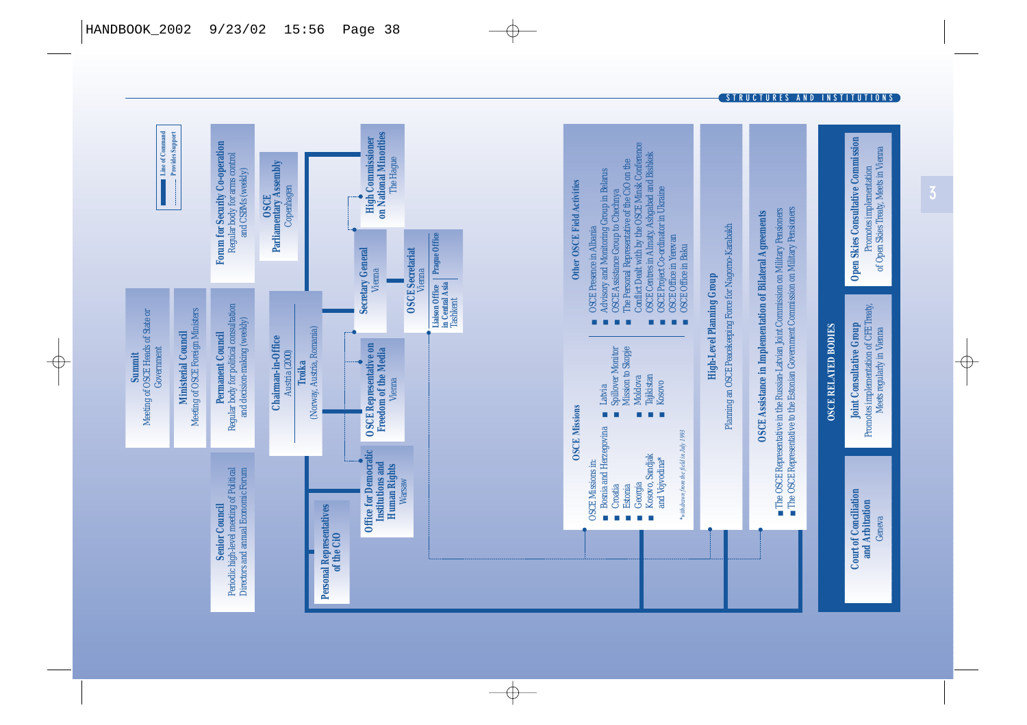

**STRUCTURES AND INSTITUTIONS**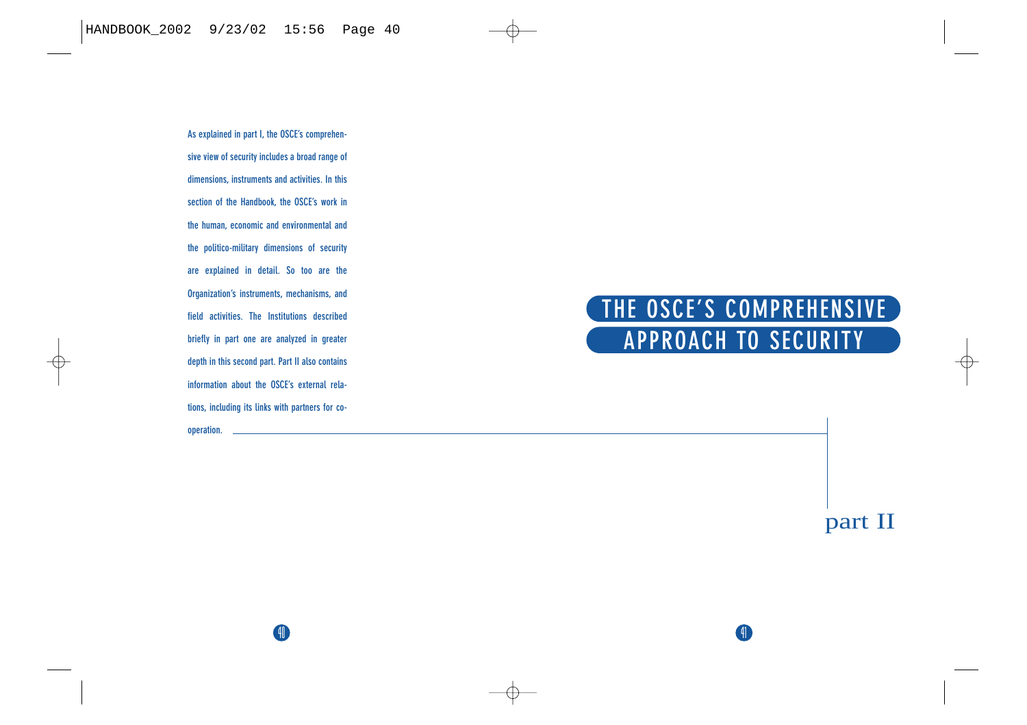<span id="page-25-0"></span>**As explained in part I, the OSCE's comprehensive view of security includes a broad range of dimensions, instruments and activities. In this section of the Handbook, the OSCE's work in the human, economic and environmental and the politico-military dimensions of security are explained in detail. So too are the Organization's instruments, mechanisms, and field activities. The Institutions described briefly in part one are analyzed in greater depth in this second part. Part II also contains information about the OSCE's external relations, including its links with partners for cooperation.**

40

# **THE OSCE'S COMPREHENSIVE APPROACH TO SECURITY**

41

part II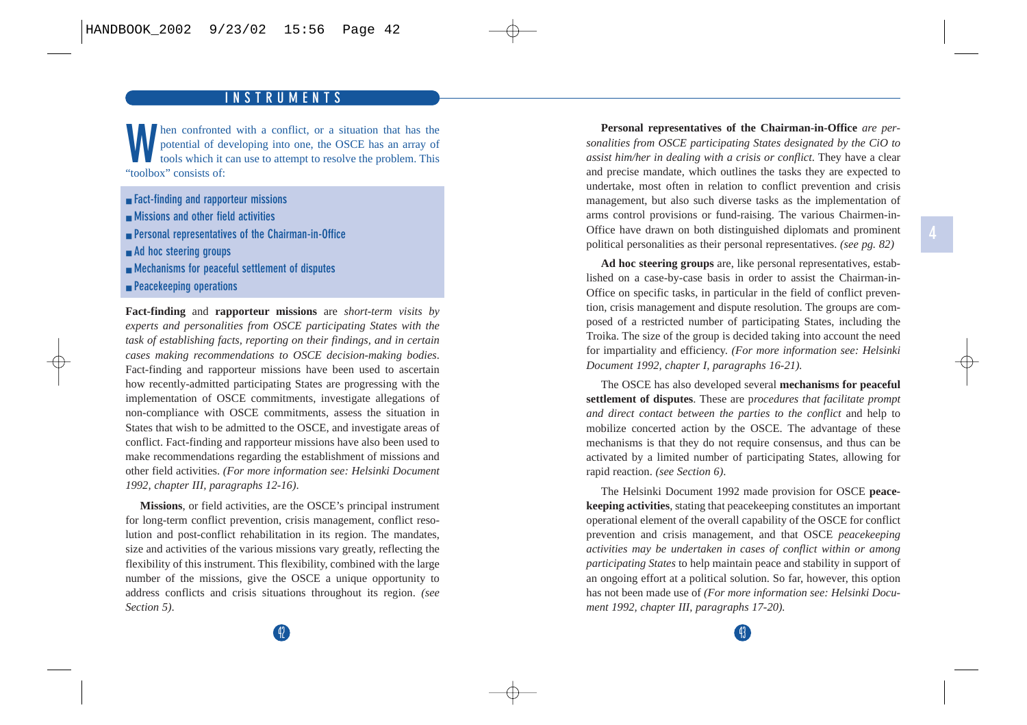#### **HISTORY INSTRUMENTS**

<span id="page-26-0"></span>**W**hen confronted with a conflict, or a situation that has the potential of developing into one, the OSCE has an array of tools which it can use to attempt to resolve the problem. This "toolbox" consists of:

- **Fact-finding and rapporteur missions**
- **Missions and other field activities**
- **Personal representatives of the Chairman-in-Office**
- **Ad hoc steering groups**
- **Mechanisms for peaceful settlement of disputes**
- **Peacekeeping operations**

**Fact-finding** and **rapporteur missions** are *short-term visits by experts and personalities from OSCE participating States with the task of establishing facts, reporting on their findings, and in certain cases making recommendations to OSCE decision-making bodies*. Fact-finding and rapporteur missions have been used to ascertain how recently-admitted participating States are progressing with the implementation of OSCE commitments, investigate allegations of non-compliance with OSCE commitments, assess the situation in States that wish to be admitted to the OSCE, and investigate areas of conflict. Fact-finding and rapporteur missions have also been used to make recommendations regarding the establishment of missions and other field activities. *(For more information see: Helsinki Document 1992, chapter III, paragraphs 12-16)*.

**Missions**, or field activities, are the OSCE's principal instrument for long-term conflict prevention, crisis management, conflict resolution and post-conflict rehabilitation in its region. The mandates, size and activities of the various missions vary greatly, reflecting the flexibility of this instrument. This flexibility, combined with the large number of the missions, give the OSCE a unique opportunity to address conflicts and crisis situations throughout its region. *(see Section 5)*.

**Personal representatives of the Chairman-in-Office** *are personalities from OSCE participating States designated by the CiO to assist him/her in dealing with a crisis or conflict*. They have a clear and precise mandate, which outlines the tasks they are expected to undertake, most often in relation to conflict prevention and crisis management, but also such diverse tasks as the implementation of arms control provisions or fund-raising. The various Chairmen-in-Office have drawn on both distinguished diplomats and prominent political personalities as their personal representatives. *(see pg. 82)*

**Ad hoc steering groups** are, like personal representatives, established on a case-by-case basis in order to assist the Chairman-in-Office on specific tasks, in particular in the field of conflict prevention, crisis management and dispute resolution. The groups are composed of a restricted number of participating States, including the Troika. The size of the group is decided taking into account the need for impartiality and efficiency. *(For more information see: Helsinki Document 1992, chapter I, paragraphs 16-21).*

The OSCE has also developed several **mechanisms for peaceful settlement of disputes**. These are p*rocedures that facilitate prompt and direct contact between the parties to the conflict* and help to mobilize concerted action by the OSCE. The advantage of these mechanisms is that they do not require consensus, and thus can be activated by a limited number of participating States, allowing for rapid reaction. *(see Section 6)*.

The Helsinki Document 1992 made provision for OSCE **peacekeeping activities**, stating that peacekeeping constitutes an important operational element of the overall capability of the OSCE for conflict prevention and crisis management, and that OSCE *peacekeeping activities may be undertaken in cases of conflict within or among participating States* to help maintain peace and stability in support of an ongoing effort at a political solution. So far, however, this option has not been made use of *(For more information see: Helsinki Document 1992, chapter III, paragraphs 17-20).*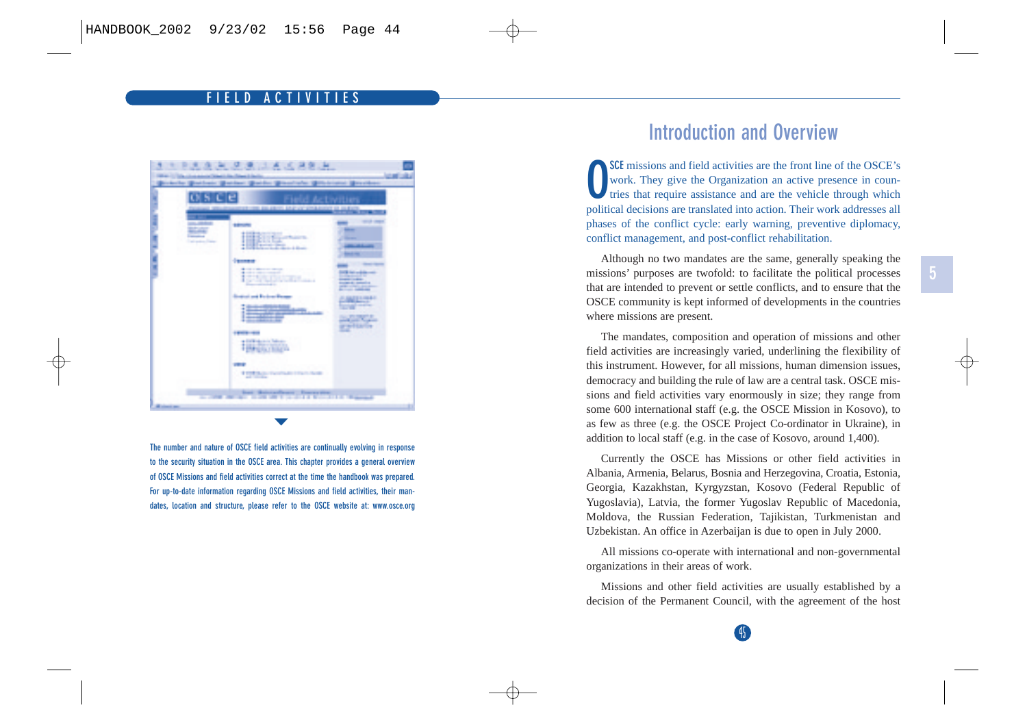#### **FIELD ACTIVITIES**

<span id="page-27-0"></span>

**The number and nature of OSCE field activities are continually evolving in response to the security situation in the OSCE area. This chapter provides a general overview of OSCE Missions and field activities correct at the time the handbook was prepared. For up-to-date information regarding OSCE Missions and field activities, their mandates, location and structure, please refer to the OSCE website at: www.osce.org**

# **Introduction and Overview**

**SCE** missions and field activities are the front line of the OSCE's work. They give the Organization an active presence in countries that require assistance and are the vehicle through which political decisions are translated into action. Their work addresses all phases of the conflict cycle: early warning, preventive diplomacy, conflict management, and post-conflict rehabilitation.

Although no two mandates are the same, generally speaking the missions' purposes are twofold: to facilitate the political processes that are intended to prevent or settle conflicts, and to ensure that the OSCE community is kept informed of developments in the countries where missions are present.

The mandates, composition and operation of missions and other field activities are increasingly varied, underlining the flexibility of this instrument. However, for all missions, human dimension issues, democracy and building the rule of law are a central task. OSCE missions and field activities vary enormously in size; they range from some 600 international staff (e.g. the OSCE Mission in Kosovo), to as few as three (e.g. the OSCE Project Co-ordinator in Ukraine), in addition to local staff (e.g. in the case of Kosovo, around 1,400).

Currently the OSCE has Missions or other field activities in Albania, Armenia, Belarus, Bosnia and Herzegovina, Croatia, Estonia, Georgia, Kazakhstan, Kyrgyzstan, Kosovo (Federal Republic of Yugoslavia), Latvia, the former Yugoslav Republic of Macedonia, Moldova, the Russian Federation, Tajikistan, Turkmenistan and Uzbekistan. An office in Azerbaijan is due to open in July 2000.

All missions co-operate with international and non-governmental organizations in their areas of work.

Missions and other field activities are usually established by a decision of the Permanent Council, with the agreement of the host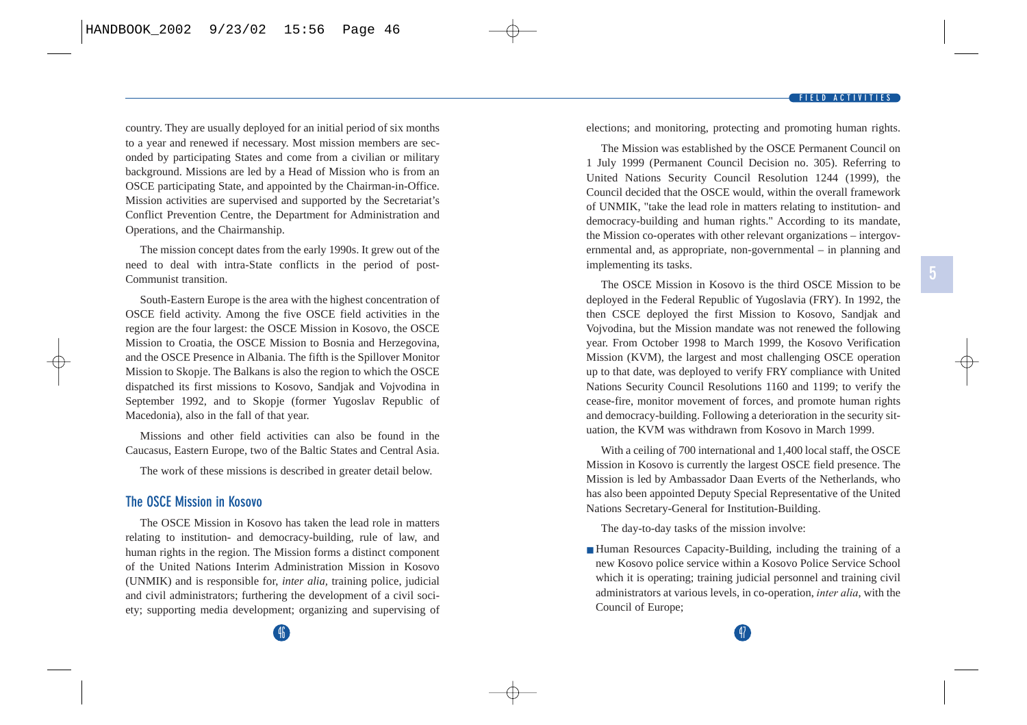<span id="page-28-0"></span>country. They are usually deployed for an initial period of six months to a year and renewed if necessary. Most mission members are seconded by participating States and come from a civilian or military background. Missions are led by a Head of Mission who is from an OSCE participating State, and appointed by the Chairman-in-Office. Mission activities are supervised and supported by the Secretariat's Conflict Prevention Centre, the Department for Administration and Operations, and the Chairmanship.

The mission concept dates from the early 1990s. It grew out of the need to deal with intra-State conflicts in the period of post-Communist transition.

South-Eastern Europe is the area with the highest concentration of OSCE field activity. Among the five OSCE field activities in the region are the four largest: the OSCE Mission in Kosovo, the OSCE Mission to Croatia, the OSCE Mission to Bosnia and Herzegovina, and the OSCE Presence in Albania. The fifth is the Spillover Monitor Mission to Skopje. The Balkans is also the region to which the OSCE dispatched its first missions to Kosovo, Sandjak and Vojvodina in September 1992, and to Skopje (former Yugoslav Republic of Macedonia), also in the fall of that year.

Missions and other field activities can also be found in the Caucasus, Eastern Europe, two of the Baltic States and Central Asia.

The work of these missions is described in greater detail below.

#### **The OSCE Mission in Kosovo**

The OSCE Mission in Kosovo has taken the lead role in matters relating to institution- and democracy-building, rule of law, and human rights in the region. The Mission forms a distinct component of the United Nations Interim Administration Mission in Kosovo (UNMIK) and is responsible for, *inter alia,* training police, judicial and civil administrators; furthering the development of a civil society; supporting media development; organizing and supervising of elections; and monitoring, protecting and promoting human rights.

The Mission was established by the OSCE Permanent Council on 1 July 1999 (Permanent Council Decision no. 305). Referring to United Nations Security Council Resolution 1244 (1999), the Council decided that the OSCE would, within the overall framework of UNMIK, "take the lead role in matters relating to institution- and democracy-building and human rights." According to its mandate, the Mission co-operates with other relevant organizations – intergovernmental and, as appropriate, non-governmental – in planning and implementing its tasks.

The OSCE Mission in Kosovo is the third OSCE Mission to be deployed in the Federal Republic of Yugoslavia (FRY). In 1992, the then CSCE deployed the first Mission to Kosovo, Sandjak and Vojvodina, but the Mission mandate was not renewed the following year. From October 1998 to March 1999, the Kosovo Verification Mission (KVM), the largest and most challenging OSCE operation up to that date, was deployed to verify FRY compliance with United Nations Security Council Resolutions 1160 and 1199; to verify the cease-fire, monitor movement of forces, and promote human rights and democracy-building. Following a deterioration in the security situation, the KVM was withdrawn from Kosovo in March 1999.

With a ceiling of 700 international and 1,400 local staff, the OSCE Mission in Kosovo is currently the largest OSCE field presence. The Mission is led by Ambassador Daan Everts of the Netherlands, who has also been appointed Deputy Special Representative of the United Nations Secretary-General for Institution-Building.

The day-to-day tasks of the mission involve:

■ Human Resources Capacity-Building, including the training of a new Kosovo police service within a Kosovo Police Service School which it is operating; training judicial personnel and training civil administrators at various levels, in co-operation, *inter alia*, with the Council of Europe;

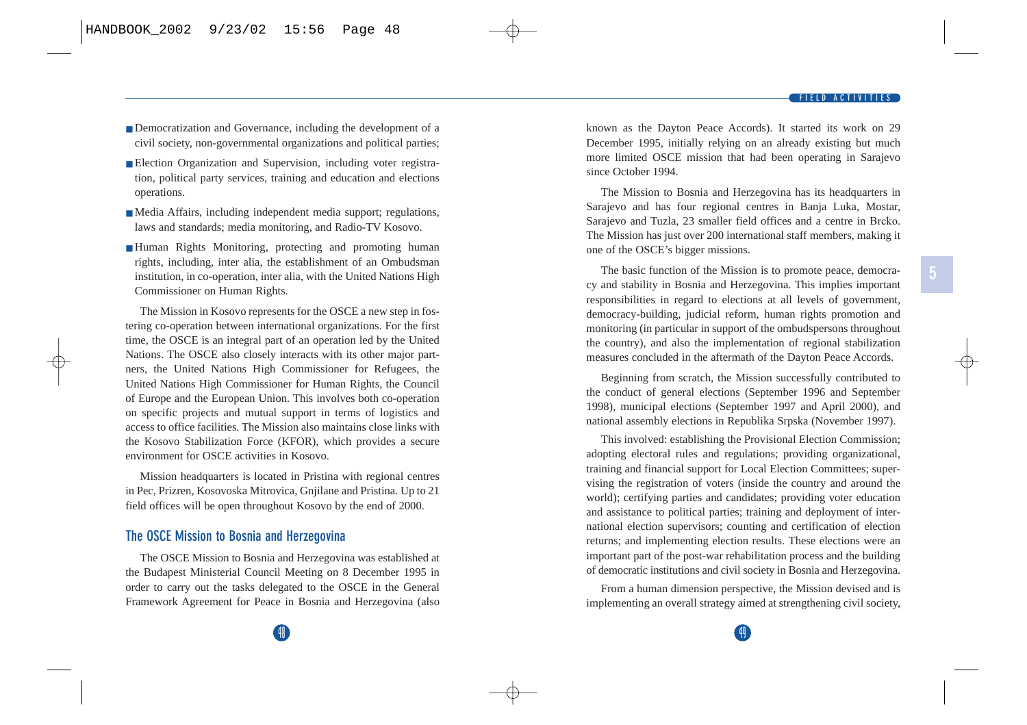- <span id="page-29-0"></span>■ Democratization and Governance, including the development of a civil society, non-governmental organizations and political parties;
- Election Organization and Supervision, including voter registration, political party services, training and education and elections operations.
- Media Affairs, including independent media support; regulations, laws and standards; media monitoring, and Radio-TV Kosovo.
- Human Rights Monitoring, protecting and promoting human rights, including, inter alia, the establishment of an Ombudsman institution, in co-operation, inter alia, with the United Nations High Commissioner on Human Rights.

The Mission in Kosovo represents for the OSCE a new step in fostering co-operation between international organizations. For the first time, the OSCE is an integral part of an operation led by the United Nations. The OSCE also closely interacts with its other major partners, the United Nations High Commissioner for Refugees, the United Nations High Commissioner for Human Rights, the Council of Europe and the European Union. This involves both co-operation on specific projects and mutual support in terms of logistics and access to office facilities. The Mission also maintains close links with the Kosovo Stabilization Force (KFOR), which provides a secure environment for OSCE activities in Kosovo.

Mission headquarters is located in Pristina with regional centres in Pec, Prizren, Kosovoska Mitrovica, Gnjilane and Pristina. Up to 21 field offices will be open throughout Kosovo by the end of 2000.

#### **The OSCE Mission to Bosnia and Herzegovina**

The OSCE Mission to Bosnia and Herzegovina was established at the Budapest Ministerial Council Meeting on 8 December 1995 in order to carry out the tasks delegated to the OSCE in the General Framework Agreement for Peace in Bosnia and Herzegovina (also known as the Dayton Peace Accords). It started its work on 29 December 1995, initially relying on an already existing but much more limited OSCE mission that had been operating in Sarajevo since October 1994.

The Mission to Bosnia and Herzegovina has its headquarters in Sarajevo and has four regional centres in Banja Luka, Mostar, Sarajevo and Tuzla, 23 smaller field offices and a centre in Brcko. The Mission has just over 200 international staff members, making it one of the OSCE's bigger missions.

The basic function of the Mission is to promote peace, democracy and stability in Bosnia and Herzegovina. This implies important responsibilities in regard to elections at all levels of government, democracy-building, judicial reform, human rights promotion and monitoring (in particular in support of the ombudspersons throughout the country), and also the implementation of regional stabilization measures concluded in the aftermath of the Dayton Peace Accords.

Beginning from scratch, the Mission successfully contributed to the conduct of general elections (September 1996 and September 1998), municipal elections (September 1997 and April 2000), and national assembly elections in Republika Srpska (November 1997).

This involved: establishing the Provisional Election Commission; adopting electoral rules and regulations; providing organizational, training and financial support for Local Election Committees; supervising the registration of voters (inside the country and around the world); certifying parties and candidates; providing voter education and assistance to political parties; training and deployment of international election supervisors; counting and certification of election returns; and implementing election results. These elections were an important part of the post-war rehabilitation process and the building of democratic institutions and civil society in Bosnia and Herzegovina.

From a human dimension perspective, the Mission devised and is implementing an overall strategy aimed at strengthening civil society,

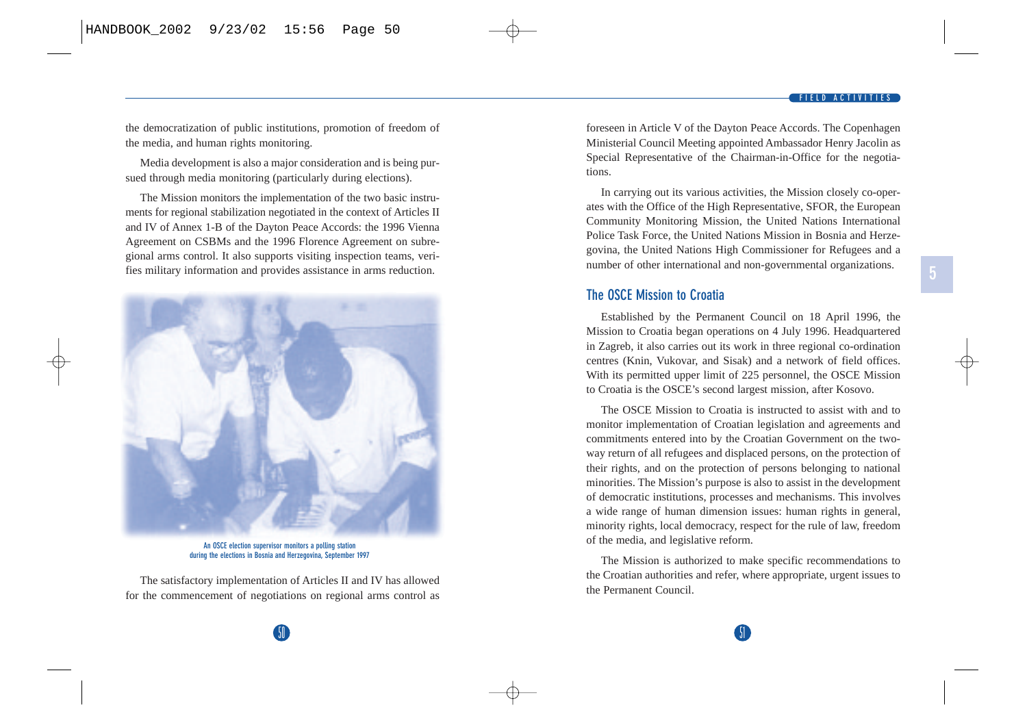**5**

<span id="page-30-0"></span>the democratization of public institutions, promotion of freedom of the media, and human rights monitoring.

Media development is also a major consideration and is being pursued through media monitoring (particularly during elections).

The Mission monitors the implementation of the two basic instruments for regional stabilization negotiated in the context of Articles II and IV of Annex 1-B of the Dayton Peace Accords: the 1996 Vienna Agreement on CSBMs and the 1996 Florence Agreement on subregional arms control. It also supports visiting inspection teams, verifies military information and provides assistance in arms reduction.



**An OSCE election supervisor monitors a polling station during the elections in Bosnia and Herzegovina, September 1997**

The satisfactory implementation of Articles II and IV has allowed for the commencement of negotiations on regional arms control as foreseen in Article V of the Dayton Peace Accords. The Copenhagen Ministerial Council Meeting appointed Ambassador Henry Jacolin as Special Representative of the Chairman-in-Office for the negotiations.

In carrying out its various activities, the Mission closely co-operates with the Office of the High Representative, SFOR, the European Community Monitoring Mission, the United Nations International Police Task Force, the United Nations Mission in Bosnia and Herzegovina, the United Nations High Commissioner for Refugees and a number of other international and non-governmental organizations.

#### **The OSCE Mission to Croatia**

Established by the Permanent Council on 18 April 1996, the Mission to Croatia began operations on 4 July 1996. Headquartered in Zagreb, it also carries out its work in three regional co-ordination centres (Knin, Vukovar, and Sisak) and a network of field offices. With its permitted upper limit of 225 personnel, the OSCE Mission to Croatia is the OSCE's second largest mission, after Kosovo.

The OSCE Mission to Croatia is instructed to assist with and to monitor implementation of Croatian legislation and agreements and commitments entered into by the Croatian Government on the twoway return of all refugees and displaced persons, on the protection of their rights, and on the protection of persons belonging to national minorities. The Mission's purpose is also to assist in the development of democratic institutions, processes and mechanisms. This involves a wide range of human dimension issues: human rights in general, minority rights, local democracy, respect for the rule of law, freedom of the media, and legislative reform.

The Mission is authorized to make specific recommendations to the Croatian authorities and refer, where appropriate, urgent issues to the Permanent Council.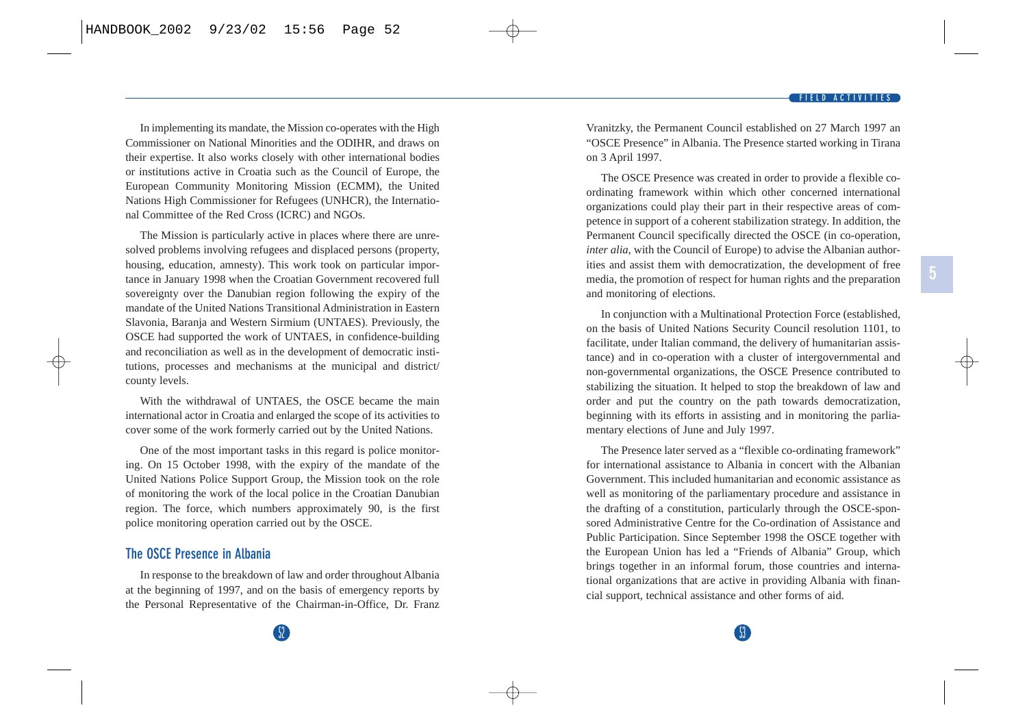<span id="page-31-0"></span>In implementing its mandate, the Mission co-operates with the High Commissioner on National Minorities and the ODIHR, and draws on their expertise. It also works closely with other international bodies or institutions active in Croatia such as the Council of Europe, the European Community Monitoring Mission (ECMM), the United Nations High Commissioner for Refugees (UNHCR), the International Committee of the Red Cross (ICRC) and NGOs.

The Mission is particularly active in places where there are unresolved problems involving refugees and displaced persons (property, housing, education, amnesty). This work took on particular importance in January 1998 when the Croatian Government recovered full sovereignty over the Danubian region following the expiry of the mandate of the United Nations Transitional Administration in Eastern Slavonia, Baranja and Western Sirmium (UNTAES). Previously, the OSCE had supported the work of UNTAES, in confidence-building and reconciliation as well as in the development of democratic institutions, processes and mechanisms at the municipal and district/ county levels.

With the withdrawal of UNTAES, the OSCE became the main international actor in Croatia and enlarged the scope of its activities to cover some of the work formerly carried out by the United Nations.

One of the most important tasks in this regard is police monitoring. On 15 October 1998, with the expiry of the mandate of the United Nations Police Support Group, the Mission took on the role of monitoring the work of the local police in the Croatian Danubian region. The force, which numbers approximately 90, is the first police monitoring operation carried out by the OSCE.

#### **The OSCE Presence in Albania**

In response to the breakdown of law and order throughout Albania at the beginning of 1997, and on the basis of emergency reports by the Personal Representative of the Chairman-in-Office, Dr. Franz Vranitzky, the Permanent Council established on 27 March 1997 an "OSCE Presence" in Albania. The Presence started working in Tirana on 3 April 1997.

The OSCE Presence was created in order to provide a flexible coordinating framework within which other concerned international organizations could play their part in their respective areas of competence in support of a coherent stabilization strategy. In addition, the Permanent Council specifically directed the OSCE (in co-operation, *inter alia*, with the Council of Europe) to advise the Albanian authorities and assist them with democratization, the development of free media, the promotion of respect for human rights and the preparation and monitoring of elections.

In conjunction with a Multinational Protection Force (established, on the basis of United Nations Security Council resolution 1101, to facilitate, under Italian command, the delivery of humanitarian assistance) and in co-operation with a cluster of intergovernmental and non-governmental organizations, the OSCE Presence contributed to stabilizing the situation. It helped to stop the breakdown of law and order and put the country on the path towards democratization, beginning with its efforts in assisting and in monitoring the parliamentary elections of June and July 1997.

The Presence later served as a "flexible co-ordinating framework" for international assistance to Albania in concert with the Albanian Government. This included humanitarian and economic assistance as well as monitoring of the parliamentary procedure and assistance in the drafting of a constitution, particularly through the OSCE-sponsored Administrative Centre for the Co-ordination of Assistance and Public Participation. Since September 1998 the OSCE together with the European Union has led a "Friends of Albania" Group, which brings together in an informal forum, those countries and international organizations that are active in providing Albania with financial support, technical assistance and other forms of aid.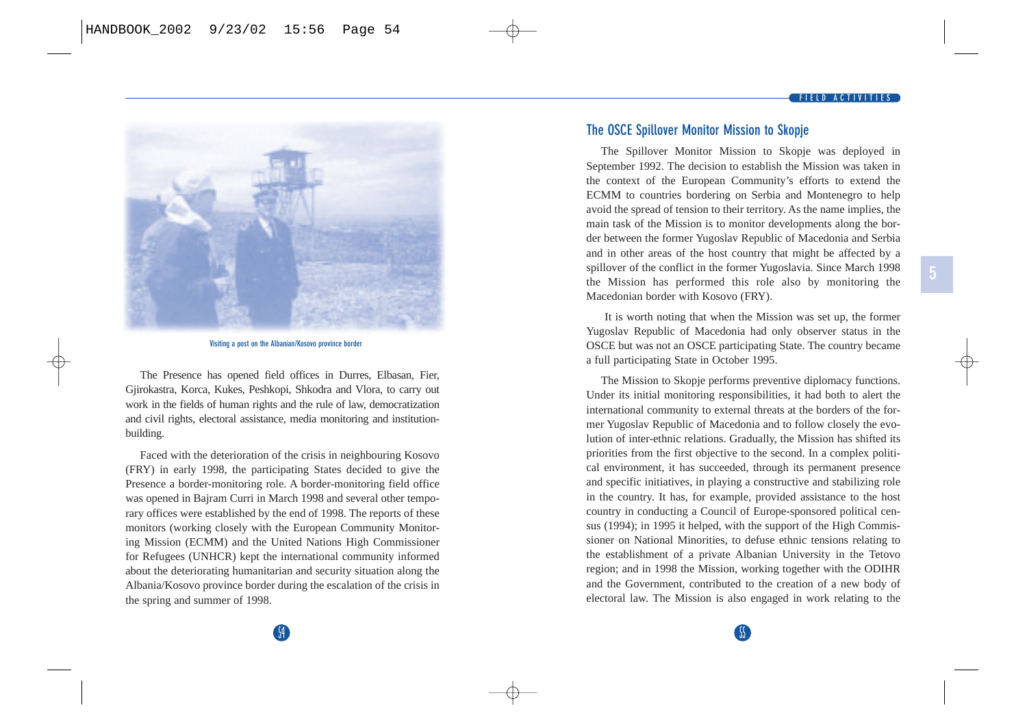#### **FIELD ACTIVITIES**

<span id="page-32-0"></span>

**Visiting a post on the Albanian/Kosovo province border**

The Presence has opened field offices in Durres, Elbasan, Fier, Gjirokastra, Korca, Kukes, Peshkopi, Shkodra and Vlora, to carry out work in the fields of human rights and the rule of law, democratization and civil rights, electoral assistance, media monitoring and institutionbuilding.

Faced with the deterioration of the crisis in neighbouring Kosovo (FRY) in early 1998, the participating States decided to give the Presence a border-monitoring role. A border-monitoring field office was opened in Bajram Curri in March 1998 and several other temporary offices were established by the end of 1998. The reports of these monitors (working closely with the European Community Monitoring Mission (ECMM) and the United Nations High Commissioner for Refugees (UNHCR) kept the international community informed about the deteriorating humanitarian and security situation along the Albania/Kosovo province border during the escalation of the crisis in the spring and summer of 1998.

#### **The OSCE Spillover Monitor Mission to Skopje**

The Spillover Monitor Mission to Skopje was deployed in September 1992. The decision to establish the Mission was taken in the context of the European Community's efforts to extend the ECMM to countries bordering on Serbia and Montenegro to help avoid the spread of tension to their territory. As the name implies, the main task of the Mission is to monitor developments along the border between the former Yugoslav Republic of Macedonia and Serbia and in other areas of the host country that might be affected by a spillover of the conflict in the former Yugoslavia. Since March 1998 the Mission has performed this role also by monitoring the Macedonian border with Kosovo (FRY).

It is worth noting that when the Mission was set up, the former Yugoslav Republic of Macedonia had only observer status in the OSCE but was not an OSCE participating State. The country became a full participating State in October 1995.

The Mission to Skopje performs preventive diplomacy functions. Under its initial monitoring responsibilities, it had both to alert the international community to external threats at the borders of the former Yugoslav Republic of Macedonia and to follow closely the evolution of inter-ethnic relations. Gradually, the Mission has shifted its priorities from the first objective to the second. In a complex political environment, it has succeeded, through its permanent presence and specific initiatives, in playing a constructive and stabilizing role in the country. It has, for example, provided assistance to the host country in conducting a Council of Europe-sponsored political census (1994); in 1995 it helped, with the support of the High Commissioner on National Minorities, to defuse ethnic tensions relating to the establishment of a private Albanian University in the Tetovo region; and in 1998 the Mission, working together with the ODIHR and the Government, contributed to the creation of a new body of electoral law. The Mission is also engaged in work relating to the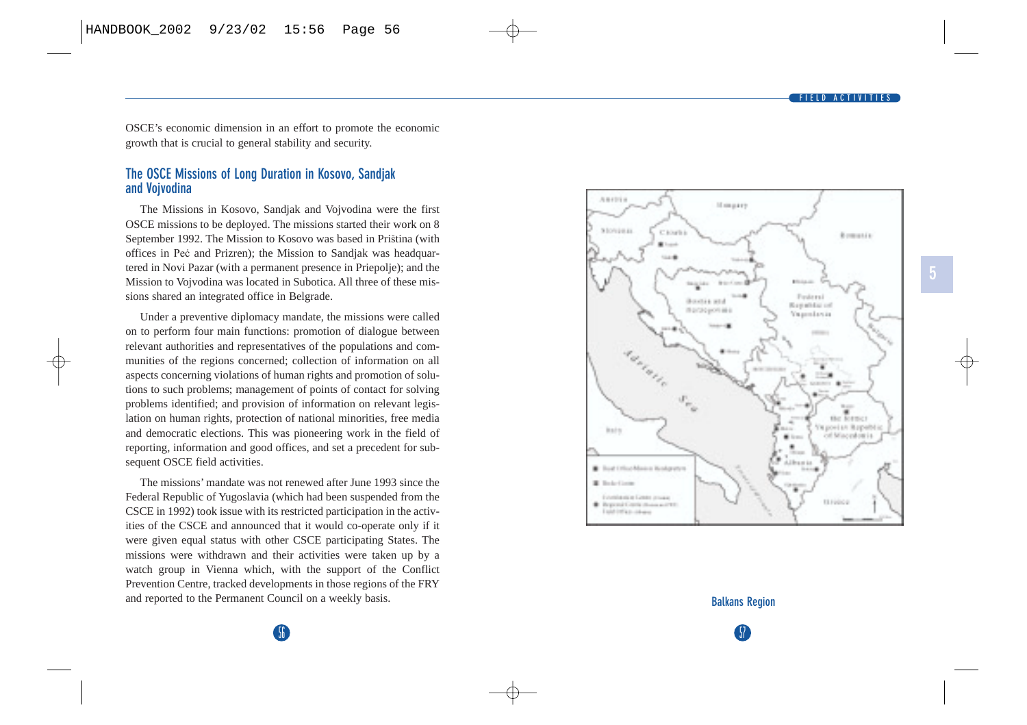

<span id="page-33-0"></span>OSCE's economic dimension in an effort to promote the economic growth that is crucial to general stability and security.

#### **The OSCE Missions of Long Duration in Kosovo, Sandjak and Vojvodina**

The Missions in Kosovo, Sandjak and Vojvodina were the first OSCE missions to be deployed. The missions started their work on 8 September 1992. The Mission to Kosovo was based in Priština (with offices in Peć and Prizren); the Mission to Sandjak was headquartered in Novi Pazar (with a permanent presence in Priepolje); and the Mission to Vojvodina was located in Subotica. All three of these missions shared an integrated office in Belgrade.

Under a preventive diplomacy mandate, the missions were called on to perform four main functions: promotion of dialogue between relevant authorities and representatives of the populations and communities of the regions concerned; collection of information on all aspects concerning violations of human rights and promotion of solutions to such problems; management of points of contact for solving problems identified; and provision of information on relevant legislation on human rights, protection of national minorities, free media and democratic elections. This was pioneering work in the field of reporting, information and good offices, and set a precedent for subsequent OSCE field activities.

The missions' mandate was not renewed after June 1993 since the Federal Republic of Yugoslavia (which had been suspended from the CSCE in 1992) took issue with its restricted participation in the activities of the CSCE and announced that it would co-operate only if it were given equal status with other CSCE participating States. The missions were withdrawn and their activities were taken up by a watch group in Vienna which, with the support of the Conflict Prevention Centre, tracked developments in those regions of the FRY and reported to the Permanent Council on a weekly basis.



# 57 **Balkans Region**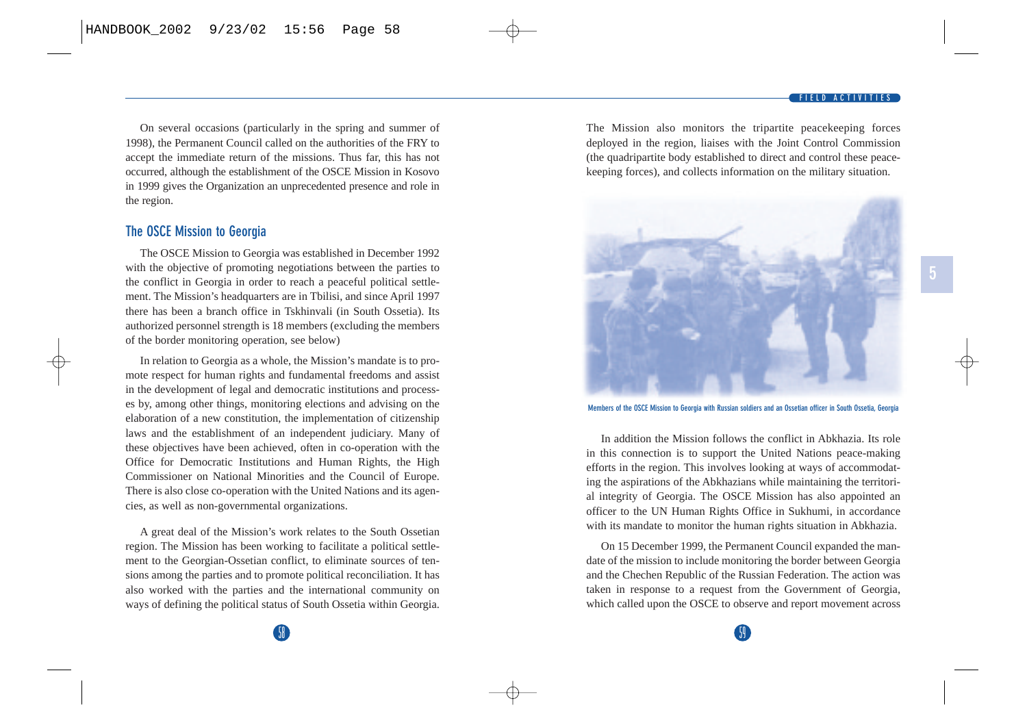<span id="page-34-0"></span>On several occasions (particularly in the spring and summer of 1998), the Permanent Council called on the authorities of the FRY to accept the immediate return of the missions. Thus far, this has not occurred, although the establishment of the OSCE Mission in Kosovo in 1999 gives the Organization an unprecedented presence and role in the region.

#### **The OSCE Mission to Georgia**

The OSCE Mission to Georgia was established in December 1992 with the objective of promoting negotiations between the parties to the conflict in Georgia in order to reach a peaceful political settlement. The Mission's headquarters are in Tbilisi, and since April 1997 there has been a branch office in Tskhinvali (in South Ossetia). Its authorized personnel strength is 18 members (excluding the members of the border monitoring operation, see below)

In relation to Georgia as a whole, the Mission's mandate is to promote respect for human rights and fundamental freedoms and assist in the development of legal and democratic institutions and processes by, among other things, monitoring elections and advising on the elaboration of a new constitution, the implementation of citizenship laws and the establishment of an independent judiciary. Many of these objectives have been achieved, often in co-operation with the Office for Democratic Institutions and Human Rights, the High Commissioner on National Minorities and the Council of Europe. There is also close co-operation with the United Nations and its agencies, as well as non-governmental organizations.

A great deal of the Mission's work relates to the South Ossetian region. The Mission has been working to facilitate a political settlement to the Georgian-Ossetian conflict, to eliminate sources of tensions among the parties and to promote political reconciliation. It has also worked with the parties and the international community on ways of defining the political status of South Ossetia within Georgia. The Mission also monitors the tripartite peacekeeping forces deployed in the region, liaises with the Joint Control Commission (the quadripartite body established to direct and control these peacekeeping forces), and collects information on the military situation.



**Members of the OSCE Mission to Georgia with Russian soldiers and an Ossetian officer in South Ossetia, Georgia**

In addition the Mission follows the conflict in Abkhazia. Its role in this connection is to support the United Nations peace-making efforts in the region. This involves looking at ways of accommodating the aspirations of the Abkhazians while maintaining the territorial integrity of Georgia. The OSCE Mission has also appointed an officer to the UN Human Rights Office in Sukhumi, in accordance with its mandate to monitor the human rights situation in Abkhazia.

On 15 December 1999, the Permanent Council expanded the mandate of the mission to include monitoring the border between Georgia and the Chechen Republic of the Russian Federation. The action was taken in response to a request from the Government of Georgia, which called upon the OSCE to observe and report movement across

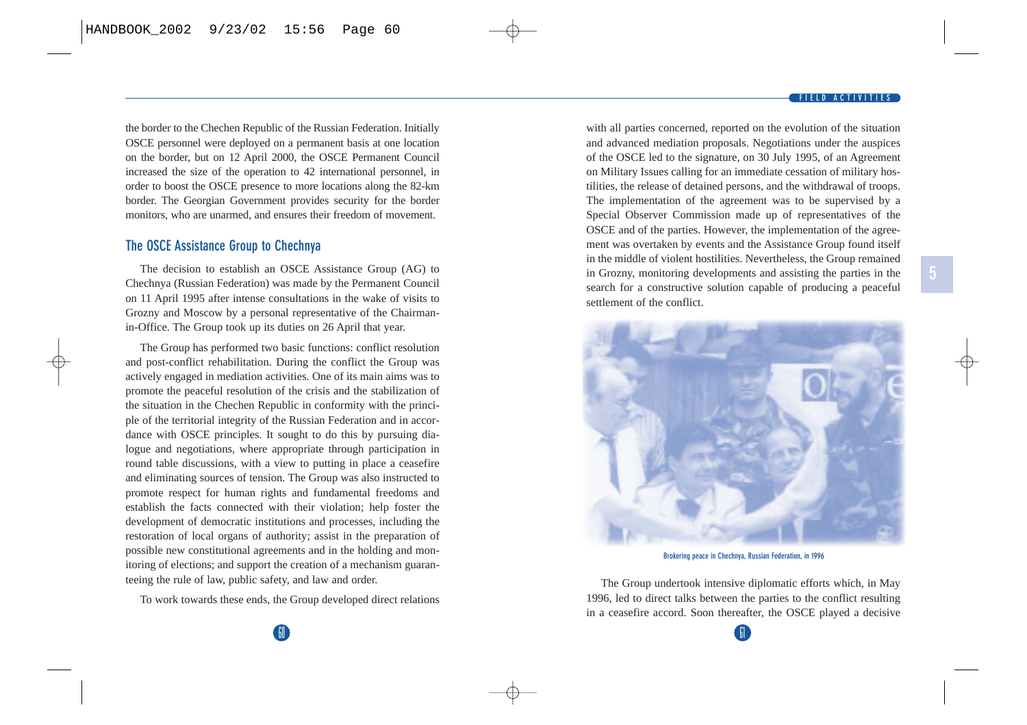#### **FIELD ACTIVITIES**

**5**

<span id="page-35-0"></span>the border to the Chechen Republic of the Russian Federation. Initially OSCE personnel were deployed on a permanent basis at one location on the border, but on 12 April 2000, the OSCE Permanent Council increased the size of the operation to 42 international personnel, in order to boost the OSCE presence to more locations along the 82-km border. The Georgian Government provides security for the border monitors, who are unarmed, and ensures their freedom of movement.

#### **The OSCE Assistance Group to Chechnya**

The decision to establish an OSCE Assistance Group (AG) to Chechnya (Russian Federation) was made by the Permanent Council on 11 April 1995 after intense consultations in the wake of visits to Grozny and Moscow by a personal representative of the Chairmanin-Office. The Group took up its duties on 26 April that year.

The Group has performed two basic functions: conflict resolution and post-conflict rehabilitation. During the conflict the Group was actively engaged in mediation activities. One of its main aims was to promote the peaceful resolution of the crisis and the stabilization of the situation in the Chechen Republic in conformity with the principle of the territorial integrity of the Russian Federation and in accordance with OSCE principles. It sought to do this by pursuing dialogue and negotiations, where appropriate through participation in round table discussions, with a view to putting in place a ceasefire and eliminating sources of tension. The Group was also instructed to promote respect for human rights and fundamental freedoms and establish the facts connected with their violation; help foster the development of democratic institutions and processes, including the restoration of local organs of authority; assist in the preparation of possible new constitutional agreements and in the holding and monitoring of elections; and support the creation of a mechanism guaranteeing the rule of law, public safety, and law and order.

To work towards these ends, the Group developed direct relations

with all parties concerned, reported on the evolution of the situation and advanced mediation proposals. Negotiations under the auspices of the OSCE led to the signature, on 30 July 1995, of an Agreement on Military Issues calling for an immediate cessation of military hostilities, the release of detained persons, and the withdrawal of troops. The implementation of the agreement was to be supervised by a Special Observer Commission made up of representatives of the OSCE and of the parties. However, the implementation of the agreement was overtaken by events and the Assistance Group found itself in the middle of violent hostilities. Nevertheless, the Group remained in Grozny, monitoring developments and assisting the parties in the search for a constructive solution capable of producing a peaceful settlement of the conflict.



**Brokering peace in Chechnya, Russian Federation, in 1996**

The Group undertook intensive diplomatic efforts which, in May 1996, led to direct talks between the parties to the conflict resulting in a ceasefire accord. Soon thereafter, the OSCE played a decisive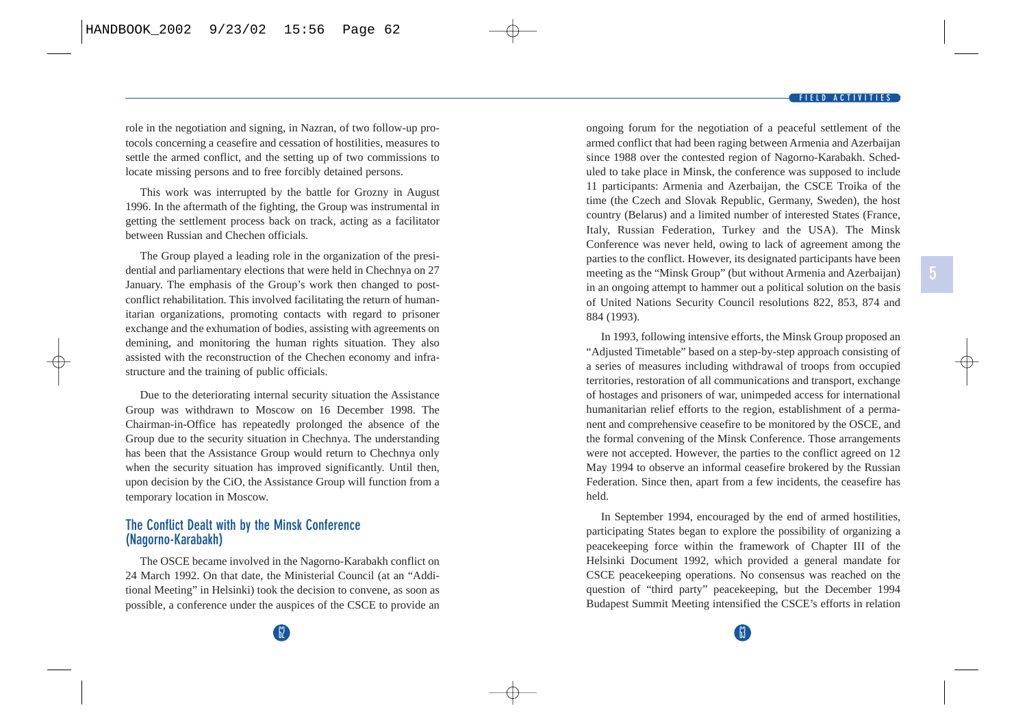**5**

role in the negotiation and signing, in Nazran, of two follow-up protocols concerning a ceasefire and cessation of hostilities, measures to settle the armed conflict, and the setting up of two commissions to locate missing persons and to free forcibly detained persons.

This work was interrupted by the battle for Grozny in August 1996. In the aftermath of the fighting, the Group was instrumental in getting the settlement process back on track, acting as a facilitator between Russian and Chechen officials.

The Group played a leading role in the organization of the presidential and parliamentary elections that were held in Chechnya on 27 January. The emphasis of the Group's work then changed to postconflict rehabilitation. This involved facilitating the return of humanitarian organizations, promoting contacts with regard to prisoner exchange and the exhumation of bodies, assisting with agreements on demining, and monitoring the human rights situation. They also assisted with the reconstruction of the Chechen economy and infrastructure and the training of public officials.

Due to the deteriorating internal security situation the Assistance Group was withdrawn to Moscow on 16 December 1998. The Chairman-in-Office has repeatedly prolonged the absence of the Group due to the security situation in Chechnya. The understanding has been that the Assistance Group would return to Chechnya only when the security situation has improved significantly. Until then, upon decision by the CiO, the Assistance Group will function from a temporary location in Moscow.

### **The Conflict Dealt with by the Minsk Conference (Nagorno-Karabakh)**

The OSCE became involved in the Nagorno-Karabakh conflict on 24 March 1992. On that date, the Ministerial Council (at an "Additional Meeting" in Helsinki) took the decision to convene, as soon as possible, a conference under the auspices of the CSCE to provide an ongoing forum for the negotiation of a peaceful settlement of the armed conflict that had been raging between Armenia and Azerbaijan since 1988 over the contested region of Nagorno-Karabakh. Scheduled to take place in Minsk, the conference was supposed to include 11 participants: Armenia and Azerbaijan, the CSCE Troika of the time (the Czech and Slovak Republic, Germany, Sweden), the host country (Belarus) and a limited number of interested States (France, Italy, Russian Federation, Turkey and the USA). The Minsk Conference was never held, owing to lack of agreement among the parties to the conflict. However, its designated participants have been meeting as the "Minsk Group" (but without Armenia and Azerbaijan) in an ongoing attempt to hammer out a political solution on the basis of United Nations Security Council resolutions 822, 853, 874 and 884 (1993).

In 1993, following intensive efforts, the Minsk Group proposed an "Adjusted Timetable" based on a step-by-step approach consisting of a series of measures including withdrawal of troops from occupied territories, restoration of all communications and transport, exchange of hostages and prisoners of war, unimpeded access for international humanitarian relief efforts to the region, establishment of a permanent and comprehensive ceasefire to be monitored by the OSCE, and the formal convening of the Minsk Conference. Those arrangements were not accepted. However, the parties to the conflict agreed on 12 May 1994 to observe an informal ceasefire brokered by the Russian Federation. Since then, apart from a few incidents, the ceasefire has held.

In September 1994, encouraged by the end of armed hostilities, participating States began to explore the possibility of organizing a peacekeeping force within the framework of Chapter III of the Helsinki Document 1992, which provided a general mandate for CSCE peacekeeping operations. No consensus was reached on the question of "third party" peacekeeping, but the December 1994 Budapest Summit Meeting intensified the CSCE's efforts in relation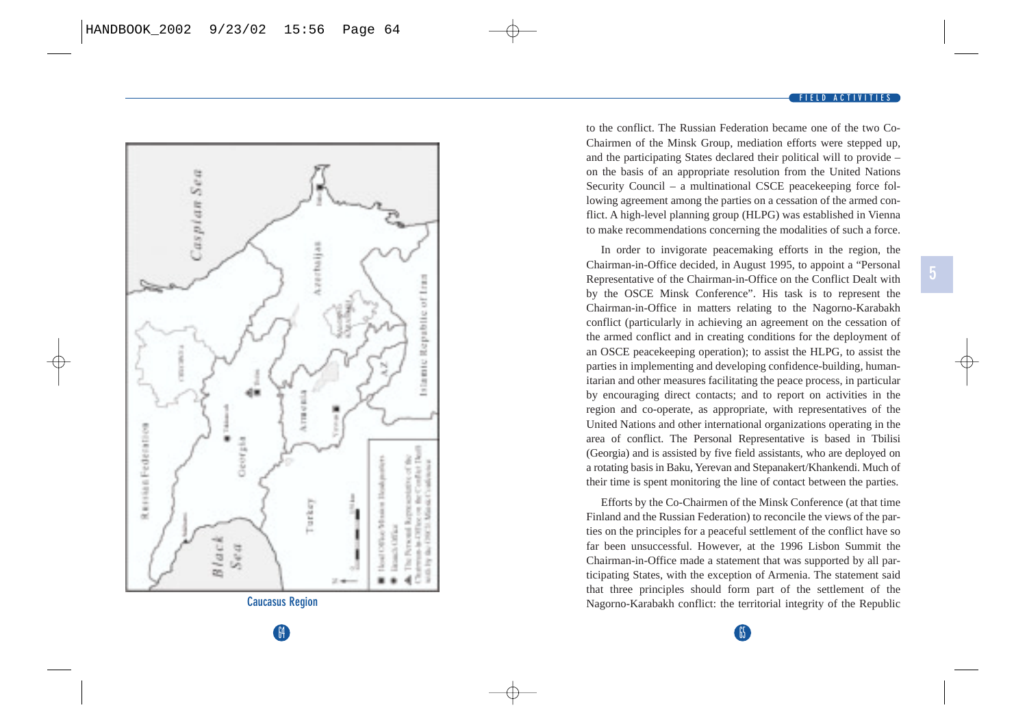



In order to invigorate peacemaking efforts in the region, the Chairman-in-Office decided, in August 1995, to appoint a "Personal Representative of the Chairman-in-Office on the Conflict Dealt with by the OSCE Minsk Conference". His task is to represent the Chairman-in-Office in matters relating to the Nagorno-Karabakh conflict (particularly in achieving an agreement on the cessation of the armed conflict and in creating conditions for the deployment of an OSCE peacekeeping operation); to assist the HLPG, to assist the parties in implementing and developing confidence-building, humanitarian and other measures facilitating the peace process, in particular by encouraging direct contacts; and to report on activities in the region and co-operate, as appropriate, with representatives of the United Nations and other international organizations operating in the area of conflict. The Personal Representative is based in Tbilisi (Georgia) and is assisted by five field assistants, who are deployed on a rotating basis in Baku, Yerevan and Stepanakert/Khankendi. Much of their time is spent monitoring the line of contact between the parties.

Efforts by the Co-Chairmen of the Minsk Conference (at that time Finland and the Russian Federation) to reconcile the views of the parties on the principles for a peaceful settlement of the conflict have so far been unsuccessful. However, at the 1996 Lisbon Summit the Chairman-in-Office made a statement that was supported by all participating States, with the exception of Armenia. The statement said that three principles should form part of the settlement of the Nagorno-Karabakh conflict: the territorial integrity of the Republic

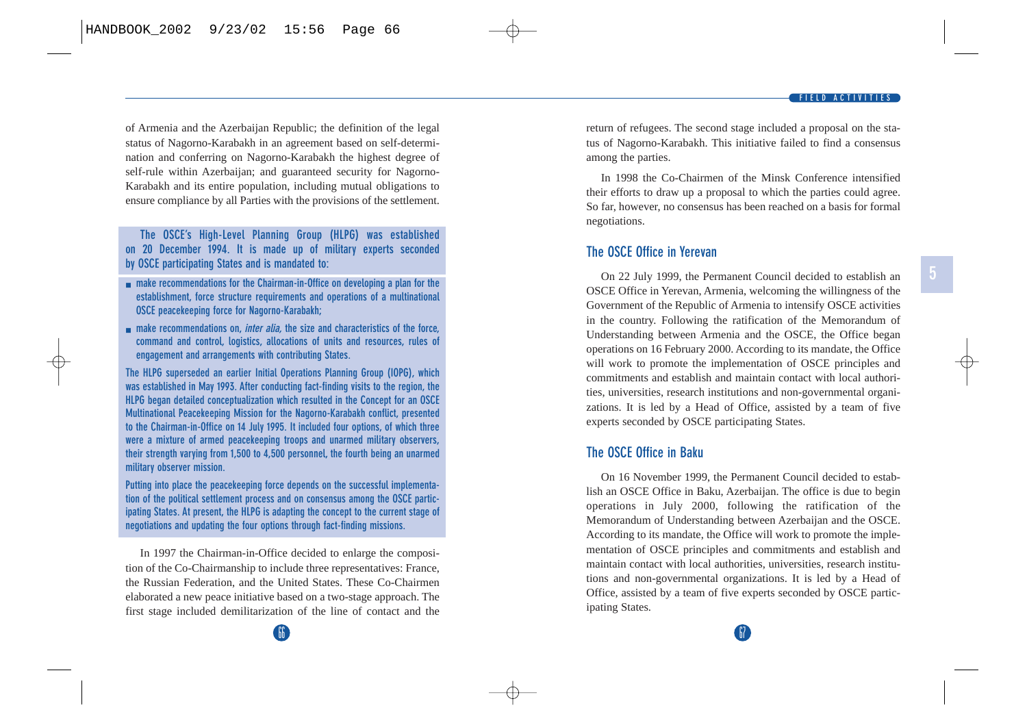of Armenia and the Azerbaijan Republic; the definition of the legal status of Nagorno-Karabakh in an agreement based on self-determination and conferring on Nagorno-Karabakh the highest degree of self-rule within Azerbaijan; and guaranteed security for Nagorno-Karabakh and its entire population, including mutual obligations to ensure compliance by all Parties with the provisions of the settlement.

**The OSCE's High-Level Planning Group (HLPG) was established on 20 December 1994. It is made up of military experts seconded by OSCE participating States and is mandated to:**

- **make recommendations for the Chairman-in-Office on developing a plan for the establishment, force structure requirements and operations of a multinational OSCE peacekeeping force for Nagorno-Karabakh;**
- **make recommendations on,** *inter alia***, the size and characteristics of the force, command and control, logistics, allocations of units and resources, rules of engagement and arrangements with contributing States.**

**The HLPG superseded an earlier Initial Operations Planning Group (IOPG), which was established in May 1993. After conducting fact-finding visits to the region, the HLPG began detailed conceptualization which resulted in the Concept for an OSCE Multinational Peacekeeping Mission for the Nagorno-Karabakh conflict, presented to the Chairman-in-Office on 14 July 1995. It included four options, of which three were a mixture of armed peacekeeping troops and unarmed military observers, their strength varying from 1,500 to 4,500 personnel, the fourth being an unarmed military observer mission.**

**Putting into place the peacekeeping force depends on the successful implementation of the political settlement process and on consensus among the OSCE participating States. At present, the HLPG is adapting the concept to the current stage of negotiations and updating the four options through fact-finding missions.**

In 1997 the Chairman-in-Office decided to enlarge the composition of the Co-Chairmanship to include three representatives: France, the Russian Federation, and the United States. These Co-Chairmen elaborated a new peace initiative based on a two-stage approach. The first stage included demilitarization of the line of contact and the return of refugees. The second stage included a proposal on the status of Nagorno-Karabakh. This initiative failed to find a consensus among the parties.

In 1998 the Co-Chairmen of the Minsk Conference intensified their efforts to draw up a proposal to which the parties could agree. So far, however, no consensus has been reached on a basis for formal negotiations.

## **The OSCE Office in Yerevan**

On 22 July 1999, the Permanent Council decided to establish an OSCE Office in Yerevan, Armenia, welcoming the willingness of the Government of the Republic of Armenia to intensify OSCE activities in the country. Following the ratification of the Memorandum of Understanding between Armenia and the OSCE, the Office began operations on 16 February 2000. According to its mandate, the Office will work to promote the implementation of OSCE principles and commitments and establish and maintain contact with local authorities, universities, research institutions and non-governmental organizations. It is led by a Head of Office, assisted by a team of five experts seconded by OSCE participating States.

### **The OSCE Office in Baku**

On 16 November 1999, the Permanent Council decided to establish an OSCE Office in Baku, Azerbaijan. The office is due to begin operations in July 2000, following the ratification of the Memorandum of Understanding between Azerbaijan and the OSCE. According to its mandate, the Office will work to promote the implementation of OSCE principles and commitments and establish and maintain contact with local authorities, universities, research institutions and non-governmental organizations. It is led by a Head of Office, assisted by a team of five experts seconded by OSCE participating States.

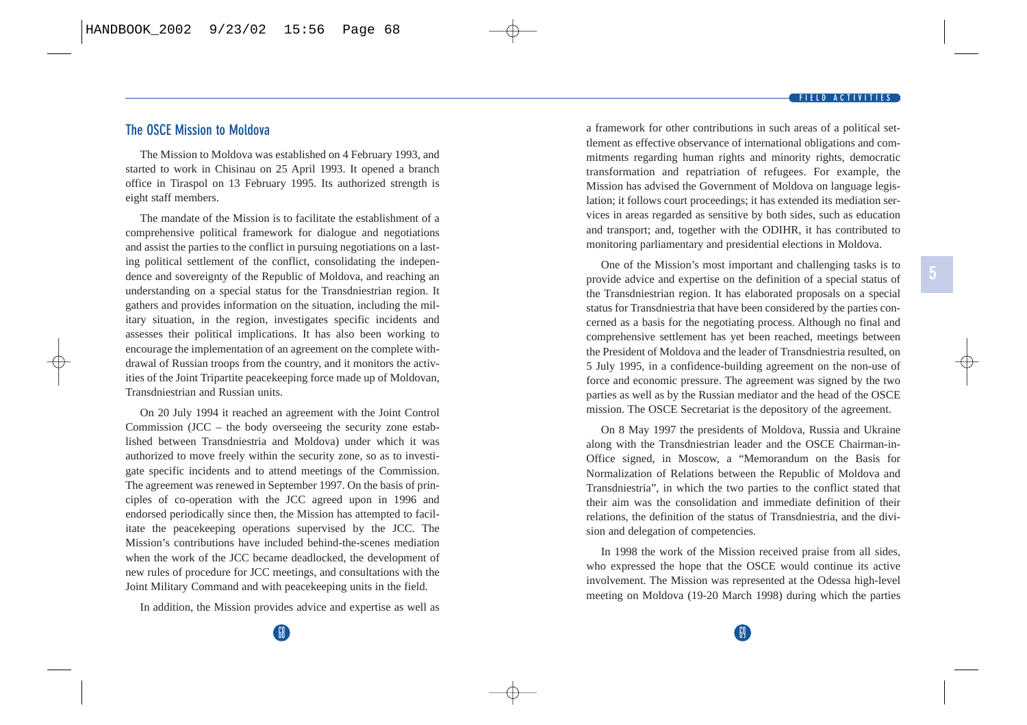### **The OSCE Mission to Moldova**

The Mission to Moldova was established on 4 February 1993, and started to work in Chisinau on 25 April 1993. It opened a branch office in Tiraspol on 13 February 1995. Its authorized strength is eight staff members.

The mandate of the Mission is to facilitate the establishment of a comprehensive political framework for dialogue and negotiations and assist the parties to the conflict in pursuing negotiations on a lasting political settlement of the conflict, consolidating the independence and sovereignty of the Republic of Moldova, and reaching an understanding on a special status for the Transdniestrian region. It gathers and provides information on the situation, including the military situation, in the region, investigates specific incidents and assesses their political implications. It has also been working to encourage the implementation of an agreement on the complete withdrawal of Russian troops from the country, and it monitors the activities of the Joint Tripartite peacekeeping force made up of Moldovan, Transdniestrian and Russian units.

On 20 July 1994 it reached an agreement with the Joint Control Commission (JCC – the body overseeing the security zone established between Transdniestria and Moldova) under which it was authorized to move freely within the security zone, so as to investigate specific incidents and to attend meetings of the Commission. The agreement was renewed in September 1997. On the basis of principles of co-operation with the JCC agreed upon in 1996 and endorsed periodically since then, the Mission has attempted to facilitate the peacekeeping operations supervised by the JCC. The Mission's contributions have included behind-the-scenes mediation when the work of the JCC became deadlocked, the development of new rules of procedure for JCC meetings, and consultations with the Joint Military Command and with peacekeeping units in the field.

In addition, the Mission provides advice and expertise as well as

a framework for other contributions in such areas of a political settlement as effective observance of international obligations and commitments regarding human rights and minority rights, democratic transformation and repatriation of refugees. For example, the Mission has advised the Government of Moldova on language legislation; it follows court proceedings; it has extended its mediation services in areas regarded as sensitive by both sides, such as education and transport; and, together with the ODIHR, it has contributed to monitoring parliamentary and presidential elections in Moldova.

One of the Mission's most important and challenging tasks is to provide advice and expertise on the definition of a special status of the Transdniestrian region. It has elaborated proposals on a special status for Transdniestria that have been considered by the parties concerned as a basis for the negotiating process. Although no final and comprehensive settlement has yet been reached, meetings between the President of Moldova and the leader of Transdniestria resulted, on 5 July 1995, in a confidence-building agreement on the non-use of force and economic pressure. The agreement was signed by the two parties as well as by the Russian mediator and the head of the OSCE mission. The OSCE Secretariat is the depository of the agreement.

On 8 May 1997 the presidents of Moldova, Russia and Ukraine along with the Transdniestrian leader and the OSCE Chairman-in-Office signed, in Moscow, a "Memorandum on the Basis for Normalization of Relations between the Republic of Moldova and Transdniestria", in which the two parties to the conflict stated that their aim was the consolidation and immediate definition of their relations, the definition of the status of Transdniestria, and the division and delegation of competencies.

In 1998 the work of the Mission received praise from all sides, who expressed the hope that the OSCE would continue its active involvement. The Mission was represented at the Odessa high-level meeting on Moldova (19-20 March 1998) during which the parties

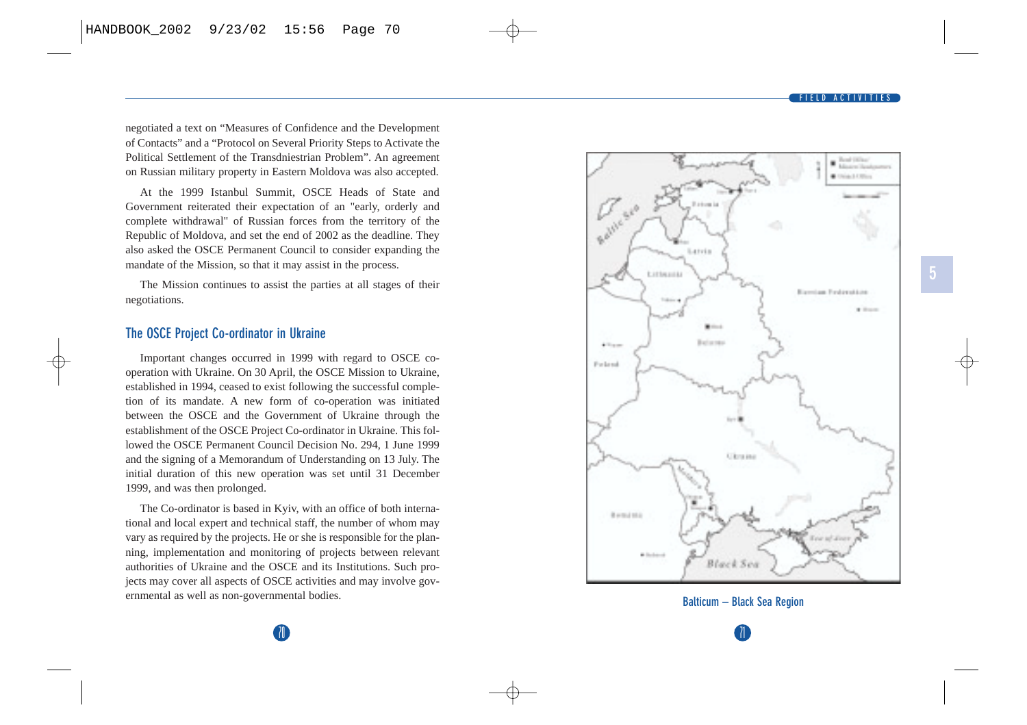negotiated a text on "Measures of Confidence and the Development of Contacts" and a "Protocol on Several Priority Steps to Activate the Political Settlement of the Transdniestrian Problem". An agreement on Russian military property in Eastern Moldova was also accepted.

At the 1999 Istanbul Summit, OSCE Heads of State and Government reiterated their expectation of an "early, orderly and complete withdrawal" of Russian forces from the territory of the Republic of Moldova, and set the end of 2002 as the deadline. They also asked the OSCE Permanent Council to consider expanding the mandate of the Mission, so that it may assist in the process.

The Mission continues to assist the parties at all stages of their negotiations.

### **The OSCE Project Co-ordinator in Ukraine**

Important changes occurred in 1999 with regard to OSCE cooperation with Ukraine. On 30 April, the OSCE Mission to Ukraine, established in 1994, ceased to exist following the successful completion of its mandate. A new form of co-operation was initiated between the OSCE and the Government of Ukraine through the establishment of the OSCE Project Co-ordinator in Ukraine. This followed the OSCE Permanent Council Decision No. 294, 1 June 1999 and the signing of a Memorandum of Understanding on 13 July. The initial duration of this new operation was set until 31 December 1999, and was then prolonged.

The Co-ordinator is based in Kyiv, with an office of both international and local expert and technical staff, the number of whom may vary as required by the projects. He or she is responsible for the planning, implementation and monitoring of projects between relevant authorities of Ukraine and the OSCE and its Institutions. Such projects may cover all aspects of OSCE activities and may involve governmental as well as non-governmental bodies.





 $\overline{\mathbf{0}}$  71  $\overline{\mathbf{0}}$  71  $\overline{\mathbf{0}}$  71  $\overline{\mathbf{0}}$  71  $\overline{\mathbf{0}}$  71  $\overline{\mathbf{0}}$  71  $\overline{\mathbf{0}}$  71  $\overline{\mathbf{0}}$  71  $\overline{\mathbf{0}}$  71  $\overline{\mathbf{0}}$  71  $\overline{\mathbf{0}}$  71  $\overline{\mathbf{0}}$  71  $\overline{\mathbf{0}}$  71  $\overline{\mathbf{0}}$  71  $\overline{\mathbf{0}}$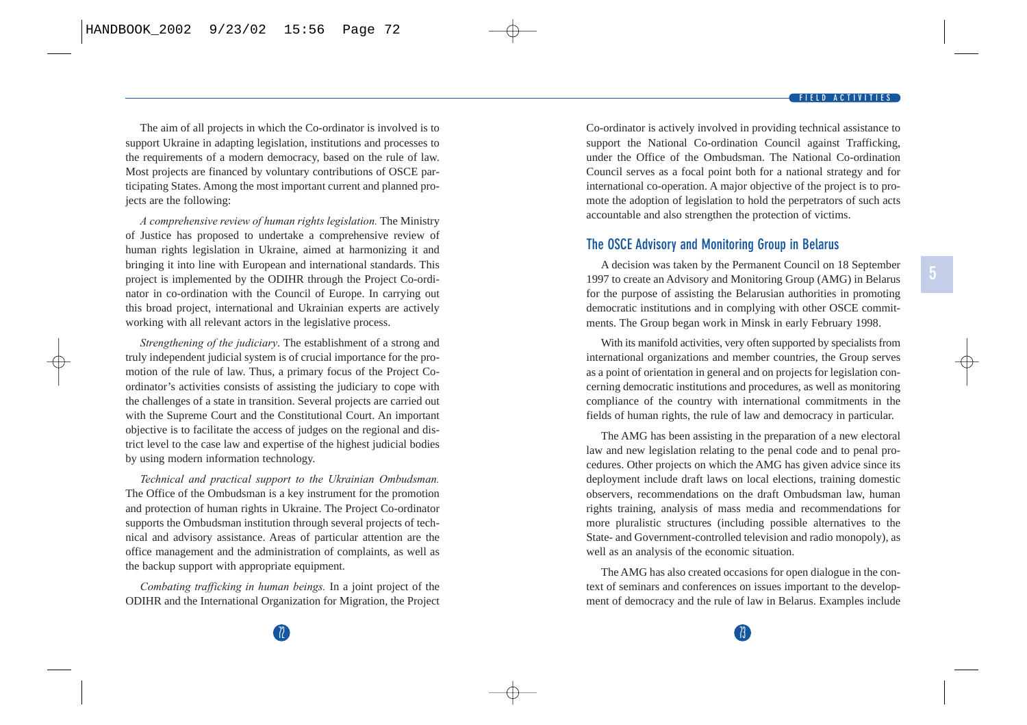The aim of all projects in which the Co-ordinator is involved is to support Ukraine in adapting legislation, institutions and processes to the requirements of a modern democracy, based on the rule of law. Most projects are financed by voluntary contributions of OSCE participating States. Among the most important current and planned projects are the following:

*A comprehensive review of human rights legislation.* The Ministry of Justice has proposed to undertake a comprehensive review of human rights legislation in Ukraine, aimed at harmonizing it and bringing it into line with European and international standards. This project is implemented by the ODIHR through the Project Co-ordinator in co-ordination with the Council of Europe. In carrying out this broad project, international and Ukrainian experts are actively working with all relevant actors in the legislative process.

*Strengthening of the judiciary*. The establishment of a strong and truly independent judicial system is of crucial importance for the promotion of the rule of law. Thus, a primary focus of the Project Coordinator's activities consists of assisting the judiciary to cope with the challenges of a state in transition. Several projects are carried out with the Supreme Court and the Constitutional Court. An important objective is to facilitate the access of judges on the regional and district level to the case law and expertise of the highest judicial bodies by using modern information technology.

*Technical and practical support to the Ukrainian Ombudsman.* The Office of the Ombudsman is a key instrument for the promotion and protection of human rights in Ukraine. The Project Co-ordinator supports the Ombudsman institution through several projects of technical and advisory assistance. Areas of particular attention are the office management and the administration of complaints, as well as the backup support with appropriate equipment.

*Combating trafficking in human beings.* In a joint project of the ODIHR and the International Organization for Migration, the Project Co-ordinator is actively involved in providing technical assistance to support the National Co-ordination Council against Trafficking, under the Office of the Ombudsman. The National Co-ordination Council serves as a focal point both for a national strategy and for international co-operation. A major objective of the project is to promote the adoption of legislation to hold the perpetrators of such acts accountable and also strengthen the protection of victims.

### **The OSCE Advisory and Monitoring Group in Belarus**

A decision was taken by the Permanent Council on 18 September 1997 to create an Advisory and Monitoring Group (AMG) in Belarus for the purpose of assisting the Belarusian authorities in promoting democratic institutions and in complying with other OSCE commitments. The Group began work in Minsk in early February 1998.

With its manifold activities, very often supported by specialists from international organizations and member countries, the Group serves as a point of orientation in general and on projects for legislation concerning democratic institutions and procedures, as well as monitoring compliance of the country with international commitments in the fields of human rights, the rule of law and democracy in particular.

The AMG has been assisting in the preparation of a new electoral law and new legislation relating to the penal code and to penal procedures. Other projects on which the AMG has given advice since its deployment include draft laws on local elections, training domestic observers, recommendations on the draft Ombudsman law, human rights training, analysis of mass media and recommendations for more pluralistic structures (including possible alternatives to the State- and Government-controlled television and radio monopoly), as well as an analysis of the economic situation.

The AMG has also created occasions for open dialogue in the context of seminars and conferences on issues important to the development of democracy and the rule of law in Belarus. Examples include

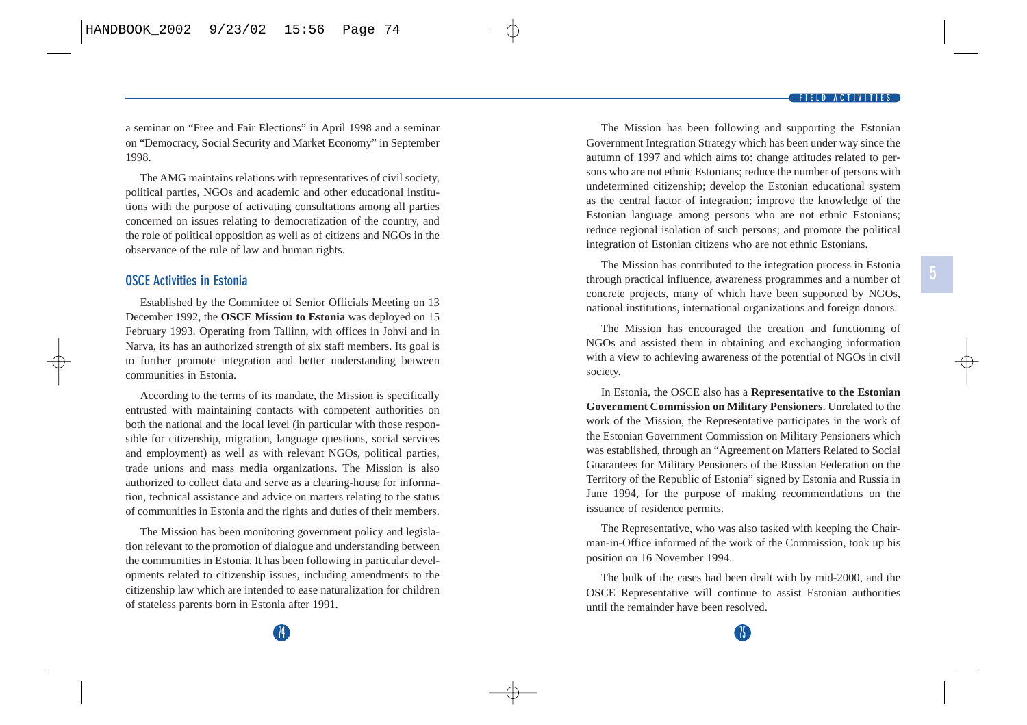a seminar on "Free and Fair Elections" in April 1998 and a seminar on "Democracy, Social Security and Market Economy" in September 1998.

The AMG maintains relations with representatives of civil society, political parties, NGOs and academic and other educational institutions with the purpose of activating consultations among all parties concerned on issues relating to democratization of the country, and the role of political opposition as well as of citizens and NGOs in the observance of the rule of law and human rights.

### **OSCE Activities in Estonia**

Established by the Committee of Senior Officials Meeting on 13 December 1992, the **OSCE Mission to Estonia** was deployed on 15 February 1993. Operating from Tallinn, with offices in Johvi and in Narva, its has an authorized strength of six staff members. Its goal is to further promote integration and better understanding between communities in Estonia.

According to the terms of its mandate, the Mission is specifically entrusted with maintaining contacts with competent authorities on both the national and the local level (in particular with those responsible for citizenship, migration, language questions, social services and employment) as well as with relevant NGOs, political parties, trade unions and mass media organizations. The Mission is also authorized to collect data and serve as a clearing-house for information, technical assistance and advice on matters relating to the status of communities in Estonia and the rights and duties of their members.

The Mission has been monitoring government policy and legislation relevant to the promotion of dialogue and understanding between the communities in Estonia. It has been following in particular developments related to citizenship issues, including amendments to the citizenship law which are intended to ease naturalization for children of stateless parents born in Estonia after 1991.

The Mission has been following and supporting the Estonian Government Integration Strategy which has been under way since the autumn of 1997 and which aims to: change attitudes related to persons who are not ethnic Estonians; reduce the number of persons with undetermined citizenship; develop the Estonian educational system as the central factor of integration; improve the knowledge of the Estonian language among persons who are not ethnic Estonians; reduce regional isolation of such persons; and promote the political integration of Estonian citizens who are not ethnic Estonians.

The Mission has contributed to the integration process in Estonia through practical influence, awareness programmes and a number of concrete projects, many of which have been supported by NGOs, national institutions, international organizations and foreign donors.

The Mission has encouraged the creation and functioning of NGOs and assisted them in obtaining and exchanging information with a view to achieving awareness of the potential of NGOs in civil society.

In Estonia, the OSCE also has a **Representative to the Estonian Government Commission on Military Pensioners**. Unrelated to the work of the Mission, the Representative participates in the work of the Estonian Government Commission on Military Pensioners which was established, through an "Agreement on Matters Related to Social Guarantees for Military Pensioners of the Russian Federation on the Territory of the Republic of Estonia" signed by Estonia and Russia in June 1994, for the purpose of making recommendations on the issuance of residence permits.

The Representative, who was also tasked with keeping the Chairman-in-Office informed of the work of the Commission, took up his position on 16 November 1994.

The bulk of the cases had been dealt with by mid-2000, and the OSCE Representative will continue to assist Estonian authorities until the remainder have been resolved.

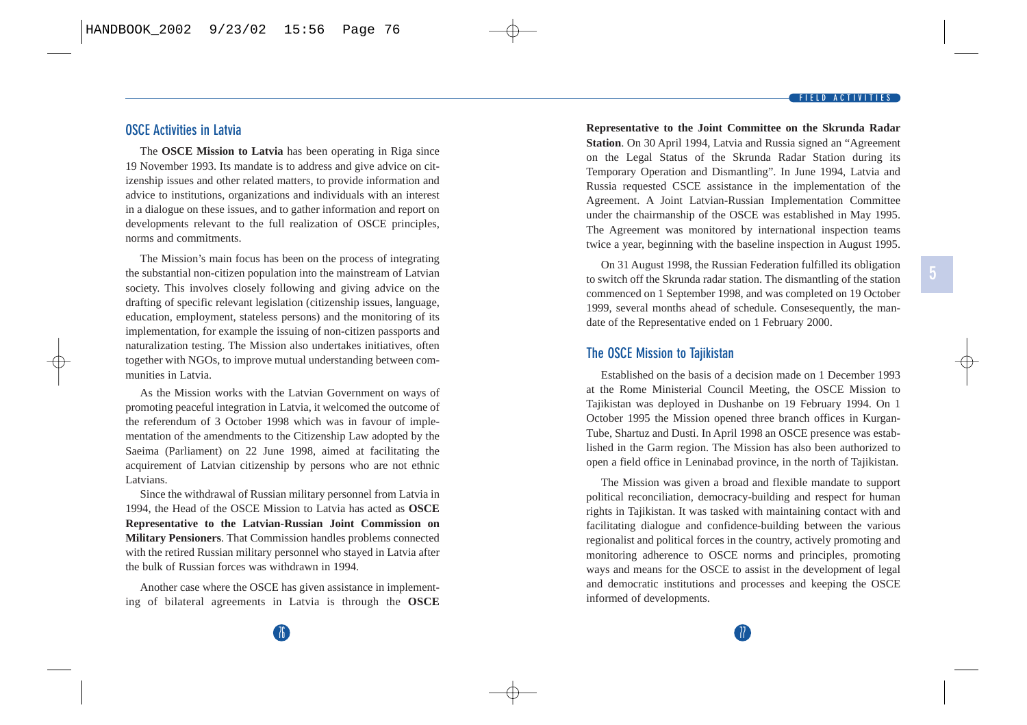**OSCE Activities in Latvia** 

The Mission's main focus has been on the process of integrating the substantial non-citizen population into the mainstream of Latvian society. This involves closely following and giving advice on the drafting of specific relevant legislation (citizenship issues, language, education, employment, stateless persons) and the monitoring of its implementation, for example the issuing of non-citizen passports and naturalization testing. The Mission also undertakes initiatives, often together with NGOs, to improve mutual understanding between communities in Latvia.

The **OSCE Mission to Latvia** has been operating in Riga since 19 November 1993. Its mandate is to address and give advice on citizenship issues and other related matters, to provide information and advice to institutions, organizations and individuals with an interest in a dialogue on these issues, and to gather information and report on developments relevant to the full realization of OSCE principles,

As the Mission works with the Latvian Government on ways of promoting peaceful integration in Latvia, it welcomed the outcome of the referendum of 3 October 1998 which was in favour of implementation of the amendments to the Citizenship Law adopted by the Saeima (Parliament) on 22 June 1998, aimed at facilitating the acquirement of Latvian citizenship by persons who are not ethnic Latvians.

Since the withdrawal of Russian military personnel from Latvia in 1994, the Head of the OSCE Mission to Latvia has acted as **OSCE Representative to the Latvian-Russian Joint Commission on Military Pensioners**. That Commission handles problems connected with the retired Russian military personnel who stayed in Latvia after the bulk of Russian forces was withdrawn in 1994.

Another case where the OSCE has given assistance in implementing of bilateral agreements in Latvia is through the **OSCE** 

#### **FIELD ACTIVITIES**

**5**

**Representative to the Joint Committee on the Skrunda Radar Station**. On 30 April 1994, Latvia and Russia signed an "Agreement on the Legal Status of the Skrunda Radar Station during its Temporary Operation and Dismantling". In June 1994, Latvia and Russia requested CSCE assistance in the implementation of the Agreement. A Joint Latvian-Russian Implementation Committee under the chairmanship of the OSCE was established in May 1995. The Agreement was monitored by international inspection teams twice a year, beginning with the baseline inspection in August 1995.

On 31 August 1998, the Russian Federation fulfilled its obligation to switch off the Skrunda radar station. The dismantling of the station commenced on 1 September 1998, and was completed on 19 October 1999, several months ahead of schedule. Consesequently, the mandate of the Representative ended on 1 February 2000.

### **The OSCE Mission to Tajikistan**

Established on the basis of a decision made on 1 December 1993 at the Rome Ministerial Council Meeting, the OSCE Mission to Tajikistan was deployed in Dushanbe on 19 February 1994. On 1 October 1995 the Mission opened three branch offices in Kurgan-Tube, Shartuz and Dusti. In April 1998 an OSCE presence was established in the Garm region. The Mission has also been authorized to open a field office in Leninabad province, in the north of Tajikistan.

The Mission was given a broad and flexible mandate to support political reconciliation, democracy-building and respect for human rights in Tajikistan. It was tasked with maintaining contact with and facilitating dialogue and confidence-building between the various regionalist and political forces in the country, actively promoting and monitoring adherence to OSCE norms and principles, promoting ways and means for the OSCE to assist in the development of legal and democratic institutions and processes and keeping the OSCE informed of developments.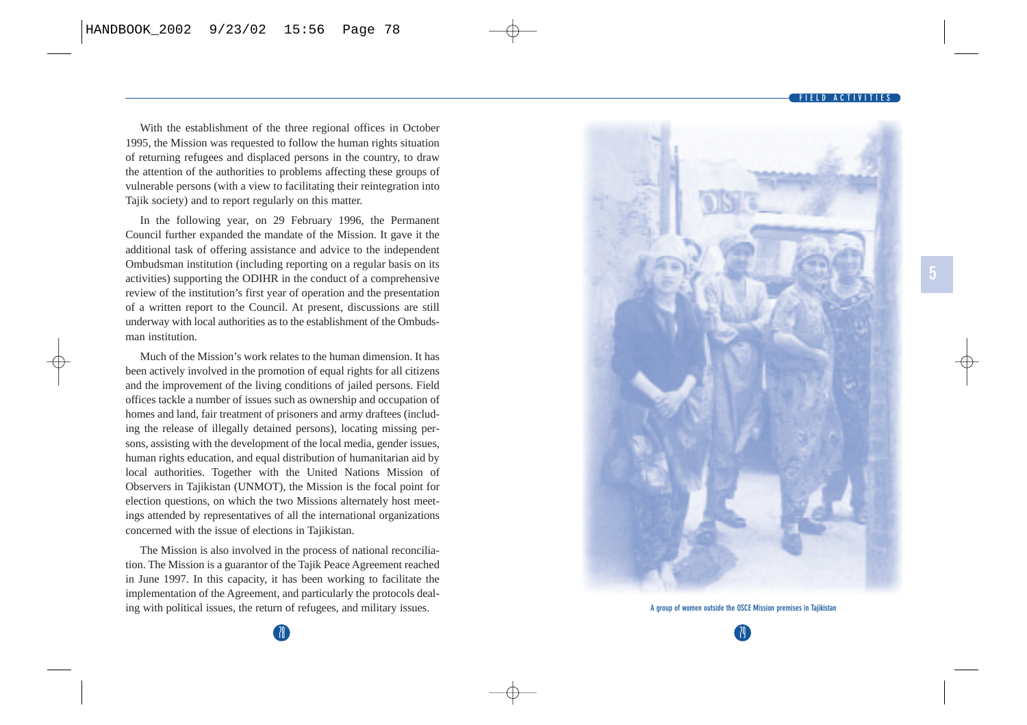With the establishment of the three regional offices in October 1995, the Mission was requested to follow the human rights situation of returning refugees and displaced persons in the country, to draw the attention of the authorities to problems affecting these groups of vulnerable persons (with a view to facilitating their reintegration into Tajik society) and to report regularly on this matter.

In the following year, on 29 February 1996, the Permanent Council further expanded the mandate of the Mission. It gave it the additional task of offering assistance and advice to the independent Ombudsman institution (including reporting on a regular basis on its activities) supporting the ODIHR in the conduct of a comprehensive review of the institution's first year of operation and the presentation of a written report to the Council. At present, discussions are still underway with local authorities as to the establishment of the Ombudsman institution.

Much of the Mission's work relates to the human dimension. It has been actively involved in the promotion of equal rights for all citizens and the improvement of the living conditions of jailed persons. Field offices tackle a number of issues such as ownership and occupation of homes and land, fair treatment of prisoners and army draftees (including the release of illegally detained persons), locating missing persons, assisting with the development of the local media, gender issues, human rights education, and equal distribution of humanitarian aid by local authorities. Together with the United Nations Mission of Observers in Tajikistan (UNMOT), the Mission is the focal point for election questions, on which the two Missions alternately host meetings attended by representatives of all the international organizations concerned with the issue of elections in Tajikistan.

The Mission is also involved in the process of national reconciliation. The Mission is a guarantor of the Tajik Peace Agreement reached in June 1997. In this capacity, it has been working to facilitate the implementation of the Agreement, and particularly the protocols dealing with political issues, the return of refugees, and military issues.



**A group of women outside the OSCE Mission premises in Tajikistan**

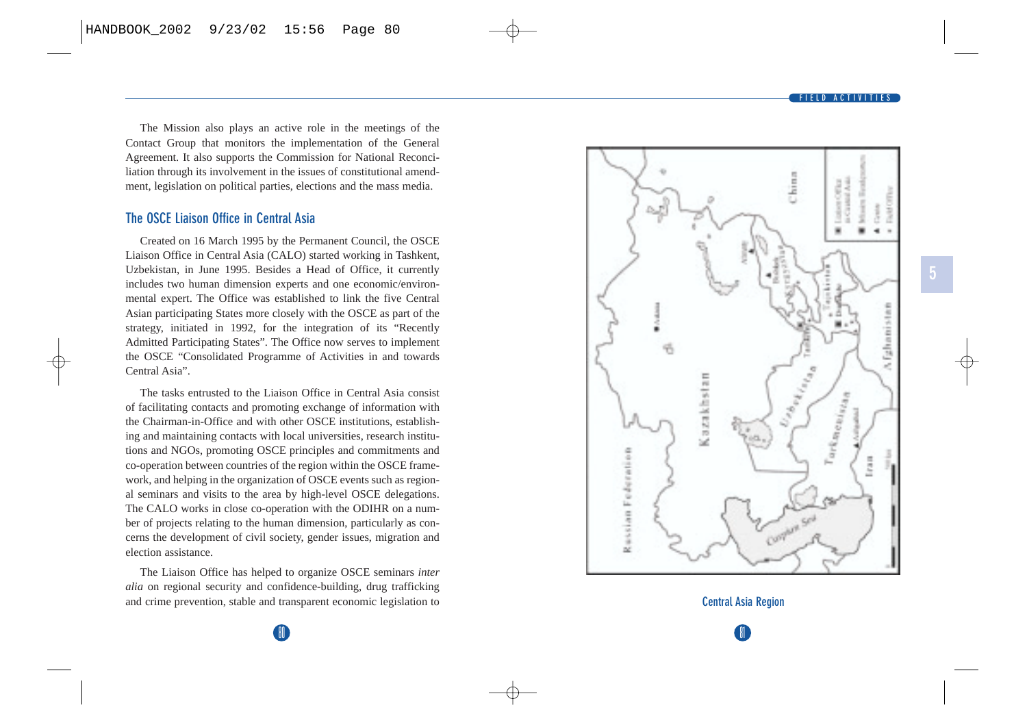The Mission also plays an active role in the meetings of the Contact Group that monitors the implementation of the General Agreement. It also supports the Commission for National Reconciliation through its involvement in the issues of constitutional amendment, legislation on political parties, elections and the mass media.

### **The OSCE Liaison Office in Central Asia**

Created on 16 March 1995 by the Permanent Council, the OSCE Liaison Office in Central Asia (CALO) started working in Tashkent, Uzbekistan, in June 1995. Besides a Head of Office, it currently includes two human dimension experts and one economic/environmental expert. The Office was established to link the five Central Asian participating States more closely with the OSCE as part of the strategy, initiated in 1992, for the integration of its "Recently Admitted Participating States". The Office now serves to implement the OSCE "Consolidated Programme of Activities in and towards Central Asia".

The tasks entrusted to the Liaison Office in Central Asia consist of facilitating contacts and promoting exchange of information with the Chairman-in-Office and with other OSCE institutions, establishing and maintaining contacts with local universities, research institutions and NGOs, promoting OSCE principles and commitments and co-operation between countries of the region within the OSCE framework, and helping in the organization of OSCE events such as regional seminars and visits to the area by high-level OSCE delegations. The CALO works in close co-operation with the ODIHR on a number of projects relating to the human dimension, particularly as concerns the development of civil society, gender issues, migration and election assistance.

The Liaison Office has helped to organize OSCE seminars *inter alia* on regional security and confidence-building, drug trafficking and crime prevention, stable and transparent economic legislation to



81 **Central Asia Region**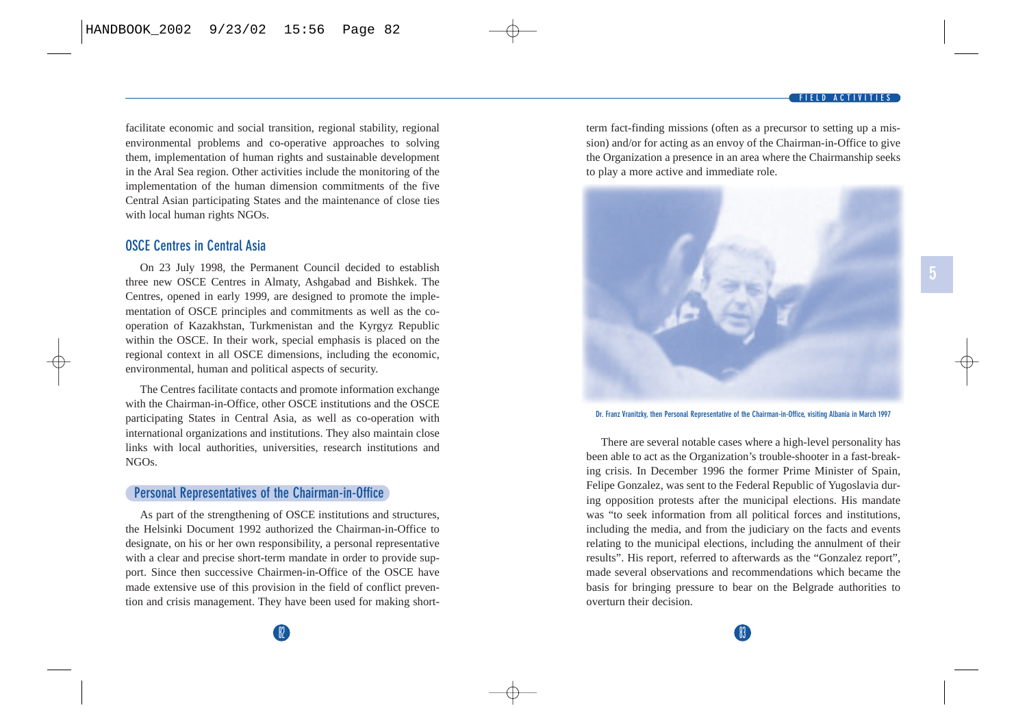**5**

facilitate economic and social transition, regional stability, regional environmental problems and co-operative approaches to solving them, implementation of human rights and sustainable development in the Aral Sea region. Other activities include the monitoring of the implementation of the human dimension commitments of the five Central Asian participating States and the maintenance of close ties with local human rights NGOs.

## **OSCE Centres in Central Asia**

On 23 July 1998, the Permanent Council decided to establish three new OSCE Centres in Almaty, Ashgabad and Bishkek. The Centres, opened in early 1999, are designed to promote the implementation of OSCE principles and commitments as well as the cooperation of Kazakhstan, Turkmenistan and the Kyrgyz Republic within the OSCE. In their work, special emphasis is placed on the regional context in all OSCE dimensions, including the economic, environmental, human and political aspects of security.

The Centres facilitate contacts and promote information exchange with the Chairman-in-Office, other OSCE institutions and the OSCE participating States in Central Asia, as well as co-operation with international organizations and institutions. They also maintain close links with local authorities, universities, research institutions and NGOs.

### **Personal Representatives of the Chairman-in-Office**

As part of the strengthening of OSCE institutions and structures, the Helsinki Document 1992 authorized the Chairman-in-Office to designate, on his or her own responsibility, a personal representative with a clear and precise short-term mandate in order to provide support. Since then successive Chairmen-in-Office of the OSCE have made extensive use of this provision in the field of conflict prevention and crisis management. They have been used for making shortterm fact-finding missions (often as a precursor to setting up a mission) and/or for acting as an envoy of the Chairman-in-Office to give the Organization a presence in an area where the Chairmanship seeks to play a more active and immediate role.



**Dr. Franz Vranitzky, then Personal Representative of the Chairman-in-Office, visiting Albania in March 1997**

There are several notable cases where a high-level personality has been able to act as the Organization's trouble-shooter in a fast-breaking crisis. In December 1996 the former Prime Minister of Spain, Felipe Gonzalez, was sent to the Federal Republic of Yugoslavia during opposition protests after the municipal elections. His mandate was "to seek information from all political forces and institutions, including the media, and from the judiciary on the facts and events relating to the municipal elections, including the annulment of their results". His report, referred to afterwards as the "Gonzalez report", made several observations and recommendations which became the basis for bringing pressure to bear on the Belgrade authorities to overturn their decision.

 $82$  833  $83$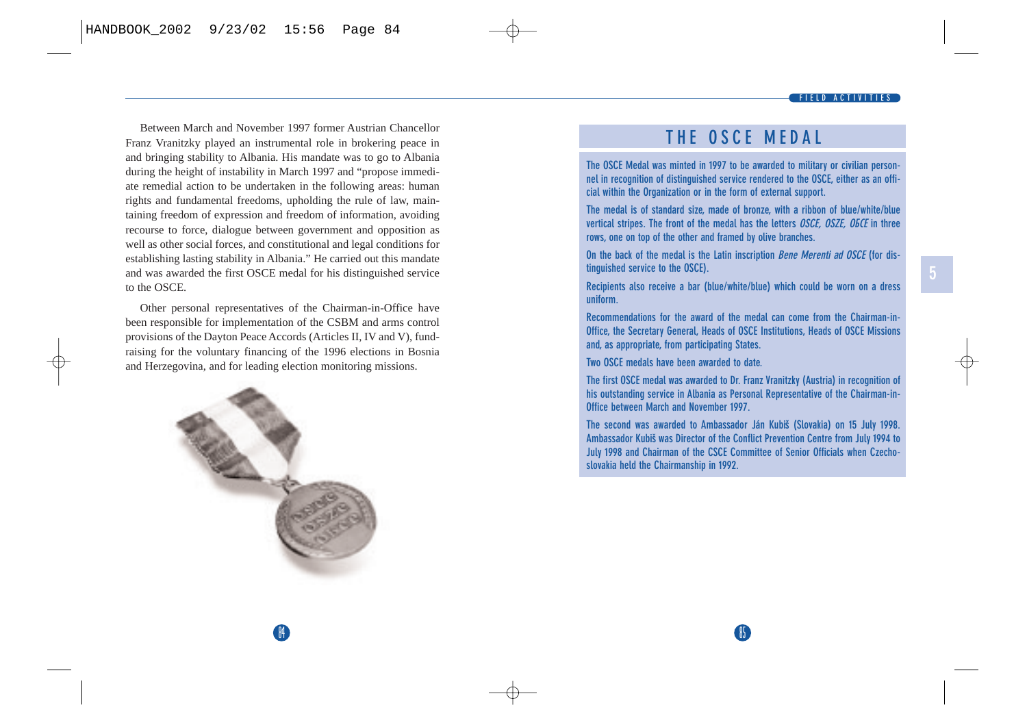Between March and November 1997 former Austrian Chancellor Franz Vranitzky played an instrumental role in brokering peace in and bringing stability to Albania. His mandate was to go to Albania during the height of instability in March 1997 and "propose immediate remedial action to be undertaken in the following areas: human rights and fundamental freedoms, upholding the rule of law, maintaining freedom of expression and freedom of information, avoiding recourse to force, dialogue between government and opposition as well as other social forces, and constitutional and legal conditions for establishing lasting stability in Albania." He carried out this mandate and was awarded the first OSCE medal for his distinguished service to the OSCE.

Other personal representatives of the Chairman-in-Office have been responsible for implementation of the CSBM and arms control provisions of the Dayton Peace Accords (Articles II, IV and V), fundraising for the voluntary financing of the 1996 elections in Bosnia and Herzegovina, and for leading election monitoring missions.



## **THE OSCE MEDAL**

**The OSCE Medal was minted in 1997 to be awarded to military or civilian personnel in recognition of distinguished service rendered to the OSCE, either as an official within the Organization or in the form of external support.** 

**The medal is of standard size, made of bronze, with a ribbon of blue/white/blue vertical stripes. The front of the medal has the letters** *OSCE, OSZE, OBCE* **in three rows, one on top of the other and framed by olive branches.** 

**On the back of the medal is the Latin inscription Bene Merenti ad OSCE (for distinguished service to the OSCE).**

**Recipients also receive a bar (blue/white/blue) which could be worn on a dress uniform.**

**Recommendations for the award of the medal can come from the Chairman-in-Office, the Secretary General, Heads of OSCE Institutions, Heads of OSCE Missions and, as appropriate, from participating States.**

**Two OSCE medals have been awarded to date.**

 $\mathsf{A}$  85  $\mathsf{B}$  85  $\mathsf{B}$  85  $\mathsf{B}$  85  $\mathsf{B}$  85  $\mathsf{B}$  85  $\mathsf{B}$  85  $\mathsf{B}$  85  $\mathsf{B}$  85  $\mathsf{B}$  85  $\mathsf{B}$  85  $\mathsf{B}$  85  $\mathsf{B}$  85  $\mathsf{B}$  85  $\mathsf{B}$  85  $\mathsf{B}$  85  $\mathsf{B}$  85  $\mathsf{B}$  85  $\mathsf{$ 

**The first OSCE medal was awarded to Dr. Franz Vranitzky (Austria) in recognition of his outstanding service in Albania as Personal Representative of the Chairman-in-Office between March and November 1997.**

The second was awarded to Ambassador Ján Kubiš (Slovakia) on 15 July 1998. **Ambassador Kubiˇs was Director of the Conflict Prevention Centre from July 1994 to July 1998 and Chairman of the CSCE Committee of Senior Officials when Czechoslovakia held the Chairmanship in 1992.**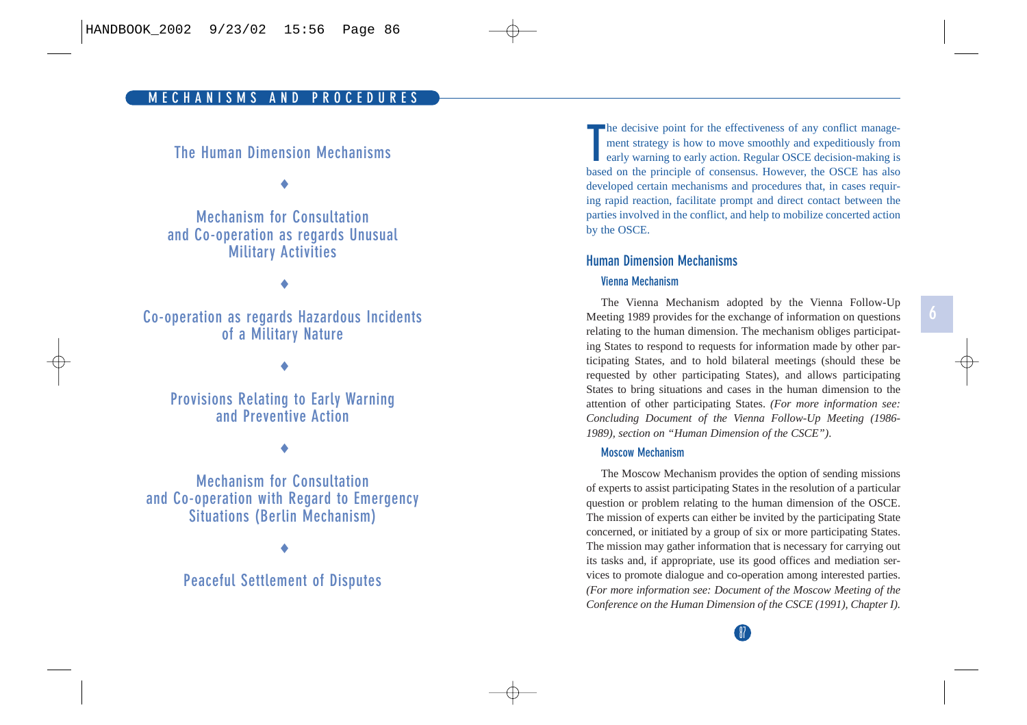## **The Human Dimension Mechanisms**

♦

**Mechanism for Consultation and Co-operation as regards Unusual Military Activities**

♦

**Co-operation as regards Hazardous Incidents of a Military Nature**

♦

**Provisions Relating to Early Warning and Preventive Action**

♦

**Mechanism for Consultation and Co-operation with Regard to Emergency Situations (Berlin Mechanism)**

♦

## **Peaceful Settlement of Disputes**

**The decisive point for the effectiveness of any conflict manage-<br>ment strategy is how to move smoothly and expeditiously from early warning to early action. Regular OSCE decision-making is** based on the principle of consensus. However, the OSCE has also developed certain mechanisms and procedures that, in cases requiring rapid reaction, facilitate prompt and direct contact between the parties involved in the conflict, and help to mobilize concerted action by the OSCE.

### **Human Dimension Mechanisms**

#### **Vienna Mechanism**

The Vienna Mechanism adopted by the Vienna Follow-Up Meeting 1989 provides for the exchange of information on questions relating to the human dimension. The mechanism obliges participating States to respond to requests for information made by other participating States, and to hold bilateral meetings (should these be requested by other participating States), and allows participating States to bring situations and cases in the human dimension to the attention of other participating States. *(For more information see: Concluding Document of the Vienna Follow-Up Meeting (1986- 1989), section on "Human Dimension of the CSCE")*.

#### **Moscow Mechanism**

The Moscow Mechanism provides the option of sending missions of experts to assist participating States in the resolution of a particular question or problem relating to the human dimension of the OSCE. The mission of experts can either be invited by the participating State concerned, or initiated by a group of six or more participating States. The mission may gather information that is necessary for carrying out its tasks and, if appropriate, use its good offices and mediation services to promote dialogue and co-operation among interested parties. *(For more information see: Document of the Moscow Meeting of the Conference on the Human Dimension of the CSCE (1991), Chapter I).*

87<br>Or

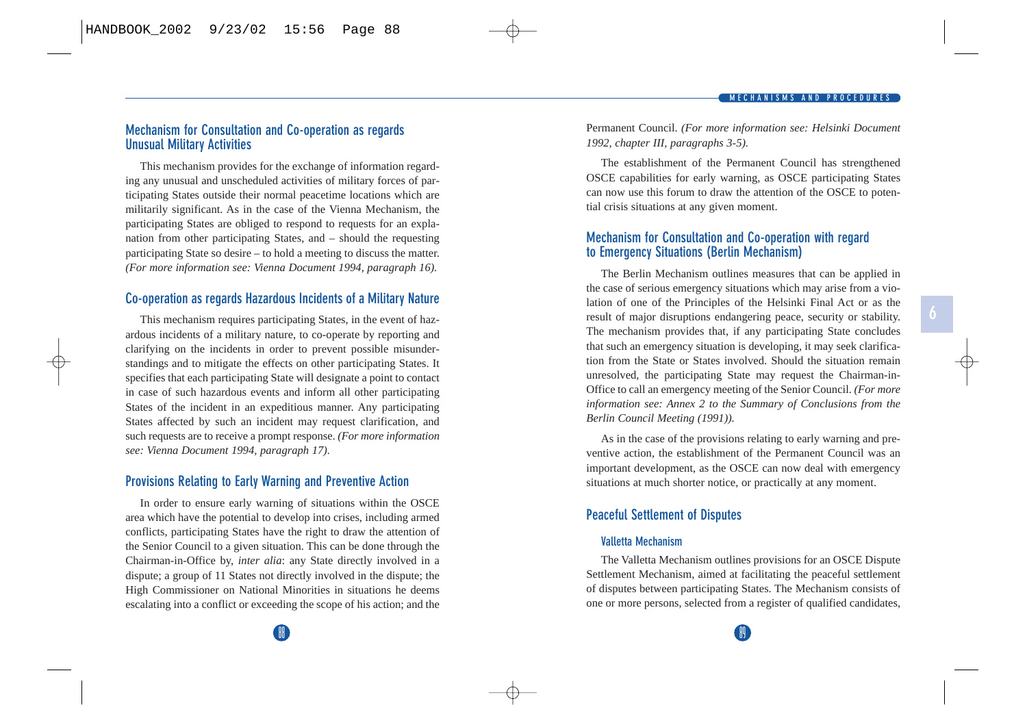### **Mechanism for Consultation and Co-operation as regards Unusual Military Activities**

This mechanism provides for the exchange of information regarding any unusual and unscheduled activities of military forces of participating States outside their normal peacetime locations which are militarily significant. As in the case of the Vienna Mechanism, the participating States are obliged to respond to requests for an explanation from other participating States, and – should the requesting participating State so desire – to hold a meeting to discuss the matter. *(For more information see: Vienna Document 1994, paragraph 16).*

### **Co-operation as regards Hazardous Incidents of a Military Nature**

This mechanism requires participating States, in the event of hazardous incidents of a military nature, to co-operate by reporting and clarifying on the incidents in order to prevent possible misunderstandings and to mitigate the effects on other participating States. It specifies that each participating State will designate a point to contact in case of such hazardous events and inform all other participating States of the incident in an expeditious manner. Any participating States affected by such an incident may request clarification, and such requests are to receive a prompt response. *(For more information see: Vienna Document 1994, paragraph 17).*

### **Provisions Relating to Early Warning and Preventive Action**

In order to ensure early warning of situations within the OSCE area which have the potential to develop into crises, including armed conflicts, participating States have the right to draw the attention of the Senior Council to a given situation. This can be done through the Chairman-in-Office by, *inter alia*: any State directly involved in a dispute; a group of 11 States not directly involved in the dispute; the High Commissioner on National Minorities in situations he deems escalating into a conflict or exceeding the scope of his action; and the Permanent Council. *(For more information see: Helsinki Document 1992, chapter III, paragraphs 3-5).*

The establishment of the Permanent Council has strengthened OSCE capabilities for early warning, as OSCE participating States can now use this forum to draw the attention of the OSCE to potential crisis situations at any given moment.

### **Mechanism for Consultation and Co-operation with regard to Emergency Situations (Berlin Mechanism)**

The Berlin Mechanism outlines measures that can be applied in the case of serious emergency situations which may arise from a violation of one of the Principles of the Helsinki Final Act or as the result of major disruptions endangering peace, security or stability. The mechanism provides that, if any participating State concludes that such an emergency situation is developing, it may seek clarification from the State or States involved. Should the situation remain unresolved, the participating State may request the Chairman-in-Office to call an emergency meeting of the Senior Council. *(For more information see: Annex 2 to the Summary of Conclusions from the Berlin Council Meeting (1991)).*

As in the case of the provisions relating to early warning and preventive action, the establishment of the Permanent Council was an important development, as the OSCE can now deal with emergency situations at much shorter notice, or practically at any moment.

### **Peaceful Settlement of Disputes**

#### **Valletta Mechanism**

The Valletta Mechanism outlines provisions for an OSCE Dispute Settlement Mechanism, aimed at facilitating the peaceful settlement of disputes between participating States. The Mechanism consists of one or more persons, selected from a register of qualified candidates,

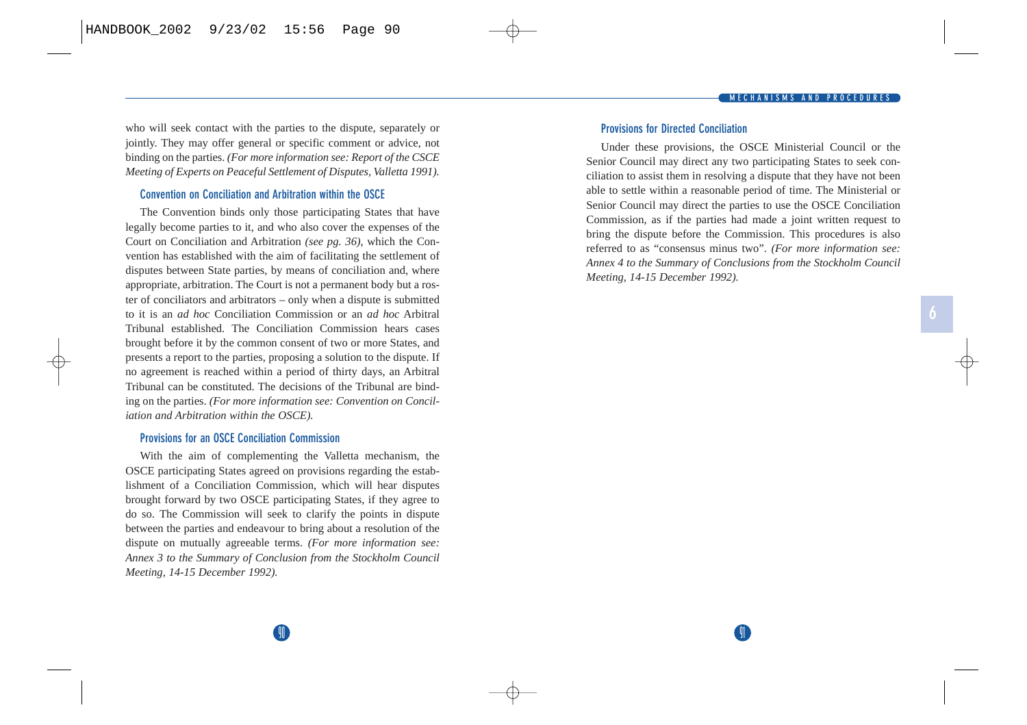who will seek contact with the parties to the dispute, separately or jointly. They may offer general or specific comment or advice, not binding on the parties. *(For more information see: Report of the CSCE Meeting of Experts on Peaceful Settlement of Disputes, Valletta 1991).*

#### **Convention on Conciliation and Arbitration within the OSCE**

The Convention binds only those participating States that have legally become parties to it, and who also cover the expenses of the Court on Conciliation and Arbitration *(see pg. 36)*, which the Convention has established with the aim of facilitating the settlement of disputes between State parties, by means of conciliation and, where appropriate, arbitration. The Court is not a permanent body but a roster of conciliators and arbitrators – only when a dispute is submitted to it is an *ad hoc* Conciliation Commission or an *ad hoc* Arbitral Tribunal established. The Conciliation Commission hears cases brought before it by the common consent of two or more States, and presents a report to the parties, proposing a solution to the dispute. If no agreement is reached within a period of thirty days, an Arbitral Tribunal can be constituted. The decisions of the Tribunal are binding on the parties. *(For more information see: Convention on Conciliation and Arbitration within the OSCE).*

#### **Provisions for an OSCE Conciliation Commission**

With the aim of complementing the Valletta mechanism, the OSCE participating States agreed on provisions regarding the establishment of a Conciliation Commission, which will hear disputes brought forward by two OSCE participating States, if they agree to do so. The Commission will seek to clarify the points in dispute between the parties and endeavour to bring about a resolution of the dispute on mutually agreeable terms. *(For more information see: Annex 3 to the Summary of Conclusion from the Stockholm Council Meeting, 14-15 December 1992).*

#### **Provisions for Directed Conciliation**

Under these provisions, the OSCE Ministerial Council or the Senior Council may direct any two participating States to seek conciliation to assist them in resolving a dispute that they have not been able to settle within a reasonable period of time. The Ministerial or Senior Council may direct the parties to use the OSCE Conciliation Commission, as if the parties had made a joint written request to bring the dispute before the Commission. This procedures is also referred to as "consensus minus two". *(For more information see: Annex 4 to the Summary of Conclusions from the Stockholm Council Meeting, 14-15 December 1992).*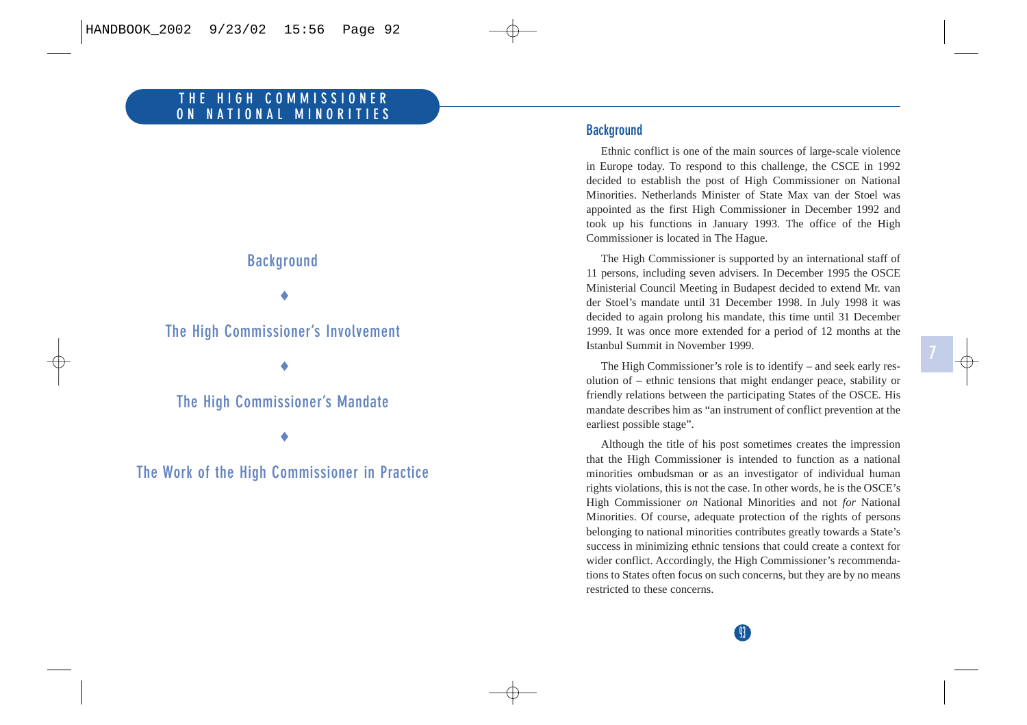# **Background**

♦

## **The High Commissioner's Involvement**

♦

## **The High Commissioner's Mandate**

♦

**The Work of the High Commissioner in Practice**

### **Background**

Ethnic conflict is one of the main sources of large-scale violence in Europe today. To respond to this challenge, the CSCE in 1992 decided to establish the post of High Commissioner on National Minorities. Netherlands Minister of State Max van der Stoel was appointed as the first High Commissioner in December 1992 and took up his functions in January 1993. The office of the High Commissioner is located in The Hague.

The High Commissioner is supported by an international staff of 11 persons, including seven advisers. In December 1995 the OSCE Ministerial Council Meeting in Budapest decided to extend Mr. van der Stoel's mandate until 31 December 1998. In July 1998 it was decided to again prolong his mandate, this time until 31 December 1999. It was once more extended for a period of 12 months at the Istanbul Summit in November 1999.

The High Commissioner's role is to identify – and seek early resolution of – ethnic tensions that might endanger peace, stability or friendly relations between the participating States of the OSCE. His mandate describes him as "an instrument of conflict prevention at the earliest possible stage".

Although the title of his post sometimes creates the impression that the High Commissioner is intended to function as a national minorities ombudsman or as an investigator of individual human rights violations, this is not the case. In other words, he is the OSCE's High Commissioner *on* National Minorities and not *for* National Minorities. Of course, adequate protection of the rights of persons belonging to national minorities contributes greatly towards a State's success in minimizing ethnic tensions that could create a context for wider conflict. Accordingly, the High Commissioner's recommendations to States often focus on such concerns, but they are by no means restricted to these concerns.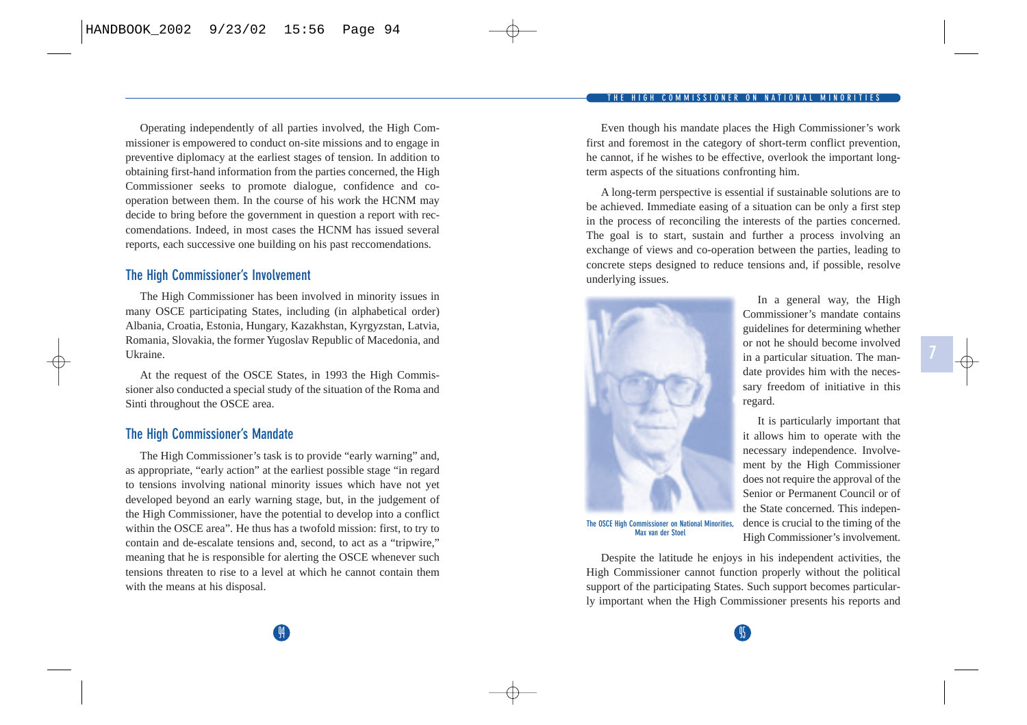#### **COMMISSIONER ON NATIONAL**

Operating independently of all parties involved, the High Commissioner is empowered to conduct on-site missions and to engage in preventive diplomacy at the earliest stages of tension. In addition to obtaining first-hand information from the parties concerned, the High Commissioner seeks to promote dialogue, confidence and cooperation between them. In the course of his work the HCNM may decide to bring before the government in question a report with reccomendations. Indeed, in most cases the HCNM has issued several reports, each successive one building on his past reccomendations.

### **The High Commissioner's Involvement**

The High Commissioner has been involved in minority issues in many OSCE participating States, including (in alphabetical order) Albania, Croatia, Estonia, Hungary, Kazakhstan, Kyrgyzstan, Latvia, Romania, Slovakia, the former Yugoslav Republic of Macedonia, and Ukraine.

At the request of the OSCE States, in 1993 the High Commissioner also conducted a special study of the situation of the Roma and Sinti throughout the OSCE area.

### **The High Commissioner's Mandate**

The High Commissioner's task is to provide "early warning" and, as appropriate, "early action" at the earliest possible stage "in regard to tensions involving national minority issues which have not yet developed beyond an early warning stage, but, in the judgement of the High Commissioner, have the potential to develop into a conflict within the OSCE area". He thus has a twofold mission: first, to try to contain and de-escalate tensions and, second, to act as a "tripwire," meaning that he is responsible for alerting the OSCE whenever such tensions threaten to rise to a level at which he cannot contain them with the means at his disposal.

Even though his mandate places the High Commissioner's work first and foremost in the category of short-term conflict prevention, he cannot, if he wishes to be effective, overlook the important longterm aspects of the situations confronting him.

A long-term perspective is essential if sustainable solutions are to be achieved. Immediate easing of a situation can be only a first step in the process of reconciling the interests of the parties concerned. The goal is to start, sustain and further a process involving an exchange of views and co-operation between the parties, leading to concrete steps designed to reduce tensions and, if possible, resolve underlying issues.

In a general way, the High

It is particularly important that

High Commissioner's involvement.



**The OSCE High Commissioner on National Minorities, Max van der Stoel**

Despite the latitude he enjoys in his independent activities, the High Commissioner cannot function properly without the political support of the participating States. Such support becomes particularly important when the High Commissioner presents his reports and

14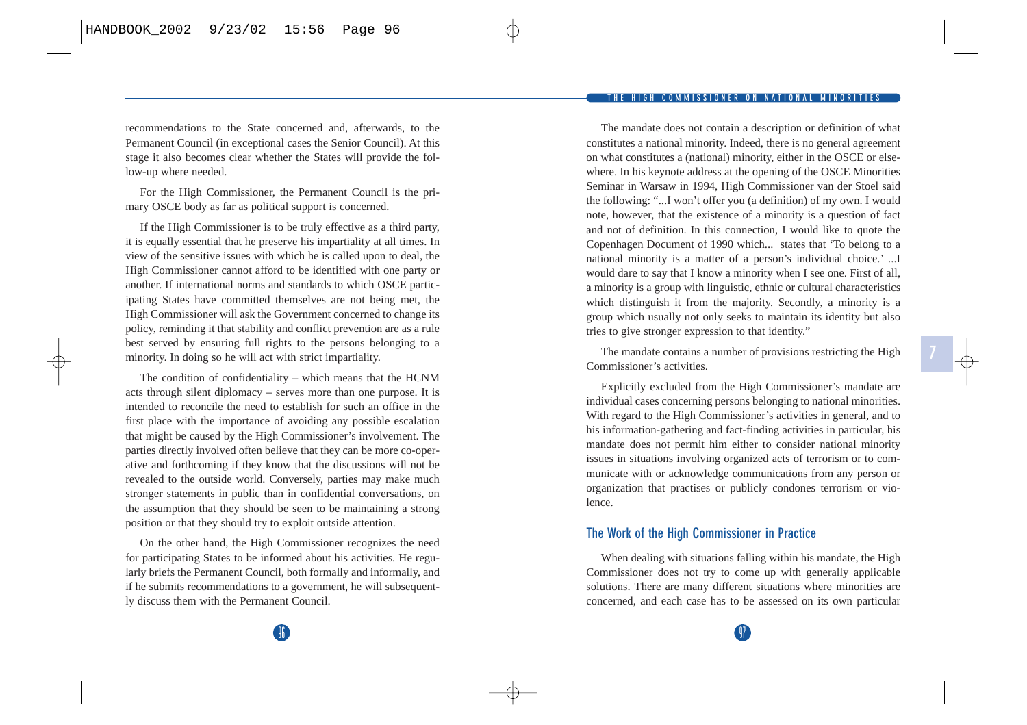**COMMISSIONER ON NATIONAL** 

recommendations to the State concerned and, afterwards, to the Permanent Council (in exceptional cases the Senior Council). At this stage it also becomes clear whether the States will provide the follow-up where needed.

For the High Commissioner, the Permanent Council is the primary OSCE body as far as political support is concerned.

If the High Commissioner is to be truly effective as a third party, it is equally essential that he preserve his impartiality at all times. In view of the sensitive issues with which he is called upon to deal, the High Commissioner cannot afford to be identified with one party or another. If international norms and standards to which OSCE participating States have committed themselves are not being met, the High Commissioner will ask the Government concerned to change its policy, reminding it that stability and conflict prevention are as a rule best served by ensuring full rights to the persons belonging to a minority. In doing so he will act with strict impartiality.

The condition of confidentiality – which means that the HCNM acts through silent diplomacy – serves more than one purpose. It is intended to reconcile the need to establish for such an office in the first place with the importance of avoiding any possible escalation that might be caused by the High Commissioner's involvement. The parties directly involved often believe that they can be more co-operative and forthcoming if they know that the discussions will not be revealed to the outside world. Conversely, parties may make much stronger statements in public than in confidential conversations, on the assumption that they should be seen to be maintaining a strong position or that they should try to exploit outside attention.

On the other hand, the High Commissioner recognizes the need for participating States to be informed about his activities. He regularly briefs the Permanent Council, both formally and informally, and if he submits recommendations to a government, he will subsequently discuss them with the Permanent Council.

The mandate does not contain a description or definition of what constitutes a national minority. Indeed, there is no general agreement on what constitutes a (national) minority, either in the OSCE or elsewhere. In his keynote address at the opening of the OSCE Minorities Seminar in Warsaw in 1994, High Commissioner van der Stoel said the following: "...I won't offer you (a definition) of my own. I would note, however, that the existence of a minority is a question of fact and not of definition. In this connection, I would like to quote the Copenhagen Document of 1990 which... states that 'To belong to a national minority is a matter of a person's individual choice.' ...I would dare to say that I know a minority when I see one. First of all, a minority is a group with linguistic, ethnic or cultural characteristics which distinguish it from the majority. Secondly, a minority is a group which usually not only seeks to maintain its identity but also tries to give stronger expression to that identity."

The mandate contains a number of provisions restricting the High Commissioner's activities.

**7**

Explicitly excluded from the High Commissioner's mandate are individual cases concerning persons belonging to national minorities. With regard to the High Commissioner's activities in general, and to his information-gathering and fact-finding activities in particular, his mandate does not permit him either to consider national minority issues in situations involving organized acts of terrorism or to communicate with or acknowledge communications from any person or organization that practises or publicly condones terrorism or violence.

### **The Work of the High Commissioner in Practice**

When dealing with situations falling within his mandate, the High Commissioner does not try to come up with generally applicable solutions. There are many different situations where minorities are concerned, and each case has to be assessed on its own particular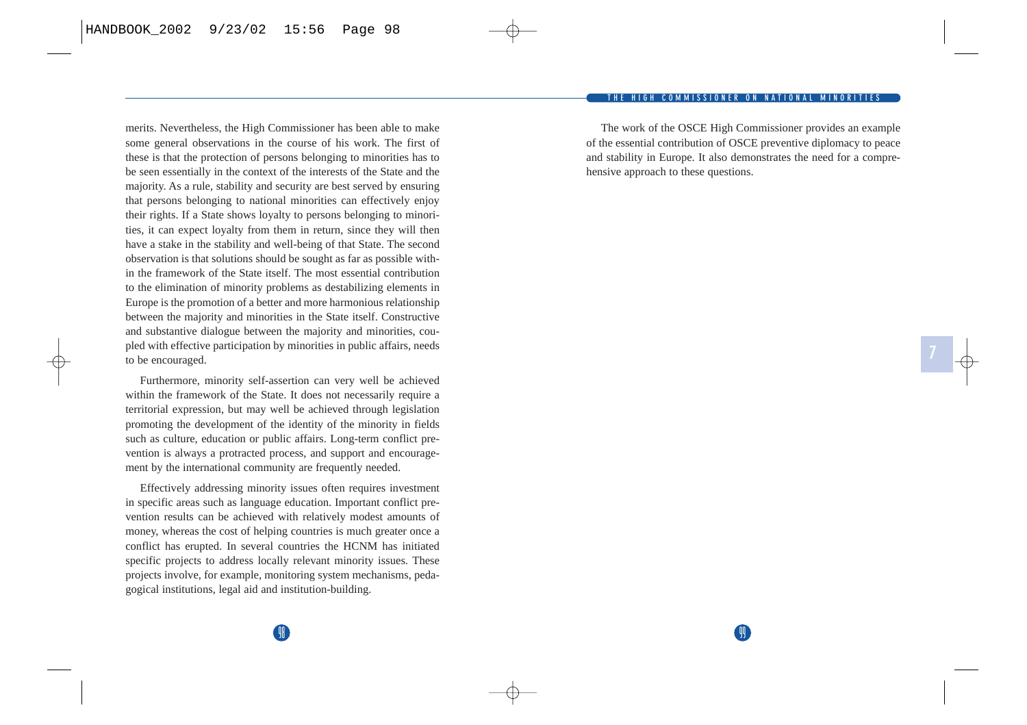#### **COMMISSIONER ON NATIONA**

merits. Nevertheless, the High Commissioner has been able to make some general observations in the course of his work. The first of these is that the protection of persons belonging to minorities has to be seen essentially in the context of the interests of the State and the majority. As a rule, stability and security are best served by ensuring that persons belonging to national minorities can effectively enjoy their rights. If a State shows loyalty to persons belonging to minorities, it can expect loyalty from them in return, since they will then have a stake in the stability and well-being of that State. The second observation is that solutions should be sought as far as possible within the framework of the State itself. The most essential contribution to the elimination of minority problems as destabilizing elements in Europe is the promotion of a better and more harmonious relationship between the majority and minorities in the State itself. Constructive and substantive dialogue between the majority and minorities, coupled with effective participation by minorities in public affairs, needs to be encouraged.

Furthermore, minority self-assertion can very well be achieved within the framework of the State. It does not necessarily require a territorial expression, but may well be achieved through legislation promoting the development of the identity of the minority in fields such as culture, education or public affairs. Long-term conflict prevention is always a protracted process, and support and encouragement by the international community are frequently needed.

Effectively addressing minority issues often requires investment in specific areas such as language education. Important conflict prevention results can be achieved with relatively modest amounts of money, whereas the cost of helping countries is much greater once a conflict has erupted. In several countries the HCNM has initiated specific projects to address locally relevant minority issues. These projects involve, for example, monitoring system mechanisms, pedagogical institutions, legal aid and institution-building.

The work of the OSCE High Commissioner provides an example of the essential contribution of OSCE preventive diplomacy to peace and stability in Europe. It also demonstrates the need for a comprehensive approach to these questions.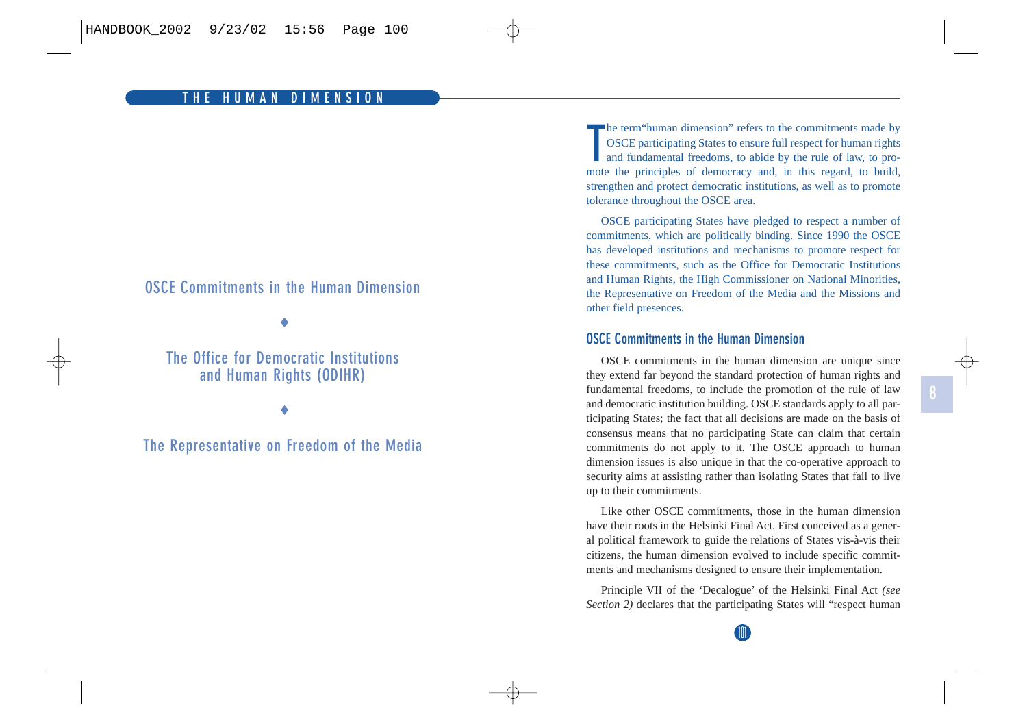## **OSCE Commitments in the Human Dimension**

♦

## **The Office for Democratic Institutions and Human Rights (ODIHR)**

♦

## **The Representative on Freedom of the Media**

**T**he term"human dimension" refers to the commitments made by OSCE participating States to ensure full respect for human rights and fundamental freedoms, to abide by the rule of law, to promote the principles of democracy and, in this regard, to build, strengthen and protect democratic institutions, as well as to promote tolerance throughout the OSCE area.

OSCE participating States have pledged to respect a number of commitments, which are politically binding. Since 1990 the OSCE has developed institutions and mechanisms to promote respect for these commitments, such as the Office for Democratic Institutions and Human Rights, the High Commissioner on National Minorities, the Representative on Freedom of the Media and the Missions and other field presences.

### **OSCE Commitments in the Human Dimension**

OSCE commitments in the human dimension are unique since they extend far beyond the standard protection of human rights and fundamental freedoms, to include the promotion of the rule of law and democratic institution building. OSCE standards apply to all participating States; the fact that all decisions are made on the basis of consensus means that no participating State can claim that certain commitments do not apply to it. The OSCE approach to human dimension issues is also unique in that the co-operative approach to security aims at assisting rather than isolating States that fail to live up to their commitments.

Like other OSCE commitments, those in the human dimension have their roots in the Helsinki Final Act. First conceived as a general political framework to guide the relations of States vis-à-vis their citizens, the human dimension evolved to include specific commitments and mechanisms designed to ensure their implementation.

Principle VII of the 'Decalogue' of the Helsinki Final Act *(see Section 2)* declares that the participating States will "respect human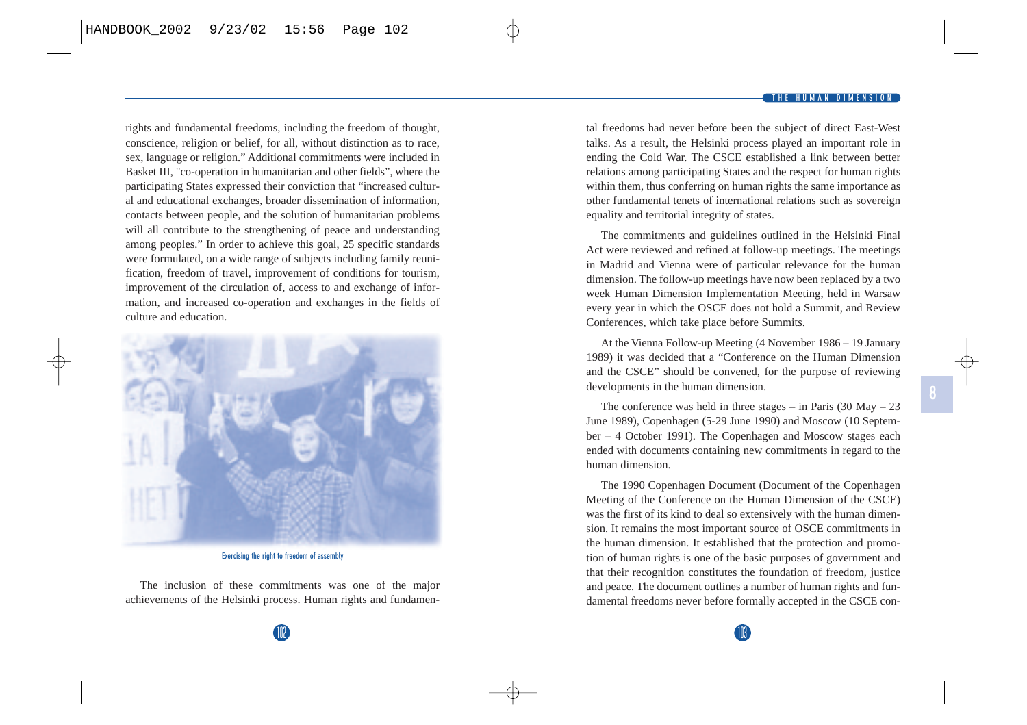rights and fundamental freedoms, including the freedom of thought, conscience, religion or belief, for all, without distinction as to race, sex, language or religion." Additional commitments were included in Basket III, "co-operation in humanitarian and other fields", where the participating States expressed their conviction that "increased cultural and educational exchanges, broader dissemination of information, contacts between people, and the solution of humanitarian problems will all contribute to the strengthening of peace and understanding among peoples." In order to achieve this goal, 25 specific standards were formulated, on a wide range of subjects including family reunification, freedom of travel, improvement of conditions for tourism, improvement of the circulation of, access to and exchange of information, and increased co-operation and exchanges in the fields of culture and education.



**Exercising the right to freedom of assembly**

The inclusion of these commitments was one of the major achievements of the Helsinki process. Human rights and fundamental freedoms had never before been the subject of direct East-West talks. As a result, the Helsinki process played an important role in ending the Cold War. The CSCE established a link between better relations among participating States and the respect for human rights within them, thus conferring on human rights the same importance as other fundamental tenets of international relations such as sovereign equality and territorial integrity of states.

The commitments and guidelines outlined in the Helsinki Final Act were reviewed and refined at follow-up meetings. The meetings in Madrid and Vienna were of particular relevance for the human dimension. The follow-up meetings have now been replaced by a two week Human Dimension Implementation Meeting, held in Warsaw every year in which the OSCE does not hold a Summit, and Review Conferences, which take place before Summits.

At the Vienna Follow-up Meeting (4 November 1986 – 19 January 1989) it was decided that a "Conference on the Human Dimension and the CSCE" should be convened, for the purpose of reviewing developments in the human dimension.

The conference was held in three stages – in Paris  $(30 \text{ May} - 23)$ June 1989), Copenhagen (5-29 June 1990) and Moscow (10 September – 4 October 1991). The Copenhagen and Moscow stages each ended with documents containing new commitments in regard to the human dimension.

The 1990 Copenhagen Document (Document of the Copenhagen Meeting of the Conference on the Human Dimension of the CSCE) was the first of its kind to deal so extensively with the human dimension. It remains the most important source of OSCE commitments in the human dimension. It established that the protection and promotion of human rights is one of the basic purposes of government and that their recognition constitutes the foundation of freedom, justice and peace. The document outlines a number of human rights and fundamental freedoms never before formally accepted in the CSCE con-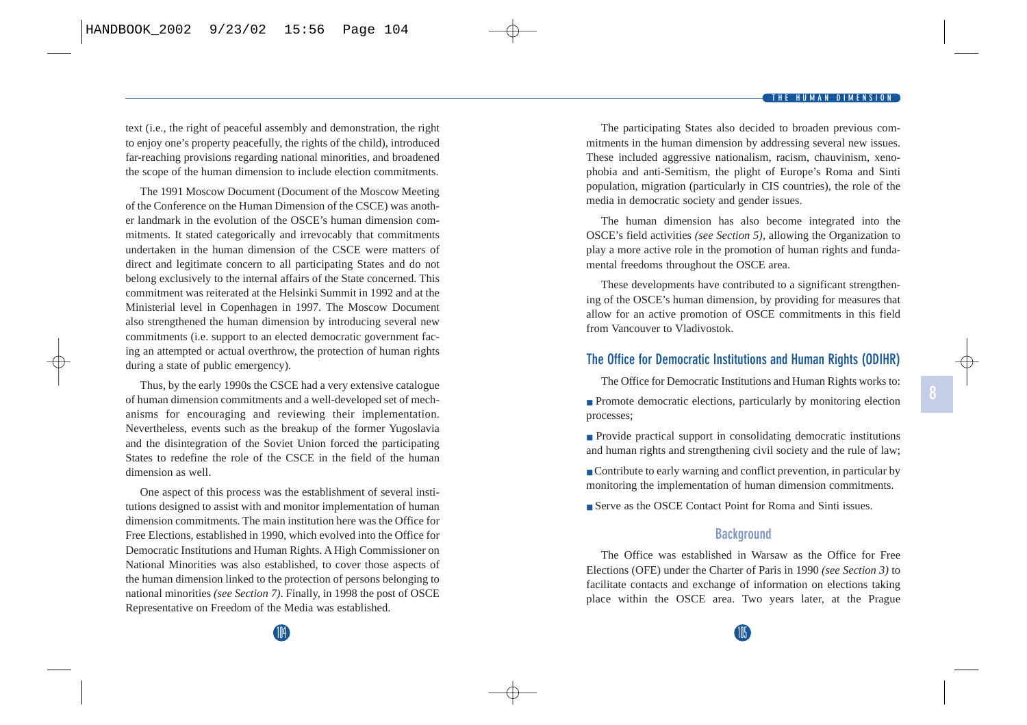text (i.e., the right of peaceful assembly and demonstration, the right to enjoy one's property peacefully, the rights of the child), introduced far-reaching provisions regarding national minorities, and broadened the scope of the human dimension to include election commitments.

The 1991 Moscow Document (Document of the Moscow Meeting of the Conference on the Human Dimension of the CSCE) was another landmark in the evolution of the OSCE's human dimension commitments. It stated categorically and irrevocably that commitments undertaken in the human dimension of the CSCE were matters of direct and legitimate concern to all participating States and do not belong exclusively to the internal affairs of the State concerned. This commitment was reiterated at the Helsinki Summit in 1992 and at the Ministerial level in Copenhagen in 1997. The Moscow Document also strengthened the human dimension by introducing several new commitments (i.e. support to an elected democratic government facing an attempted or actual overthrow, the protection of human rights during a state of public emergency).

Thus, by the early 1990s the CSCE had a very extensive catalogue of human dimension commitments and a well-developed set of mechanisms for encouraging and reviewing their implementation. Nevertheless, events such as the breakup of the former Yugoslavia and the disintegration of the Soviet Union forced the participating States to redefine the role of the CSCE in the field of the human dimension as well.

One aspect of this process was the establishment of several institutions designed to assist with and monitor implementation of human dimension commitments. The main institution here was the Office for Free Elections, established in 1990, which evolved into the Office for Democratic Institutions and Human Rights. A High Commissioner on National Minorities was also established, to cover those aspects of the human dimension linked to the protection of persons belonging to national minorities *(see Section 7)*. Finally, in 1998 the post of OSCE Representative on Freedom of the Media was established.

The participating States also decided to broaden previous commitments in the human dimension by addressing several new issues. These included aggressive nationalism, racism, chauvinism, xenophobia and anti-Semitism, the plight of Europe's Roma and Sinti population, migration (particularly in CIS countries), the role of the media in democratic society and gender issues.

The human dimension has also become integrated into the OSCE's field activities *(see Section 5)*, allowing the Organization to play a more active role in the promotion of human rights and fundamental freedoms throughout the OSCE area.

These developments have contributed to a significant strengthening of the OSCE's human dimension, by providing for measures that allow for an active promotion of OSCE commitments in this field from Vancouver to Vladivostok.

### **The Office for Democratic Institutions and Human Rights (ODIHR)**

The Office for Democratic Institutions and Human Rights works to:

- Promote democratic elections, particularly by monitoring election processes;
- Provide practical support in consolidating democratic institutions and human rights and strengthening civil society and the rule of law;
- Contribute to early warning and conflict prevention, in particular by monitoring the implementation of human dimension commitments.
- Serve as the OSCE Contact Point for Roma and Sinti issues.

### **Background**

The Office was established in Warsaw as the Office for Free Elections (OFE) under the Charter of Paris in 1990 *(see Section 3)* to facilitate contacts and exchange of information on elections taking place within the OSCE area. Two years later, at the Prague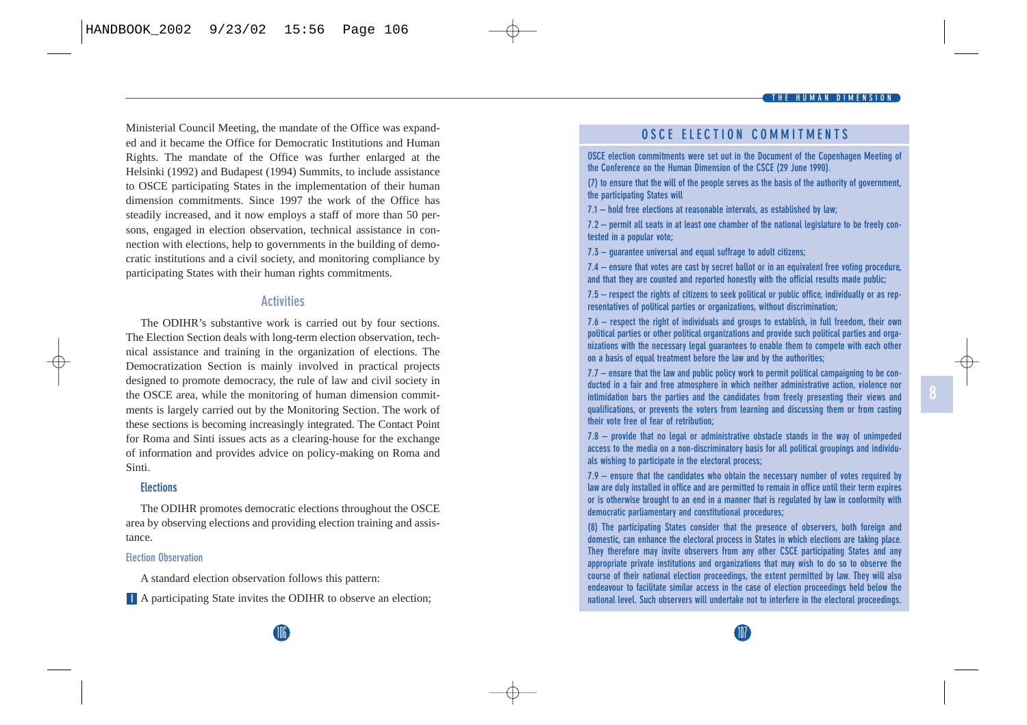#### **THE HUMAN DIMENSION**

Ministerial Council Meeting, the mandate of the Office was expanded and it became the Office for Democratic Institutions and Human Rights. The mandate of the Office was further enlarged at the Helsinki (1992) and Budapest (1994) Summits, to include assistance to OSCE participating States in the implementation of their human dimension commitments. Since 1997 the work of the Office has steadily increased, and it now employs a staff of more than 50 persons, engaged in election observation, technical assistance in connection with elections, help to governments in the building of democratic institutions and a civil society, and monitoring compliance by participating States with their human rights commitments.

#### **Activities**

The ODIHR's substantive work is carried out by four sections. The Election Section deals with long-term election observation, technical assistance and training in the organization of elections. The Democratization Section is mainly involved in practical projects designed to promote democracy, the rule of law and civil society in the OSCE area, while the monitoring of human dimension commitments is largely carried out by the Monitoring Section. The work of these sections is becoming increasingly integrated. The Contact Point for Roma and Sinti issues acts as a clearing-house for the exchange of information and provides advice on policy-making on Roma and Sinti.

### **Elections**

The ODIHR promotes democratic elections throughout the OSCE area by observing elections and providing election training and assistance.

#### **Election Observation**

A standard election observation follows this pattern:

**I** A participating State invites the ODIHR to observe an election;

### **OSCE ELECTION COMMITMENTS**

**OSCE election commitments were set out in the Document of the Copenhagen Meeting of the Conference on the Human Dimension of the CSCE (29 June 1990).**

**(7) to ensure that the will of the people serves as the basis of the authority of government, the participating States will**

**7.1 – hold free elections at reasonable intervals, as established by law;**

**7.2 – permit all seats in at least one chamber of the national legislature to be freely contested in a popular vote;**

**7.3 – guarantee universal and equal suffrage to adult citizens;**

**7.4 – ensure that votes are cast by secret ballot or in an equivalent free voting procedure, and that they are counted and reported honestly with the official results made public;**

**7.5 – respect the rights of citizens to seek political or public office, individually or as representatives of political parties or organizations, without discrimination;**

**7.6 – respect the right of individuals and groups to establish, in full freedom, their own political parties or other political organizations and provide such political parties and organizations with the necessary legal guarantees to enable them to compete with each other on a basis of equal treatment before the law and by the authorities;**

**7.7 – ensure that the law and public policy work to permit political campaigning to be conducted in a fair and free atmosphere in which neither administrative action, violence nor intimidation bars the parties and the candidates from freely presenting their views and qualifications, or prevents the voters from learning and discussing them or from casting their vote free of fear of retribution;**

**7.8 – provide that no legal or administrative obstacle stands in the way of unimpeded access to the media on a non-discriminatory basis for all political groupings and individuals wishing to participate in the electoral process;**

**7.9 – ensure that the candidates who obtain the necessary number of votes required by law are duly installed in office and are permitted to remain in office until their term expires or is otherwise brought to an end in a manner that is regulated by law in conformity with democratic parliamentary and constitutional procedures;**

**(8) The participating States consider that the presence of observers, both foreign and domestic, can enhance the electoral process in States in which elections are taking place. They therefore may invite observers from any other CSCE participating States and any appropriate private institutions and organizations that may wish to do so to observe the course of their national election proceedings, the extent permitted by law. They will also endeavour to facilitate similar access in the case of election proceedings held below the national level. Such observers will undertake not to interfere in the electoral proceedings.**

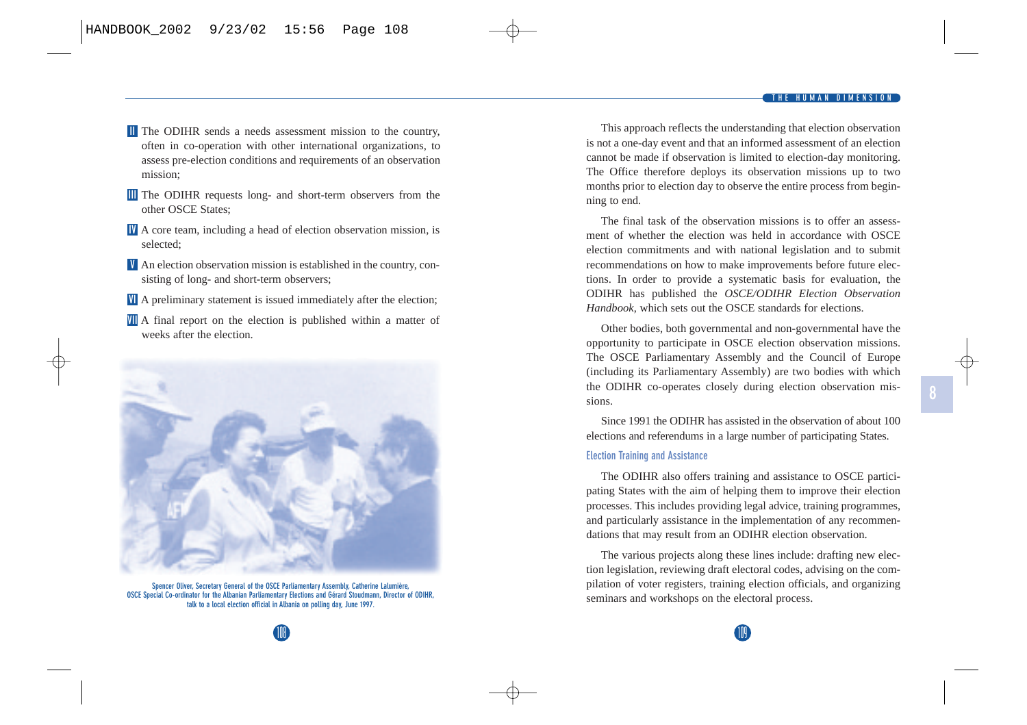- **I** The ODIHR sends a needs assessment mission to the country, often in co-operation with other international organizations, to assess pre-election conditions and requirements of an observation mission;
- The ODIHR requests long- and short-term observers from the **III** other OSCE States;
- A core team, including a head of election observation mission, is **IV** selected;
- An election observation mission is established in the country, con-**V** sisting of long- and short-term observers;
- A preliminary statement is issued immediately after the election; **VI**
- A final report on the election is published within a matter of **VII** weeks after the election.



**Spencer Oliver, Secretary General of the OSCE Parliamentary Assembly, Catherine Lalumière, OSCE Special Co-ordinator for the Albanian Parliamentary Elections and Gérard Stoudmann, Director of ODIHR, talk to a local election official in Albania on polling day, June 1997.**

This approach reflects the understanding that election observation is not a one-day event and that an informed assessment of an election cannot be made if observation is limited to election-day monitoring. The Office therefore deploys its observation missions up to two months prior to election day to observe the entire process from beginning to end.

The final task of the observation missions is to offer an assessment of whether the election was held in accordance with OSCE election commitments and with national legislation and to submit recommendations on how to make improvements before future elections. In order to provide a systematic basis for evaluation, the ODIHR has published the *OSCE/ODIHR Election Observation Handbook*, which sets out the OSCE standards for elections.

Other bodies, both governmental and non-governmental have the opportunity to participate in OSCE election observation missions. The OSCE Parliamentary Assembly and the Council of Europe (including its Parliamentary Assembly) are two bodies with which the ODIHR co-operates closely during election observation missions.

Since 1991 the ODIHR has assisted in the observation of about 100 elections and referendums in a large number of participating States.

#### **Election Training and Assistance**

The ODIHR also offers training and assistance to OSCE participating States with the aim of helping them to improve their election processes. This includes providing legal advice, training programmes, and particularly assistance in the implementation of any recommendations that may result from an ODIHR election observation.

The various projects along these lines include: drafting new election legislation, reviewing draft electoral codes, advising on the compilation of voter registers, training election officials, and organizing seminars and workshops on the electoral process.

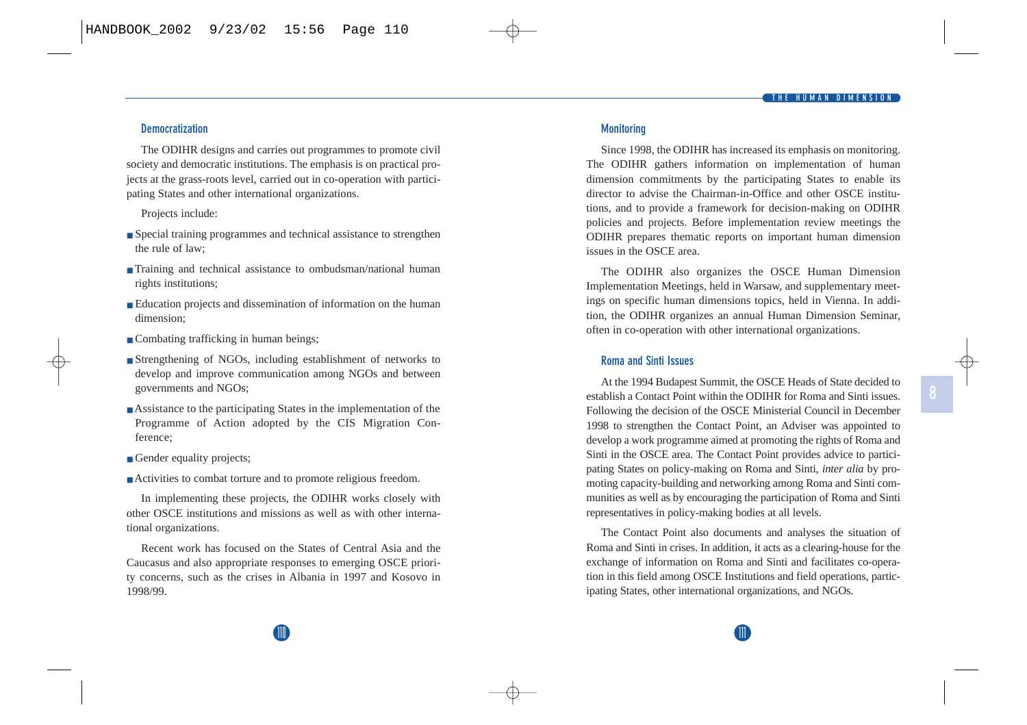#### **Democratization**

The ODIHR designs and carries out programmes to promote civil society and democratic institutions. The emphasis is on practical projects at the grass-roots level, carried out in co-operation with participating States and other international organizations.

Projects include:

- Special training programmes and technical assistance to strengthen the rule of law;
- Training and technical assistance to ombudsman/national human rights institutions;
- Education projects and dissemination of information on the human dimension;
- Combating trafficking in human beings;
- Strengthening of NGOs, including establishment of networks to develop and improve communication among NGOs and between governments and NGOs;
- Assistance to the participating States in the implementation of the Programme of Action adopted by the CIS Migration Conference;
- Gender equality projects;
- Activities to combat torture and to promote religious freedom.

In implementing these projects, the ODIHR works closely with other OSCE institutions and missions as well as with other international organizations.

Recent work has focused on the States of Central Asia and the Caucasus and also appropriate responses to emerging OSCE priority concerns, such as the crises in Albania in 1997 and Kosovo in 1998/99.

#### **Monitoring**

Since 1998, the ODIHR has increased its emphasis on monitoring. The ODIHR gathers information on implementation of human dimension commitments by the participating States to enable its director to advise the Chairman-in-Office and other OSCE institutions, and to provide a framework for decision-making on ODIHR policies and projects. Before implementation review meetings the ODIHR prepares thematic reports on important human dimension issues in the OSCE area.

The ODIHR also organizes the OSCE Human Dimension Implementation Meetings, held in Warsaw, and supplementary meetings on specific human dimensions topics, held in Vienna. In addition, the ODIHR organizes an annual Human Dimension Seminar, often in co-operation with other international organizations.

#### **Roma and Sinti Issues**

At the 1994 Budapest Summit, the OSCE Heads of State decided to establish a Contact Point within the ODIHR for Roma and Sinti issues. Following the decision of the OSCE Ministerial Council in December 1998 to strengthen the Contact Point, an Adviser was appointed to develop a work programme aimed at promoting the rights of Roma and Sinti in the OSCE area. The Contact Point provides advice to participating States on policy-making on Roma and Sinti, *inter alia* by promoting capacity-building and networking among Roma and Sinti communities as well as by encouraging the participation of Roma and Sinti representatives in policy-making bodies at all levels.

The Contact Point also documents and analyses the situation of Roma and Sinti in crises. In addition, it acts as a clearing-house for the exchange of information on Roma and Sinti and facilitates co-operation in this field among OSCE Institutions and field operations, participating States, other international organizations, and NGOs.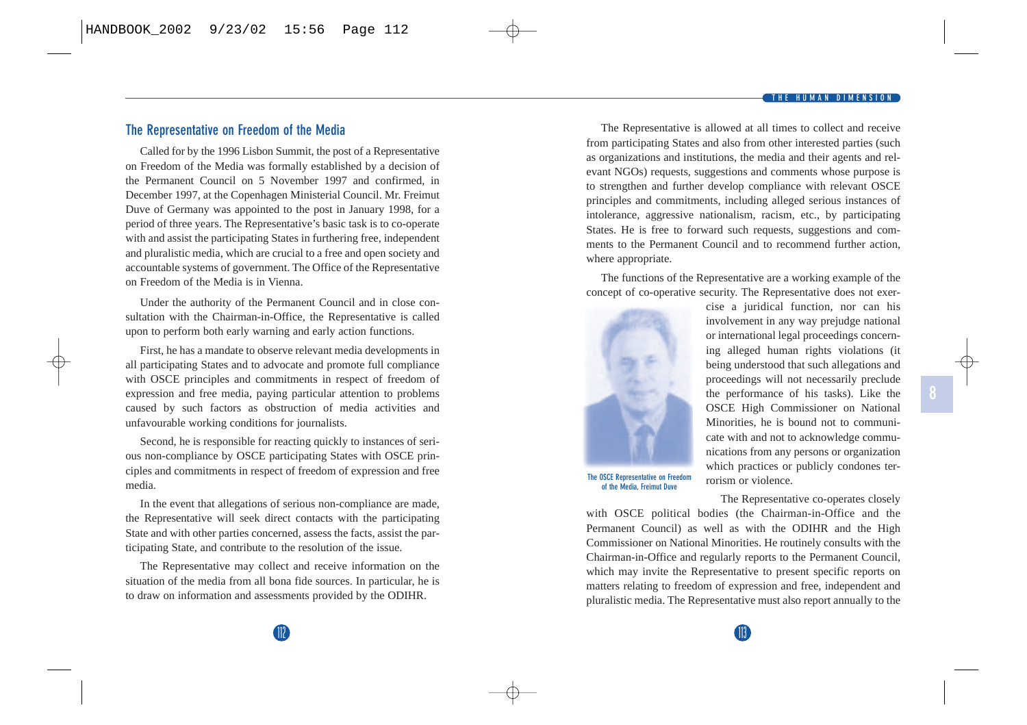#### **THE HUMAN DIMENSION**

### **The Representative on Freedom of the Media**

Called for by the 1996 Lisbon Summit, the post of a Representative on Freedom of the Media was formally established by a decision of the Permanent Council on 5 November 1997 and confirmed, in December 1997, at the Copenhagen Ministerial Council. Mr. Freimut Duve of Germany was appointed to the post in January 1998, for a period of three years. The Representative's basic task is to co-operate with and assist the participating States in furthering free, independent and pluralistic media, which are crucial to a free and open society and accountable systems of government. The Office of the Representative on Freedom of the Media is in Vienna.

Under the authority of the Permanent Council and in close consultation with the Chairman-in-Office, the Representative is called upon to perform both early warning and early action functions.

First, he has a mandate to observe relevant media developments in all participating States and to advocate and promote full compliance with OSCE principles and commitments in respect of freedom of expression and free media, paying particular attention to problems caused by such factors as obstruction of media activities and unfavourable working conditions for journalists.

Second, he is responsible for reacting quickly to instances of serious non-compliance by OSCE participating States with OSCE principles and commitments in respect of freedom of expression and free media.

In the event that allegations of serious non-compliance are made, the Representative will seek direct contacts with the participating State and with other parties concerned, assess the facts, assist the participating State, and contribute to the resolution of the issue.

The Representative may collect and receive information on the situation of the media from all bona fide sources. In particular, he is to draw on information and assessments provided by the ODIHR.

The Representative is allowed at all times to collect and receive from participating States and also from other interested parties (such as organizations and institutions, the media and their agents and relevant NGOs) requests, suggestions and comments whose purpose is to strengthen and further develop compliance with relevant OSCE principles and commitments, including alleged serious instances of intolerance, aggressive nationalism, racism, etc., by participating States. He is free to forward such requests, suggestions and comments to the Permanent Council and to recommend further action, where appropriate.

The functions of the Representative are a working example of the concept of co-operative security. The Representative does not exer-



cise a juridical function, nor can his involvement in any way prejudge national or international legal proceedings concerning alleged human rights violations (it being understood that such allegations and proceedings will not necessarily preclude the performance of his tasks). Like the OSCE High Commissioner on National Minorities, he is bound not to communicate with and not to acknowledge communications from any persons or organization which practices or publicly condones terrorism or violence.

The Representative co-operates closely

with OSCE political bodies (the Chairman-in-Office and the Permanent Council) as well as with the ODIHR and the High Commissioner on National Minorities. He routinely consults with the Chairman-in-Office and regularly reports to the Permanent Council, which may invite the Representative to present specific reports on matters relating to freedom of expression and free, independent and pluralistic media. The Representative must also report annually to the

112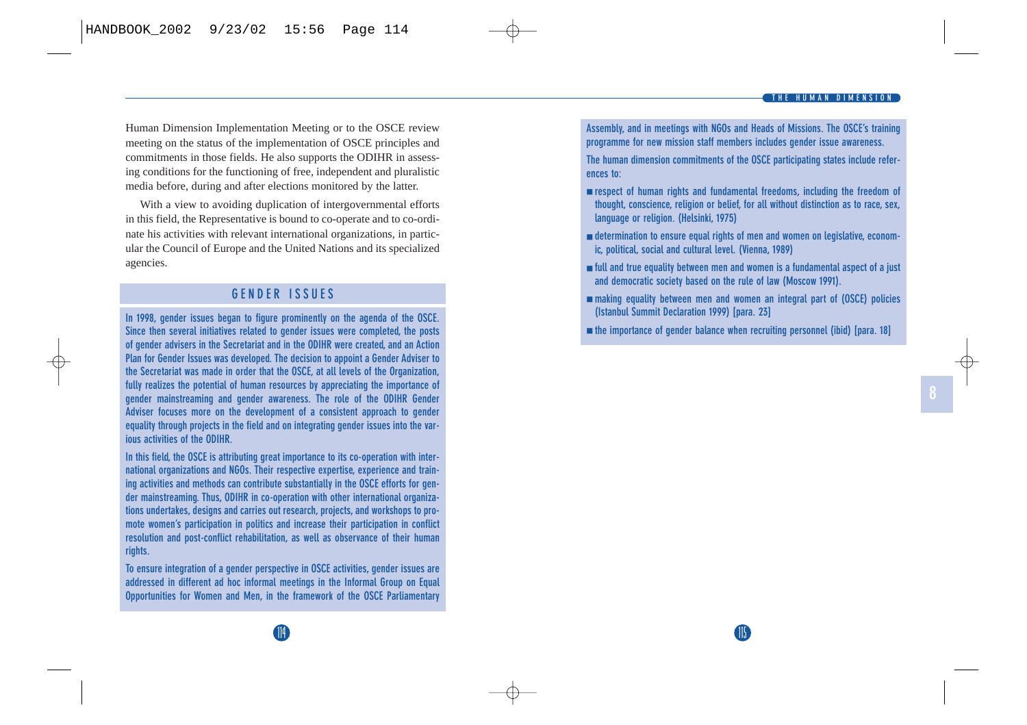Human Dimension Implementation Meeting or to the OSCE review meeting on the status of the implementation of OSCE principles and commitments in those fields. He also supports the ODIHR in assessing conditions for the functioning of free, independent and pluralistic media before, during and after elections monitored by the latter.

With a view to avoiding duplication of intergovernmental efforts in this field, the Representative is bound to co-operate and to co-ordinate his activities with relevant international organizations, in particular the Council of Europe and the United Nations and its specialized agencies.

### **GENDER ISSUES**

**In 1998, gender issues began to figure prominently on the agenda of the OSCE. Since then several initiatives related to gender issues were completed, the posts of gender advisers in the Secretariat and in the ODIHR were created, and an Action Plan for Gender Issues was developed. The decision to appoint a Gender Adviser to the Secretariat was made in order that the OSCE, at all levels of the Organization, fully realizes the potential of human resources by appreciating the importance of gender mainstreaming and gender awareness. The role of the ODIHR Gender Adviser focuses more on the development of a consistent approach to gender equality through projects in the field and on integrating gender issues into the various activities of the ODIHR.**

**In this field, the OSCE is attributing great importance to its co-operation with international organizations and NGOs. Their respective expertise, experience and training activities and methods can contribute substantially in the OSCE efforts for gender mainstreaming. Thus, ODIHR in co-operation with other international organizations undertakes, designs and carries out research, projects, and workshops to promote women's participation in politics and increase their participation in conflict resolution and post-conflict rehabilitation, as well as observance of their human rights.** 

**To ensure integration of a gender perspective in OSCE activities, gender issues are addressed in different ad hoc informal meetings in the Informal Group on Equal Opportunities for Women and Men, in the framework of the OSCE Parliamentary**

**Assembly, and in meetings with NGOs and Heads of Missions. The OSCE's training programme for new mission staff members includes gender issue awareness.**

**The human dimension commitments of the OSCE participating states include references to:**

- **respect of human rights and fundamental freedoms, including the freedom of thought, conscience, religion or belief, for all without distinction as to race, sex, language or religion. (Helsinki, 1975)**
- **determination to ensure equal rights of men and women on legislative, economic, political, social and cultural level. (Vienna, 1989)**
- **full and true equality between men and women is a fundamental aspect of a just and democratic society based on the rule of law (Moscow 1991).**
- **making equality between men and women an integral part of (OSCE) policies (Istanbul Summit Declaration 1999) [para. 23]**
- **the importance of gender balance when recruiting personnel (ibid) [para. 18]**

115<br>115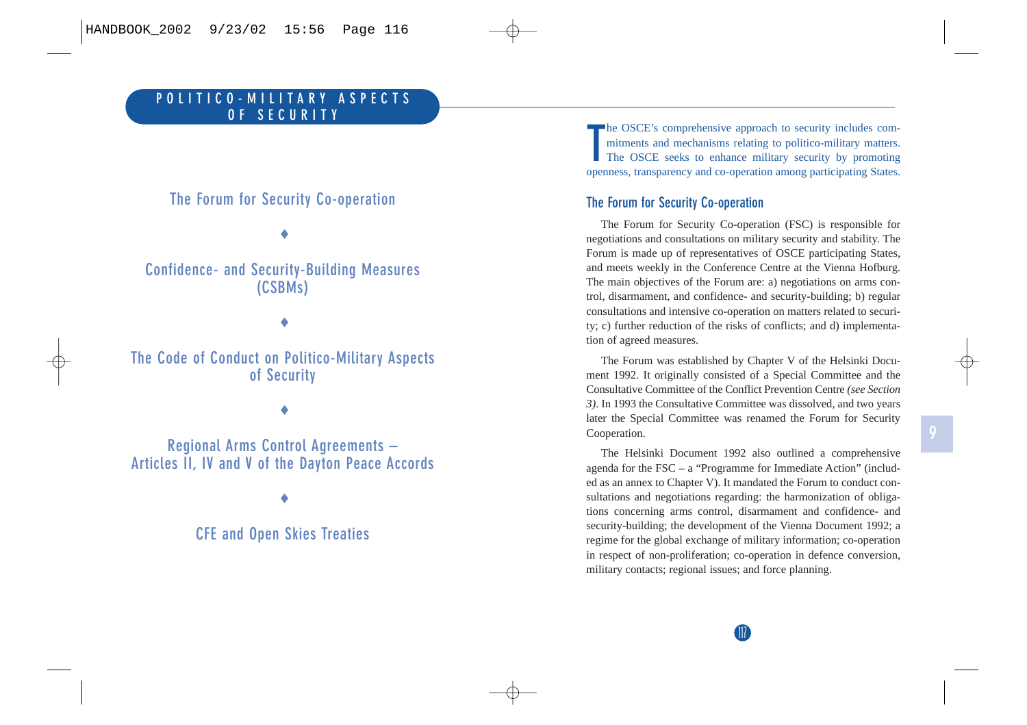## **The Forum for Security Co-operation**

♦

### **Confidence- and Security-Building Measures (CSBMs)**

♦

**The Code of Conduct on Politico-Military Aspects of Security** 

♦

**Regional Arms Control Agreements – Articles II, IV and V of the Dayton Peace Accords**

♦

**CFE and Open Skies Treaties**

**T**he OSCE's comprehensive approach to security includes com- mitments and mechanisms relating to politico-military matters. The OSCE seeks to enhance military security by promoting openness, transparency and co-operation among participating States.

### **The Forum for Security Co-operation**

The Forum for Security Co-operation (FSC) is responsible for negotiations and consultations on military security and stability. The Forum is made up of representatives of OSCE participating States, and meets weekly in the Conference Centre at the Vienna Hofburg. The main objectives of the Forum are: a) negotiations on arms control, disarmament, and confidence- and security-building; b) regular consultations and intensive co-operation on matters related to security; c) further reduction of the risks of conflicts; and d) implementation of agreed measures.

The Forum was established by Chapter V of the Helsinki Document 1992. It originally consisted of a Special Committee and the Consultative Committee of the Conflict Prevention Centre *(see Section 3)*. In 1993 the Consultative Committee was dissolved, and two years later the Special Committee was renamed the Forum for Security Cooperation.

The Helsinki Document 1992 also outlined a comprehensive agenda for the FSC – a "Programme for Immediate Action" (included as an annex to Chapter V). It mandated the Forum to conduct consultations and negotiations regarding: the harmonization of obligations concerning arms control, disarmament and confidence- and security-building; the development of the Vienna Document 1992; a regime for the global exchange of military information; co-operation in respect of non-proliferation; co-operation in defence conversion, military contacts; regional issues; and force planning.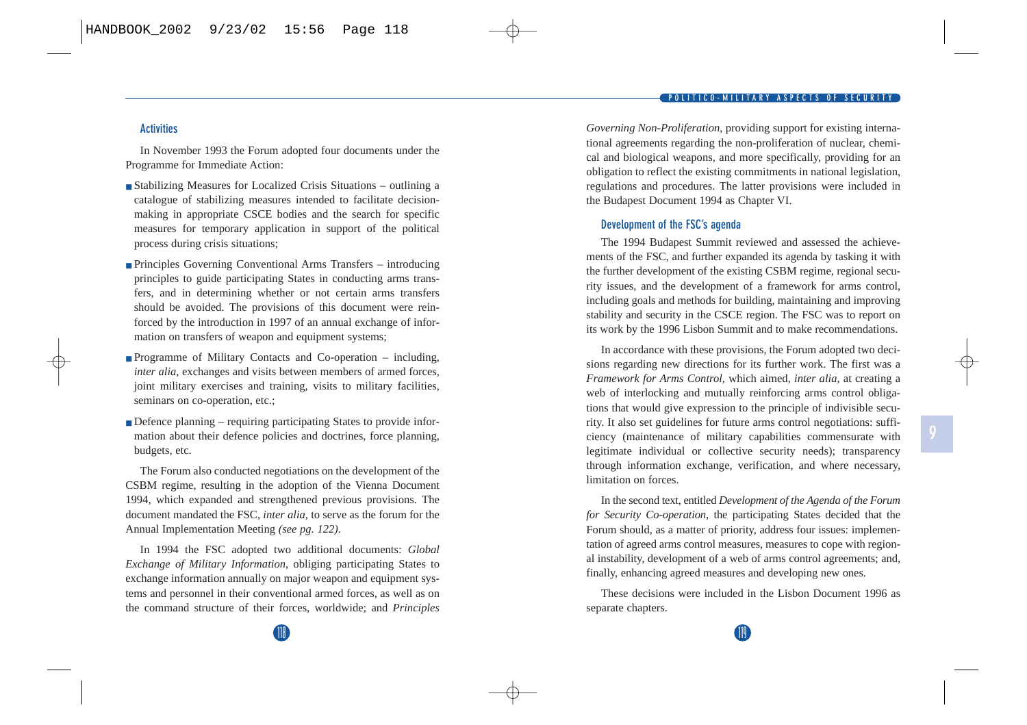### **Activities**

In November 1993 the Forum adopted four documents under the Programme for Immediate Action:

- Stabilizing Measures for Localized Crisis Situations outlining a catalogue of stabilizing measures intended to facilitate decisionmaking in appropriate CSCE bodies and the search for specific measures for temporary application in support of the political process during crisis situations;
- Principles Governing Conventional Arms Transfers introducing principles to guide participating States in conducting arms transfers, and in determining whether or not certain arms transfers should be avoided. The provisions of this document were reinforced by the introduction in 1997 of an annual exchange of information on transfers of weapon and equipment systems;
- Programme of Military Contacts and Co-operation including, *inter alia*, exchanges and visits between members of armed forces, joint military exercises and training, visits to military facilities, seminars on co-operation, etc.;
- Defence planning requiring participating States to provide information about their defence policies and doctrines, force planning, budgets, etc.

The Forum also conducted negotiations on the development of the CSBM regime, resulting in the adoption of the Vienna Document 1994, which expanded and strengthened previous provisions. The document mandated the FSC, *inter alia*, to serve as the forum for the Annual Implementation Meeting *(see pg. 122).*

In 1994 the FSC adopted two additional documents: *Global Exchange of Military Information*, obliging participating States to exchange information annually on major weapon and equipment systems and personnel in their conventional armed forces, as well as on the command structure of their forces, worldwide; and *Principles* *Governing Non-Proliferation*, providing support for existing international agreements regarding the non-proliferation of nuclear, chemical and biological weapons, and more specifically, providing for an obligation to reflect the existing commitments in national legislation, regulations and procedures. The latter provisions were included in the Budapest Document 1994 as Chapter VI.

#### **Development of the FSC's agenda**

The 1994 Budapest Summit reviewed and assessed the achievements of the FSC, and further expanded its agenda by tasking it with the further development of the existing CSBM regime, regional security issues, and the development of a framework for arms control, including goals and methods for building, maintaining and improving stability and security in the CSCE region. The FSC was to report on its work by the 1996 Lisbon Summit and to make recommendations.

In accordance with these provisions, the Forum adopted two decisions regarding new directions for its further work. The first was a *Framework for Arms Control*, which aimed, *inter alia*, at creating a web of interlocking and mutually reinforcing arms control obligations that would give expression to the principle of indivisible security. It also set guidelines for future arms control negotiations: sufficiency (maintenance of military capabilities commensurate with legitimate individual or collective security needs); transparency through information exchange, verification, and where necessary, limitation on forces.

In the second text, entitled *Development of the Agenda of the Forum for Security Co-operation*, the participating States decided that the Forum should, as a matter of priority, address four issues: implementation of agreed arms control measures, measures to cope with regional instability, development of a web of arms control agreements; and, finally, enhancing agreed measures and developing new ones.

These decisions were included in the Lisbon Document 1996 as separate chapters.

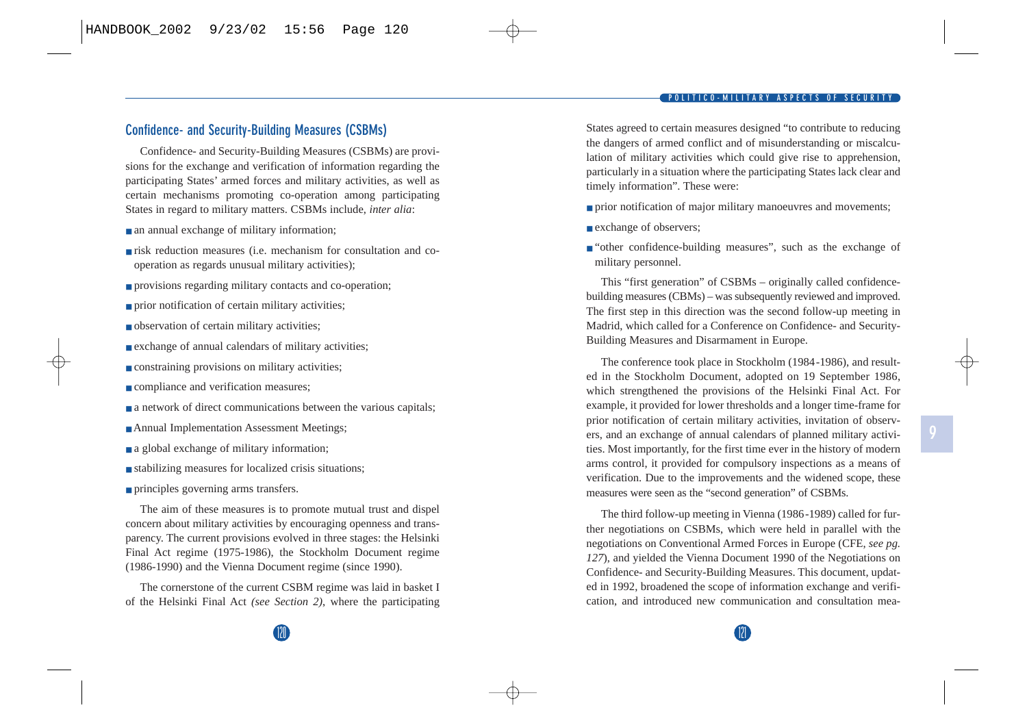### **Confidence- and Security-Building Measures (CSBMs)**

Confidence- and Security-Building Measures (CSBMs) are provisions for the exchange and verification of information regarding the participating States' armed forces and military activities, as well as certain mechanisms promoting co-operation among participating States in regard to military matters. CSBMs include, *inter alia*:

- an annual exchange of military information;
- risk reduction measures (i.e. mechanism for consultation and cooperation as regards unusual military activities);
- provisions regarding military contacts and co-operation;
- prior notification of certain military activities;
- observation of certain military activities;
- exchange of annual calendars of military activities;
- constraining provisions on military activities;
- compliance and verification measures;
- a network of direct communications between the various capitals;
- Annual Implementation Assessment Meetings;
- a global exchange of military information;
- stabilizing measures for localized crisis situations;
- principles governing arms transfers.

The aim of these measures is to promote mutual trust and dispel concern about military activities by encouraging openness and transparency. The current provisions evolved in three stages: the Helsinki Final Act regime (1975-1986), the Stockholm Document regime (1986-1990) and the Vienna Document regime (since 1990).

The cornerstone of the current CSBM regime was laid in basket I of the Helsinki Final Act *(see Section 2)*, where the participating States agreed to certain measures designed "to contribute to reducing the dangers of armed conflict and of misunderstanding or miscalculation of military activities which could give rise to apprehension, particularly in a situation where the participating States lack clear and timely information". These were:

- prior notification of major military manoeuvres and movements;
- exchange of observers;
- "other confidence-building measures", such as the exchange of military personnel.

This "first generation" of CSBMs – originally called confidencebuilding measures (CBMs) – was subsequently reviewed and improved. The first step in this direction was the second follow-up meeting in Madrid, which called for a Conference on Confidence- and Security-Building Measures and Disarmament in Europe.

The conference took place in Stockholm (1984-1986), and resulted in the Stockholm Document, adopted on 19 September 1986, which strengthened the provisions of the Helsinki Final Act. For example, it provided for lower thresholds and a longer time-frame for prior notification of certain military activities, invitation of observers, and an exchange of annual calendars of planned military activities. Most importantly, for the first time ever in the history of modern arms control, it provided for compulsory inspections as a means of verification. Due to the improvements and the widened scope, these measures were seen as the "second generation" of CSBMs.

The third follow-up meeting in Vienna (1986-1989) called for further negotiations on CSBMs, which were held in parallel with the negotiations on Conventional Armed Forces in Europe (CFE, *see pg. 127*), and yielded the Vienna Document 1990 of the Negotiations on Confidence- and Security-Building Measures. This document, updated in 1992, broadened the scope of information exchange and verification, and introduced new communication and consultation mea-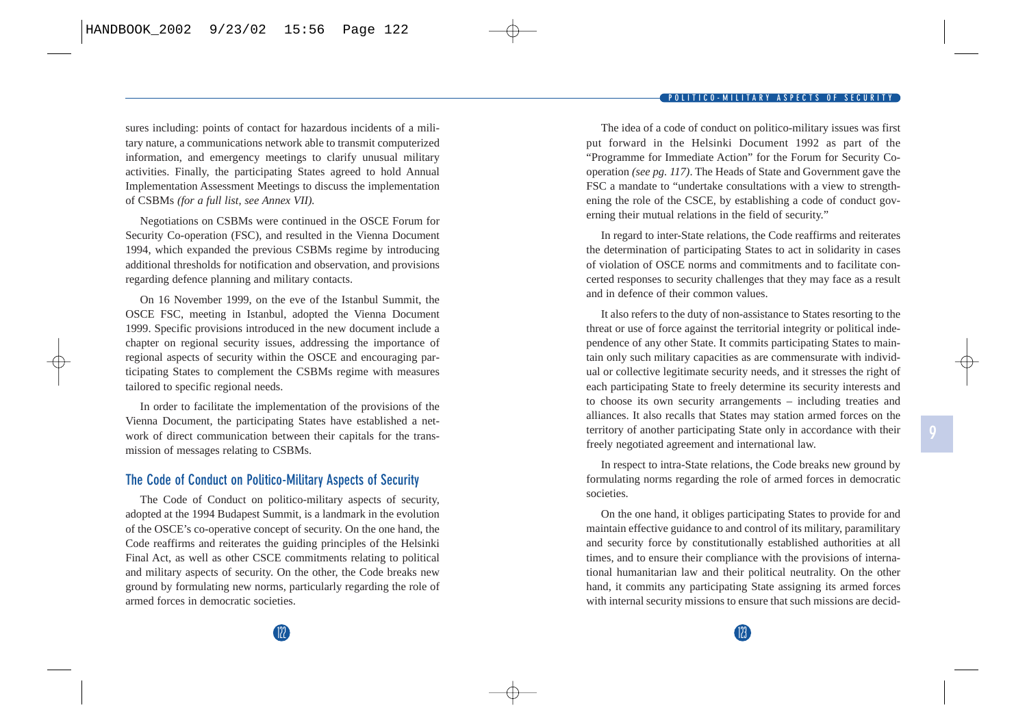**POLITICO-MILITARY ASPECTS OF SECURITY** 

sures including: points of contact for hazardous incidents of a military nature, a communications network able to transmit computerized information, and emergency meetings to clarify unusual military activities. Finally, the participating States agreed to hold Annual Implementation Assessment Meetings to discuss the implementation of CSBMs *(for a full list, see Annex VII).*

Negotiations on CSBMs were continued in the OSCE Forum for Security Co-operation (FSC), and resulted in the Vienna Document 1994, which expanded the previous CSBMs regime by introducing additional thresholds for notification and observation, and provisions regarding defence planning and military contacts.

On 16 November 1999, on the eve of the Istanbul Summit, the OSCE FSC, meeting in Istanbul, adopted the Vienna Document 1999. Specific provisions introduced in the new document include a chapter on regional security issues, addressing the importance of regional aspects of security within the OSCE and encouraging participating States to complement the CSBMs regime with measures tailored to specific regional needs.

In order to facilitate the implementation of the provisions of the Vienna Document, the participating States have established a network of direct communication between their capitals for the transmission of messages relating to CSBMs.

### **The Code of Conduct on Politico-Military Aspects of Security**

The Code of Conduct on politico-military aspects of security, adopted at the 1994 Budapest Summit, is a landmark in the evolution of the OSCE's co-operative concept of security. On the one hand, the Code reaffirms and reiterates the guiding principles of the Helsinki Final Act, as well as other CSCE commitments relating to political and military aspects of security. On the other, the Code breaks new ground by formulating new norms, particularly regarding the role of armed forces in democratic societies.

The idea of a code of conduct on politico-military issues was first put forward in the Helsinki Document 1992 as part of the "Programme for Immediate Action" for the Forum for Security Cooperation *(see pg. 117)*. The Heads of State and Government gave the FSC a mandate to "undertake consultations with a view to strengthening the role of the CSCE, by establishing a code of conduct governing their mutual relations in the field of security."

In regard to inter-State relations, the Code reaffirms and reiterates the determination of participating States to act in solidarity in cases of violation of OSCE norms and commitments and to facilitate concerted responses to security challenges that they may face as a result and in defence of their common values.

It also refers to the duty of non-assistance to States resorting to the threat or use of force against the territorial integrity or political independence of any other State. It commits participating States to maintain only such military capacities as are commensurate with individual or collective legitimate security needs, and it stresses the right of each participating State to freely determine its security interests and to choose its own security arrangements – including treaties and alliances. It also recalls that States may station armed forces on the territory of another participating State only in accordance with their freely negotiated agreement and international law.

In respect to intra-State relations, the Code breaks new ground by formulating norms regarding the role of armed forces in democratic societies.

On the one hand, it obliges participating States to provide for and maintain effective guidance to and control of its military, paramilitary and security force by constitutionally established authorities at all times, and to ensure their compliance with the provisions of international humanitarian law and their political neutrality. On the other hand, it commits any participating State assigning its armed forces with internal security missions to ensure that such missions are decid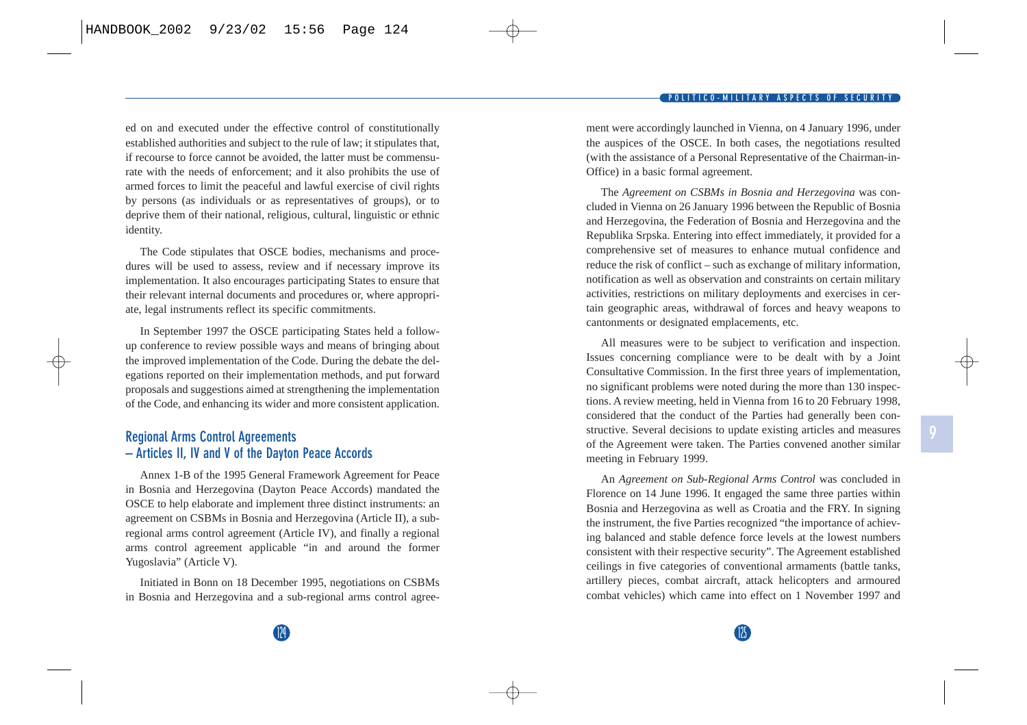ed on and executed under the effective control of constitutionally established authorities and subject to the rule of law; it stipulates that, if recourse to force cannot be avoided, the latter must be commensurate with the needs of enforcement; and it also prohibits the use of armed forces to limit the peaceful and lawful exercise of civil rights by persons (as individuals or as representatives of groups), or to deprive them of their national, religious, cultural, linguistic or ethnic identity.

The Code stipulates that OSCE bodies, mechanisms and procedures will be used to assess, review and if necessary improve its implementation. It also encourages participating States to ensure that their relevant internal documents and procedures or, where appropriate, legal instruments reflect its specific commitments.

In September 1997 the OSCE participating States held a followup conference to review possible ways and means of bringing about the improved implementation of the Code. During the debate the delegations reported on their implementation methods, and put forward proposals and suggestions aimed at strengthening the implementation of the Code, and enhancing its wider and more consistent application.

### **Regional Arms Control Agreements – Articles II, IV and V of the Dayton Peace Accords**

Annex 1-B of the 1995 General Framework Agreement for Peace in Bosnia and Herzegovina (Dayton Peace Accords) mandated the OSCE to help elaborate and implement three distinct instruments: an agreement on CSBMs in Bosnia and Herzegovina (Article II), a subregional arms control agreement (Article IV), and finally a regional arms control agreement applicable "in and around the former Yugoslavia" (Article V).

Initiated in Bonn on 18 December 1995, negotiations on CSBMs in Bosnia and Herzegovina and a sub-regional arms control agreement were accordingly launched in Vienna, on 4 January 1996, under the auspices of the OSCE. In both cases, the negotiations resulted (with the assistance of a Personal Representative of the Chairman-in-Office) in a basic formal agreement.

The *Agreement on CSBMs in Bosnia and Herzegovina* was concluded in Vienna on 26 January 1996 between the Republic of Bosnia and Herzegovina, the Federation of Bosnia and Herzegovina and the Republika Srpska. Entering into effect immediately, it provided for a comprehensive set of measures to enhance mutual confidence and reduce the risk of conflict – such as exchange of military information, notification as well as observation and constraints on certain military activities, restrictions on military deployments and exercises in certain geographic areas, withdrawal of forces and heavy weapons to cantonments or designated emplacements, etc.

All measures were to be subject to verification and inspection. Issues concerning compliance were to be dealt with by a Joint Consultative Commission. In the first three years of implementation, no significant problems were noted during the more than 130 inspections. A review meeting, held in Vienna from 16 to 20 February 1998, considered that the conduct of the Parties had generally been constructive. Several decisions to update existing articles and measures of the Agreement were taken. The Parties convened another similar meeting in February 1999.

An *Agreement on Sub-Regional Arms Control* was concluded in Florence on 14 June 1996. It engaged the same three parties within Bosnia and Herzegovina as well as Croatia and the FRY. In signing the instrument, the five Parties recognized "the importance of achieving balanced and stable defence force levels at the lowest numbers consistent with their respective security". The Agreement established ceilings in five categories of conventional armaments (battle tanks, artillery pieces, combat aircraft, attack helicopters and armoured combat vehicles) which came into effect on 1 November 1997 and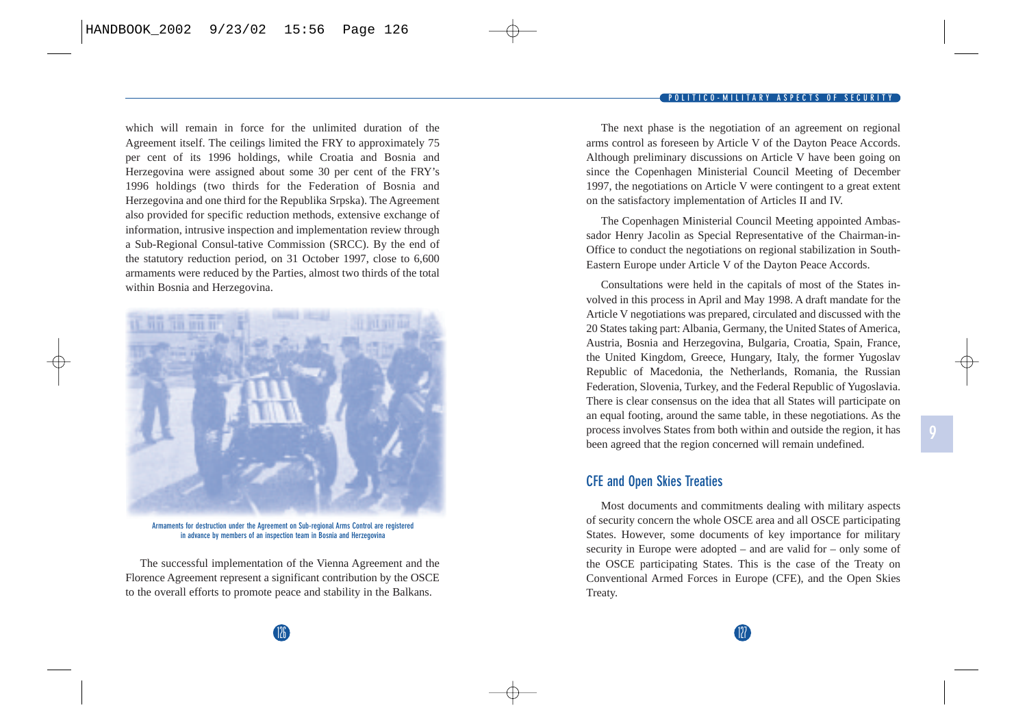which will remain in force for the unlimited duration of the Agreement itself. The ceilings limited the FRY to approximately 75 per cent of its 1996 holdings, while Croatia and Bosnia and Herzegovina were assigned about some 30 per cent of the FRY's 1996 holdings (two thirds for the Federation of Bosnia and Herzegovina and one third for the Republika Srpska). The Agreement also provided for specific reduction methods, extensive exchange of information, intrusive inspection and implementation review through a Sub-Regional Consul-tative Commission (SRCC). By the end of the statutory reduction period, on 31 October 1997, close to 6,600 armaments were reduced by the Parties, almost two thirds of the total within Bosnia and Herzegovina.



**Armaments for destruction under the Agreement on Sub-regional Arms Control are registered in advance by members of an inspection team in Bosnia and Herzegovina**

The successful implementation of the Vienna Agreement and the Florence Agreement represent a significant contribution by the OSCE to the overall efforts to promote peace and stability in the Balkans.

The next phase is the negotiation of an agreement on regional arms control as foreseen by Article V of the Dayton Peace Accords. Although preliminary discussions on Article V have been going on since the Copenhagen Ministerial Council Meeting of December 1997, the negotiations on Article V were contingent to a great extent on the satisfactory implementation of Articles II and IV.

The Copenhagen Ministerial Council Meeting appointed Ambassador Henry Jacolin as Special Representative of the Chairman-in-Office to conduct the negotiations on regional stabilization in South-Eastern Europe under Article V of the Dayton Peace Accords.

Consultations were held in the capitals of most of the States involved in this process in April and May 1998. A draft mandate for the Article V negotiations was prepared, circulated and discussed with the 20 States taking part: Albania, Germany, the United States of America, Austria, Bosnia and Herzegovina, Bulgaria, Croatia, Spain, France, the United Kingdom, Greece, Hungary, Italy, the former Yugoslav Republic of Macedonia, the Netherlands, Romania, the Russian Federation, Slovenia, Turkey, and the Federal Republic of Yugoslavia. There is clear consensus on the idea that all States will participate on an equal footing, around the same table, in these negotiations. As the process involves States from both within and outside the region, it has been agreed that the region concerned will remain undefined.

**9**

### **CFE and Open Skies Treaties**

Most documents and commitments dealing with military aspects of security concern the whole OSCE area and all OSCE participating States. However, some documents of key importance for military security in Europe were adopted – and are valid for – only some of the OSCE participating States. This is the case of the Treaty on Conventional Armed Forces in Europe (CFE), and the Open Skies Treaty.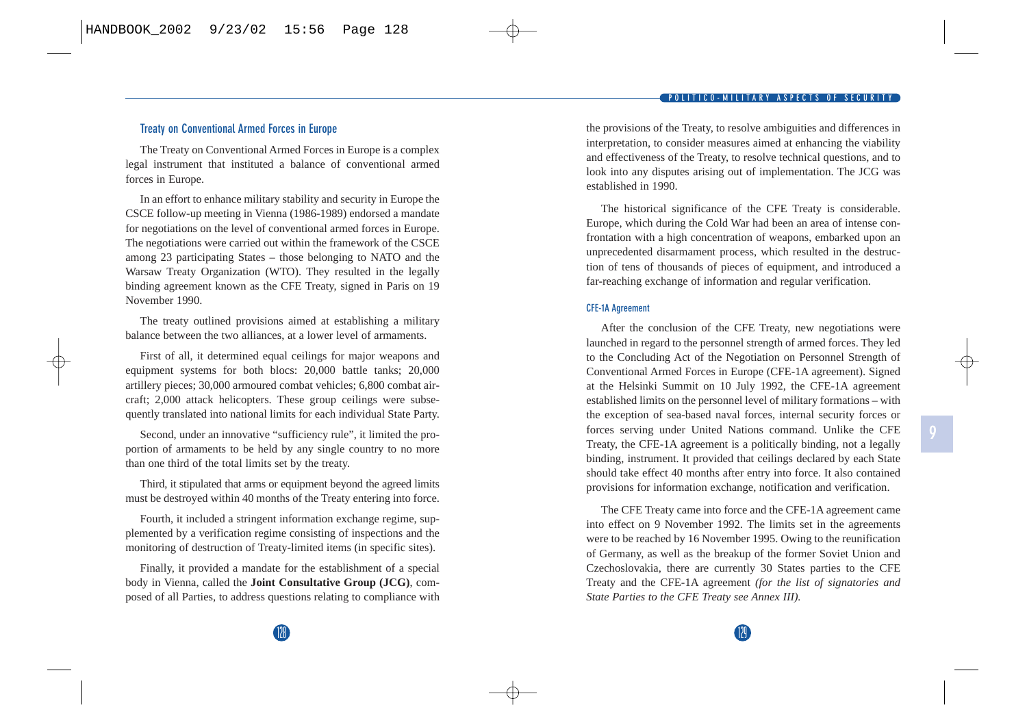### **Treaty on Conventional Armed Forces in Europe**

The Treaty on Conventional Armed Forces in Europe is a complex legal instrument that instituted a balance of conventional armed forces in Europe.

In an effort to enhance military stability and security in Europe the CSCE follow-up meeting in Vienna (1986-1989) endorsed a mandate for negotiations on the level of conventional armed forces in Europe. The negotiations were carried out within the framework of the CSCE among 23 participating States – those belonging to NATO and the Warsaw Treaty Organization (WTO). They resulted in the legally binding agreement known as the CFE Treaty, signed in Paris on 19 November 1990.

The treaty outlined provisions aimed at establishing a military balance between the two alliances, at a lower level of armaments.

First of all, it determined equal ceilings for major weapons and equipment systems for both blocs: 20,000 battle tanks; 20,000 artillery pieces; 30,000 armoured combat vehicles; 6,800 combat aircraft; 2,000 attack helicopters. These group ceilings were subsequently translated into national limits for each individual State Party.

Second, under an innovative "sufficiency rule", it limited the proportion of armaments to be held by any single country to no more than one third of the total limits set by the treaty.

Third, it stipulated that arms or equipment beyond the agreed limits must be destroyed within 40 months of the Treaty entering into force.

Fourth, it included a stringent information exchange regime, supplemented by a verification regime consisting of inspections and the monitoring of destruction of Treaty-limited items (in specific sites).

Finally, it provided a mandate for the establishment of a special body in Vienna, called the **Joint Consultative Group (JCG)**, composed of all Parties, to address questions relating to compliance with the provisions of the Treaty, to resolve ambiguities and differences in interpretation, to consider measures aimed at enhancing the viability and effectiveness of the Treaty, to resolve technical questions, and to look into any disputes arising out of implementation. The JCG was established in 1990.

The historical significance of the CFE Treaty is considerable. Europe, which during the Cold War had been an area of intense confrontation with a high concentration of weapons, embarked upon an unprecedented disarmament process, which resulted in the destruction of tens of thousands of pieces of equipment, and introduced a far-reaching exchange of information and regular verification.

#### **CFE-1A Agreement**

After the conclusion of the CFE Treaty, new negotiations were launched in regard to the personnel strength of armed forces. They led to the Concluding Act of the Negotiation on Personnel Strength of Conventional Armed Forces in Europe (CFE-1A agreement). Signed at the Helsinki Summit on 10 July 1992, the CFE-1A agreemen<sup>t</sup> established limits on the personnel level of military formations – with the exception of sea-based naval forces, internal security forces or forces serving under United Nations command. Unlike the CFE Treaty, the CFE-1A agreement is a politically binding, not a legally binding, instrument. It provided that ceilings declared by each State should take effect 40 months after entry into force. It also contained provisions for information exchange, notification and verification.

The CFE Treaty came into force and the CFE-1A agreement came into effect on 9 November 1992. The limits set in the agreements were to be reached by 16 November 1995. Owing to the reunification of Germany, as well as the breakup of the former Soviet Union and Czechoslovakia, there are currently 30 States parties to the CFE Treaty and the CFE-1A agreemen<sup>t</sup>*(for the list of signatories and State Parties to the CFE Treaty see Annex III).*

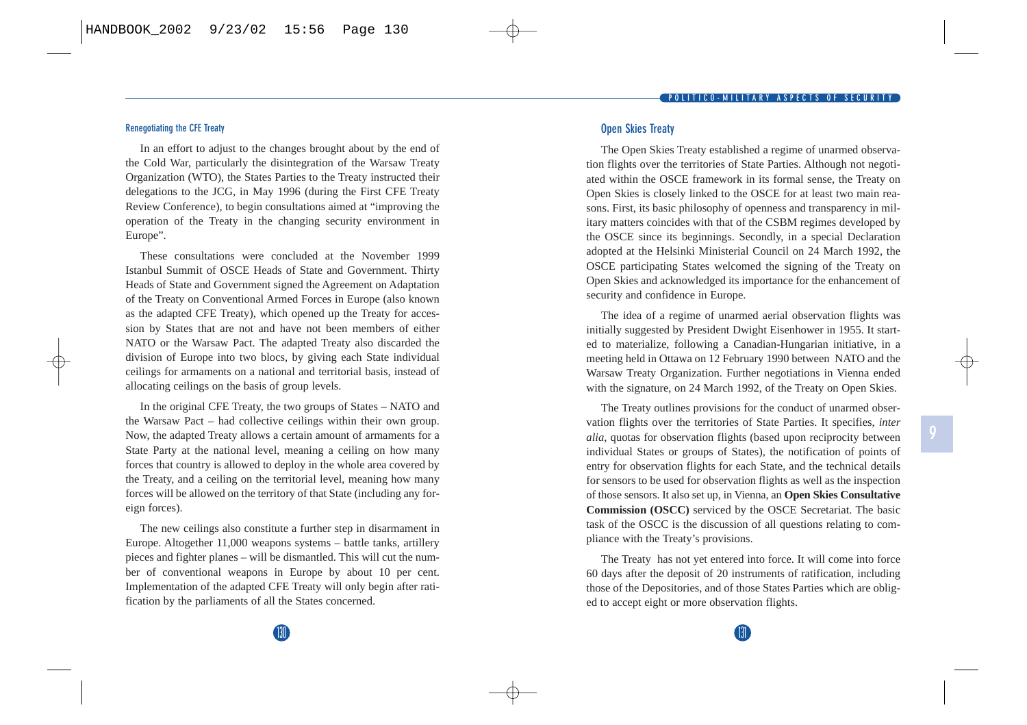#### **Renegotiating the CFE Treaty**

In an effort to adjust to the changes brought about by the end of the Cold War, particularly the disintegration of the Warsaw Treaty Organization (WTO), the States Parties to the Treaty instructed their delegations to the JCG, in May 1996 (during the First CFE Treaty Review Conference), to begin consultations aimed at "improving the operation of the Treaty in the changing security environment in Europe".

These consultations were concluded at the November 1999 Istanbul Summit of OSCE Heads of State and Government. Thirty Heads of State and Government signed the Agreement on Adaptation of the Treaty on Conventional Armed Forces in Europe (also known as the adapted CFE Treaty), which opened up the Treaty for accession by States that are not and have not been members of either NATO or the Warsaw Pact. The adapted Treaty also discarded the division of Europe into two blocs, by giving each State individual ceilings for armaments on a national and territorial basis, instead of allocating ceilings on the basis of group levels.

In the original CFE Treaty, the two groups of States – NATO and the Warsaw Pact – had collective ceilings within their own group. Now, the adapted Treaty allows a certain amount of armaments for a State Party at the national level, meaning a ceiling on how many forces that country is allowed to deploy in the whole area covered by the Treaty, and a ceiling on the territorial level, meaning how many forces will be allowed on the territory of that State (including any foreign forces).

The new ceilings also constitute a further step in disarmament in Europe. Altogether 11,000 weapons systems – battle tanks, artillery pieces and fighter planes – will be dismantled. This will cut the number of conventional weapons in Europe by about 10 per cent. Implementation of the adapted CFE Treaty will only begin after ratification by the parliaments of all the States concerned.

#### **Open Skies Treaty**

The Open Skies Treaty established a regime of unarmed observation flights over the territories of State Parties. Although not negotiated within the OSCE framework in its formal sense, the Treaty on Open Skies is closely linked to the OSCE for at least two main reasons. First, its basic philosophy of openness and transparency in military matters coincides with that of the CSBM regimes developed by the OSCE since its beginnings. Secondly, in a special Declaration adopted at the Helsinki Ministerial Council on 24 March 1992, the OSCE participating States welcomed the signing of the Treaty on Open Skies and acknowledged its importance for the enhancement of security and confidence in Europe.

The idea of a regime of unarmed aerial observation flights was initially suggested by President Dwight Eisenhower in 1955. It started to materialize, following a Canadian-Hungarian initiative, in a meeting held in Ottawa on 12 February 1990 between NATO and the Warsaw Treaty Organization. Further negotiations in Vienna ended with the signature, on 24 March 1992, of the Treaty on Open Skies.

The Treaty outlines provisions for the conduct of unarmed observation flights over the territories of State Parties. It specifies, *inter alia*, quotas for observation flights (based upon reciprocity between individual States or groups of States), the notification of points of entry for observation flights for each State, and the technical details for sensors to be used for observation flights as well as the inspection of those sensors. It also set up, in Vienna, an **Open Skies Consultative Commission (OSCC)** serviced by the OSCE Secretariat. The basic task of the OSCC is the discussion of all questions relating to compliance with the Treaty's provisions.

The Treaty has not yet entered into force. It will come into force 60 days after the deposit of 20 instruments of ratification, including those of the Depositories, and of those States Parties which are obliged to accept eight or more observation flights.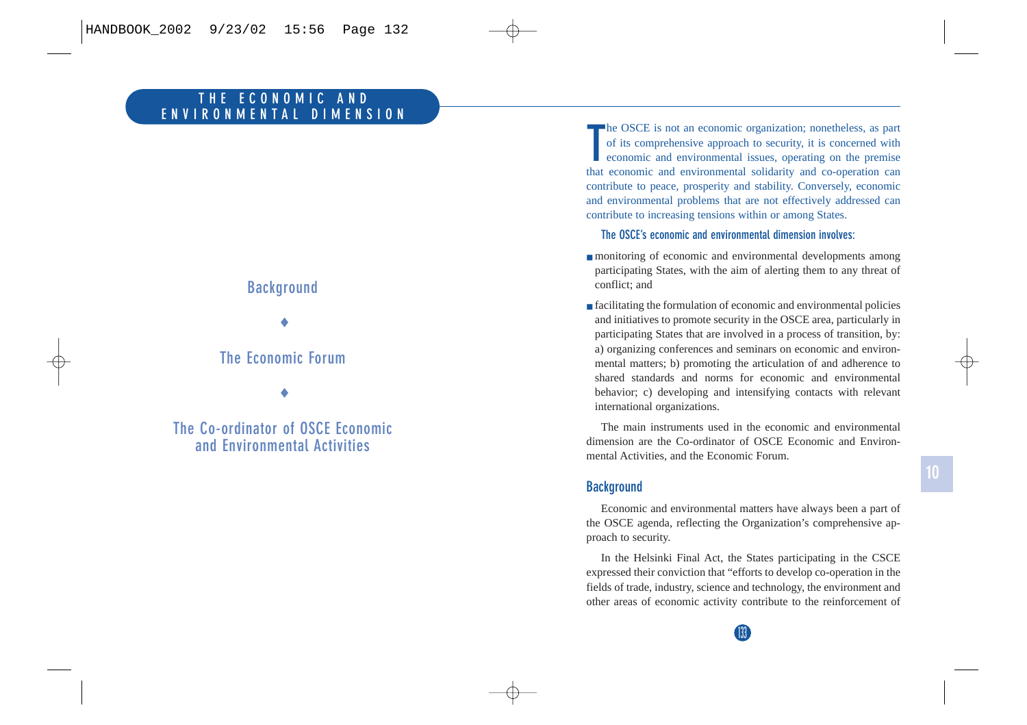# **Background**

♦

## **The Economic Forum**

♦

**The Co-ordinator of OSCE Economic and Environmental Activities**

**The OSCE** is not an economic organization; nonetheless, as part of its comprehensive approach to security, it is concerned with economic and environmental issues, operating on the premise that economic and environmental solidarity and co-operation can contribute to peace, prosperity and stability. Conversely, economic and environmental problems that are not effectively addressed can contribute to increasing tensions within or among States.

**The OSCE's economic and environmental dimension involves:**

- monitoring of economic and environmental developments among participating States, with the aim of alerting them to any threat of conflict; and
- facilitating the formulation of economic and environmental policies and initiatives to promote security in the OSCE area, particularly in participating States that are involved in a process of transition, by: a) organizing conferences and seminars on economic and environmental matters; b) promoting the articulation of and adherence to shared standards and norms for economic and environmental behavior; c) developing and intensifying contacts with relevant international organizations.

The main instruments used in the economic and environmental dimension are the Co-ordinator of OSCE Economic and Environmental Activities, and the Economic Forum.

### **Background**

Economic and environmental matters have always been a part of the OSCE agenda, reflecting the Organization's comprehensive approach to security.

In the Helsinki Final Act, the States participating in the CSCE expressed their conviction that "efforts to develop co-operation in the fields of trade, industry, science and technology, the environment and other areas of economic activity contribute to the reinforcement of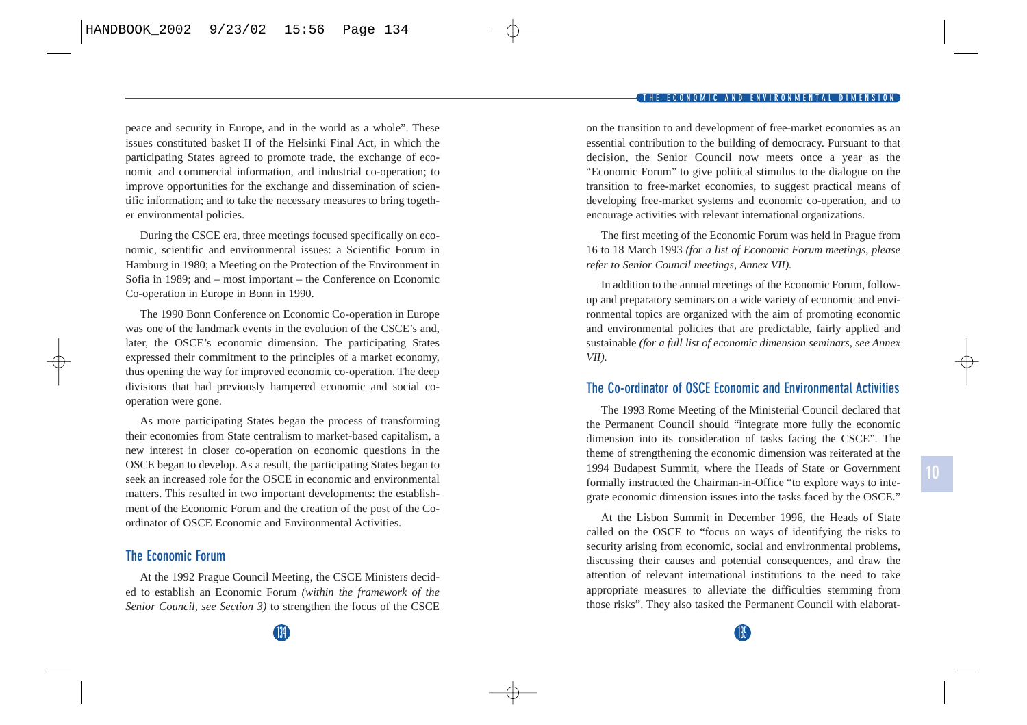peace and security in Europe, and in the world as a whole". These issues constituted basket II of the Helsinki Final Act, in which the participating States agreed to promote trade, the exchange of economic and commercial information, and industrial co-operation; to improve opportunities for the exchange and dissemination of scientific information; and to take the necessary measures to bring together environmental policies.

During the CSCE era, three meetings focused specifically on economic, scientific and environmental issues: a Scientific Forum in Hamburg in 1980; a Meeting on the Protection of the Environment in Sofia in 1989; and – most important – the Conference on Economic Co-operation in Europe in Bonn in 1990.

The 1990 Bonn Conference on Economic Co-operation in Europe was one of the landmark events in the evolution of the CSCE's and, later, the OSCE's economic dimension. The participating States expressed their commitment to the principles of a market economy, thus opening the way for improved economic co-operation. The deep divisions that had previously hampered economic and social cooperation were gone.

As more participating States began the process of transforming their economies from State centralism to market-based capitalism, a new interest in closer co-operation on economic questions in the OSCE began to develop. As a result, the participating States began to seek an increased role for the OSCE in economic and environmental matters. This resulted in two important developments: the establishment of the Economic Forum and the creation of the post of the Coordinator of OSCE Economic and Environmental Activities.

## **The Economic Forum**

At the 1992 Prague Council Meeting, the CSCE Ministers decided to establish an Economic Forum *(within the framework of the Senior Council, see Section 3)* to strengthen the focus of the CSCE on the transition to and development of free-market economies as an essential contribution to the building of democracy. Pursuant to that decision, the Senior Council now meets once a year as the "Economic Forum" to give political stimulus to the dialogue on the transition to free-market economies, to suggest practical means of developing free-market systems and economic co-operation, and to encourage activities with relevant international organizations.

The first meeting of the Economic Forum was held in Prague from 16 to 18 March 1993 *(for a list of Economic Forum meetings, please refer to Senior Council meetings, Annex VII).* 

In addition to the annual meetings of the Economic Forum, followup and preparatory seminars on a wide variety of economic and environmental topics are organized with the aim of promoting economic and environmental policies that are predictable, fairly applied and sustainable *(for a full list of economic dimension seminars, see Annex VII).*

## **The Co-ordinator of OSCE Economic and Environmental Activities**

The 1993 Rome Meeting of the Ministerial Council declared that the Permanent Council should "integrate more fully the economic dimension into its consideration of tasks facing the CSCE". The theme of strengthening the economic dimension was reiterated at the 1994 Budapest Summit, where the Heads of State or Government formally instructed the Chairman-in-Office "to explore ways to integrate economic dimension issues into the tasks faced by the OSCE."

At the Lisbon Summit in December 1996, the Heads of State called on the OSCE to "focus on ways of identifying the risks to security arising from economic, social and environmental problems, discussing their causes and potential consequences, and draw the attention of relevant international institutions to the need to take appropriate measures to alleviate the difficulties stemming from those risks". They also tasked the Permanent Council with elaborat-

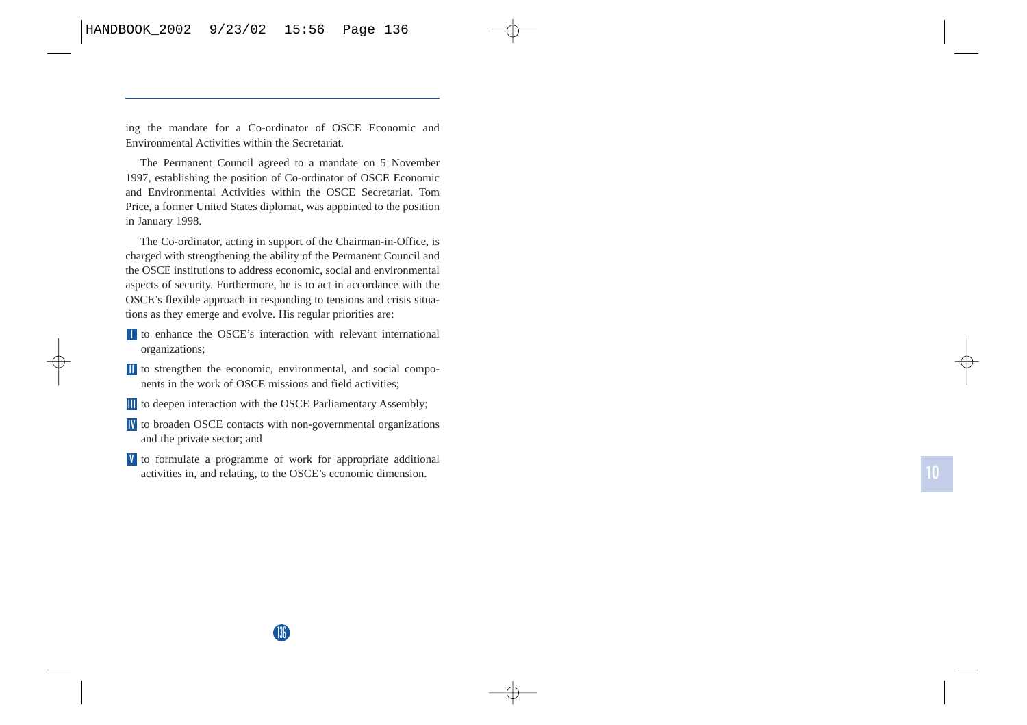ing the mandate for a Co-ordinator of OSCE Economic and Environmental Activities within the Secretariat.

The Permanent Council agreed to a mandate on 5 November 1997, establishing the position of Co-ordinator of OSCE Economic and Environmental Activities within the OSCE Secretariat. Tom Price, a former United States diplomat, was appointed to the position in January 1998.

The Co-ordinator, acting in support of the Chairman-in-Office, is charged with strengthening the ability of the Permanent Council and the OSCE institutions to address economic, social and environmental aspects of security. Furthermore, he is to act in accordance with the OSCE's flexible approach in responding to tensions and crisis situations as they emerge and evolve. His regular priorities are:

- to enhance the OSCE's interaction with relevant international **I** organizations;
- to strengthen the economic, environmental, and social compo-**II** nents in the work of OSCE missions and field activities;
- **II** to deepen interaction with the OSCE Parliamentary Assembly;
- to broaden OSCE contacts with non-governmental organizations **IV** and the private sector; and
- to formulate a programme of work for appropriate additional **V** activities in, and relating, to the OSCE's economic dimension.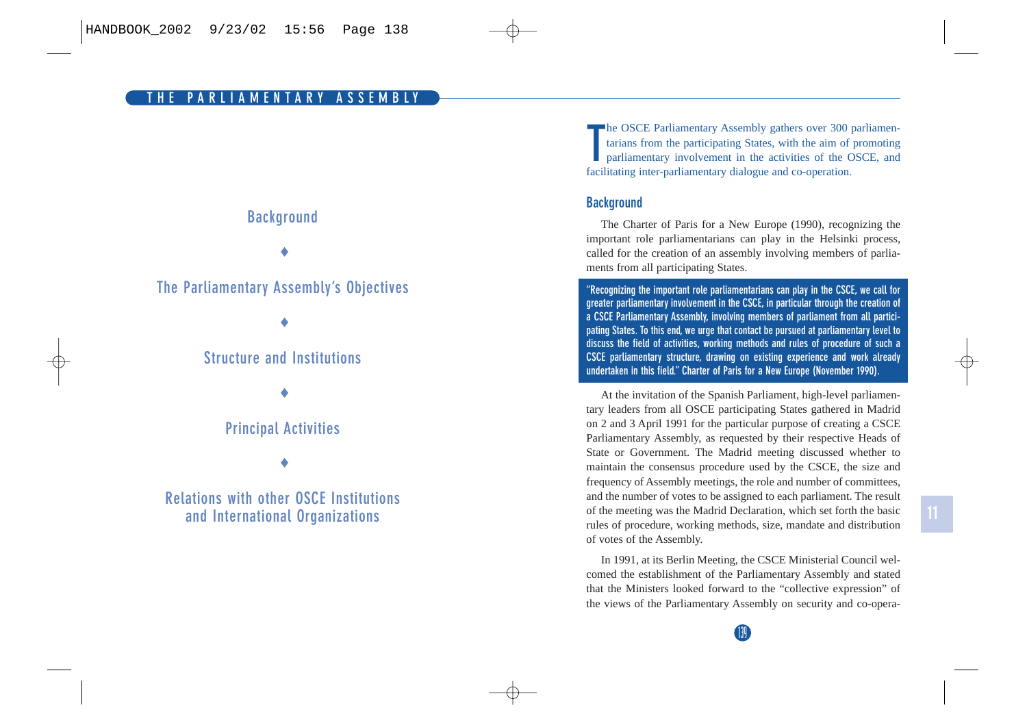## **Background**

♦

## **The Parliamentary Assembly's Objectives**

♦

## **Structure and Institutions**

♦

## **Principal Activities**

♦

## **Relations with other OSCE Institutions and International Organizations**

**The OSCE Parliamentary Assembly gathers over 300 parliamentarians from the participating States, with the aim of promoting parliamentary involvement in the activities of the OSCE, and** facilitating inter-parliamentary dialogue and co-operation.

## **Background**

The Charter of Paris for a New Europe (1990), recognizing the important role parliamentarians can play in the Helsinki process, called for the creation of an assembly involving members of parliaments from all participating States.

**"Recognizing the important role parliamentarians can play in the CSCE, we call for greater parliamentary involvement in the CSCE, in particular through the creation of a CSCE Parliamentary Assembly, involving members of parliament from all participating States. To this end, we urge that contact be pursued at parliamentary level to discuss the field of activities, working methods and rules of procedure of such a CSCE parliamentary structure, drawing on existing experience and work already undertaken in this field." Charter of Paris for a New Europe (November 1990).**

At the invitation of the Spanish Parliament, high-level parliamentary leaders from all OSCE participating States gathered in Madrid on 2 and 3 April 1991 for the particular purpose of creating a CSCE Parliamentary Assembly, as requested by their respective Heads of State or Government. The Madrid meeting discussed whether to maintain the consensus procedure used by the CSCE, the size and frequency of Assembly meetings, the role and number of committees, and the number of votes to be assigned to each parliament. The result of the meeting was the Madrid Declaration, which set forth the basic rules of procedure, working methods, size, mandate and distribution of votes of the Assembly.

In 1991, at its Berlin Meeting, the CSCE Ministerial Council welcomed the establishment of the Parliamentary Assembly and stated that the Ministers looked forward to the "collective expression" of the views of the Parliamentary Assembly on security and co-opera-

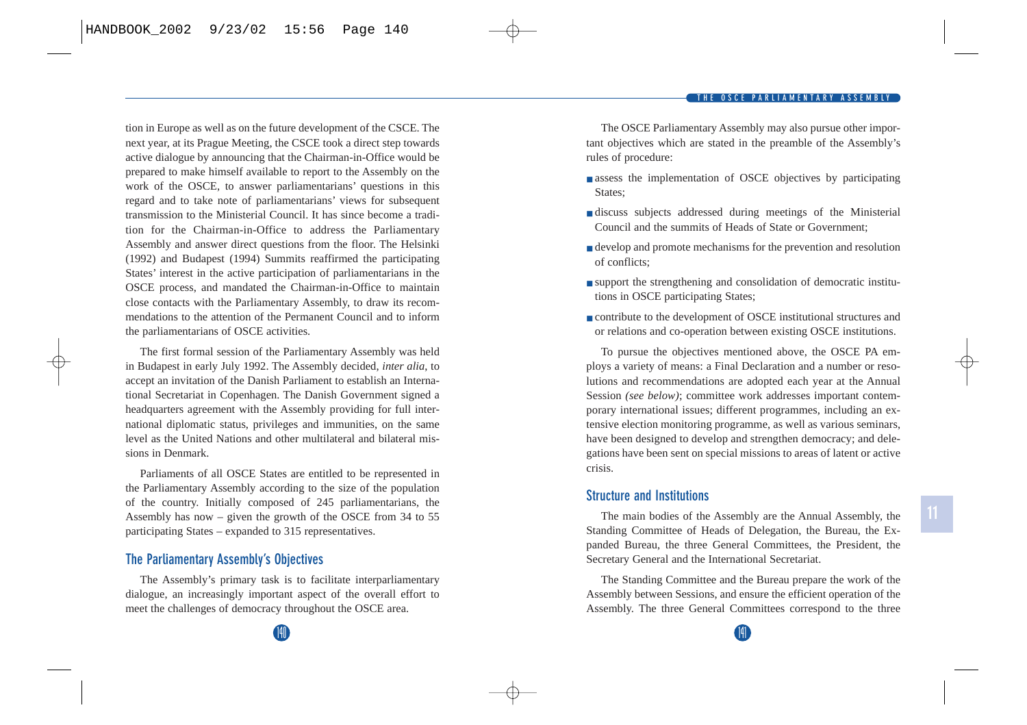tion in Europe as well as on the future development of the CSCE. The next year, at its Prague Meeting, the CSCE took a direct step towards active dialogue by announcing that the Chairman-in-Office would be prepared to make himself available to report to the Assembly on the work of the OSCE, to answer parliamentarians' questions in this regard and to take note of parliamentarians' views for subsequent transmission to the Ministerial Council. It has since become a tradition for the Chairman-in-Office to address the Parliamentary Assembly and answer direct questions from the floor. The Helsinki (1992) and Budapest (1994) Summits reaffirmed the participating States' interest in the active participation of parliamentarians in the OSCE process, and mandated the Chairman-in-Office to maintain close contacts with the Parliamentary Assembly, to draw its recommendations to the attention of the Permanent Council and to inform the parliamentarians of OSCE activities.

The first formal session of the Parliamentary Assembly was held in Budapest in early July 1992. The Assembly decided, *inter alia*, to accept an invitation of the Danish Parliament to establish an International Secretariat in Copenhagen. The Danish Government signed a headquarters agreement with the Assembly providing for full international diplomatic status, privileges and immunities, on the same level as the United Nations and other multilateral and bilateral missions in Denmark.

Parliaments of all OSCE States are entitled to be represented in the Parliamentary Assembly according to the size of the population of the country. Initially composed of 245 parliamentarians, the Assembly has now – given the growth of the OSCE from 34 to 55 participating States – expanded to 315 representatives.

## **The Parliamentary Assembly's Objectives**

The Assembly's primary task is to facilitate interparliamentary dialogue, an increasingly important aspect of the overall effort to meet the challenges of democracy throughout the OSCE area.

The OSCE Parliamentary Assembly may also pursue other important objectives which are stated in the preamble of the Assembly's rules of procedure:

- assess the implementation of OSCE objectives by participating States;
- discuss subjects addressed during meetings of the Ministerial Council and the summits of Heads of State or Government;
- develop and promote mechanisms for the prevention and resolution of conflicts;
- support the strengthening and consolidation of democratic institutions in OSCE participating States;
- contribute to the development of OSCE institutional structures and or relations and co-operation between existing OSCE institutions.

To pursue the objectives mentioned above, the OSCE PA employs a variety of means: a Final Declaration and a number or resolutions and recommendations are adopted each year at the Annual Session *(see below)*; committee work addresses important contemporary international issues; different programmes, including an extensive election monitoring programme, as well as various seminars, have been designed to develop and strengthen democracy; and delegations have been sent on special missions to areas of latent or active crisis.

## **Structure and Institutions**

The main bodies of the Assembly are the Annual Assembly, the Standing Committee of Heads of Delegation, the Bureau, the Expanded Bureau, the three General Committees, the President, the Secretary General and the International Secretariat.

The Standing Committee and the Bureau prepare the work of the Assembly between Sessions, and ensure the efficient operation of the Assembly. The three General Committees correspond to the three

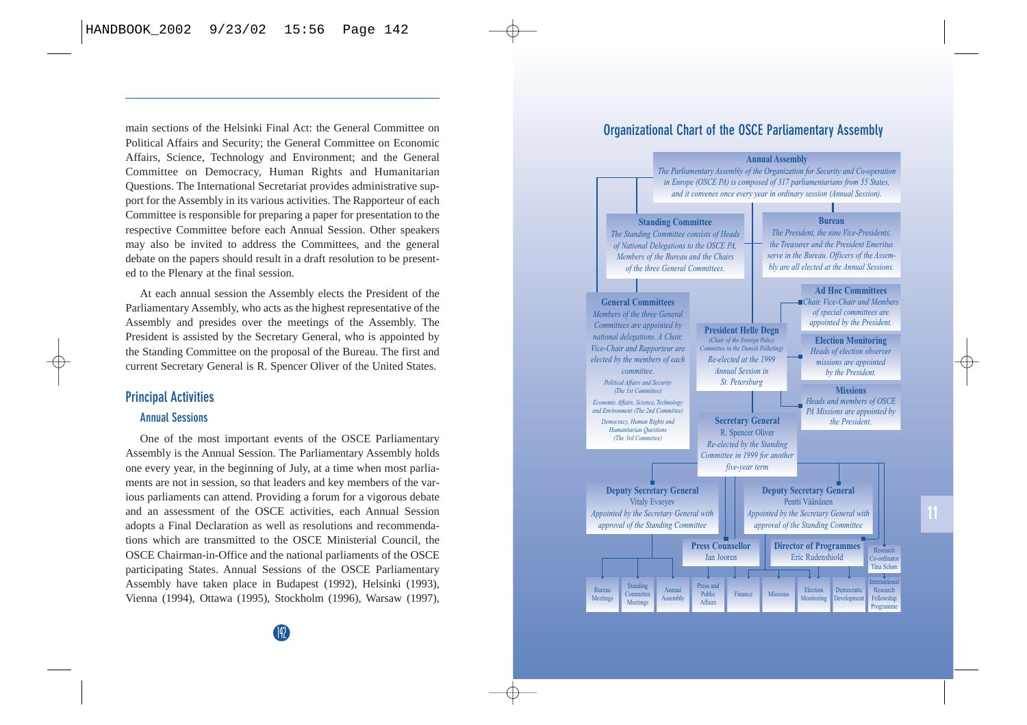main sections of the Helsinki Final Act: the General Committee on Political Affairs and Security; the General Committee on Economic Affairs, Science, Technology and Environment; and the General Committee on Democracy, Human Rights and Humanitarian Questions. The International Secretariat provides administrative support for the Assembly in its various activities. The Rapporteur of each Committee is responsible for preparing a paper for presentation to the respective Committee before each Annual Session. Other speakers may also be invited to address the Committees, and the general debate on the papers should result in a draft resolution to be presented to the Plenary at the final session.

At each annual session the Assembly elects the President of the Parliamentary Assembly, who acts as the highest representative of the Assembly and presides over the meetings of the Assembly. The President is assisted by the Secretary General, who is appointed by the Standing Committee on the proposal of the Bureau. The first and current Secretary General is R. Spencer Oliver of the United States.

## **Principal Activities**

### **Annual Sessions**

One of the most important events of the OSCE Parliamentary Assembly is the Annual Session. The Parliamentary Assembly holds one every year, in the beginning of July, at a time when most parliaments are not in session, so that leaders and key members of the various parliaments can attend. Providing a forum for a vigorous debate and an assessment of the OSCE activities, each Annual Session adopts a Final Declaration as well as resolutions and recommendations which are transmitted to the OSCE Ministerial Council, the OSCE Chairman-in-Office and the national parliaments of the OSCE participating States. Annual Sessions of the OSCE Parliamentary Assembly have taken place in Budapest (1992), Helsinki (1993), Vienna (1994), Ottawa (1995), Stockholm (1996), Warsaw (1997),

## **Organizational Chart of the OSCE Parliamentary Assembly**

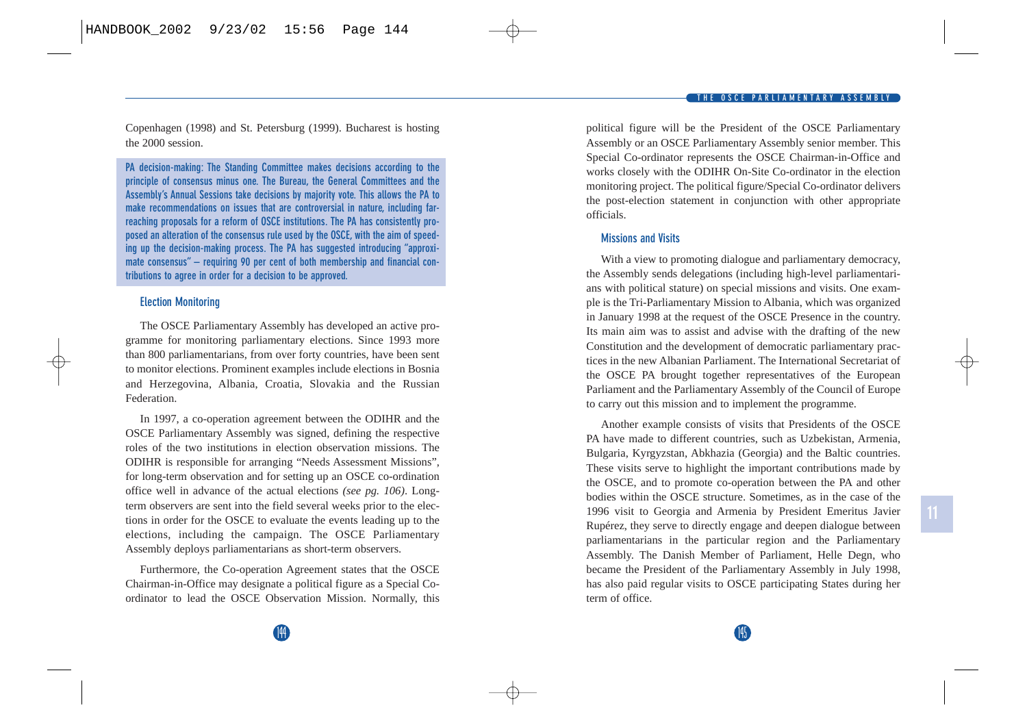Copenhagen (1998) and St. Petersburg (1999). Bucharest is hosting the 2000 session.

**PA decision-making: The Standing Committee makes decisions according to the principle of consensus minus one. The Bureau, the General Committees and the Assembly's Annual Sessions take decisions by majority vote. This allows the PA to make recommendations on issues that are controversial in nature, including farreaching proposals for a reform of OSCE institutions. The PA has consistently proposed an alteration of the consensus rule used by the OSCE, with the aim of speeding up the decision-making process. The PA has suggested introducing "approximate consensus" – requiring 90 per cent of both membership and financial contributions to agree in order for a decision to be approved.**

### **Election Monitoring**

The OSCE Parliamentary Assembly has developed an active programme for monitoring parliamentary elections. Since 1993 more than 800 parliamentarians, from over forty countries, have been sent to monitor elections. Prominent examples include elections in Bosnia and Herzegovina, Albania, Croatia, Slovakia and the Russian Federation.

In 1997, a co-operation agreement between the ODIHR and the OSCE Parliamentary Assembly was signed, defining the respective roles of the two institutions in election observation missions. The ODIHR is responsible for arranging "Needs Assessment Missions", for long-term observation and for setting up an OSCE co-ordination office well in advance of the actual elections *(see pg. 106)*. Longterm observers are sent into the field several weeks prior to the elections in order for the OSCE to evaluate the events leading up to the elections, including the campaign. The OSCE Parliamentary Assembly deploys parliamentarians as short-term observers.

Furthermore, the Co-operation Agreement states that the OSCE Chairman-in-Office may designate a political figure as a Special Coordinator to lead the OSCE Observation Mission. Normally, this political figure will be the President of the OSCE Parliamentary Assembly or an OSCE Parliamentary Assembly senior member. This Special Co-ordinator represents the OSCE Chairman-in-Office and works closely with the ODIHR On-Site Co-ordinator in the election monitoring project. The political figure/Special Co-ordinator delivers the post-election statement in conjunction with other appropriate officials.

### **Missions and Visits**

With a view to promoting dialogue and parliamentary democracy, the Assembly sends delegations (including high-level parliamentarians with political stature) on special missions and visits. One example is the Tri-Parliamentary Mission to Albania, which was organized in January 1998 at the request of the OSCE Presence in the country. Its main aim was to assist and advise with the drafting of the new Constitution and the development of democratic parliamentary practices in the new Albanian Parliament. The International Secretariat of the OSCE PA brought together representatives of the European Parliament and the Parliamentary Assembly of the Council of Europe to carry out this mission and to implement the programme.

Another example consists of visits that Presidents of the OSCE PA have made to different countries, such as Uzbekistan, Armenia, Bulgaria, Kyrgyzstan, Abkhazia (Georgia) and the Baltic countries. These visits serve to highlight the important contributions made by the OSCE, and to promote co-operation between the PA and other bodies within the OSCE structure. Sometimes, as in the case of the 1996 visit to Georgia and Armenia by President Emeritus Javier Rupérez, they serve to directly engage and deepen dialogue between parliamentarians in the particular region and the Parliamentary Assembly. The Danish Member of Parliament, Helle Degn, who became the President of the Parliamentary Assembly in July 1998, has also paid regular visits to OSCE participating States during her term of office.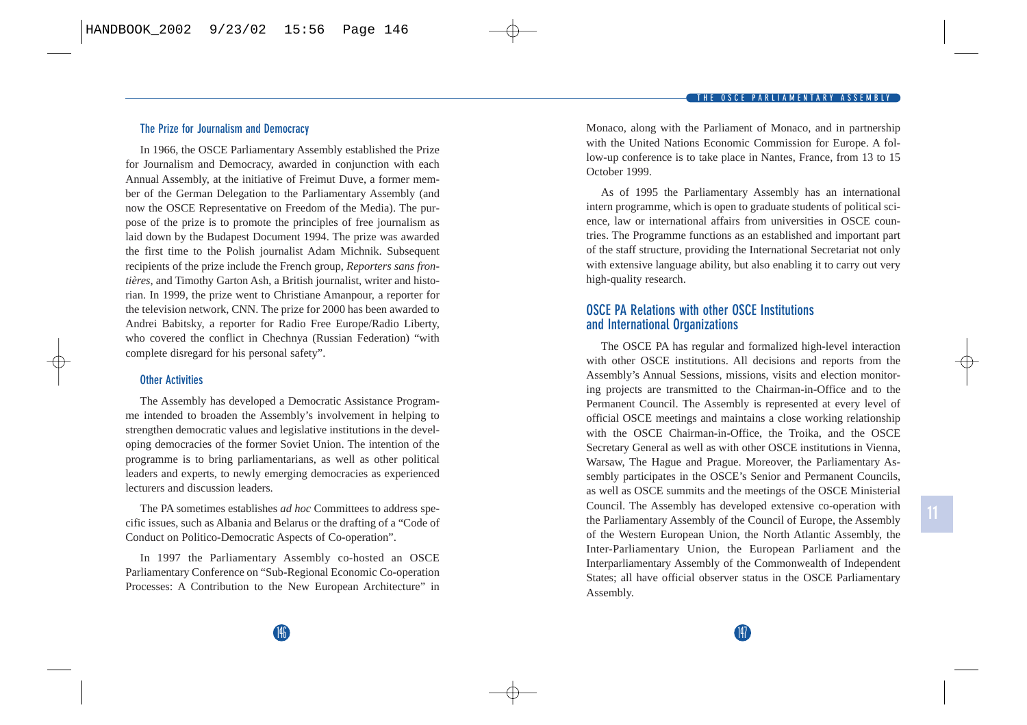### **The Prize for Journalism and Democracy**

In 1966, the OSCE Parliamentary Assembly established the Prize for Journalism and Democracy, awarded in conjunction with each Annual Assembly, at the initiative of Freimut Duve, a former member of the German Delegation to the Parliamentary Assembly (and now the OSCE Representative on Freedom of the Media). The purpose of the prize is to promote the principles of free journalism as laid down by the Budapest Document 1994. The prize was awarded the first time to the Polish journalist Adam Michnik. Subsequent recipients of the prize include the French group, *Reporters sans frontières,* and Timothy Garton Ash, a British journalist, writer and historian. In 1999, the prize went to Christiane Amanpour, a reporter for the television network, CNN. The prize for 2000 has been awarded to Andrei Babitsky, a reporter for Radio Free Europe/Radio Liberty, who covered the conflict in Chechnya (Russian Federation) "with complete disregard for his personal safety".

#### **Other Activities**

The Assembly has developed a Democratic Assistance Programme intended to broaden the Assembly's involvement in helping to strengthen democratic values and legislative institutions in the developing democracies of the former Soviet Union. The intention of the programme is to bring parliamentarians, as well as other political leaders and experts, to newly emerging democracies as experienced lecturers and discussion leaders.

The PA sometimes establishes *ad hoc* Committees to address specific issues, such as Albania and Belarus or the drafting of a "Code of Conduct on Politico-Democratic Aspects of Co-operation".

In 1997 the Parliamentary Assembly co-hosted an OSCE Parliamentary Conference on "Sub-Regional Economic Co-operation Processes: A Contribution to the New European Architecture" in Monaco, along with the Parliament of Monaco, and in partnership with the United Nations Economic Commission for Europe. A follow-up conference is to take place in Nantes, France, from 13 to 15 October 1999.

As of 1995 the Parliamentary Assembly has an international intern programme, which is open to graduate students of political science, law or international affairs from universities in OSCE countries. The Programme functions as an established and important part of the staff structure, providing the International Secretariat not only with extensive language ability, but also enabling it to carry out very high-quality research.

## **OSCE PA Relations with other OSCE Institutions and International Organizations**

The OSCE PA has regular and formalized high-level interaction with other OSCE institutions. All decisions and reports from the Assembly's Annual Sessions, missions, visits and election monitoring projects are transmitted to the Chairman-in-Office and to the Permanent Council. The Assembly is represented at every level of official OSCE meetings and maintains a close working relationship with the OSCE Chairman-in-Office, the Troika, and the OSCE Secretary General as well as with other OSCE institutions in Vienna, Warsaw, The Hague and Prague. Moreover, the Parliamentary Assembly participates in the OSCE's Senior and Permanent Councils, as well as OSCE summits and the meetings of the OSCE Ministerial Council. The Assembly has developed extensive co-operation with the Parliamentary Assembly of the Council of Europe, the Assembly of the Western European Union, the North Atlantic Assembly, the Inter-Parliamentary Union, the European Parliament and the Interparliamentary Assembly of the Commonwealth of Independent States; all have official observer status in the OSCE Parliamentary Assembly.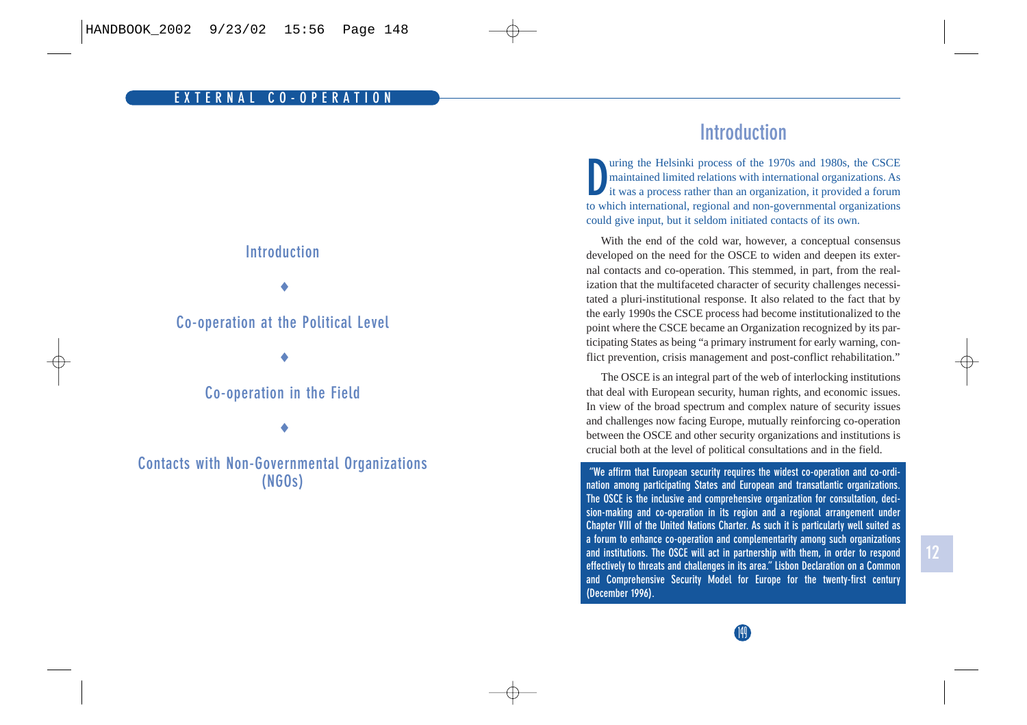

# **Introduction**

**D**uring the Helsinki process of the 1970s and 1980s, the CSCE maintained limited relations with international organizations. As it was a process rather than an organization, it provided a forum to which international, regional and non-governmental organizations could give input, but it seldom initiated contacts of its own.

With the end of the cold war, however, a conceptual consensus developed on the need for the OSCE to widen and deepen its external contacts and co-operation. This stemmed, in part, from the realization that the multifaceted character of security challenges necessitated a pluri-institutional response. It also related to the fact that by the early 1990s the CSCE process had become institutionalized to the point where the CSCE became an Organization recognized by its participating States as being "a primary instrument for early warning, conflict prevention, crisis management and post-conflict rehabilitation."

The OSCE is an integral part of the web of interlocking institutions that deal with European security, human rights, and economic issues. In view of the broad spectrum and complex nature of security issues and challenges now facing Europe, mutually reinforcing co-operation between the OSCE and other security organizations and institutions is crucial both at the level of political consultations and in the field.

**"We affirm that European security requires the widest co-operation and co-ordination among participating States and European and transatlantic organizations. The OSCE is the inclusive and comprehensive organization for consultation, decision-making and co-operation in its region and a regional arrangement under Chapter VIII of the United Nations Charter. As such it is particularly well suited as a forum to enhance co-operation and complementarity among such organizations and institutions. The OSCE will act in partnership with them, in order to respond effectively to threats and challenges in its area." Lisbon Declaration on a Common and Comprehensive Security Model for Europe for the twenty-first century (December 1996).**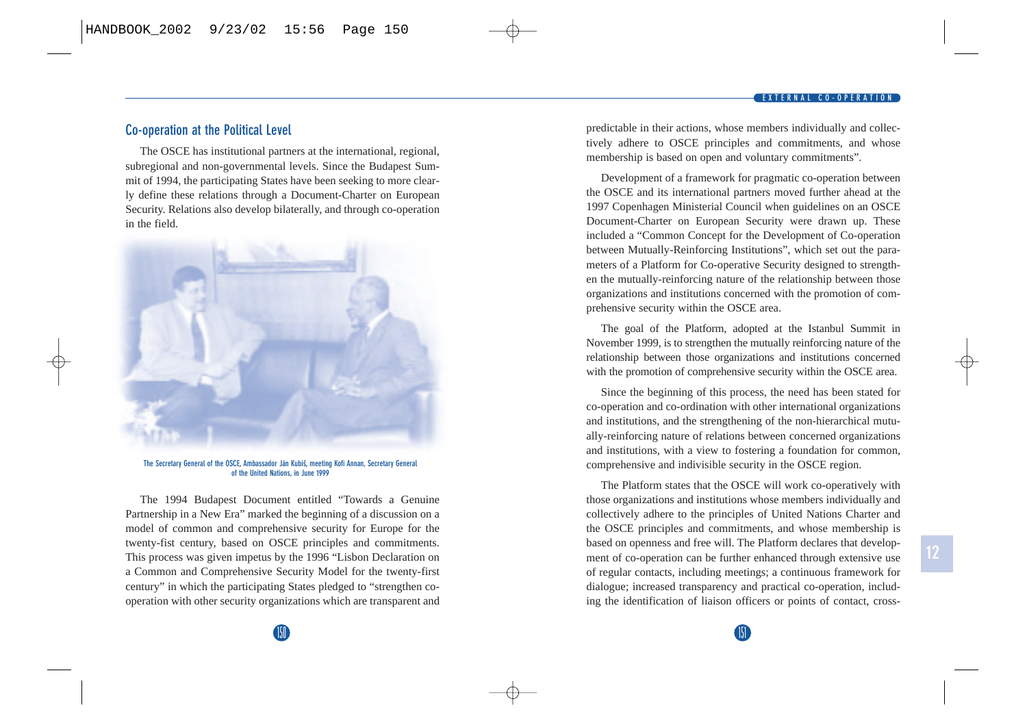## **Co-operation at the Political Level**

The OSCE has institutional partners at the international, regional, subregional and non-governmental levels. Since the Budapest Summit of 1994, the participating States have been seeking to more clearly define these relations through a Document-Charter on European Security. Relations also develop bilaterally, and through co-operation in the field.



**The Secretary General of the OSCE, Ambassador Ján Kubisˇ, meeting Kofi Annan, Secretary General of the United Nations, in June 1999** 

The 1994 Budapest Document entitled "Towards a Genuine Partnership in a New Era" marked the beginning of a discussion on a model of common and comprehensive security for Europe for the twenty-fist century, based on OSCE principles and commitments. This process was given impetus by the 1996 "Lisbon Declaration on a Common and Comprehensive Security Model for the twenty-first century" in which the participating States pledged to "strengthen cooperation with other security organizations which are transparent and predictable in their actions, whose members individually and collectively adhere to OSCE principles and commitments, and whose membership is based on open and voluntary commitments".

Development of a framework for pragmatic co-operation between the OSCE and its international partners moved further ahead at the 1997 Copenhagen Ministerial Council when guidelines on an OSCE Document-Charter on European Security were drawn up. These included a "Common Concept for the Development of Co-operation between Mutually-Reinforcing Institutions", which set out the parameters of a Platform for Co-operative Security designed to strengthen the mutually-reinforcing nature of the relationship between those organizations and institutions concerned with the promotion of comprehensive security within the OSCE area.

The goal of the Platform, adopted at the Istanbul Summit in November 1999, is to strengthen the mutually reinforcing nature of the relationship between those organizations and institutions concerned with the promotion of comprehensive security within the OSCE area.

Since the beginning of this process, the need has been stated for co-operation and co-ordination with other international organizations and institutions, and the strengthening of the non-hierarchical mutually-reinforcing nature of relations between concerned organizations and institutions, with a view to fostering a foundation for common, comprehensive and indivisible security in the OSCE region.

The Platform states that the OSCE will work co-operatively with those organizations and institutions whose members individually and collectively adhere to the principles of United Nations Charter and the OSCE principles and commitments, and whose membership is based on openness and free will. The Platform declares that development of co-operation can be further enhanced through extensive use of regular contacts, including meetings; a continuous framework for dialogue; increased transparency and practical co-operation, including the identification of liaison officers or points of contact, cross-

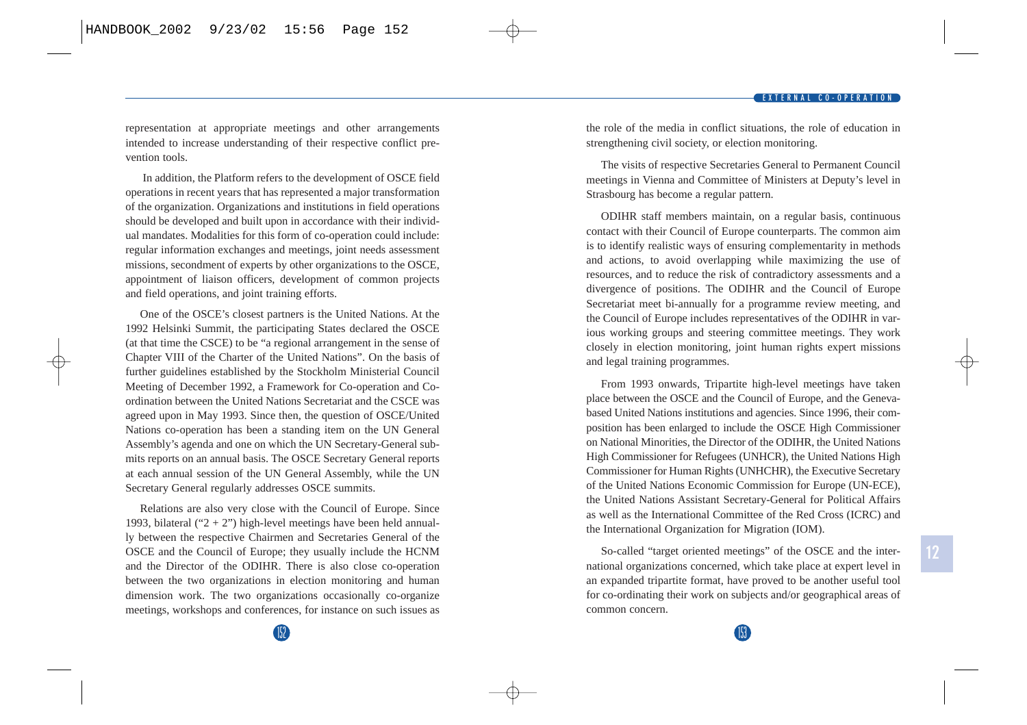representation at appropriate meetings and other arrangements intended to increase understanding of their respective conflict prevention tools.

In addition, the Platform refers to the development of OSCE field operations in recent years that has represented a major transformation of the organization. Organizations and institutions in field operations should be developed and built upon in accordance with their individual mandates. Modalities for this form of co-operation could include: regular information exchanges and meetings, joint needs assessment missions, secondment of experts by other organizations to the OSCE, appointment of liaison officers, development of common projects and field operations, and joint training efforts.

One of the OSCE's closest partners is the United Nations. At the 1992 Helsinki Summit, the participating States declared the OSCE (at that time the CSCE) to be "a regional arrangement in the sense of Chapter VIII of the Charter of the United Nations". On the basis of further guidelines established by the Stockholm Ministerial Council Meeting of December 1992, a Framework for Co-operation and Coordination between the United Nations Secretariat and the CSCE was agreed upon in May 1993. Since then, the question of OSCE/United Nations co-operation has been a standing item on the UN General Assembly's agenda and one on which the UN Secretary-General submits reports on an annual basis. The OSCE Secretary General reports at each annual session of the UN General Assembly, while the UN Secretary General regularly addresses OSCE summits.

Relations are also very close with the Council of Europe. Since 1993, bilateral (" $2 + 2$ ") high-level meetings have been held annually between the respective Chairmen and Secretaries General of the OSCE and the Council of Europe; they usually include the HCNM and the Director of the ODIHR. There is also close co-operation between the two organizations in election monitoring and human dimension work. The two organizations occasionally co-organize meetings, workshops and conferences, for instance on such issues as the role of the media in conflict situations, the role of education in strengthening civil society, or election monitoring.

The visits of respective Secretaries General to Permanent Council meetings in Vienna and Committee of Ministers at Deputy's level in Strasbourg has become a regular pattern.

ODIHR staff members maintain, on a regular basis, continuous contact with their Council of Europe counterparts. The common aim is to identify realistic ways of ensuring complementarity in methods and actions, to avoid overlapping while maximizing the use of resources, and to reduce the risk of contradictory assessments and a divergence of positions. The ODIHR and the Council of Europe Secretariat meet bi-annually for a programme review meeting, and the Council of Europe includes representatives of the ODIHR in various working groups and steering committee meetings. They work closely in election monitoring, joint human rights expert missions and legal training programmes.

From 1993 onwards, Tripartite high-level meetings have taken place between the OSCE and the Council of Europe, and the Genevabased United Nations institutions and agencies. Since 1996, their composition has been enlarged to include the OSCE High Commissioner on National Minorities, the Director of the ODIHR, the United Nations High Commissioner for Refugees (UNHCR), the United Nations High Commissioner for Human Rights (UNHCHR), the Executive Secretary of the United Nations Economic Commission for Europe (UN-ECE), the United Nations Assistant Secretary-General for Political Affairs as well as the International Committee of the Red Cross (ICRC) and the International Organization for Migration (IOM).

So-called "target oriented meetings" of the OSCE and the international organizations concerned, which take place at expert level in an expanded tripartite format, have proved to be another useful tool for co-ordinating their work on subjects and/or geographical areas of common concern.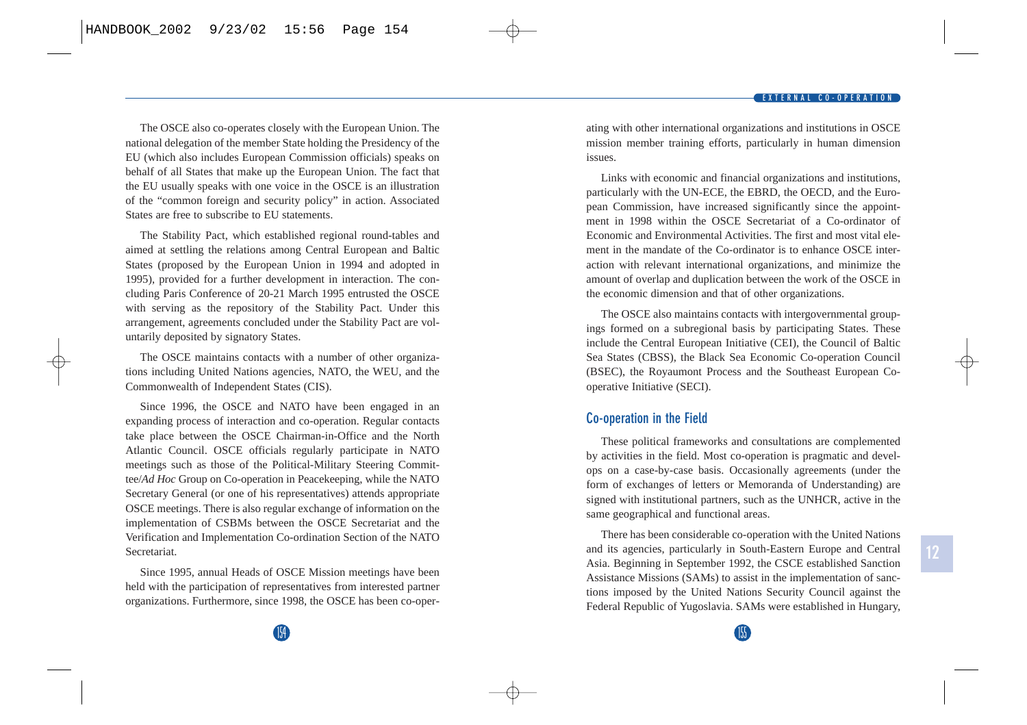The OSCE also co-operates closely with the European Union. The national delegation of the member State holding the Presidency of the EU (which also includes European Commission officials) speaks on behalf of all States that make up the European Union. The fact that the EU usually speaks with one voice in the OSCE is an illustration of the "common foreign and security policy" in action. Associated States are free to subscribe to EU statements.

The Stability Pact, which established regional round-tables and aimed at settling the relations among Central European and Baltic States (proposed by the European Union in 1994 and adopted in 1995), provided for a further development in interaction. The concluding Paris Conference of 20-21 March 1995 entrusted the OSCE with serving as the repository of the Stability Pact. Under this arrangement, agreements concluded under the Stability Pact are voluntarily deposited by signatory States.

The OSCE maintains contacts with a number of other organizations including United Nations agencies, NATO, the WEU, and the Commonwealth of Independent States (CIS).

Since 1996, the OSCE and NATO have been engaged in an expanding process of interaction and co-operation. Regular contacts take place between the OSCE Chairman-in-Office and the North Atlantic Council. OSCE officials regularly participate in NATO meetings such as those of the Political-Military Steering Committee/*Ad Hoc* Group on Co-operation in Peacekeeping, while the NATO Secretary General (or one of his representatives) attends appropriate OSCE meetings. There is also regular exchange of information on the implementation of CSBMs between the OSCE Secretariat and the Verification and Implementation Co-ordination Section of the NATO Secretariat.

Since 1995, annual Heads of OSCE Mission meetings have been held with the participation of representatives from interested partner organizations. Furthermore, since 1998, the OSCE has been co-operating with other international organizations and institutions in OSCE mission member training efforts, particularly in human dimension issues.

Links with economic and financial organizations and institutions, particularly with the UN-ECE, the EBRD, the OECD, and the European Commission, have increased significantly since the appointment in 1998 within the OSCE Secretariat of a Co-ordinator of Economic and Environmental Activities. The first and most vital element in the mandate of the Co-ordinator is to enhance OSCE interaction with relevant international organizations, and minimize the amount of overlap and duplication between the work of the OSCE in the economic dimension and that of other organizations.

The OSCE also maintains contacts with intergovernmental groupings formed on a subregional basis by participating States. These include the Central European Initiative (CEI), the Council of Baltic Sea States (CBSS), the Black Sea Economic Co-operation Council (BSEC), the Royaumont Process and the Southeast European Cooperative Initiative (SECI).

## **Co-operation in the Field**

These political frameworks and consultations are complemented by activities in the field. Most co-operation is pragmatic and develops on a case-by-case basis. Occasionally agreements (under the form of exchanges of letters or Memoranda of Understanding) are signed with institutional partners, such as the UNHCR, active in the same geographical and functional areas.

There has been considerable co-operation with the United Nations and its agencies, particularly in South-Eastern Europe and Central Asia. Beginning in September 1992, the CSCE established Sanction Assistance Missions (SAMs) to assist in the implementation of sanctions imposed by the United Nations Security Council against the Federal Republic of Yugoslavia. SAMs were established in Hungary,

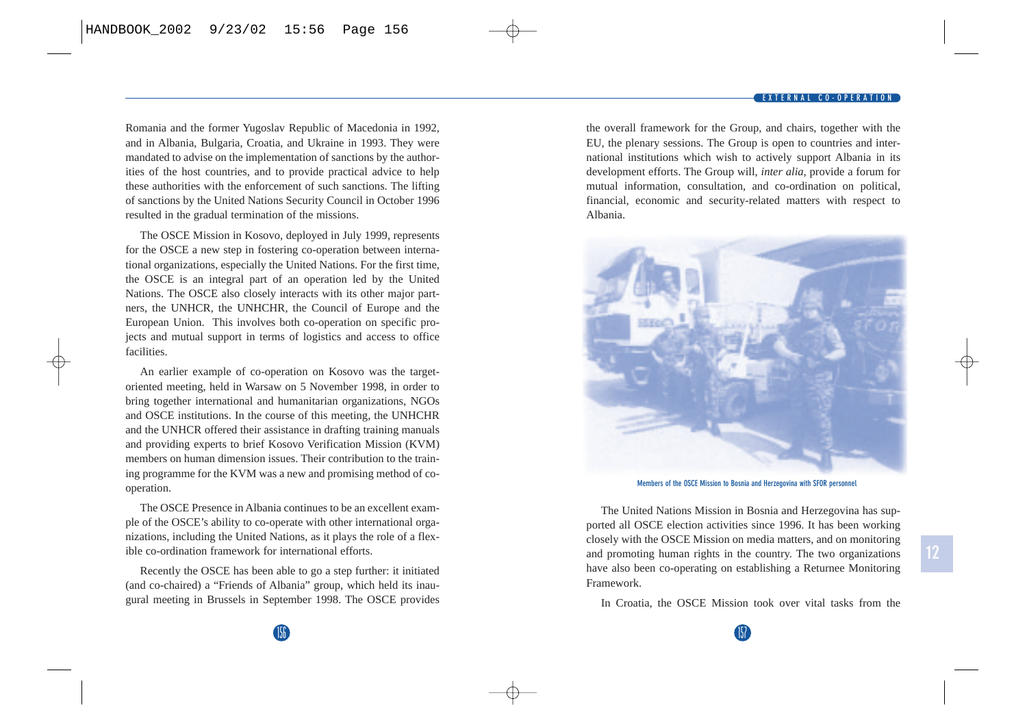#### **EXTERNAL CO-OPERATION**

Romania and the former Yugoslav Republic of Macedonia in 1992, and in Albania, Bulgaria, Croatia, and Ukraine in 1993. They were mandated to advise on the implementation of sanctions by the authorities of the host countries, and to provide practical advice to help these authorities with the enforcement of such sanctions. The lifting of sanctions by the United Nations Security Council in October 1996 resulted in the gradual termination of the missions.

The OSCE Mission in Kosovo, deployed in July 1999, represents for the OSCE a new step in fostering co-operation between international organizations, especially the United Nations. For the first time, the OSCE is an integral part of an operation led by the United Nations. The OSCE also closely interacts with its other major partners, the UNHCR, the UNHCHR, the Council of Europe and the European Union. This involves both co-operation on specific projects and mutual support in terms of logistics and access to office facilities.

An earlier example of co-operation on Kosovo was the targetoriented meeting, held in Warsaw on 5 November 1998, in order to bring together international and humanitarian organizations, NGOs and OSCE institutions. In the course of this meeting, the UNHCHR and the UNHCR offered their assistance in drafting training manuals and providing experts to brief Kosovo Verification Mission (KVM) members on human dimension issues. Their contribution to the training programme for the KVM was a new and promising method of cooperation.

The OSCE Presence in Albania continues to be an excellent example of the OSCE's ability to co-operate with other international organizations, including the United Nations, as it plays the role of a flexible co-ordination framework for international efforts.

Recently the OSCE has been able to go a step further: it initiated (and co-chaired) a "Friends of Albania" group, which held its inaugural meeting in Brussels in September 1998. The OSCE provides the overall framework for the Group, and chairs, together with the EU, the plenary sessions. The Group is open to countries and international institutions which wish to actively support Albania in its development efforts. The Group will, *inter alia*, provide a forum for mutual information, consultation, and co-ordination on political, financial, economic and security-related matters with respect to Albania.



**Members of the OSCE Mission to Bosnia and Herzegovina with SFOR personnel**

The United Nations Mission in Bosnia and Herzegovina has supported all OSCE election activities since 1996. It has been working closely with the OSCE Mission on media matters, and on monitoring and promoting human rights in the country. The two organizations have also been co-operating on establishing a Returnee Monitoring Framework.

In Croatia, the OSCE Mission took over vital tasks from the

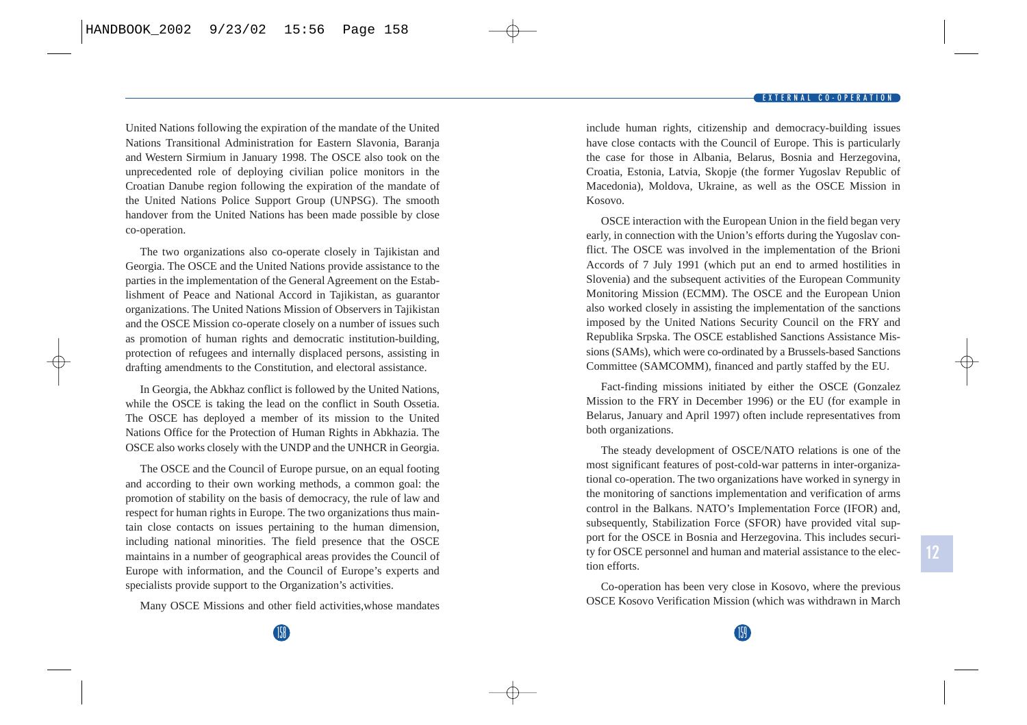United Nations following the expiration of the mandate of the United Nations Transitional Administration for Eastern Slavonia, Baranja and Western Sirmium in January 1998. The OSCE also took on the unprecedented role of deploying civilian police monitors in the Croatian Danube region following the expiration of the mandate of the United Nations Police Support Group (UNPSG). The smooth handover from the United Nations has been made possible by close co-operation.

The two organizations also co-operate closely in Tajikistan and Georgia. The OSCE and the United Nations provide assistance to the parties in the implementation of the General Agreement on the Establishment of Peace and National Accord in Tajikistan, as guarantor organizations. The United Nations Mission of Observers in Tajikistan and the OSCE Mission co-operate closely on a number of issues such as promotion of human rights and democratic institution-building, protection of refugees and internally displaced persons, assisting in drafting amendments to the Constitution, and electoral assistance.

In Georgia, the Abkhaz conflict is followed by the United Nations, while the OSCE is taking the lead on the conflict in South Ossetia. The OSCE has deployed a member of its mission to the United Nations Office for the Protection of Human Rights in Abkhazia. The OSCE also works closely with the UNDP and the UNHCR in Georgia.

The OSCE and the Council of Europe pursue, on an equal footing and according to their own working methods, a common goal: the promotion of stability on the basis of democracy, the rule of law and respect for human rights in Europe. The two organizations thus maintain close contacts on issues pertaining to the human dimension, including national minorities. The field presence that the OSCE maintains in a number of geographical areas provides the Council of Europe with information, and the Council of Europe's experts and specialists provide support to the Organization's activities.

Many OSCE Missions and other field activities,whose mandates

include human rights, citizenship and democracy-building issues have close contacts with the Council of Europe. This is particularly the case for those in Albania, Belarus, Bosnia and Herzegovina, Croatia, Estonia, Latvia, Skopje (the former Yugoslav Republic of Macedonia), Moldova, Ukraine, as well as the OSCE Mission in Kosovo.

OSCE interaction with the European Union in the field began very early, in connection with the Union's efforts during the Yugoslav conflict. The OSCE was involved in the implementation of the Brioni Accords of 7 July 1991 (which put an end to armed hostilities in Slovenia) and the subsequent activities of the European Community Monitoring Mission (ECMM). The OSCE and the European Union also worked closely in assisting the implementation of the sanctions imposed by the United Nations Security Council on the FRY and Republika Srpska. The OSCE established Sanctions Assistance Missions (SAMs), which were co-ordinated by a Brussels-based Sanctions Committee (SAMCOMM), financed and partly staffed by the EU.

Fact-finding missions initiated by either the OSCE (Gonzalez Mission to the FRY in December 1996) or the EU (for example in Belarus, January and April 1997) often include representatives from both organizations.

The steady development of OSCE/NATO relations is one of the most significant features of post-cold-war patterns in inter-organizational co-operation. The two organizations have worked in synergy in the monitoring of sanctions implementation and verification of arms control in the Balkans. NATO's Implementation Force (IFOR) and, subsequently, Stabilization Force (SFOR) have provided vital support for the OSCE in Bosnia and Herzegovina. This includes security for OSCE personnel and human and material assistance to the election efforts.

Co-operation has been very close in Kosovo, where the previous OSCE Kosovo Verification Mission (which was withdrawn in March

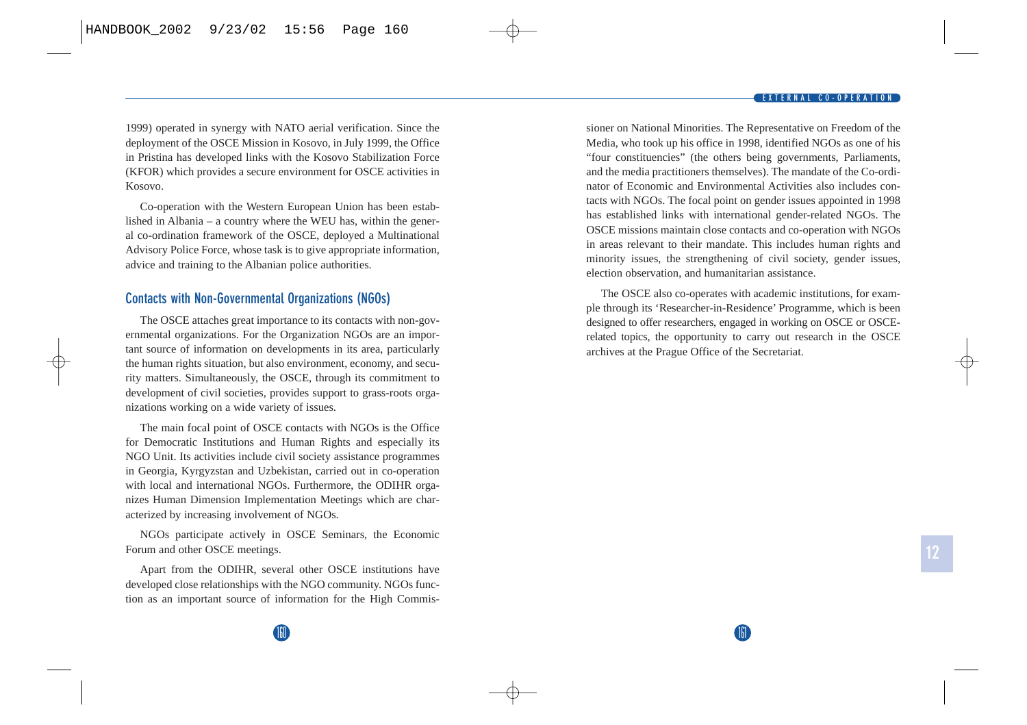1999) operated in synergy with NATO aerial verification. Since the deployment of the OSCE Mission in Kosovo, in July 1999, the Office in Pristina has developed links with the Kosovo Stabilization Force (KFOR) which provides a secure environment for OSCE activities in Kosovo.

Co-operation with the Western European Union has been established in Albania – a country where the WEU has, within the general co-ordination framework of the OSCE, deployed a Multinational Advisory Police Force, whose task is to give appropriate information, advice and training to the Albanian police authorities.

## **Contacts with Non-Governmental Organizations (NGOs)**

The OSCE attaches great importance to its contacts with non-governmental organizations. For the Organization NGOs are an important source of information on developments in its area, particularly the human rights situation, but also environment, economy, and security matters. Simultaneously, the OSCE, through its commitment to development of civil societies, provides support to grass-roots organizations working on a wide variety of issues.

The main focal point of OSCE contacts with NGOs is the Office for Democratic Institutions and Human Rights and especially its NGO Unit. Its activities include civil society assistance programmes in Georgia, Kyrgyzstan and Uzbekistan, carried out in co-operation with local and international NGOs. Furthermore, the ODIHR organizes Human Dimension Implementation Meetings which are characterized by increasing involvement of NGOs.

NGOs participate actively in OSCE Seminars, the Economic Forum and other OSCE meetings.

Apart from the ODIHR, several other OSCE institutions have developed close relationships with the NGO community. NGOs function as an important source of information for the High Commissioner on National Minorities. The Representative on Freedom of the Media, who took up his office in 1998, identified NGOs as one of his "four constituencies" (the others being governments, Parliaments, and the media practitioners themselves). The mandate of the Co-ordinator of Economic and Environmental Activities also includes contacts with NGOs. The focal point on gender issues appointed in 1998 has established links with international gender-related NGOs. The OSCE missions maintain close contacts and co-operation with NGOs in areas relevant to their mandate. This includes human rights and minority issues, the strengthening of civil society, gender issues, election observation, and humanitarian assistance.

The OSCE also co-operates with academic institutions, for example through its 'Researcher-in-Residence' Programme, which is been designed to offer researchers, engaged in working on OSCE or OSCErelated topics, the opportunity to carry out research in the OSCE archives at the Prague Office of the Secretariat.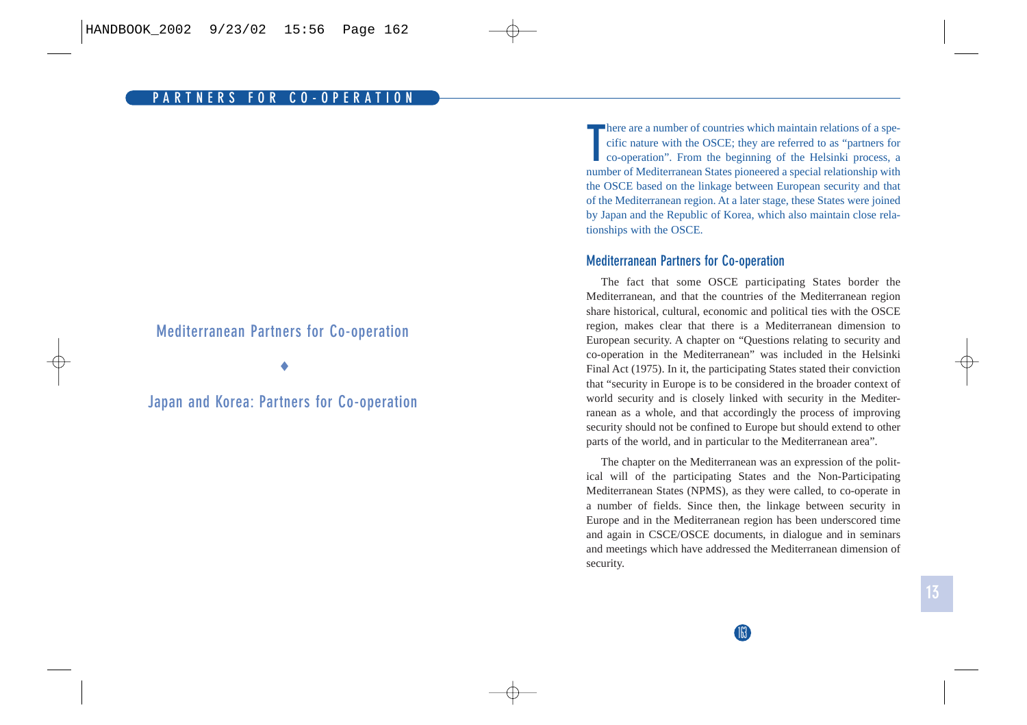## **Mediterranean Partners for Co-operation**

♦

**Japan and Korea: Partners for Co-operation**

**There are a number of countries which maintain relations of a specific nature with the OSCE; they are referred to as "partners for co-operation". From the beginning of the Helsinki process, a** number of Mediterranean States pioneered a special relationship with the OSCE based on the linkage between European security and that of the Mediterranean region. At a later stage, these States were joined by Japan and the Republic of Korea, which also maintain close relationships with the OSCE.

## **Mediterranean Partners for Co-operation**

The fact that some OSCE participating States border the Mediterranean, and that the countries of the Mediterranean region share historical, cultural, economic and political ties with the OSCE region, makes clear that there is a Mediterranean dimension to European security. A chapter on "Questions relating to security and co-operation in the Mediterranean" was included in the Helsinki Final Act (1975). In it, the participating States stated their conviction that "security in Europe is to be considered in the broader context of world security and is closely linked with security in the Mediterranean as a whole, and that accordingly the process of improving security should not be confined to Europe but should extend to other parts of the world, and in particular to the Mediterranean area".

The chapter on the Mediterranean was an expression of the political will of the participating States and the Non-Participating Mediterranean States (NPMS), as they were called, to co-operate in a number of fields. Since then, the linkage between security in Europe and in the Mediterranean region has been underscored time and again in CSCE/OSCE documents, in dialogue and in seminars and meetings which have addressed the Mediterranean dimension of security.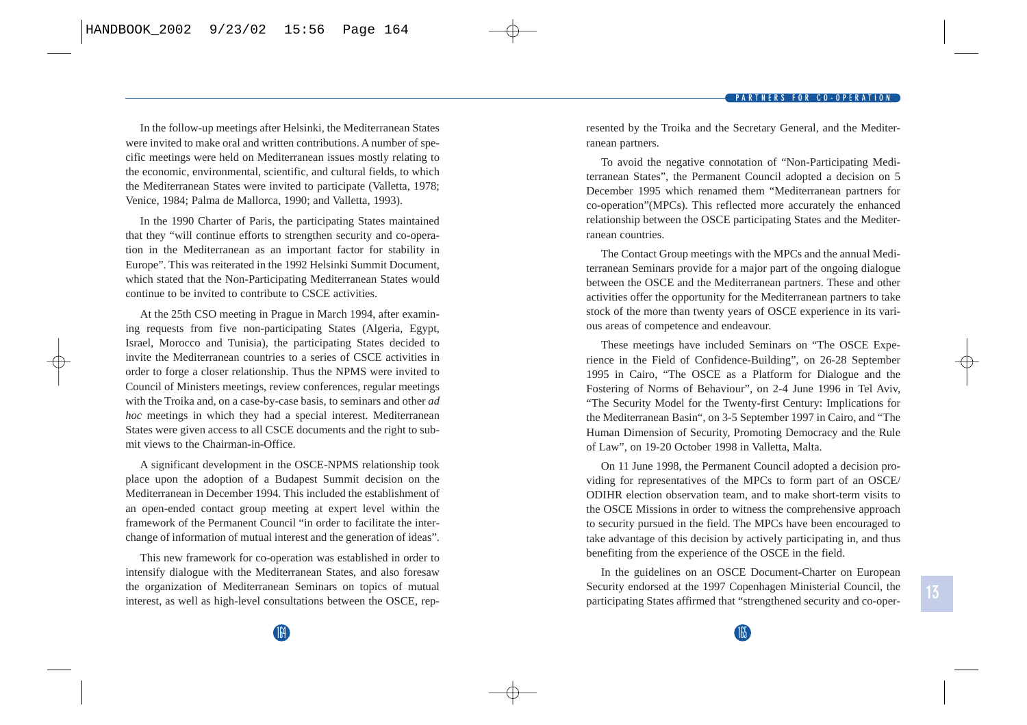In the follow-up meetings after Helsinki, the Mediterranean States were invited to make oral and written contributions. A number of specific meetings were held on Mediterranean issues mostly relating to the economic, environmental, scientific, and cultural fields, to which the Mediterranean States were invited to participate (Valletta, 1978; Venice, 1984; Palma de Mallorca, 1990; and Valletta, 1993).

In the 1990 Charter of Paris, the participating States maintained that they "will continue efforts to strengthen security and co-operation in the Mediterranean as an important factor for stability in Europe". This was reiterated in the 1992 Helsinki Summit Document, which stated that the Non-Participating Mediterranean States would continue to be invited to contribute to CSCE activities.

At the 25th CSO meeting in Prague in March 1994, after examining requests from five non-participating States (Algeria, Egypt, Israel, Morocco and Tunisia), the participating States decided to invite the Mediterranean countries to a series of CSCE activities in order to forge a closer relationship. Thus the NPMS were invited to Council of Ministers meetings, review conferences, regular meetings with the Troika and, on a case-by-case basis, to seminars and other *ad hoc* meetings in which they had a special interest. Mediterranean States were given access to all CSCE documents and the right to submit views to the Chairman-in-Office.

A significant development in the OSCE-NPMS relationship took place upon the adoption of a Budapest Summit decision on the Mediterranean in December 1994. This included the establishment of an open-ended contact group meeting at expert level within the framework of the Permanent Council "in order to facilitate the interchange of information of mutual interest and the generation of ideas".

This new framework for co-operation was established in order to intensify dialogue with the Mediterranean States, and also foresaw the organization of Mediterranean Seminars on topics of mutual interest, as well as high-level consultations between the OSCE, rep-

164

resented by the Troika and the Secretary General, and the Mediterranean partners.

To avoid the negative connotation of "Non-Participating Mediterranean States", the Permanent Council adopted a decision on 5 December 1995 which renamed them "Mediterranean partners for co-operation"(MPCs). This reflected more accurately the enhanced relationship between the OSCE participating States and the Mediterranean countries.

The Contact Group meetings with the MPCs and the annual Mediterranean Seminars provide for a major part of the ongoing dialogue between the OSCE and the Mediterranean partners. These and other activities offer the opportunity for the Mediterranean partners to take stock of the more than twenty years of OSCE experience in its various areas of competence and endeavour.

These meetings have included Seminars on "The OSCE Experience in the Field of Confidence-Building", on 26-28 September 1995 in Cairo, "The OSCE as a Platform for Dialogue and the Fostering of Norms of Behaviour", on 2-4 June 1996 in Tel Aviv, "The Security Model for the Twenty-first Century: Implications for the Mediterranean Basin", on 3-5 September 1997 in Cairo, and "The Human Dimension of Security, Promoting Democracy and the Rule of Law", on 19-20 October 1998 in Valletta, Malta.

On 11 June 1998, the Permanent Council adopted a decision providing for representatives of the MPCs to form part of an OSCE/ ODIHR election observation team, and to make short-term visits to the OSCE Missions in order to witness the comprehensive approach to security pursued in the field. The MPCs have been encouraged to take advantage of this decision by actively participating in, and thus benefiting from the experience of the OSCE in the field.

In the guidelines on an OSCE Document-Charter on European Security endorsed at the 1997 Copenhagen Ministerial Council, the participating States affirmed that "strengthened security and co-oper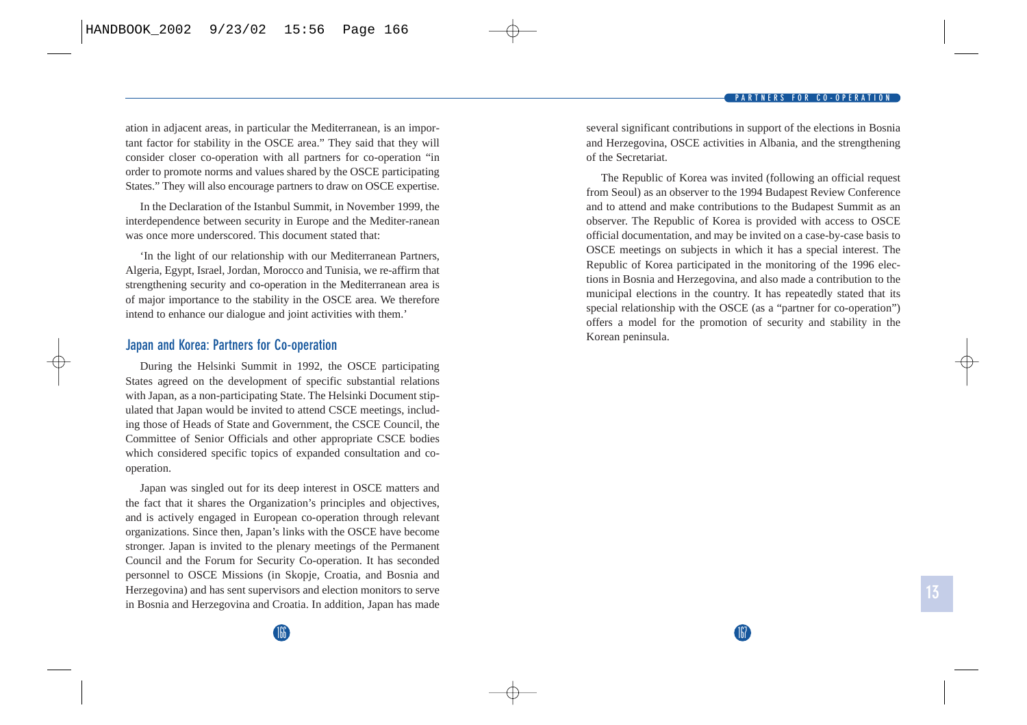ation in adjacent areas, in particular the Mediterranean, is an important factor for stability in the OSCE area." They said that they will consider closer co-operation with all partners for co-operation "in order to promote norms and values shared by the OSCE participating States." They will also encourage partners to draw on OSCE expertise.

In the Declaration of the Istanbul Summit, in November 1999, the interdependence between security in Europe and the Mediter-ranean was once more underscored. This document stated that:

'In the light of our relationship with our Mediterranean Partners, Algeria, Egypt, Israel, Jordan, Morocco and Tunisia, we re-affirm that strengthening security and co-operation in the Mediterranean area is of major importance to the stability in the OSCE area. We therefore intend to enhance our dialogue and joint activities with them.'

## **Japan and Korea: Partners for Co-operation**

During the Helsinki Summit in 1992, the OSCE participating States agreed on the development of specific substantial relations with Japan, as a non-participating State. The Helsinki Document stipulated that Japan would be invited to attend CSCE meetings, including those of Heads of State and Government, the CSCE Council, the Committee of Senior Officials and other appropriate CSCE bodies which considered specific topics of expanded consultation and cooperation.

Japan was singled out for its deep interest in OSCE matters and the fact that it shares the Organization's principles and objectives, and is actively engaged in European co-operation through relevant organizations. Since then, Japan's links with the OSCE have become stronger. Japan is invited to the plenary meetings of the Permanent Council and the Forum for Security Co-operation. It has seconded personnel to OSCE Missions (in Skopje, Croatia, and Bosnia and Herzegovina) and has sent supervisors and election monitors to serve in Bosnia and Herzegovina and Croatia. In addition, Japan has made several significant contributions in support of the elections in Bosnia and Herzegovina, OSCE activities in Albania, and the strengthening of the Secretariat.

The Republic of Korea was invited (following an official request from Seoul) as an observer to the 1994 Budapest Review Conference and to attend and make contributions to the Budapest Summit as an observer. The Republic of Korea is provided with access to OSCE official documentation, and may be invited on a case-by-case basis to OSCE meetings on subjects in which it has a special interest. The Republic of Korea participated in the monitoring of the 1996 elections in Bosnia and Herzegovina, and also made a contribution to the municipal elections in the country. It has repeatedly stated that its special relationship with the OSCE (as a "partner for co-operation") offers a model for the promotion of security and stability in the Korean peninsula.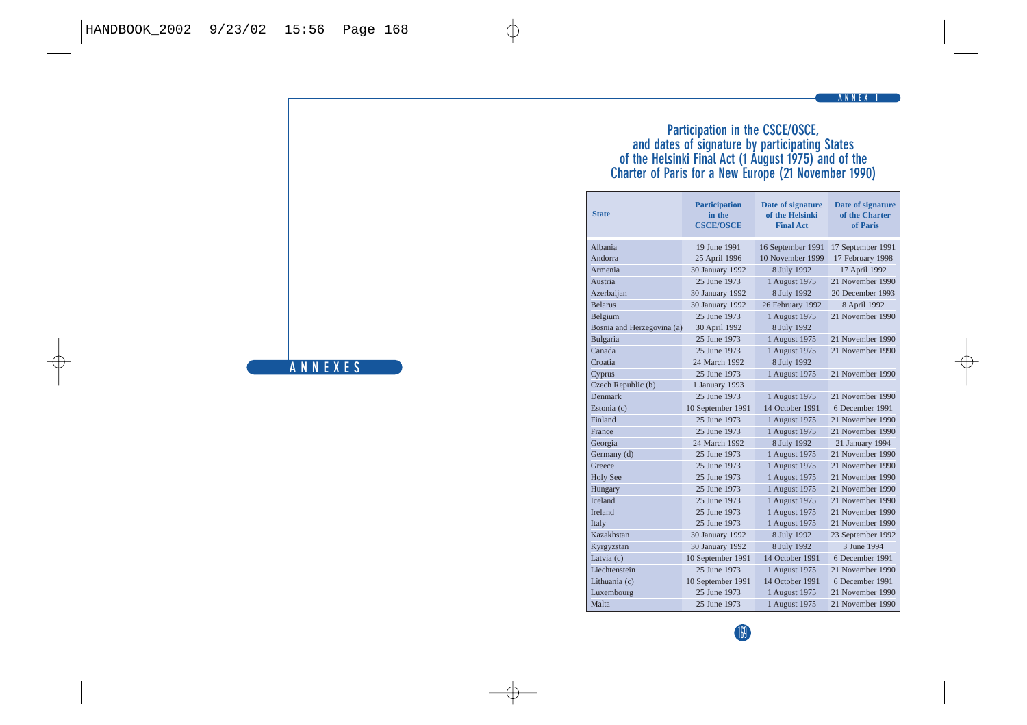### **Participation in the CSCE/OSCE, and dates of signature by participating States of the Helsinki Final Act (1 August 1975) and of the Charter of Paris for a New Europe (21 November 1990)**

| <b>State</b>               | <b>Participation</b><br>in the<br><b>CSCE/OSCE</b> | Date of signature<br>of the Helsinki<br><b>Final Act</b> | <b>Date of signature</b><br>of the Charter<br>of Paris |
|----------------------------|----------------------------------------------------|----------------------------------------------------------|--------------------------------------------------------|
| Albania                    | 19 June 1991                                       | 16 September 1991                                        | 17 September 1991                                      |
| Andorra                    | 25 April 1996                                      | 10 November 1999                                         | 17 February 1998                                       |
| Armenia                    | 30 January 1992                                    | 8 July 1992                                              | 17 April 1992                                          |
| Austria                    | 25 June 1973                                       | 1 August 1975                                            | 21 November 1990                                       |
| Azerbaijan                 | 30 January 1992                                    | 8 July 1992                                              | 20 December 1993                                       |
| <b>Belarus</b>             | 30 January 1992                                    | 26 February 1992                                         | 8 April 1992                                           |
| Belgium                    | 25 June 1973                                       | 1 August 1975                                            | 21 November 1990                                       |
| Bosnia and Herzegovina (a) | 30 April 1992                                      | 8 July 1992                                              |                                                        |
| Bulgaria                   | 25 June 1973                                       | 1 August 1975                                            | 21 November 1990                                       |
| Canada                     | 25 June 1973                                       | 1 August 1975                                            | 21 November 1990                                       |
| Croatia                    | 24 March 1992                                      | 8 July 1992                                              |                                                        |
| Cyprus                     | 25 June 1973                                       | 1 August 1975                                            | 21 November 1990                                       |
| Czech Republic (b)         | 1 January 1993                                     |                                                          |                                                        |
| <b>Denmark</b>             | 25 June 1973                                       | 1 August 1975                                            | 21 November 1990                                       |
| Estonia (c)                | 10 September 1991                                  | 14 October 1991                                          | 6 December 1991                                        |
| Finland                    | 25 June 1973                                       | 1 August 1975                                            | 21 November 1990                                       |
| <b>France</b>              | 25 June 1973                                       | 1 August 1975                                            | 21 November 1990                                       |
| Georgia                    | 24 March 1992                                      | 8 July 1992                                              | 21 January 1994                                        |
| Germany (d)                | 25 June 1973                                       | 1 August 1975                                            | 21 November 1990                                       |
| Greece                     | 25 June 1973                                       | 1 August 1975                                            | 21 November 1990                                       |
| <b>Holy See</b>            | 25 June 1973                                       | 1 August 1975                                            | 21 November 1990                                       |
| Hungary                    | 25 June 1973                                       | 1 August 1975                                            | 21 November 1990                                       |
| <b>Iceland</b>             | 25 June 1973                                       | 1 August 1975                                            | 21 November 1990                                       |
| <b>Ireland</b>             | 25 June 1973                                       | 1 August 1975                                            | 21 November 1990                                       |
| Italy                      | 25 June 1973                                       | 1 August 1975                                            | 21 November 1990                                       |
| Kazakhstan                 | 30 January 1992                                    | 8 July 1992                                              | 23 September 1992                                      |
| Kyrgyzstan                 | 30 January 1992                                    | 8 July 1992                                              | 3 June 1994                                            |
| Latvia (c)                 | 10 September 1991                                  | 14 October 1991                                          | 6 December 1991                                        |
| Liechtenstein              | 25 June 1973                                       | 1 August 1975                                            | 21 November 1990                                       |
| Lithuania (c)              | 10 September 1991                                  | 14 October 1991                                          | 6 December 1991                                        |
| Luxembourg                 | 25 June 1973                                       | 1 August 1975                                            | 21 November 1990                                       |
| Malta                      | 25 June 1973                                       | 1 August 1975                                            | 21 November 1990                                       |



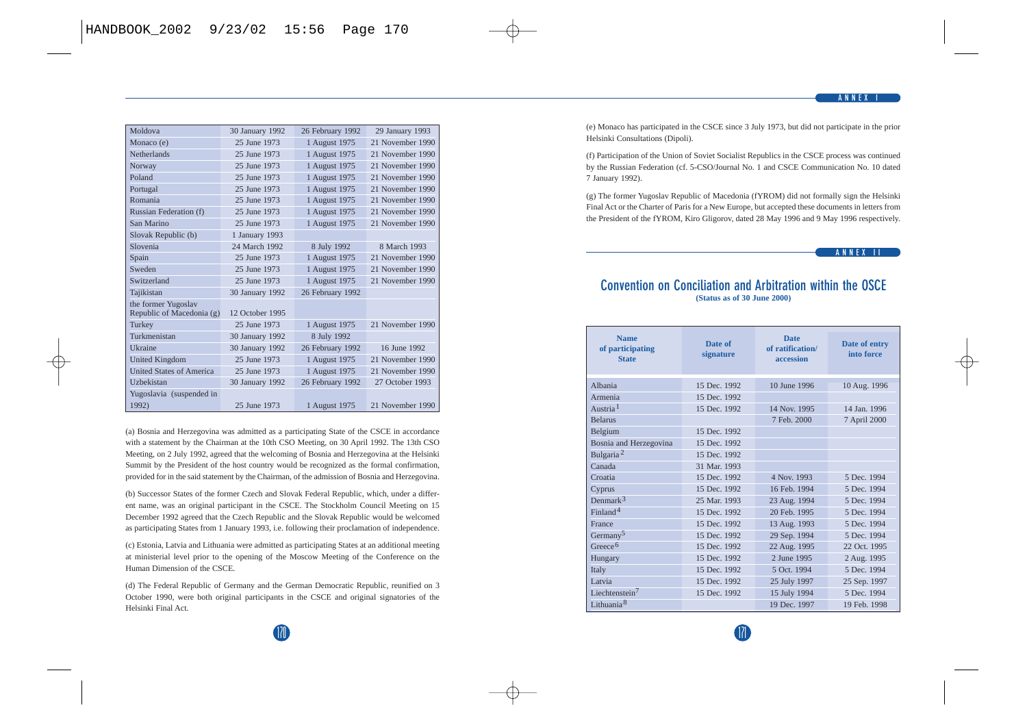| Moldova                                          | 30 January 1992 | 26 February 1992 | 29 January 1993  |
|--------------------------------------------------|-----------------|------------------|------------------|
| Monaco (e)                                       | 25 June 1973    | 1 August 1975    | 21 November 1990 |
| <b>Netherlands</b>                               | 25 June 1973    | 1 August 1975    | 21 November 1990 |
| Norway                                           | 25 June 1973    | 1 August 1975    | 21 November 1990 |
| Poland                                           | 25 June 1973    | 1 August 1975    | 21 November 1990 |
| Portugal                                         | 25 June 1973    | 1 August 1975    | 21 November 1990 |
| Romania                                          | 25 June 1973    | 1 August 1975    | 21 November 1990 |
| Russian Federation (f)                           | 25 June 1973    | 1 August 1975    | 21 November 1990 |
| San Marino                                       | 25 June 1973    | 1 August 1975    | 21 November 1990 |
| Slovak Republic (b)                              | 1 January 1993  |                  |                  |
| Slovenia                                         | 24 March 1992   | 8 July 1992      | 8 March 1993     |
| Spain                                            | 25 June 1973    | 1 August 1975    | 21 November 1990 |
| Sweden                                           | 25 June 1973    | 1 August 1975    | 21 November 1990 |
| Switzerland                                      | 25 June 1973    | 1 August 1975    | 21 November 1990 |
| Tajikistan                                       | 30 January 1992 | 26 February 1992 |                  |
| the former Yugoslav<br>Republic of Macedonia (g) | 12 October 1995 |                  |                  |
| Turkey                                           | 25 June 1973    | 1 August 1975    | 21 November 1990 |
| Turkmenistan                                     | 30 January 1992 | 8 July 1992      |                  |
| <b>Ukraine</b>                                   | 30 January 1992 | 26 February 1992 | 16 June 1992     |
| <b>United Kingdom</b>                            | 25 June 1973    | 1 August 1975    | 21 November 1990 |
| <b>United States of America</b>                  | 25 June 1973    | 1 August 1975    | 21 November 1990 |
| Uzhekistan                                       | 30 January 1992 | 26 February 1992 | 27 October 1993  |
| Yugoslavia (suspended in                         |                 |                  |                  |
| 1992)                                            | 25 June 1973    | 1 August 1975    | 21 November 1990 |

(a) Bosnia and Herzegovina was admitted as a participating State of the CSCE in accordance with a statement by the Chairman at the 10th CSO Meeting, on 30 April 1992. The 13th CSO Meeting, on 2 July 1992, agreed that the welcoming of Bosnia and Herzegovina at the Helsinki Summit by the President of the host country would be recognized as the formal confirmation, provided for in the said statement by the Chairman, of the admission of Bosnia and Herzegovina.

(b) Successor States of the former Czech and Slovak Federal Republic, which, under a different name, was an original participant in the CSCE. The Stockholm Council Meeting on 15 December 1992 agreed that the Czech Republic and the Slovak Republic would be welcomed as participating States from 1 January 1993, i.e. following their proclamation of independence.

(c) Estonia, Latvia and Lithuania were admitted as participating States at an additional meeting at ministerial level prior to the opening of the Moscow Meeting of the Conference on the Human Dimension of the CSCE.

(d) The Federal Republic of Germany and the German Democratic Republic, reunified on 3 October 1990, were both original participants in the CSCE and original signatories of the Helsinki Final Act.

(e) Monaco has participated in the CSCE since 3 July 1973, but did not participate in the prior Helsinki Consultations (Dipoli).

(f) Participation of the Union of Soviet Socialist Republics in the CSCE process was continued by the Russian Federation (cf. 5-CSO/Journal No. 1 and CSCE Communication No. 10 dated 7 January 1992).

(g) The former Yugoslav Republic of Macedonia (fYROM) did not formally sign the Helsinki Final Act or the Charter of Paris for a New Europe, but accepted these documents in letters from the President of the fYROM, Kiro Gligorov, dated 28 May 1996 and 9 May 1996 respectively.

#### **ANNEX II**

### **Convention on Conciliation and Arbitration within the OSCE (Status as of 30 June 2000)**

| <b>Name</b><br>of participating<br><b>State</b> | Date of<br>signature | <b>Date</b><br>of ratification/<br>accession | Date of entry<br>into force |
|-------------------------------------------------|----------------------|----------------------------------------------|-----------------------------|
| Albania                                         | 15 Dec. 1992         | 10 June 1996                                 | 10 Aug. 1996                |
| Armenia                                         | 15 Dec. 1992         |                                              |                             |
| Austria <sup>1</sup>                            | 15 Dec. 1992         | 14 Nov. 1995                                 | 14 Jan. 1996                |
| <b>Belarus</b>                                  |                      | 7 Feb. 2000                                  | 7 April 2000                |
| Belgium                                         | 15 Dec. 1992         |                                              |                             |
| Bosnia and Herzegovina                          | 15 Dec. 1992         |                                              |                             |
| Bulgaria <sup>2</sup>                           | 15 Dec. 1992         |                                              |                             |
| Canada                                          | 31 Mar. 1993         |                                              |                             |
| Croatia                                         | 15 Dec. 1992         | 4 Nov. 1993                                  | 5 Dec. 1994                 |
| Cyprus                                          | 15 Dec. 1992         | 16 Feb. 1994                                 | 5 Dec. 1994                 |
| Denmark <sup>3</sup>                            | 25 Mar. 1993         | 23 Aug. 1994                                 | 5 Dec. 1994                 |
| Find and 4                                      | 15 Dec. 1992         | 20 Feb. 1995                                 | 5 Dec. 1994                 |
| <b>France</b>                                   | 15 Dec. 1992         | 13 Aug. 1993                                 | 5 Dec. 1994                 |
| Germany <sup>5</sup>                            | 15 Dec. 1992         | 29 Sep. 1994                                 | 5 Dec. 1994                 |
| Greece <sup>6</sup>                             | 15 Dec. 1992         | 22 Aug. 1995                                 | 22 Oct. 1995                |
| Hungary                                         | 15 Dec. 1992         | 2 June 1995                                  | 2 Aug. 1995                 |
| Italy                                           | 15 Dec. 1992         | 5 Oct. 1994                                  | 5 Dec. 1994                 |
| Latvia                                          | 15 Dec. 1992         | 25 July 1997                                 | 25 Sep. 1997                |
| Liechtenstein $7$                               | 15 Dec. 1992         | 15 July 1994                                 | 5 Dec. 1994                 |
| Lithuania <sup>8</sup>                          |                      | 19 Dec. 1997                                 | 19 Feb. 1998                |

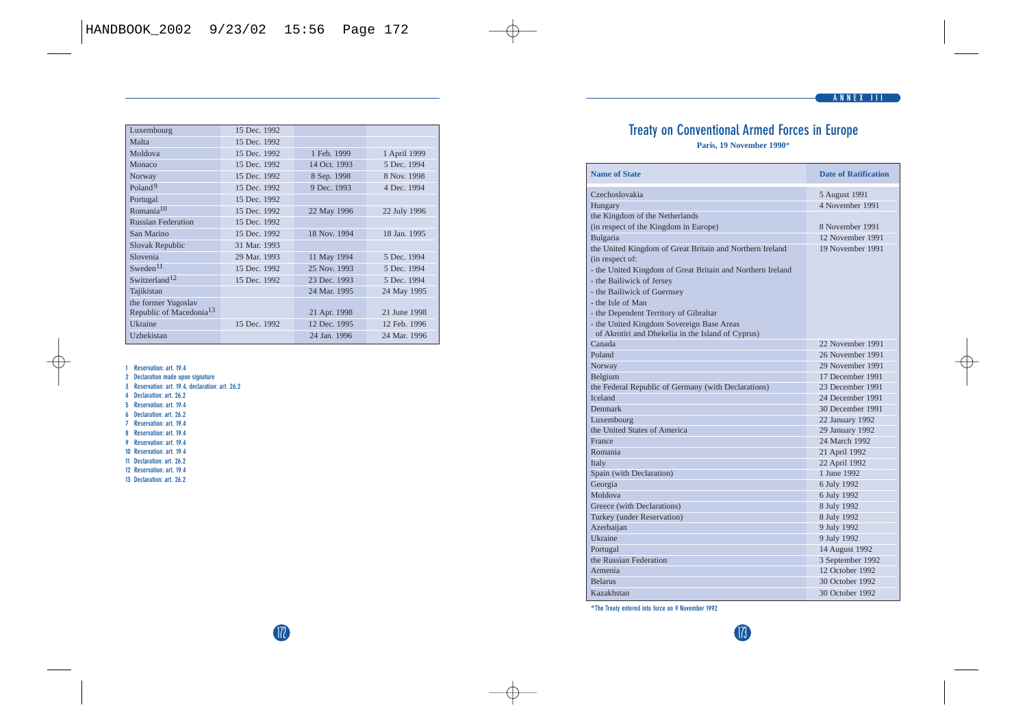# **Treaty on Conventional Armed Forces in Europe**

**Paris, 19 November 1990**\*

| <b>Name of State</b>                                       | <b>Date of Ratification</b> |
|------------------------------------------------------------|-----------------------------|
| Czechoslovakia                                             | 5 August 1991               |
| Hungary                                                    | 4 November 1991             |
| the Kingdom of the Netherlands                             |                             |
| (in respect of the Kingdom in Europe)                      | 8 November 1991             |
| Bulgaria                                                   | 12 November 1991            |
| the United Kingdom of Great Britain and Northern Ireland   | 19 November 1991            |
| (in respect of:                                            |                             |
| - the United Kingdom of Great Britain and Northern Ireland |                             |
| - the Bailiwick of Jersey                                  |                             |
| - the Bailiwick of Guernsey                                |                             |
| - the Isle of Man                                          |                             |
| - the Dependent Territory of Gibraltar                     |                             |
| - the United Kingdom Sovereign Base Areas                  |                             |
| of Akrotiri and Dhekelia in the Island of Cyprus)          |                             |
| Canada                                                     | 22 November 1991            |
| Poland                                                     | 26 November 1991            |
| Norway                                                     | 29 November 1991            |
| Belgium                                                    | 17 December 1991            |
| the Federal Republic of Germany (with Declarations)        | 23 December 1991            |
| <b>Iceland</b>                                             | 24 December 1991            |
| <b>Denmark</b>                                             | 30 December 1991            |
| Luxembourg                                                 | 22 January 1992             |
| the United States of America                               | 29 January 1992             |
| France                                                     | 24 March 1992.              |
| Romania                                                    | 21 April 1992               |
| Italy                                                      | 22 April 1992               |
| Spain (with Declaration)                                   | 1 June 1992                 |
| Georgia                                                    | 6 July 1992                 |
| Moldova                                                    | 6 July 1992                 |
| Greece (with Declarations)                                 | 8 July 1992                 |
| Turkey (under Reservation)                                 | 8 July 1992                 |
| Azerbaiian                                                 | 9 July 1992                 |
| <b>Ukraine</b>                                             | 9 July 1992                 |
| Portugal                                                   | 14 August 1992              |
| the Russian Federation                                     | 3 September 1992            |
| Armenia                                                    | 12. October 1992.           |
| <b>Relarns</b>                                             | 30 October 1992             |
| Kazakhstan                                                 | 30 October 1992             |

\***The Treaty entered into force on 9 November 1992**

| Luxembourg                          | 15 Dec. 1992 |              |              |
|-------------------------------------|--------------|--------------|--------------|
| Malta                               | 15 Dec. 1992 |              |              |
| Moldova                             | 15 Dec. 1992 | 1 Feb. 1999  | 1 April 1999 |
| Monaco                              | 15 Dec. 1992 | 14 Oct. 1993 | 5 Dec. 1994  |
| Norway                              | 15 Dec. 1992 | 8 Sep. 1998  | 8 Nov. 1998  |
| Poland <sup>9</sup>                 | 15 Dec. 1992 | 9 Dec. 1993  | 4 Dec. 1994  |
| Portugal                            | 15 Dec. 1992 |              |              |
| Romania <sup>10</sup>               | 15 Dec. 1992 | 22 May 1996  | 22 July 1996 |
| <b>Russian Federation</b>           | 15 Dec. 1992 |              |              |
| San Marino                          | 15 Dec. 1992 | 18 Nov. 1994 | 18 Jan. 1995 |
| <b>Slovak Republic</b>              | 31 Mar. 1993 |              |              |
| Slovenia                            | 29 Mar. 1993 | 11 May 1994  | 5 Dec. 1994  |
| Sweden <sup>11</sup>                | 15 Dec. 1992 | 25 Nov. 1993 | 5 Dec. 1994  |
| Switzerland <sup>12</sup>           | 15 Dec. 1992 | 23 Dec. 1993 | 5 Dec. 1994  |
| Tajikistan                          |              | 24 Mar. 1995 | 24 May 1995  |
| the former Yugoslav                 |              |              |              |
| Republic of Macedonia <sup>13</sup> |              | 21 Apr. 1998 | 21 June 1998 |
| <b>Ukraine</b>                      | 15 Dec. 1992 | 12 Dec. 1995 | 12 Feb. 1996 |
| Uzbekistan                          |              | 24 Jan. 1996 | 24 Mar. 1996 |

**1 Reservation: art. 19.4**

**2 Declaration made upon signature**

**3 Reservation: art. 19.4, declaration: art. 26.2**

- **4 Declaration: art. 26.2**
- **5 Reservation: art. 19.4**
- **6 Declaration: art. 26.2**
- **7 Reservation: art. 19.4**
- **8 Reservation: art. 19.4**
- **9 Reservation: art. 19.4**
- **10 Reservation: art. 19.4**
- **11 Declaration: art. 26.2**
- **12 Reservation: art. 19.4**
- **13 Declaration: art. 26.2**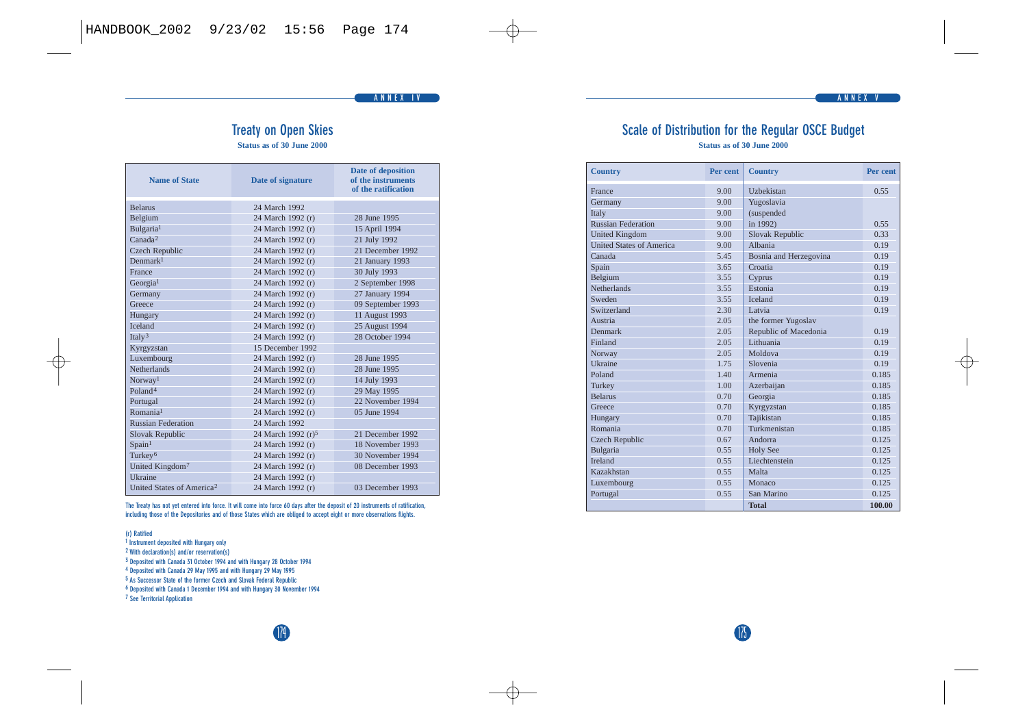#### **ANNEX IV ANNEX V**

174 175

## **Treaty on Open Skies**

**Status as of 30 June 2000** 

| <b>Name of State</b>                  | Date of signature              | <b>Date of deposition</b><br>of the instruments<br>of the ratification |
|---------------------------------------|--------------------------------|------------------------------------------------------------------------|
| <b>Belanis</b>                        | 24 March 1992                  |                                                                        |
| Belgium                               | 24 March 1992 (r)              | 28 June 1995                                                           |
| Bulgaria <sup>1</sup>                 | 24 March 1992 (r)              | 15 April 1994                                                          |
| Canada <sup>2</sup>                   | 24 March 1992 (r)              | 21 July 1992                                                           |
| <b>Czech Republic</b>                 | 24 March 1992 (r)              | 21 December 1992                                                       |
| Denmark <sup>1</sup>                  | 24 March 1992 (r)              | 21 January 1993                                                        |
| <b>France</b>                         | 24 March 1992 (r)              | 30 July 1993                                                           |
| Georgia <sup>1</sup>                  | 24 March 1992 (r)              | 2 September 1998                                                       |
| Germany                               | 24 March 1992 (r)              | 27 January 1994                                                        |
| Greece                                | 24 March 1992 (r)              | 09 September 1993                                                      |
| Hungary                               | 24 March 1992 (r)              | 11 August 1993                                                         |
| <b>Iceland</b>                        | 24 March 1992 (r)              | 25 August 1994                                                         |
| Ital $v^3$                            | 24 March 1992 (r)              | 28 October 1994                                                        |
| Kyrgyzstan                            | 15 December 1992               |                                                                        |
| Luxembourg                            | 24 March 1992 (r)              | 28 June 1995                                                           |
| <b>Netherlands</b>                    | 24 March 1992 (r)              | 28 June 1995                                                           |
| Norway <sup>1</sup>                   | 24 March 1992 (r)              | 14 July 1993                                                           |
| Poland <sup>4</sup>                   | 24 March 1992 (r)              | 29 May 1995                                                            |
| Portugal                              | 24 March 1992 (r)              | 22 November 1994                                                       |
| R <sub>omania</sub> 1                 | 24 March 1992 (r)              | 05 June 1994                                                           |
| <b>Russian Federation</b>             | 24 March 1992                  |                                                                        |
| <b>Slovak Republic</b>                | 24 March 1992 (r) <sup>5</sup> | 21 December 1992                                                       |
| Spain <sup>1</sup>                    | 24 March 1992 (r)              | 18 November 1993                                                       |
| Turkey <sup>6</sup>                   | 24 March 1992 (r)              | 30 November 1994                                                       |
| United Kingdom <sup>7</sup>           | 24 March 1992 (r)              | 08 December 1993                                                       |
| <b>Ukraine</b>                        | 24 March 1992 (r)              |                                                                        |
| United States of America <sup>2</sup> | 24 March 1992 (r)              | 03 December 1993                                                       |

**The Treaty has not yet entered into force. It will come into force 60 days after the deposit of 20 instruments of ratification, including those of the Depositories and of those States which are obliged to accept eight or more observations flights.**

#### **(r) Ratified**

- **<sup>1</sup> Instrument deposited with Hungary only**
- **<sup>2</sup> With declaration(s) and/or reservation(s)**
- **<sup>3</sup> Deposited with Canada 31 October 1994 and with Hungary 28 October 1994**

**<sup>4</sup> Deposited with Canada 29 May 1995 and with Hungary 29 May 1995**

**<sup>5</sup> As Successor State of the former Czech and Slovak Federal Republic**

**<sup>6</sup> Deposited with Canada 1 December 1994 and with Hungary 30 November 1994**

**<sup>7</sup> See Territorial Application**

|  | Scale of Distribution for the Regular OSCE Budget |  |                           |  |
|--|---------------------------------------------------|--|---------------------------|--|
|  |                                                   |  | Status as of 30 June 2000 |  |

| <b>Country</b>                  | Per cent | <b>Country</b>         | Per cent |
|---------------------------------|----------|------------------------|----------|
| France                          | 9.00     | <b>Hzbekistan</b>      | 0.55     |
| Germany                         | 9.00     | Yugoslavia             |          |
| Italy                           | 9.00     | (suspended             |          |
| <b>Russian Federation</b>       | 9.00     | in 1992)               | 0.55     |
| <b>United Kingdom</b>           | 9.00     | <b>Slovak Republic</b> | 0.33     |
| <b>United States of America</b> | 9.00     | Albania                | 0.19     |
| Canada                          | 5.45     | Bosnia and Herzegovina | 0.19     |
| Spain                           | 3.65     | Croatia                | 0.19     |
| Belgium                         | 3.55     | Cyprus                 | 0.19     |
| <b>Netherlands</b>              | 3.55     | Estonia                | 0.19     |
| Sweden                          | 3.55     | <b>Iceland</b>         | 0.19     |
| Switzerland                     | 2.30     | Latvia                 | 0.19     |
| Austria                         | 2.05     | the former Yugoslav    |          |
| <b>Denmark</b>                  | 2.05     | Republic of Macedonia  | 0.19     |
| Finland                         | 2.05     | Lithuania              | 0.19     |
| Norway                          | 2.05     | Moldova                | 0.19     |
| <b>Ukraine</b>                  | 1.75     | Slovenia               | 0.19     |
| Poland                          | 1.40     | Armenia                | 0.185    |
| Turkey                          | 1.00     | Azerbaijan             | 0.185    |
| <b>Belarus</b>                  | 0.70     | Georgia                | 0.185    |
| Greece                          | 0.70     | Kyrgyzstan             | 0.185    |
| Hungary                         | 0.70     | Taiikistan             | 0.185    |
| Romania                         | 0.70     | Turkmenistan           | 0.185    |
| <b>Czech Republic</b>           | 0.67     | Andorra                | 0.125    |
| Bulgaria                        | 0.55     | <b>Holy See</b>        | 0.125    |
| Ireland                         | 0.55     | Liechtenstein          | 0.125    |
| Kazakhstan                      | 0.55     | Malta                  | 0.125    |
| Luxembourg                      | 0.55     | Monaco                 | 0.125    |
| Portugal                        | 0.55     | San Marino             | 0.125    |
|                                 |          | <b>Total</b>           | 100.00   |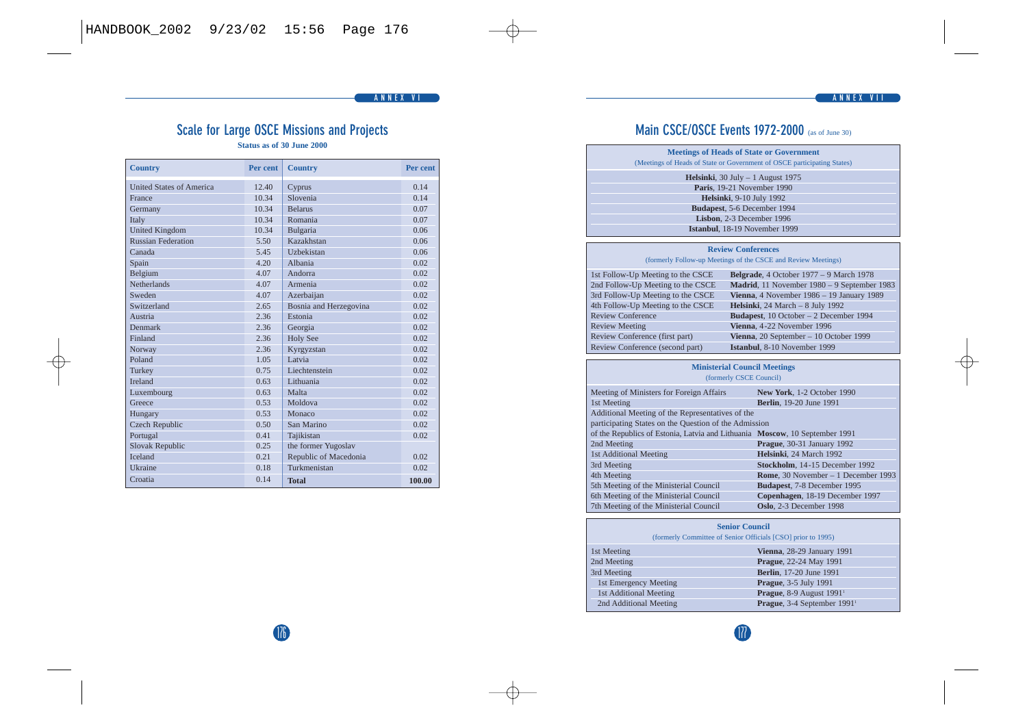## **Scale for Large OSCE Missions and Projects**

**Status as of 30 June 2000** 

| <b>Country</b>                  | Per cent | <b>Country</b>         | Per cent |
|---------------------------------|----------|------------------------|----------|
| <b>United States of America</b> | 12.40    | Cyprus                 | 0.14     |
| France                          | 10.34    | Slovenia               | 0.14     |
| Germany                         | 10.34    | <b>Belanis</b>         | 0.07     |
| Italy                           | 10.34    | Romania                | 0.07     |
| <b>United Kingdom</b>           | 10.34    | Bulgaria               | 0.06     |
| <b>Russian Federation</b>       | 5.50     | Kazakhstan             | 0.06     |
| Canada                          | 5.45     | Hzhekistan             | 0.06     |
| Spain                           | 4.20     | Albania                | 0.02     |
| Belgium                         | 4.07     | Andorra                | 0.02     |
| <b>Netherlands</b>              | 4.07     | Armenia                | 0.02     |
| Sweden                          | 4.07     | Azerbaiian             | 0.02     |
| Switzerland                     | 2.65     | Bosnia and Herzegovina | 0.02     |
| Austria                         | 2.36     | Estonia                | 0.02     |
| <b>Denmark</b>                  | 2.36     | Georgia                | 0.02     |
| Finland                         | 2.36     | <b>Holy See</b>        | 0.02     |
| Norway                          | 2.36     | Kyrgyzstan             | 0.02     |
| Poland                          | 1.05     | Latvia                 | 0.02     |
| Turkey                          | 0.75     | Liechtenstein          | 0.02     |
| <b>Ireland</b>                  | 0.63     | Lithuania              | 0.02     |
| Luxembourg                      | 0.63     | Malta                  | 0.02     |
| Greece                          | 0.53     | Moldova                | 0.02     |
| Hungary                         | 0.53     | Monaco                 | 0.02     |
| <b>Czech Republic</b>           | 0.50     | San Marino             | 0.02     |
| Portugal                        | 0.41     | Tajikistan             | 0.02     |
| <b>Slovak Republic</b>          | 0.25     | the former Yugoslav    |          |
| <b>Iceland</b>                  | 0.21     | Republic of Macedonia  | 0.02.    |
| <b>Ukraine</b>                  | 0.18     | Turkmenistan           | 0.02     |
| Croatia                         | 0.14     | <b>Total</b>           | 100.00   |

## **Main CSCE/OSCE Events 1972-2000** (as of June 30)

| <b>Meetings of Heads of State or Government</b><br>(Meetings of Heads of State or Government of OSCE participating States) |  |
|----------------------------------------------------------------------------------------------------------------------------|--|
| Helsinki, $30$ July $-1$ August 1975                                                                                       |  |
| Paris. 19-21 November 1990                                                                                                 |  |
| Helsinki, 9-10 July 1992                                                                                                   |  |
| Budapest, 5-6 December 1994                                                                                                |  |
| Lisbon, 2-3 December 1996                                                                                                  |  |
| Istanbul. 18-19 November 1999                                                                                              |  |

#### **Review Conferences**

#### (formerly Follow-up Meetings of the CSCE and Review Meetings)

|                          | 1st Follow-Up Meeting to the CSCE | Belgrade, 4 October 1977 - 9 March 1978     |
|--------------------------|-----------------------------------|---------------------------------------------|
|                          | 2nd Follow-Up Meeting to the CSCE | Madrid, 11 November 1980 - 9 September 1983 |
|                          | 3rd Follow-Up Meeting to the CSCE | Vienna, 4 November 1986 - 19 January 1989   |
|                          | 4th Follow-Up Meeting to the CSCE | Helsinki, 24 March - 8 July 1992            |
| <b>Review Conference</b> |                                   | Budapest, 10 October - 2 December 1994      |
| <b>Review Meeting</b>    |                                   | Vienna, 4-22 November 1996                  |
|                          | Review Conference (first part)    | Vienna, 20 September - 10 October 1999      |
|                          | Review Conference (second part)   | Istanbul, 8-10 November 1999                |

#### **Ministerial Council Meetings** (formerly CSCE Council)

| Meeting of Ministers for Foreign Affairs                                    | New York, 1-2 October 1990          |
|-----------------------------------------------------------------------------|-------------------------------------|
| 1st Meeting                                                                 | <b>Berlin.</b> 19-20 June 1991      |
| Additional Meeting of the Representatives of the                            |                                     |
| participating States on the Question of the Admission                       |                                     |
| of the Republics of Estonia, Latvia and Lithuania Moscow, 10 September 1991 |                                     |
| 2nd Meeting                                                                 | Prague, 30-31 January 1992          |
| 1st Additional Meeting                                                      | Helsinki. 24 March 1992             |
| 3rd Meeting                                                                 | Stockholm, 14-15 December 1992      |
| 4th Meeting                                                                 | Rome, 30 November - 1 December 1993 |
| 5th Meeting of the Ministerial Council                                      | Budapest, 7-8 December 1995         |
| 6th Meeting of the Ministerial Council                                      | Copenhagen, 18-19 December 1997     |
| 7th Meeting of the Ministerial Council                                      | Oslo. 2-3 December 1998             |

| <b>Senior Council</b><br>(formerly Committee of Senior Officials [CSO] prior to 1995) |                                         |  |
|---------------------------------------------------------------------------------------|-----------------------------------------|--|
| 1st Meeting                                                                           | Vienna, 28-29 January 1991              |  |
| 2nd Meeting                                                                           | Prague, 22-24 May 1991                  |  |
| 3rd Meeting                                                                           | <b>Berlin.</b> 17-20 June 1991          |  |
| 1st Emergency Meeting                                                                 | Prague, 3-5 July 1991                   |  |
| 1st Additional Meeting                                                                | Prague, 8-9 August 1991 <sup>1</sup>    |  |
| 2nd Additional Meeting                                                                | Prague, 3-4 September 1991 <sup>1</sup> |  |

## 176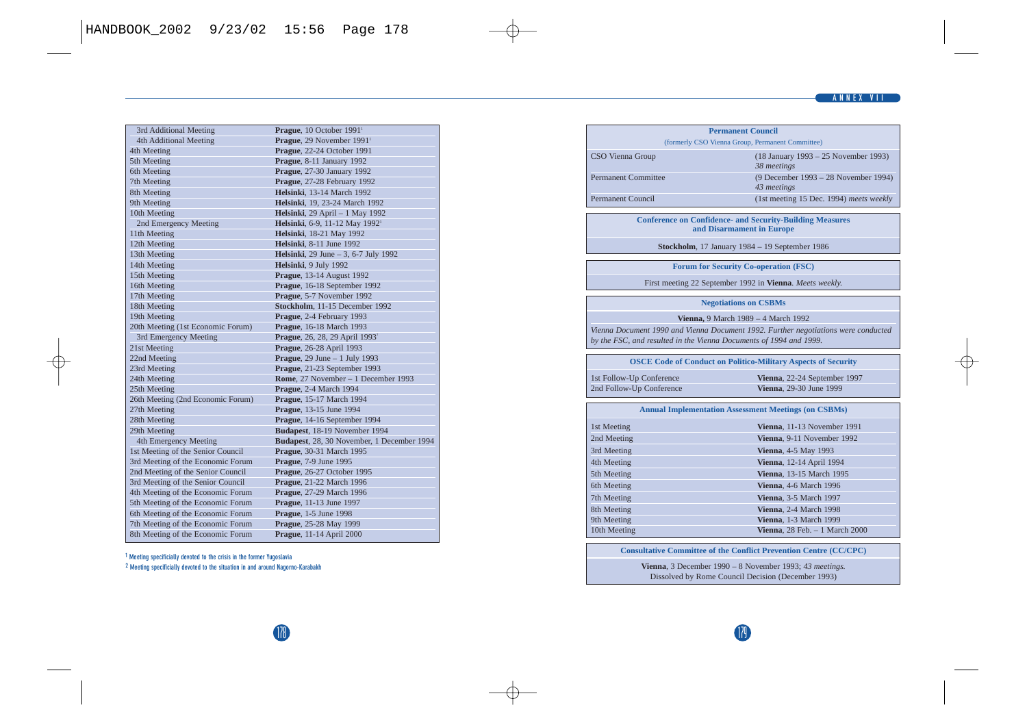| 3rd Additional Meeting            | Prague, 10 October 1991 <sup>1</sup>       |
|-----------------------------------|--------------------------------------------|
| 4th Additional Meeting            | Prague. 29 November 1991 <sup>1</sup>      |
| 4th Meeting                       | Prague, 22-24 October 1991                 |
| 5th Meeting                       | Prague, 8-11 January 1992                  |
| 6th Meeting                       | Prague, 27-30 January 1992                 |
| 7th Meeting                       | Prague, 27-28 February 1992                |
| 8th Meeting                       | <b>Helsinki</b> , 13-14 March 1992         |
| 9th Meeting                       | Helsinki, 19, 23-24 March 1992             |
| 10th Meeting                      | Helsinki, 29 April - 1 May 1992            |
| 2nd Emergency Meeting             | Helsinki, 6-9, 11-12 May 1992 <sup>1</sup> |
| 11th Meeting                      | Helsinki, 18-21 May 1992                   |
| 12th Meeting                      | Helsinki, 8-11 June 1992                   |
| 13th Meeting                      | Helsinki, 29 June - 3, 6-7 July 1992       |
| 14th Meeting                      | Helsinki, 9 July 1992                      |
| 15th Meeting                      | Prague, 13-14 August 1992                  |
| 16th Meeting                      | Prague, 16-18 September 1992               |
| 17th Meeting                      | Prague, 5-7 November 1992                  |
| 18th Meeting                      | Stockholm, 11-15 December 1992             |
| 19th Meeting                      | Prague, 2-4 February 1993                  |
| 20th Meeting (1st Economic Forum) | Prague, 16-18 March 1993                   |
| 3rd Emergency Meeting             | Prague, 26, 28, 29 April 1993 <sup>2</sup> |
| 21st Meeting                      | Prague, 26-28 April 1993                   |
| 22nd Meeting                      | Prague, $29$ June $-1$ July 1993           |
| 23rd Meeting                      | Prague, 21-23 September 1993               |
| 24th Meeting                      | Rome, 27 November - 1 December 1993        |
| 25th Meeting                      | Prague, 2-4 March 1994                     |
| 26th Meeting (2nd Economic Forum) | Prague, 15-17 March 1994                   |
| 27th Meeting                      | Prague, 13-15 June 1994                    |
| 28th Meeting                      | Prague, 14-16 September 1994               |
| 29th Meeting                      | Budapest, 18-19 November 1994              |
| 4th Emergency Meeting             | Budapest, 28, 30 November, 1 December 1994 |
| 1st Meeting of the Senior Council | Prague, 30-31 March 1995                   |
| 3rd Meeting of the Economic Forum | Prague, 7-9 June 1995                      |
| 2nd Meeting of the Senior Council | Prague. 26-27 October 1995                 |
| 3rd Meeting of the Senior Council | Prague, 21-22 March 1996                   |
| 4th Meeting of the Economic Forum | Prague, 27-29 March 1996                   |
| 5th Meeting of the Economic Forum | Prague, 11-13 June 1997                    |
| 6th Meeting of the Economic Forum | Prague, 1-5 June 1998                      |
| 7th Meeting of the Economic Forum | Prague, 25-28 May 1999                     |
| 8th Meeting of the Economic Forum | Prague, 11-14 April 2000                   |
|                                   |                                            |

**<sup>1</sup> Meeting specificially devoted to the crisis in the former Yugoslavia <sup>2</sup> Meeting specificially devoted to the situation in and around Nagorno-Karabakh**

|                             | (formerly CSO Vienna Group, Permanent Committee)                                                                                                           |
|-----------------------------|------------------------------------------------------------------------------------------------------------------------------------------------------------|
| CSO Vienna Group            | (18 January 1993 – 25 November 1993)<br>38 meetings                                                                                                        |
| Permanent Committee         | (9 December 1993 - 28 November 1994)<br>43 meetings                                                                                                        |
| <b>Permanent Council</b>    | (1st meeting 15 Dec. 1994) meets weekly                                                                                                                    |
|                             | <b>Conference on Confidence- and Security-Building Measures</b><br>and Disarmament in Europe                                                               |
|                             | Stockholm, 17 January 1984 - 19 September 1986                                                                                                             |
|                             | <b>Forum for Security Co-operation (FSC)</b>                                                                                                               |
|                             | First meeting 22 September 1992 in Vienna. Meets weekly.                                                                                                   |
|                             | <b>Negotiations on CSBMs</b>                                                                                                                               |
|                             |                                                                                                                                                            |
|                             |                                                                                                                                                            |
|                             | Vienna, 9 March 1989 - 4 March 1992                                                                                                                        |
|                             | by the FSC, and resulted in the Vienna Documents of 1994 and 1999.                                                                                         |
|                             | Vienna Document 1990 and Vienna Document 1992. Further negotiations were conducted<br><b>OSCE Code of Conduct on Politico-Military Aspects of Security</b> |
| 1st Follow-Up Conference    | Vienna, 22-24 September 1997                                                                                                                               |
| 2nd Follow-Up Conference    | Vienna. 29-30 June 1999                                                                                                                                    |
|                             | <b>Annual Implementation Assessment Meetings (on CSBMs)</b>                                                                                                |
| 1st Meeting                 | Vienna. 11-13 November 1991                                                                                                                                |
| 2nd Meeting                 | Vienna. 9-11 November 1992                                                                                                                                 |
| 3rd Meeting                 | Vienna, 4-5 May 1993                                                                                                                                       |
| 4th Meeting                 | Vienna, 12-14 April 1994                                                                                                                                   |
| 5th Meeting                 | Vienna, 13-15 March 1995                                                                                                                                   |
| 6th Meeting                 | Vienna. 4-6 March 1996                                                                                                                                     |
| 7th Meeting                 | Vienna, 3-5 March 1997                                                                                                                                     |
| 8th Meeting                 | Vienna, 2-4 March 1998                                                                                                                                     |
| 9th Meeting<br>10th Meeting | Vienna, 1-3 March 1999<br>Vienna. $28$ Feb. $-1$ March $2000$                                                                                              |

Dissolved by Rome Council Decision (December 1993)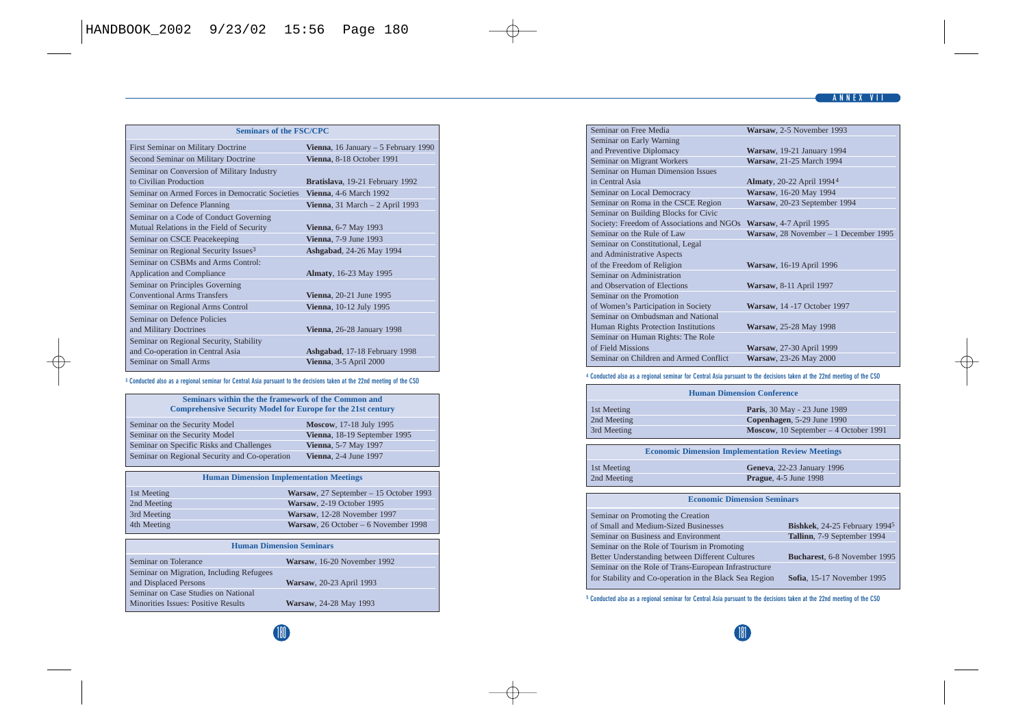| <b>Seminars of the FSC/CPC</b>                   |                                       |  |
|--------------------------------------------------|---------------------------------------|--|
| First Seminar on Military Doctrine               | Vienna, 16 January $-5$ February 1990 |  |
| Second Seminar on Military Doctrine              | Vienna, 8-18 October 1991             |  |
| Seminar on Conversion of Military Industry       |                                       |  |
| to Civilian Production                           | Bratislava, 19-21 February 1992       |  |
| Seminar on Armed Forces in Democratic Societies  | Vienna, 4-6 March 1992                |  |
| Seminar on Defence Planning                      | Vienna, 31 March $-2$ April 1993      |  |
| Seminar on a Code of Conduct Governing           |                                       |  |
| Mutual Relations in the Field of Security        | Vienna, 6-7 May 1993                  |  |
| Seminar on CSCE Peacekeeping                     | <b>Vienna.</b> 7-9 June 1993          |  |
| Seminar on Regional Security Issues <sup>3</sup> | Ashgabad, 24-26 May 1994              |  |
| Seminar on CSBMs and Arms Control:               |                                       |  |
| Application and Compliance                       | Almaty, 16-23 May 1995                |  |
| Seminar on Principles Governing                  |                                       |  |
| <b>Conventional Arms Transfers</b>               | Vienna, 20-21 June 1995               |  |
| Seminar on Regional Arms Control                 | Vienna, 10-12 July 1995               |  |
| Seminar on Defence Policies                      |                                       |  |
| and Military Doctrines                           | Vienna, 26-28 January 1998            |  |
| Seminar on Regional Security, Stability          |                                       |  |
| and Co-operation in Central Asia                 | Ashgabad, 17-18 February 1998         |  |
| Seminar on Small Arms                            | Vienna, 3-5 April 2000                |  |

#### **<sup>3</sup> Conducted also as a regional seminar for Central Asia pursuant to the decisions taken at the 22nd meeting of the CSO**

| Seminars within the the framework of the Common and<br><b>Comprehensive Security Model for Europe for the 21st century</b> |                              |  |
|----------------------------------------------------------------------------------------------------------------------------|------------------------------|--|
| Seminar on the Security Model                                                                                              | Moscow, 17-18 July 1995      |  |
| Seminar on the Security Model                                                                                              | Vienna, 18-19 September 1995 |  |
| Seminar on Specific Risks and Challenges                                                                                   | Vienna, 5-7 May 1997         |  |
| Seminar on Regional Security and Co-operation                                                                              | <b>Vienna.</b> 2-4 June 1997 |  |

#### **Human Dimension Implementation Meetings**

| 1st Meeting | Warsaw, 27 September - 15 October 1993 |
|-------------|----------------------------------------|
| 2nd Meeting | Warsaw, 2-19 October 1995              |
| 3rd Meeting | Warsaw, 12-28 November 1997            |
| 4th Meeting | Warsaw, 26 October - 6 November 1998   |

| <b>Human Dimension Seminars</b>          |  |                             |  |
|------------------------------------------|--|-----------------------------|--|
| Seminar on Tolerance                     |  | Warsaw, 16-20 November 1992 |  |
| Seminar on Migration, Including Refugees |  |                             |  |
| and Displaced Persons                    |  | Warsaw, 20-23 April 1993    |  |
| Seminar on Case Studies on National      |  |                             |  |
| Minorities Issues: Positive Results      |  | Warsaw, 24-28 May 1993      |  |

| Seminar on Free Media                     | Warsaw, 2-5 November 1993             |
|-------------------------------------------|---------------------------------------|
| Seminar on Early Warning                  |                                       |
| and Preventive Diplomacy                  | Warsaw, 19-21 January 1994            |
| Seminar on Migrant Workers                | Warsaw, 21-25 March 1994              |
| Seminar on Human Dimension Issues         |                                       |
| in Central Asia                           | Almaty, 20-22 April 19944             |
| Seminar on Local Democracy                | Warsaw, 16-20 May 1994                |
| Seminar on Roma in the CSCE Region        | Warsaw, 20-23 September 1994          |
| Seminar on Building Blocks for Civic      |                                       |
| Society: Freedom of Associations and NGOs | Warsaw, 4-7 April 1995                |
| Seminar on the Rule of Law                | Warsaw, 28 November - 1 December 1995 |
| Seminar on Constitutional, Legal          |                                       |
| and Administrative Aspects                |                                       |
| of the Freedom of Religion                | Warsaw, 16-19 April 1996              |
| Seminar on Administration                 |                                       |
| and Observation of Elections              | Warsaw, 8-11 April 1997               |
| Seminar on the Promotion                  |                                       |
| of Women's Participation in Society       | Warsaw, 14-17 October 1997            |
| Seminar on Ombudsman and National         |                                       |
| Human Rights Protection Institutions      | Warsaw, 25-28 May 1998                |
| Seminar on Human Rights: The Role         |                                       |
| of Field Missions                         | Warsaw, 27-30 April 1999              |
| Seminar on Children and Armed Conflict    | Warsaw, 23-26 May 2000                |

#### **<sup>4</sup> Conducted also as a regional seminar for Central Asia pursuant to the decisions taken at the 22nd meeting of the CSO**

| <b>Human Dimension Conference</b> |                                       |
|-----------------------------------|---------------------------------------|
| 1st Meeting                       | Paris, 30 May - 23 June 1989          |
| 2nd Meeting                       | Copenhagen, 5-29 June 1990            |
| 3rd Meeting                       | Moscow, 10 September - 4 October 1991 |

| <b>Economic Dimension Implementation Review Meetings</b> |                               |  |
|----------------------------------------------------------|-------------------------------|--|
| 1st Meeting                                              | Geneva, 22-23 January 1996    |  |
| 2nd Meeting                                              | <b>Prague</b> , 4-5 June 1998 |  |

#### **Economic Dimension Seminars**

| Seminar on Promoting the Creation                      |                               |
|--------------------------------------------------------|-------------------------------|
| of Small and Medium-Sized Businesses                   | Bishkek, 24-25 February 19945 |
| Seminar on Business and Environment                    | Tallinn, 7-9 September 1994   |
| Seminar on the Role of Tourism in Promoting            |                               |
| Better Understanding between Different Cultures        | Bucharest, 6-8 November 1995  |
| Seminar on the Role of Trans-European Infrastructure   |                               |
| for Stability and Co-operation in the Black Sea Region | Sofia. 15-17 November 1995    |
|                                                        |                               |

**<sup>5</sup> Conducted also as a regional seminar for Central Asia pursuant to the decisions taken at the 22nd meeting of the CSO**

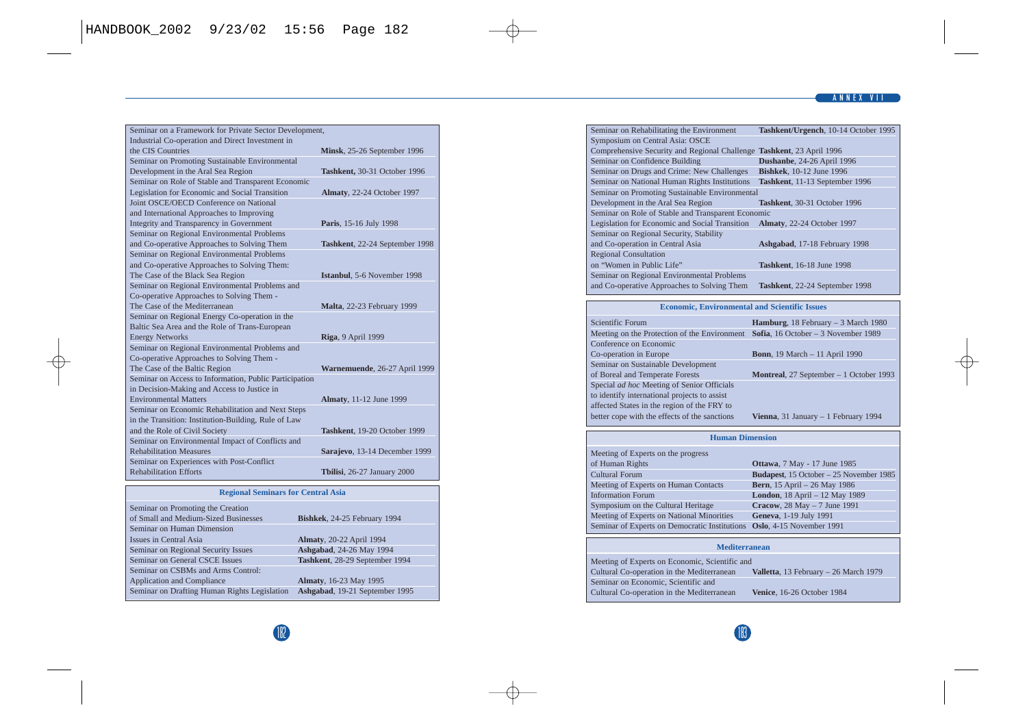#### **ANNEX VII**

| Seminar on a Framework for Private Sector Development, |                                |
|--------------------------------------------------------|--------------------------------|
| Industrial Co-operation and Direct Investment in       |                                |
| the CIS Countries                                      | Minsk, 25-26 September 1996    |
| Seminar on Promoting Sustainable Environmental         |                                |
| Development in the Aral Sea Region                     | Tashkent, 30-31 October 1996   |
| Seminar on Role of Stable and Transparent Economic     |                                |
| Legislation for Economic and Social Transition         | Almaty, 22-24 October 1997     |
| Joint OSCE/OECD Conference on National                 |                                |
| and International Approaches to Improving              |                                |
| Integrity and Transparency in Government               | Paris, 15-16 July 1998         |
| Seminar on Regional Environmental Problems             |                                |
| and Co-operative Approaches to Solving Them            | Tashkent, 22-24 September 1998 |
| Seminar on Regional Environmental Problems             |                                |
| and Co-operative Approaches to Solving Them:           |                                |
| The Case of the Black Sea Region                       | Istanbul, 5-6 November 1998    |
| Seminar on Regional Environmental Problems and         |                                |
| Co-operative Approaches to Solving Them -              |                                |
| The Case of the Mediterranean                          | Malta, 22-23 February 1999     |
| Seminar on Regional Energy Co-operation in the         |                                |
| Baltic Sea Area and the Role of Trans-European         |                                |
| <b>Energy Networks</b>                                 | Riga, 9 April 1999             |
| Seminar on Regional Environmental Problems and         |                                |
| Co-operative Approaches to Solving Them -              |                                |
| The Case of the Baltic Region                          | Warnemuende, 26-27 April 1999  |
| Seminar on Access to Information, Public Participation |                                |
| in Decision-Making and Access to Justice in            |                                |
| <b>Environmental Matters</b>                           | Almaty, 11-12 June 1999        |
| Seminar on Economic Rehabilitation and Next Steps      |                                |
| in the Transition: Institution-Building, Rule of Law   |                                |
| and the Role of Civil Society                          | Tashkent, 19-20 October 1999   |
| Seminar on Environmental Impact of Conflicts and       |                                |
| <b>Rehabilitation Measures</b>                         | Sarajevo, 13-14 December 1999  |
| Seminar on Experiences with Post-Conflict              |                                |
| <b>Rehabilitation Efforts</b>                          | Tbilisi, 26-27 January 2000    |
| <b>Regional Seminars for Central Asia</b>              |                                |
| Seminar on Promoting the Creation                      |                                |
|                                                        |                                |

| Seminar on Promoting the Creation            |                                |
|----------------------------------------------|--------------------------------|
| of Small and Medium-Sized Businesses         | Bishkek, 24-25 February 1994   |
| Seminar on Human Dimension                   |                                |
| <b>Issues in Central Asia</b>                | Almaty, 20-22 April 1994       |
| Seminar on Regional Security Issues          | Ashgabad, 24-26 May 1994       |
| Seminar on General CSCE Issues               | Tashkent. 28-29 September 1994 |
| Seminar on CSBMs and Arms Control:           |                                |
| <b>Application and Compliance</b>            | Almaty, 16-23 May 1995         |
| Seminar on Drafting Human Rights Legislation | Ashgabad, 19-21 September 1995 |
|                                              |                                |

| Seminar on Rehabilitating the Environment                             | Tashkent/Urgench, 10-14 October 1995 |
|-----------------------------------------------------------------------|--------------------------------------|
| Symposium on Central Asia: OSCE                                       |                                      |
| Comprehensive Security and Regional Challenge Tashkent, 23 April 1996 |                                      |
| Seminar on Confidence Building                                        | Dushanbe, 24-26 April 1996           |
| Seminar on Drugs and Crime: New Challenges                            | <b>Bishkek.</b> 10-12 June 1996      |
| Seminar on National Human Rights Institutions                         | Tashkent, 11-13 September 1996       |
| Seminar on Promoting Sustainable Environmental                        |                                      |
| Development in the Aral Sea Region                                    | Tashkent. 30-31 October 1996         |
| Seminar on Role of Stable and Transparent Economic                    |                                      |
| Legislation for Economic and Social Transition                        | Almaty, 22-24 October 1997           |
| Seminar on Regional Security, Stability                               |                                      |
| and Co-operation in Central Asia                                      | Ashgabad, 17-18 February 1998        |
| <b>Regional Consultation</b>                                          |                                      |
| on "Women in Public Life"                                             | Tashkent, 16-18 June 1998            |
| Seminar on Regional Environmental Problems                            |                                      |
| and Co-operative Approaches to Solving Them                           | Tashkent, 22-24 September 1998       |

#### **Economic, Environmental and Scientific Issues**

| Scientific Forum                              | Hamburg, 18 February - 3 March 1980     |
|-----------------------------------------------|-----------------------------------------|
| Meeting on the Protection of the Environment  | Sofia, 16 October - 3 November 1989     |
| Conference on Economic                        |                                         |
| Co-operation in Europe                        | <b>Bonn</b> , 19 March - 11 April 1990  |
| Seminar on Sustainable Development            |                                         |
| of Boreal and Temperate Forests               | Montreal, 27 September - 1 October 1993 |
| Special ad hoc Meeting of Senior Officials    |                                         |
| to identify international projects to assist  |                                         |
| affected States in the region of the FRY to   |                                         |
| better cope with the effects of the sanctions | Vienna, 31 January - 1 February 1994    |

| Human Dimension                                                        |                                         |
|------------------------------------------------------------------------|-----------------------------------------|
| Meeting of Experts on the progress                                     |                                         |
| of Human Rights                                                        | Ottawa, 7 May - 17 June 1985            |
| <b>Cultural Forum</b>                                                  | Budapest, 15 October - 25 November 1985 |
| Meeting of Experts on Human Contacts                                   | <b>Bern</b> , 15 April - 26 May 1986    |
| <b>Information Forum</b>                                               | London, 18 April - 12 May 1989          |
| Symposium on the Cultural Heritage                                     | Cracow, 28 May - 7 June 1991            |
| Meeting of Experts on National Minorities                              | Geneva, 1-19 July 1991                  |
| Seminar of Experts on Democratic Institutions Oslo, 4-15 November 1991 |                                         |
|                                                                        |                                         |

#### **Mediterranean**

| Meeting of Experts on Economic, Scientific and |                                       |
|------------------------------------------------|---------------------------------------|
| Cultural Co-operation in the Mediterranean     | Valletta, 13 February - 26 March 1979 |
| Seminar on Economic, Scientific and            |                                       |
| Cultural Co-operation in the Mediterranean     | Venice, 16-26 October 1984            |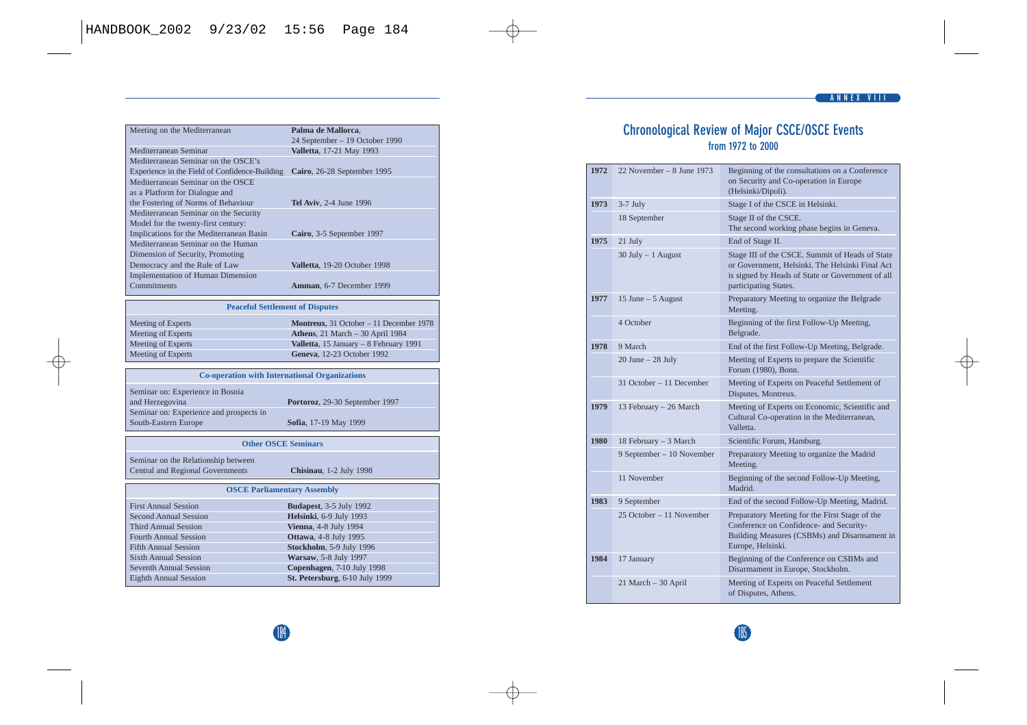| Palma de Mallorca.             |
|--------------------------------|
| 24 September - 19 October 1990 |
| Valletta, 17-21 May 1993       |
|                                |
| Cairo, 26-28 September 1995    |
|                                |
|                                |
| <b>Tel Aviv.</b> 2-4 June 1996 |
|                                |
|                                |
| Cairo, 3-5 September 1997      |
|                                |
|                                |
| Valletta. 19-20 October 1998   |
|                                |
| Amman, 6-7 December 1999       |
|                                |

#### **Peaceful Settlement of Disputes**

| Meeting of Experts | Montreux, 31 October - 11 December 1978 |
|--------------------|-----------------------------------------|
| Meeting of Experts | Athens. 21 March - 30 April 1984        |
| Meeting of Experts | Valletta, 15 January - 8 February 1991  |
| Meeting of Experts | Geneva, 12-23 October 1992              |

### **Co-operation with International Organizations**

| Seminar on: Experience in Bosnia        |  |  |
|-----------------------------------------|--|--|
| and Herzegovina                         |  |  |
| Seminar on: Experience and prospects in |  |  |
| South-Eastern Europe                    |  |  |

Portoroz, 29-30 September 1997 Sofia, 17-19 May 1999

#### **Other OSCE Seminars**

Seminar on the Relationship between Central and Regional Governments **Chisinau**, 1-2 July 1998

### **OSCE Parliamentary Assembly**

| <b>First Annual Session</b>  | <b>Budapest</b> , 3-5 July 1992 |
|------------------------------|---------------------------------|
| <b>Second Annual Session</b> | Helsinki, 6-9 July 1993         |
| <b>Third Annual Session</b>  | Vienna, 4-8 July 1994           |
| <b>Fourth Annual Session</b> | Ottawa, 4-8 July 1995           |
| <b>Fifth Annual Session</b>  | Stockholm, 5-9 July 1996        |
| <b>Sixth Annual Session</b>  | Warsaw, 5-8 July 1997           |
| Seventh Annual Session       | Copenhagen, 7-10 July 1998      |
| <b>Eighth Annual Session</b> | St. Petersburg, 6-10 July 1999  |
|                              |                                 |

## **Chronological Review of Major CSCE/OSCE Events from 1972 to 2000**

| 1972 | $22$ November - 8 June 1973 | Beginning of the consultations on a Conference<br>on Security and Co-operation in Europe<br>(Helsinki/Dipoli).                                                                  |
|------|-----------------------------|---------------------------------------------------------------------------------------------------------------------------------------------------------------------------------|
| 1973 | $3-7$ July                  | Stage I of the CSCE in Helsinki.                                                                                                                                                |
|      | 18 September                | Stage II of the CSCE.<br>The second working phase begins in Geneva.                                                                                                             |
| 1975 | 21 July                     | End of Stage II.                                                                                                                                                                |
|      | $30$ July $-1$ August       | Stage III of the CSCE. Summit of Heads of State<br>or Government, Helsinki. The Helsinki Final Act<br>is signed by Heads of State or Government of all<br>participating States. |
| 1977 | 15 June - 5 August          | Preparatory Meeting to organize the Belgrade<br>Meeting.                                                                                                                        |
|      | 4 October                   | Beginning of the first Follow-Up Meeting,<br>Belgrade.                                                                                                                          |
| 1978 | 9 March                     | End of the first Follow-Up Meeting, Belgrade.                                                                                                                                   |
|      | $20$ June $- 28$ July       | Meeting of Experts to prepare the Scientific<br>Forum (1980), Bonn.                                                                                                             |
|      | 31 October - 11 December    | Meeting of Experts on Peaceful Settlement of<br>Disputes, Montreux.                                                                                                             |
| 1979 | 13 February - 26 March      | Meeting of Experts on Economic, Scientific and<br>Cultural Co-operation in the Mediterranean,<br>Valletta.                                                                      |
| 1980 | 18 February - 3 March       | Scientific Forum, Hamburg.                                                                                                                                                      |
|      | 9 September - 10 November   | Preparatory Meeting to organize the Madrid<br>Meeting.                                                                                                                          |
|      | 11 November                 | Beginning of the second Follow-Up Meeting,<br>Madrid.                                                                                                                           |
| 1983 | 9 September                 | End of the second Follow-Up Meeting, Madrid.                                                                                                                                    |
|      | 25 October - 11 November    | Preparatory Meeting for the First Stage of the<br>Conference on Confidence- and Security-<br>Building Measures (CSBMs) and Disarmament in<br>Europe, Helsinki.                  |
| 1984 | 17 January                  | Beginning of the Conference on CSBMs and<br>Disarmament in Europe, Stockholm.                                                                                                   |
|      | 21 March - 30 April         | Meeting of Experts on Peaceful Settlement<br>of Disputes, Athens.                                                                                                               |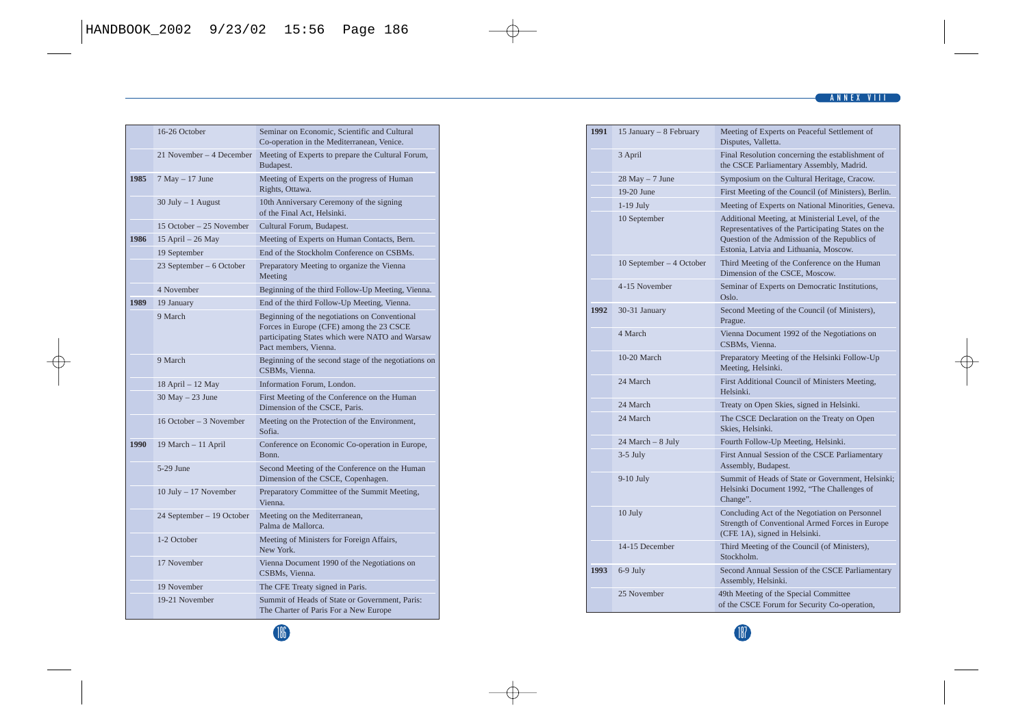### **ANNEX VIII**

|      | 16-26 October             | Seminar on Economic, Scientific and Cultural<br>Co-operation in the Mediterranean, Venice.                                                                            |
|------|---------------------------|-----------------------------------------------------------------------------------------------------------------------------------------------------------------------|
|      | 21 November - 4 December  | Meeting of Experts to prepare the Cultural Forum,<br>Budapest.                                                                                                        |
| 1985 | $7$ May $-17$ June        | Meeting of Experts on the progress of Human<br>Rights, Ottawa.                                                                                                        |
|      | $30$ July $-1$ August     | 10th Anniversary Ceremony of the signing<br>of the Final Act, Helsinki.                                                                                               |
|      | 15 October - 25 November  | Cultural Forum, Budapest.                                                                                                                                             |
| 1986 | 15 April - 26 May         | Meeting of Experts on Human Contacts, Bern.                                                                                                                           |
|      | 19 September              | End of the Stockholm Conference on CSBMs.                                                                                                                             |
|      | 23 September - 6 October  | Preparatory Meeting to organize the Vienna<br>Meeting                                                                                                                 |
|      | 4 November                | Beginning of the third Follow-Up Meeting, Vienna.                                                                                                                     |
| 1989 | 19 January                | End of the third Follow-Up Meeting, Vienna.                                                                                                                           |
|      | 9 March                   | Beginning of the negotiations on Conventional<br>Forces in Europe (CFE) among the 23 CSCE<br>participating States which were NATO and Warsaw<br>Pact members, Vienna. |
|      | 9 March                   | Beginning of the second stage of the negotiations on<br>CSBMs. Vienna.                                                                                                |
|      | 18 April - 12 May         | Information Forum, London.                                                                                                                                            |
|      | $30$ May $- 23$ June      | First Meeting of the Conference on the Human<br>Dimension of the CSCE, Paris.                                                                                         |
|      | 16 October - 3 November   | Meeting on the Protection of the Environment,<br>Sofia.                                                                                                               |
| 1990 | 19 March - 11 April       | Conference on Economic Co-operation in Europe,<br>Bonn.                                                                                                               |
|      | 5-29 June                 | Second Meeting of the Conference on the Human<br>Dimension of the CSCE, Copenhagen.                                                                                   |
|      | 10 July - 17 November     | Preparatory Committee of the Summit Meeting,<br>Vienna.                                                                                                               |
|      | 24 September - 19 October | Meeting on the Mediterranean,<br>Palma de Mallorca.                                                                                                                   |
|      | 1-2 October               | Meeting of Ministers for Foreign Affairs,<br>New York.                                                                                                                |
|      | 17 November               | Vienna Document 1990 of the Negotiations on<br>CSBMs, Vienna.                                                                                                         |
|      | 19 November               | The CFE Treaty signed in Paris.                                                                                                                                       |
|      | 19-21 November            | Summit of Heads of State or Government, Paris:<br>The Charter of Paris For a New Europe                                                                               |

| 1991 | 15 January - 8 February  | Meeting of Experts on Peaceful Settlement of<br>Disputes, Valletta.                                                                                                                               |
|------|--------------------------|---------------------------------------------------------------------------------------------------------------------------------------------------------------------------------------------------|
|      | 3 April                  | Final Resolution concerning the establishment of<br>the CSCE Parliamentary Assembly, Madrid.                                                                                                      |
|      | $28$ May $-7$ June       | Symposium on the Cultural Heritage, Cracow.                                                                                                                                                       |
|      | $19-20$ June             | First Meeting of the Council (of Ministers), Berlin.                                                                                                                                              |
|      | $1-19$ July              | Meeting of Experts on National Minorities, Geneva.                                                                                                                                                |
|      | 10 September             | Additional Meeting, at Ministerial Level, of the<br>Representatives of the Participating States on the<br>Question of the Admission of the Republics of<br>Estonia, Latvia and Lithuania, Moscow. |
|      | 10 September - 4 October | Third Meeting of the Conference on the Human<br>Dimension of the CSCE, Moscow.                                                                                                                    |
|      | 4-15 November            | Seminar of Experts on Democratic Institutions,<br>Oslo.                                                                                                                                           |
| 1992 | 30-31 January            | Second Meeting of the Council (of Ministers),<br>Prague.                                                                                                                                          |
|      | 4 March                  | Vienna Document 1992 of the Negotiations on<br>CSBMs. Vienna.                                                                                                                                     |
|      | $10-20$ March            | Preparatory Meeting of the Helsinki Follow-Up<br>Meeting, Helsinki.                                                                                                                               |
|      | 24 March                 | First Additional Council of Ministers Meeting,<br>Helsinki.                                                                                                                                       |
|      | 24 March                 | Treaty on Open Skies, signed in Helsinki.                                                                                                                                                         |
|      | 24 March                 | The CSCE Declaration on the Treaty on Open<br>Skies, Helsinki.                                                                                                                                    |
|      | 24 March - 8 July        | Fourth Follow-Up Meeting, Helsinki.                                                                                                                                                               |
|      | $3-5$ July               | First Annual Session of the CSCE Parliamentary<br>Assembly, Budapest.                                                                                                                             |
|      | $9-10$ July              | Summit of Heads of State or Government, Helsinki;<br>Helsinki Document 1992, "The Challenges of<br>Change".                                                                                       |
|      | 10 July                  | Concluding Act of the Negotiation on Personnel<br>Strength of Conventional Armed Forces in Europe<br>(CFE 1A), signed in Helsinki.                                                                |
|      | 14-15 December           | Third Meeting of the Council (of Ministers),<br>Stockholm.                                                                                                                                        |
| 1993 | $6-9$ July               | Second Annual Session of the CSCE Parliamentary<br>Assembly, Helsinki.                                                                                                                            |
|      | 25 November              | 49th Meeting of the Special Committee<br>of the CSCE Forum for Security Co-operation,                                                                                                             |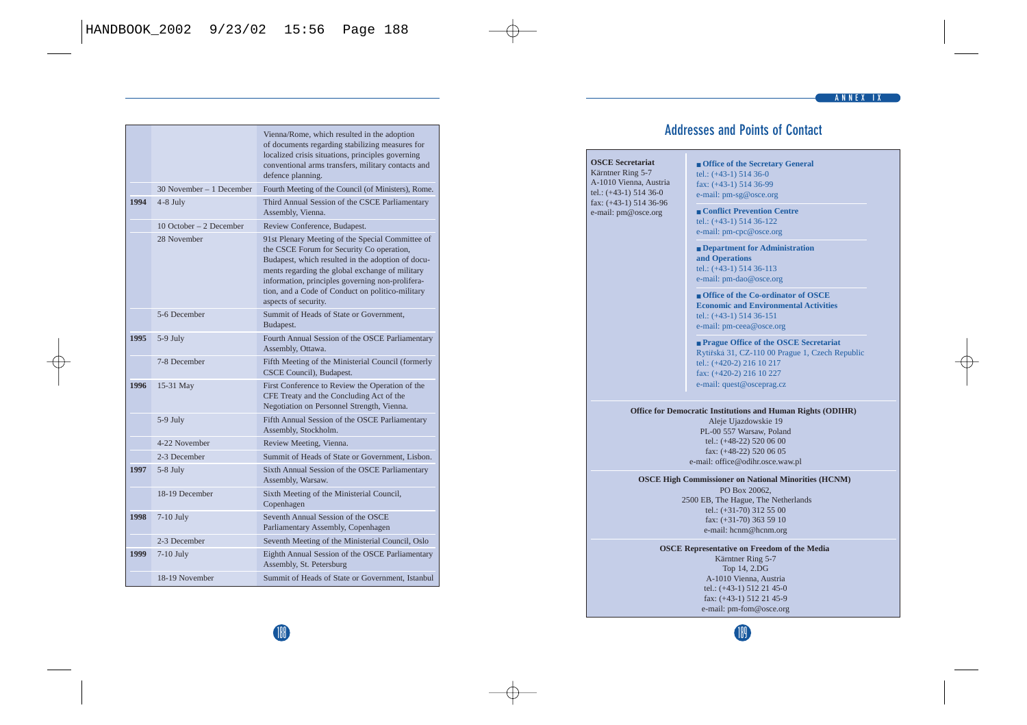|      |                          | Vienna/Rome, which resulted in the adoption<br>of documents regarding stabilizing measures for<br>localized crisis situations, principles governing<br>conventional arms transfers, military contacts and<br>defence planning.                                                                                                        |
|------|--------------------------|---------------------------------------------------------------------------------------------------------------------------------------------------------------------------------------------------------------------------------------------------------------------------------------------------------------------------------------|
|      | 30 November - 1 December | Fourth Meeting of the Council (of Ministers), Rome.                                                                                                                                                                                                                                                                                   |
| 1994 | $4-8$ July               | Third Annual Session of the CSCE Parliamentary<br>Assembly, Vienna.                                                                                                                                                                                                                                                                   |
|      | 10 October - 2 December  | Review Conference, Budapest.                                                                                                                                                                                                                                                                                                          |
|      | 28 November              | 91st Plenary Meeting of the Special Committee of<br>the CSCE Forum for Security Co operation,<br>Budapest, which resulted in the adoption of docu-<br>ments regarding the global exchange of military<br>information, principles governing non-prolifera-<br>tion, and a Code of Conduct on politico-military<br>aspects of security. |
|      | 5-6 December             | Summit of Heads of State or Government.<br>Budapest.                                                                                                                                                                                                                                                                                  |
| 1995 | 5-9 July                 | Fourth Annual Session of the OSCE Parliamentary<br>Assembly, Ottawa.                                                                                                                                                                                                                                                                  |
|      | 7-8 December             | Fifth Meeting of the Ministerial Council (formerly<br>CSCE Council), Budapest.                                                                                                                                                                                                                                                        |
| 1996 | 15-31 May                | First Conference to Review the Operation of the<br>CFE Treaty and the Concluding Act of the<br>Negotiation on Personnel Strength, Vienna.                                                                                                                                                                                             |
|      | 5-9 July                 | Fifth Annual Session of the OSCE Parliamentary<br>Assembly, Stockholm.                                                                                                                                                                                                                                                                |
|      | 4-22 November            | Review Meeting, Vienna.                                                                                                                                                                                                                                                                                                               |
|      | 2-3 December             | Summit of Heads of State or Government. Lisbon.                                                                                                                                                                                                                                                                                       |
| 1997 | 5-8 July                 | Sixth Annual Session of the OSCE Parliamentary<br>Assembly, Warsaw.                                                                                                                                                                                                                                                                   |
|      | 18-19 December           | Sixth Meeting of the Ministerial Council,<br>Copenhagen                                                                                                                                                                                                                                                                               |
| 1998 | 7-10 July                | Seventh Annual Session of the OSCE<br>Parliamentary Assembly, Copenhagen                                                                                                                                                                                                                                                              |
|      | 2-3 December             | Seventh Meeting of the Ministerial Council, Oslo                                                                                                                                                                                                                                                                                      |
| 1999 | $7-10$ July              | Eighth Annual Session of the OSCE Parliamentary<br>Assembly, St. Petersburg                                                                                                                                                                                                                                                           |
|      | 18-19 November           | Summit of Heads of State or Government, Istanbul                                                                                                                                                                                                                                                                                      |

## **Addresses and Points of Contact**

#### **OSCE Secretariat** Kärntner Ring 5-7 A-1010 Vienna, Austria tel.: (+43-1) 514 36-0 fax: (+43-1) 514 36-96 e-mail: pm@osce.org ■ **Office of the Secretary General** tel.: (+43-1) 514 36-0 fax: (+43-1) 514 36-99 e-mail: pm-sg@osce.org ■ **Conflict Prevention Centre** tel.: (+43-1) 514 36-122 e-mail: pm-cpc@osce.org ■ **Department for Administration and Operations** tel.: (+43-1) 514 36-113 e-mail: pm-dao@osce.org ■ **Office of the Co-ordinator of OSCE Economic and Environmental Activities** tel.: (+43-1) 514 36-151 e-mail: pm-ceea@osce.org ■ **Prague Office of the OSCE Secretariat** Rytířská 31, CZ-110 00 Prague 1, Czech Republic tel.: (+420-2) 216 10 217 fax: (+420-2) 216 10 227 e-mail: quest@osceprag.cz **Office for Democratic Institutions and Human Rights (ODIHR)** Aleje Ujazdowskie 19 PL-00 557 Warsaw, Poland tel.: (+48-22) 520 06 00 fax: (+48-22) 520 06 05 e-mail: office@odihr.osce.waw.pl **OSCE High Commissioner on National Minorities (HCNM)** PO Box 20062, 2500 EB, The Hague, The Netherlands tel.:  $(+31-70)$  312 55 00 fax: (+31-70) 363 59 10 e-mail: hcnm@hcnm.org

**OSCE Representative on Freedom of the Media** Kärntner Ring 5-7 Top 14, 2.DG A-1010 Vienna, Austria tel.: (+43-1) 512 21 45-0 fax: (+43-1) 512 21 45-9 e-mail: pm-fom@osce.org

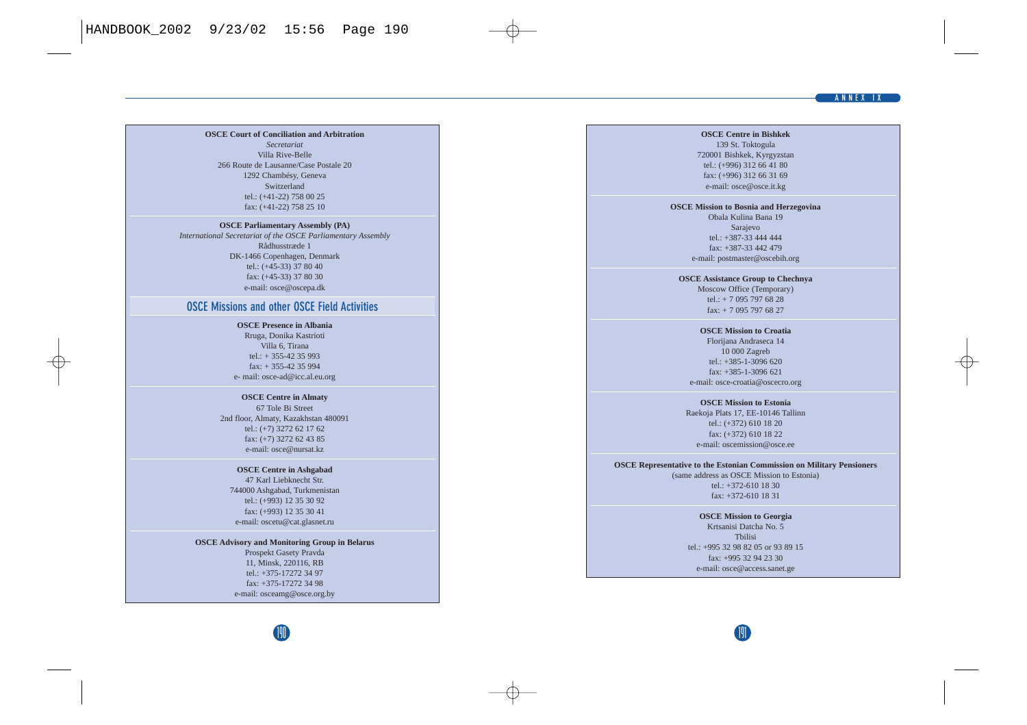#### **ANNEX IX**

#### **OSCE Court of Conciliation and Arbitration**

*Secretariat* Villa Rive-Belle 266 Route de Lausanne/Case Postale 20 1292 Chambésy, Geneva Switzerland tel.: (+41-22) 758 00 25 fax: (+41-22) 758 25 10

#### **OSCE Parliamentary Assembly (PA)**

*International Secretariat of the OSCE Parliamentary Assembly* Rådhusstræde 1 DK-1466 Copenhagen, Denmark tel.: (+45-33) 37 80 40 fax: (+45-33) 37 80 30 e-mail: osce@oscepa.dk

#### **OSCE Missions and other OSCE Field Activities**

**OSCE Presence in Albania**

Rruga, Donika Kastrioti Villa 6, Tirana tel.:  $+ 355 - 42$  35 993 fax: + 355-42 35 994 e- mail: osce-ad@icc.al.eu.org

#### **OSCE Centre in Almaty**

67 Tole Bi Street 2nd floor, Almaty, Kazakhstan 480091 tel.: (+7) 3272 62 17 62 fax: (+7) 3272 62 43 85 e-mail: osce@nursat.kz

#### **OSCE Centre in Ashgabad** 47 Karl Liebknecht Str. 744000 Ashgabad, Turkmenistan tel.: (+993) 12 35 30 92 fax: (+993) 12 35 30 41 e-mail: oscetu@cat.glasnet.ru

**OSCE Advisory and Monitoring Group in Belarus** Prospekt Gasety Pravda 11, Minsk, 220116, RB tel.: +375-17272 34 97 fax: +375-17272 34 98

e-mail: osceamg@osce.org.by

#### **OSCE Centre in Bishkek**

139 St. Toktogula 720001 Bishkek, Kyrgyzstan tel.: (+996) 312 66 41 80 fax: (+996) 312 66 31 69 e-mail: osce@osce.it.kg

#### **OSCE Mission to Bosnia and Herzegovina**

Obala Kulina Bana 19 Sarajevo tel.: +387-33 444 444 fax: +387-33 442 479 e-mail: postmaster@oscebih.org

#### **OSCE Assistance Group to Chechnya**

Moscow Office (Temporary) tel.: + 7 095 797 68 28 fax: + 7 095 797 68 27

**OSCE Mission to Croatia** Florijana Andraseca 14 10 000 Zagreb tel.: +385-1-3096 620

fax: +385-1-3096 621 e-mail: osce-croatia@oscecro.org

**OSCE Mission to Estonia** Raekoja Plats 17, EE-10146 Tallinn tel.: (+372) 610 18 20 fax: (+372) 610 18 22 e-mail: oscemission@osce.ee

#### **OSCE Representative to the Estonian Commission on Military Pensioners** (same address as OSCE Mission to Estonia) tel.: +372-610 18 30

fax: +372-610 18 31

**OSCE Mission to Georgia** Krtsanisi Datcha No. 5 Tbilisi  $tol: +99532988205$  or 93.89.15 fax: +995 32 94 23 30 e-mail: osce@access.sanet.ge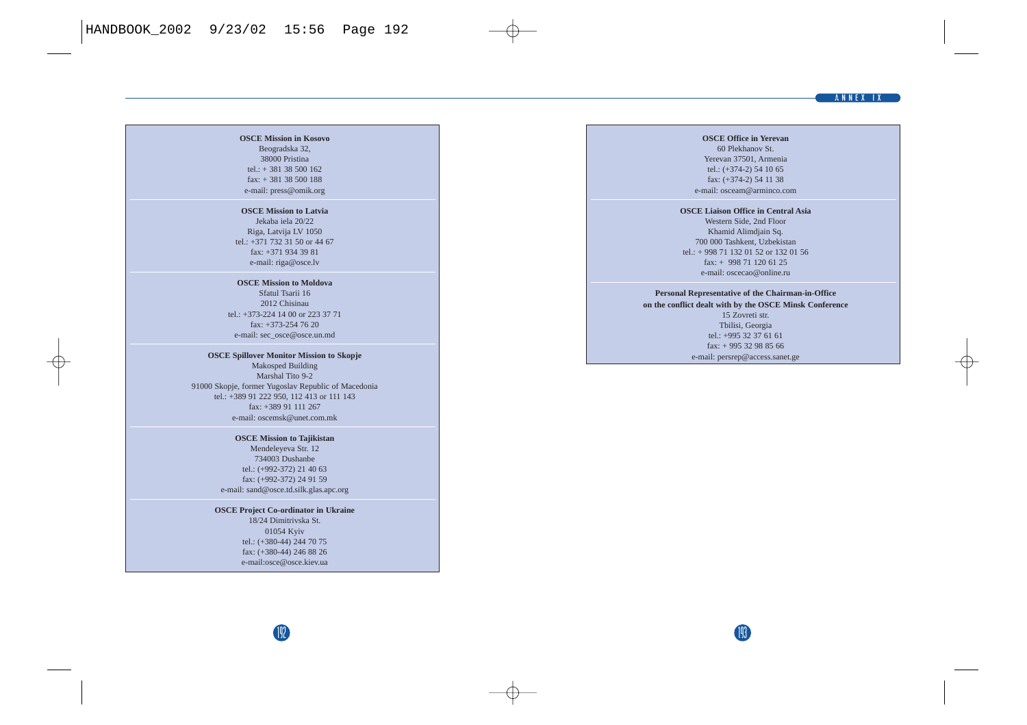#### **ANNEX IX**

#### **OSCE Mission in Kosovo** Beogradska 32, 38000 Pristina tel.:  $+ 381 38 500 162$ fax: + 381 38 500 188 e-mail: press@omik.org

#### **OSCE Mission to Latvia**

Jekaba iela 20/22 Riga, Latvija LV 1050 tel.: +371 732 31 50 or 44 67 fax: +371 934 39 81 e-mail: riga@osce.lv

#### **OSCE Mission to Moldova**

Sfatul Tsarii 16 2012 Chisinau tel.: +373-224 14 00 or 223 37 71 fax: +373-254 76 20 e-mail: sec\_osce@osce.un.md

**OSCE Spillover Monitor Mission to Skopje** Makosped Building Marshal Tito 9-2 91000 Skopje, former Yugoslav Republic of Macedonia tel.: +389 91 222 950, 112 413 or 111 143 fax: +389 91 111 267 e-mail: oscemsk@unet.com.mk

#### **OSCE Mission to Tajikistan**

Mendeleyeva Str. 12 734003 Dushanbe tel.: (+992-372) 21 40 63 fax: (+992-372) 24 91 59 e-mail: sand@osce.td.silk.glas.apc.org

**OSCE Project Co-ordinator in Ukraine** 18/24 Dimitrivska St. 01054 Kyiv tel.: (+380-44) 244 70 75 fax: (+380-44) 246 88 26 e-mail:osce@osce.kiev.ua

#### **OSCE Office in Yerevan** 60 Plekhanov St. Yerevan 37501, Armenia tel.: (+374-2) 54 10 65 fax: (+374-2) 54 11 38 e-mail: osceam@arminco.com

#### **OSCE Liaison Office in Central Asia** Western Side, 2nd Floor Khamid Alimdjain Sq. 700 000 Tashkent, Uzbekistan tel.: + 998 71 132 01 52 or 132 01 56 fax: + 998 71 120 61 25 e-mail: oscecao@online.ru

### **Personal Representative of the Chairman-in-Office**

**on the conflict dealt with by the OSCE Minsk Conference**

15 Zovreti str. Tbilisi, Georgia tel.: +995 32 37 61 61 fax: + 995 32 98 85 66 e-mail: persrep@access.sanet.ge

193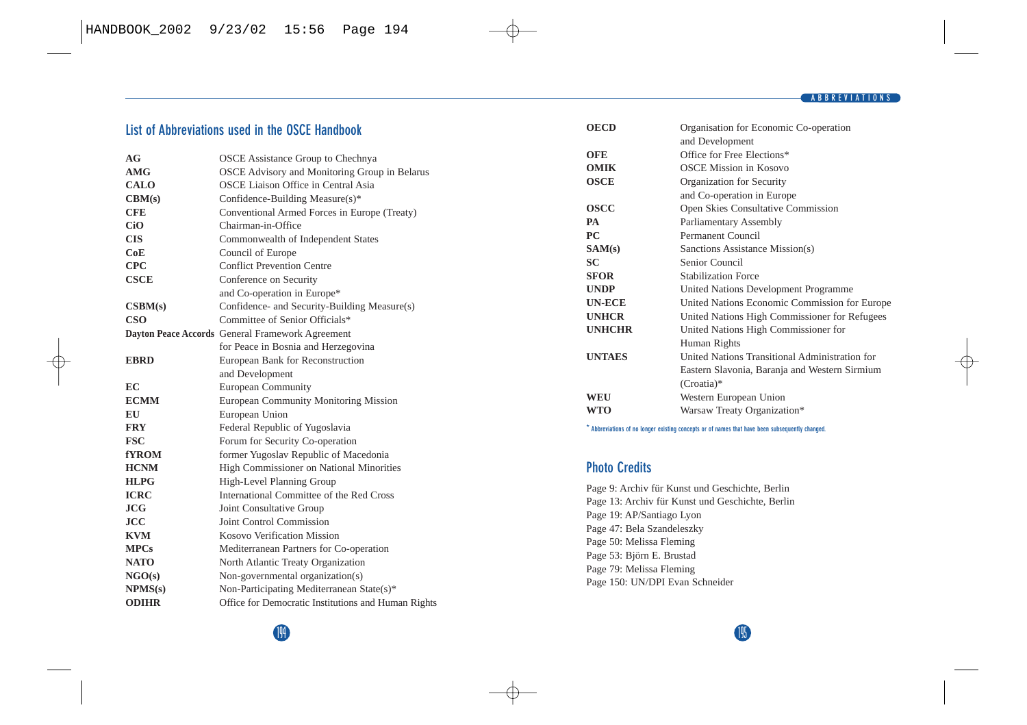## **List of Abbreviations used in the OSCE Handbook**

| AG               | <b>OSCE</b> Assistance Group to Chechnya            |
|------------------|-----------------------------------------------------|
| AMG              | OSCE Advisory and Monitoring Group in Belarus       |
| <b>CALO</b>      | OSCE Liaison Office in Central Asia                 |
| CBM(s)           | Confidence-Building Measure(s)*                     |
| <b>CFE</b>       | Conventional Armed Forces in Europe (Treaty)        |
| CiO              | Chairman-in-Office                                  |
| <b>CIS</b>       | Commonwealth of Independent States                  |
| CoE              | Council of Europe                                   |
| <b>CPC</b>       | <b>Conflict Prevention Centre</b>                   |
| <b>CSCE</b>      | Conference on Security                              |
|                  | and Co-operation in Europe*                         |
| $\text{CSBM}(s)$ | Confidence- and Security-Building Measure(s)        |
| <b>CSO</b>       | Committee of Senior Officials*                      |
|                  | Dayton Peace Accords General Framework Agreement    |
|                  | for Peace in Bosnia and Herzegovina                 |
| <b>EBRD</b>      | European Bank for Reconstruction                    |
|                  | and Development                                     |
| EC               | <b>European Community</b>                           |
| <b>ECMM</b>      | European Community Monitoring Mission               |
| EU               | European Union                                      |
| <b>FRY</b>       | Federal Republic of Yugoslavia                      |
| <b>FSC</b>       | Forum for Security Co-operation                     |
| fYROM-           | former Yugoslav Republic of Macedonia               |
| <b>HCNM</b>      | High Commissioner on National Minorities            |
| <b>HLPG</b>      | High-Level Planning Group                           |
| <b>ICRC</b>      | International Committee of the Red Cross            |
| JCG              | Joint Consultative Group                            |
| <b>JCC</b>       | Joint Control Commission                            |
| <b>KVM</b>       | Kosovo Verification Mission                         |
| <b>MPCs</b>      | Mediterranean Partners for Co-operation             |
| <b>NATO</b>      | North Atlantic Treaty Organization                  |
| NGO(s)           | Non-governmental organization(s)                    |
| NPMS(s)          | Non-Participating Mediterranean State(s)*           |
| <b>ODIHR</b>     | Office for Democratic Institutions and Human Rights |

| OECD          | Organisation for Economic Co-operation         |
|---------------|------------------------------------------------|
|               | and Development                                |
| OFE           | Office for Free Elections*                     |
| OMIK          | <b>OSCE Mission in Kosovo</b>                  |
| OSCE          | Organization for Security                      |
|               | and Co-operation in Europe                     |
| OSCC          | Open Skies Consultative Commission             |
| PА            | Parliamentary Assembly                         |
| PС            | Permanent Council                              |
| SAM(s)        | Sanctions Assistance Mission(s)                |
| SC            | Senior Council                                 |
| SFOR          | <b>Stabilization Force</b>                     |
| UNDP          | United Nations Development Programme           |
| UN-ECE        | United Nations Economic Commission for Europe  |
| <b>UNHCR</b>  | United Nations High Commissioner for Refugees  |
| <b>UNHCHR</b> | United Nations High Commissioner for           |
|               | Human Rights                                   |
| <b>UNTAES</b> | United Nations Transitional Administration for |
|               | Eastern Slavonia, Baranja and Western Sirmium  |
|               | (Croatia)*                                     |
| WEU           | Western European Union                         |
| WTO           | Warsaw Treaty Organization*                    |
|               |                                                |

**\* Abbreviations of no longer existing concepts or of names that have been subsequently changed.**

## **Photo Credits**

Page 9: Archiv für Kunst und Geschichte, Berlin Page 13: Archiv für Kunst und Geschichte, Berlin Page 19: AP/Santiago Lyon Page 47: Bela Szandeleszky Page 50: Melissa Fleming Page 53: Björn E. Brustad Page 79: Melissa Fleming Page 150: UN/DPI Evan Schneider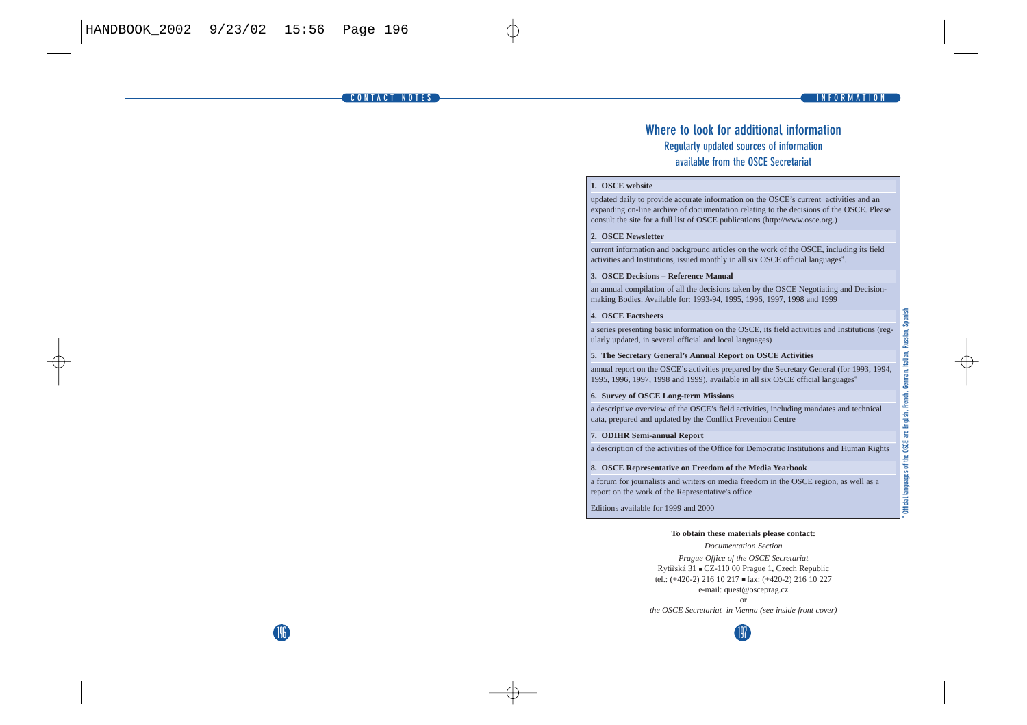196

## **Where to look for additional information Regularly updated sources of information available from the OSCE Secretariat**

#### **1. OSCE website**

updated daily to provide accurate information on the OSCE's current activities and an expanding on-line archive of documentation relating to the decisions of the OSCE. Please consult the site for a full list of OSCE publications (http://www.osce.org.)

#### **2. OSCE Newsletter**

current information and background articles on the work of the OSCE, including its field activities and Institutions, issued monthly in all six OSCE official languages\*.

#### **3. OSCE Decisions – Reference Manual**

an annual compilation of all the decisions taken by the OSCE Negotiating and Decisionmaking Bodies. Available for: 1993-94, 1995, 1996, 1997, 1998 and 1999

#### **4. OSCE Factsheets**

a series presenting basic information on the OSCE, its field activities and Institutions (regularly updated, in several official and local languages)

#### **5. The Secretary General's Annual Report on OSCE Activities**

annual report on the OSCE's activities prepared by the Secretary General (for 1993, 1994, 1995, 1996, 1997, 1998 and 1999), available in all six OSCE official languages\*

#### **6. Survey of OSCE Long-term Missions**

a descriptive overview of the OSCE's field activities, including mandates and technical data, prepared and updated by the Conflict Prevention Centre

#### **7. ODIHR Semi-annual Report**

a description of the activities of the Office for Democratic Institutions and Human Rights

#### **8. OSCE Representative on Freedom of the Media Yearbook**

a forum for journalists and writers on media freedom in the OSCE region, as well as a report on the work of the Representative's office

Editions available for 1999 and 2000

#### **To obtain these materials please contact:**

*Documentation Section Prague Office of the OSCE Secretariat* Rytíªská 31 ■ CZ-110 00 Prague 1, Czech Republic tel.: (+420-2) 216 10 217 ■ fax: (+420-2) 216 10 227 e-mail: quest@osceprag.cz *the OSCE Secretariat in Vienna (see inside front cover)*

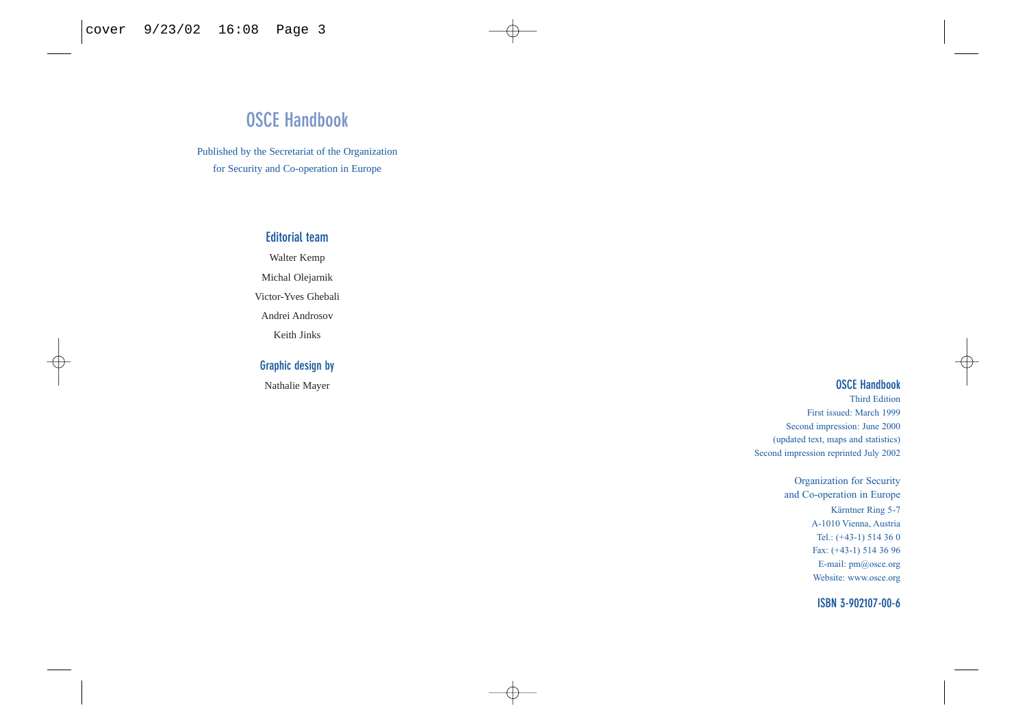## **OSCE Handbook**

Published by the Secretariat of the Organization for Security and Co-operation in Europe

## **Editorial team**

Walter Kemp

Michal Olejarnik

Victor-Yves Ghebali

Andrei Androsov

Keith Jinks

## **Graphic design by**

Nathalie Mayer

## **OSCE Handbook**

Third Edition First issued: March 1999 Second impression: June 2000 (updated text, maps and statistics) Second impression reprinted July 2002

> Organization for Security and Co-operation in Europe Kärntner Ring 5-7 A-1010 Vienna, Austria Tel.: (+43-1) 514 36 0 Fax: (+43-1) 514 36 96 E-mail: pm@osce.org Website: www.osce.org

> > **ISBN 3-902107-00-6**